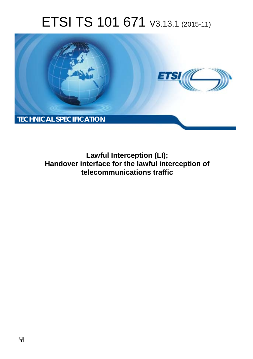# ETSI TS 101 671 V3.13.1 (2015-11)



**Lawful Interception (LI); Handover interface for the lawful interception of telecommunications traffic**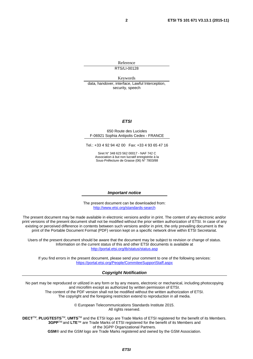Reference RTS/LI-00128

Keywords data, handover, interface, Lawful Interception, security, speech

#### *ETSI*

#### 650 Route des Lucioles F-06921 Sophia Antipolis Cedex - FRANCE

Tel.: +33 4 92 94 42 00 Fax: +33 4 93 65 47 16

Siret N° 348 623 562 00017 - NAF 742 C Association à but non lucratif enregistrée à la Sous-Préfecture de Grasse (06) N° 7803/88

#### *Important notice*

The present document can be downloaded from: <http://www.etsi.org/standards-search>

The present document may be made available in electronic versions and/or in print. The content of any electronic and/or print versions of the present document shall not be modified without the prior written authorization of ETSI. In case of any existing or perceived difference in contents between such versions and/or in print, the only prevailing document is the print of the Portable Document Format (PDF) version kept on a specific network drive within ETSI Secretariat.

Users of the present document should be aware that the document may be subject to revision or change of status. Information on the current status of this and other ETSI documents is available at <http://portal.etsi.org/tb/status/status.asp>

If you find errors in the present document, please send your comment to one of the following services: <https://portal.etsi.org/People/CommiteeSupportStaff.aspx>

#### *Copyright Notification*

No part may be reproduced or utilized in any form or by any means, electronic or mechanical, including photocopying and microfilm except as authorized by written permission of ETSI.

The content of the PDF version shall not be modified without the written authorization of ETSI. The copyright and the foregoing restriction extend to reproduction in all media.

> © European Telecommunications Standards Institute 2015. All rights reserved.

**DECT**TM, **PLUGTESTS**TM, **UMTS**TM and the ETSI logo are Trade Marks of ETSI registered for the benefit of its Members. **3GPP**TM and **LTE**™ are Trade Marks of ETSI registered for the benefit of its Members and of the 3GPP Organizational Partners.

**GSM**® and the GSM logo are Trade Marks registered and owned by the GSM Association.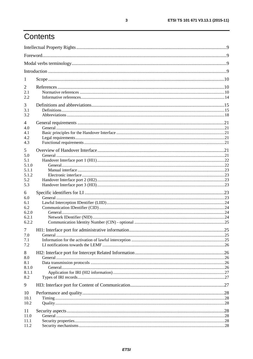# Contents

| $\perp$        |         |            |
|----------------|---------|------------|
| 2              |         |            |
| 2.1            |         |            |
| 2.2            |         |            |
| 3              |         |            |
| 3.1            |         |            |
| 3.2            |         |            |
| 4              |         |            |
| 4.0            |         |            |
| 4.1            |         |            |
| 4.2<br>4.3     |         |            |
|                |         |            |
| 5              |         |            |
| 5.0<br>5.1     |         |            |
| 5.1.0          |         |            |
| 5.1.1          |         |            |
| 5.1.2          |         |            |
| 5.2            |         |            |
| 5.3            |         |            |
| 6              |         |            |
| 6.0            |         |            |
| 6.1<br>6.2     |         |            |
| 6.2.0          |         |            |
| 6.2.1          |         |            |
| 6.2.2          |         |            |
| 7              |         |            |
| 7.0            | General | $\dots 25$ |
| 7.1            |         |            |
| 7.2            |         |            |
| 8              |         |            |
| 8.0            |         |            |
| 8.1            |         |            |
| 8.1.0<br>8.1.1 |         |            |
| 8.2            |         |            |
| 9              |         |            |
|                |         |            |
| 10<br>10.1     |         |            |
| 10.2           |         |            |
|                |         |            |
| 11<br>11.0     |         |            |
| 11.1           |         |            |
| 11.2           |         |            |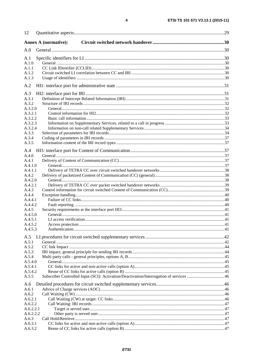| 12        |                             |  |
|-----------|-----------------------------|--|
|           | <b>Annex A (normative):</b> |  |
| A.0       |                             |  |
| A.1       |                             |  |
| A.1.0     |                             |  |
| A.1.1     |                             |  |
| A.1.2     |                             |  |
| A.1.3     |                             |  |
| A.2       |                             |  |
| A.3       |                             |  |
| A.3.1     |                             |  |
| A.3.2     |                             |  |
| A.3.2.0   |                             |  |
| A.3.2.1   |                             |  |
| A.3.2.2   |                             |  |
| A.3.2.3   |                             |  |
| A.3.2.4   |                             |  |
| A.3.3     |                             |  |
| A.3.4     |                             |  |
| A.3.5     |                             |  |
| A.4       |                             |  |
| A.4.0     |                             |  |
| A.4.1     |                             |  |
| A.4.1.0   |                             |  |
| A.4.1.1   |                             |  |
| A.4.2     |                             |  |
| A.4.2.0   |                             |  |
| A.4.2.1   |                             |  |
| A.4.3     |                             |  |
| A.4.4     |                             |  |
| A.4.4.1   |                             |  |
| A.4.4.2   |                             |  |
| A.4.5     |                             |  |
| A.4.5.0   |                             |  |
| A.4.5.1   |                             |  |
| A.4.5.2   |                             |  |
| A.4.5.3   |                             |  |
| A.5       |                             |  |
| A.5.1     |                             |  |
| A.5.2     |                             |  |
| A.5.3     |                             |  |
| A.5.4     |                             |  |
| A.5.4.0   |                             |  |
| A.5.4.1   |                             |  |
| A.5.4.2   |                             |  |
| A.5.5     |                             |  |
| A.6       |                             |  |
| A.6.1     |                             |  |
| A.6.2     |                             |  |
| A.6.2.1   |                             |  |
| A.6.2.2   |                             |  |
| A.6.2.2.1 |                             |  |
| A.6.2.2.2 |                             |  |
| A.6.3     |                             |  |
| A.6.3.1   |                             |  |
| A.6.3.2   |                             |  |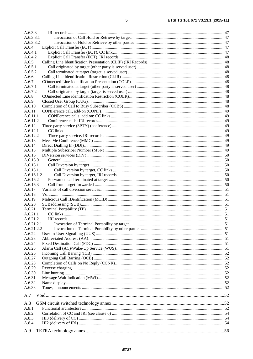| A.6.3.3    |  |
|------------|--|
| A.6.3.3.1  |  |
| A.6.3.3.2  |  |
| A.6.4      |  |
| A.6.4.1    |  |
| A.6.4.2    |  |
| A.6.5      |  |
| A.6.5.1    |  |
| A.6.5.2    |  |
| A.6.6      |  |
| A.6.7      |  |
| A.6.7.1    |  |
| A.6.7.2    |  |
| A.6.8      |  |
| A.6.9      |  |
| A.6.10     |  |
|            |  |
| A.6.11     |  |
| A.6.11.1   |  |
| A.6.11.2   |  |
| A.6.12     |  |
| A.6.12.1   |  |
| A.6.12.2   |  |
| A.6.13     |  |
| A.6.14     |  |
| A.6.15     |  |
| A.6.16     |  |
| A.6.16.0   |  |
| A.6.16.1   |  |
| A.6.16.1.1 |  |
| A.6.16.1.2 |  |
| A.6.16.2   |  |
| A.6.16.3   |  |
| A.6.17     |  |
| A.6.18     |  |
| A.6.19     |  |
| A.6.20     |  |
| A.6.21     |  |
| A.6.21.1   |  |
| A.6.21.2   |  |
| A.6.21.2.1 |  |
| A.6.21.2.2 |  |
| A.6.22     |  |
| A.6.23     |  |
| A.6.24     |  |
| A.6.25     |  |
| A.6.26     |  |
| A.6.27     |  |
|            |  |
| A.6.28     |  |
| A.6.29     |  |
| A.6.30     |  |
| A.6.31     |  |
| A.6.32     |  |
| A.6.33     |  |
| A.7        |  |
| A.8        |  |
| A.8.1      |  |
| A.8.2      |  |
| A.8.3      |  |
| A.8.4      |  |
|            |  |
| A.9        |  |
|            |  |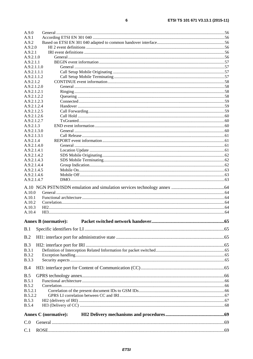| A.9.1                          |                             |    |
|--------------------------------|-----------------------------|----|
| A.9.2                          |                             |    |
| A.9.2.0                        |                             |    |
| A.9.2.1                        |                             |    |
| A.9.2.1.0                      |                             |    |
| A.9.2.1.1<br>A.9.2.1.1.0       |                             |    |
| A.9.2.1.1.1                    |                             |    |
| A.9.2.1.1.2                    |                             |    |
| A.9.2.1.2                      |                             |    |
| A.9.2.1.2.0                    |                             |    |
| A.9.2.1.2.1                    |                             |    |
| A.9.2.1.2.2                    |                             |    |
| A.9.2.1.2.3                    |                             |    |
| A.9.2.1.2.4                    |                             |    |
| A.9.2.1.2.5                    |                             |    |
| A.9.2.1.2.6                    |                             |    |
| A.9.2.1.2.7                    |                             |    |
| A.9.2.1.3                      |                             |    |
| A.9.2.1.3.0<br>A.9.2.1.3.1     |                             |    |
| A.9.2.1.4                      |                             |    |
| A.9.2.1.4.0                    |                             |    |
| A.9.2.1.4.1                    |                             |    |
| A.9.2.1.4.2                    |                             |    |
| A.9.2.1.4.3                    |                             |    |
| A.9.2.1.4.4                    |                             |    |
| A.9.2.1.4.5                    |                             |    |
| A.9.2.1.4.6                    |                             |    |
| A.9.2.1.4.7                    |                             |    |
|                                |                             |    |
| A.10.0                         |                             |    |
| A.10.1                         |                             |    |
| A.10.2                         |                             |    |
| A.10.3                         |                             |    |
| A.10.4                         |                             |    |
|                                |                             |    |
|                                |                             |    |
|                                | <b>Annex B</b> (normative): | 65 |
| B.1                            |                             |    |
|                                |                             |    |
| B.2                            |                             |    |
| B.3                            |                             |    |
| <b>B.3.1</b>                   |                             |    |
| <b>B.3.2</b>                   |                             |    |
| <b>B.3.3</b>                   |                             |    |
| B.4                            |                             |    |
|                                |                             |    |
| B.5                            |                             |    |
| B.5.1                          |                             |    |
| <b>B.5.2</b><br><b>B.5.2.1</b> |                             |    |
| <b>B.5.2.2</b>                 |                             |    |
| <b>B.5.3</b>                   |                             |    |
| <b>B.5.4</b>                   |                             |    |
|                                |                             |    |
|                                | <b>Annex C</b> (normative): |    |
| C.0                            |                             |    |
| C.1                            |                             |    |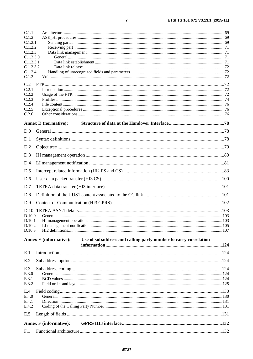| C.1.1                  |                                                                                                  |  |
|------------------------|--------------------------------------------------------------------------------------------------|--|
| C.1.2                  |                                                                                                  |  |
| C.1.2.1<br>C.1.2.2     |                                                                                                  |  |
| C.1.2.3                |                                                                                                  |  |
| C.1.2.3.0              |                                                                                                  |  |
| C.1.2.3.1<br>C.1.2.3.2 |                                                                                                  |  |
| C.1.2.4                |                                                                                                  |  |
| C.1.3                  |                                                                                                  |  |
| C.2                    |                                                                                                  |  |
| C.2.1                  |                                                                                                  |  |
| C.2.2<br>C.2.3         |                                                                                                  |  |
| C.2.4                  |                                                                                                  |  |
| C.2.5                  |                                                                                                  |  |
| C.2.6                  |                                                                                                  |  |
|                        | <b>Annex D</b> (normative):                                                                      |  |
| D.0                    |                                                                                                  |  |
| D.1                    |                                                                                                  |  |
| D.2                    |                                                                                                  |  |
| D.3                    |                                                                                                  |  |
| D.4                    |                                                                                                  |  |
| D.5                    |                                                                                                  |  |
| D.6                    |                                                                                                  |  |
| D.7                    |                                                                                                  |  |
| D.8                    |                                                                                                  |  |
| D.9                    |                                                                                                  |  |
|                        |                                                                                                  |  |
| D.10.0                 |                                                                                                  |  |
|                        |                                                                                                  |  |
| D.10.2<br>D.10.3       |                                                                                                  |  |
|                        | <b>Annex E</b> (informative):<br>Use of subaddress and calling party number to carry correlation |  |
|                        |                                                                                                  |  |
| E.1                    |                                                                                                  |  |
| E.2                    |                                                                                                  |  |
| E.3                    |                                                                                                  |  |
| E.3.0                  |                                                                                                  |  |
| E.3.1<br>E.3.2         |                                                                                                  |  |
| E.4                    |                                                                                                  |  |
| E.4.0                  |                                                                                                  |  |
| E.4.1                  |                                                                                                  |  |
| E.4.2                  |                                                                                                  |  |
| E.5                    |                                                                                                  |  |
|                        | <b>Annex F</b> (informative):                                                                    |  |
| F.1                    |                                                                                                  |  |

 $\overline{7}$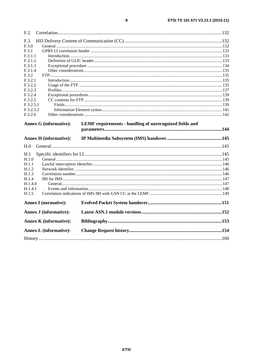| F <sub>.2</sub>                                                |                                                         |  |
|----------------------------------------------------------------|---------------------------------------------------------|--|
| F.3                                                            |                                                         |  |
| F.3.0                                                          |                                                         |  |
| F.3.1                                                          |                                                         |  |
| F.3.1.1                                                        |                                                         |  |
| F.3.1.2                                                        |                                                         |  |
| F.3.1.3                                                        |                                                         |  |
| F.3.1.4                                                        |                                                         |  |
| F.3.2                                                          |                                                         |  |
| F.3.2.1                                                        |                                                         |  |
| F.3.2.2                                                        |                                                         |  |
| F.3.2.3                                                        |                                                         |  |
| F.3.2.4                                                        |                                                         |  |
| F.3.2.5                                                        |                                                         |  |
| F.3.2.5.1                                                      |                                                         |  |
| F.3.2.5.2                                                      |                                                         |  |
| F.3.2.6                                                        |                                                         |  |
| <b>Annex G (informative):</b><br><b>Annex H</b> (informative): | LEMF requirements - handling of unrecognized fields and |  |
| H.0                                                            |                                                         |  |
|                                                                |                                                         |  |
| H.1                                                            |                                                         |  |
| H.1.0                                                          |                                                         |  |
| H.1.1                                                          |                                                         |  |
| H.1.2                                                          |                                                         |  |
| H.1.3                                                          |                                                         |  |
| H.1.4                                                          |                                                         |  |
| H.1.4.0                                                        |                                                         |  |
| H.1.4.1                                                        |                                                         |  |
| H.1.5                                                          |                                                         |  |
| <b>Annex I</b> (normative):                                    |                                                         |  |
| <b>Annex J (informative):</b>                                  |                                                         |  |
| <b>Annex K</b> (informative):                                  |                                                         |  |
| <b>Annex L (informative):</b>                                  |                                                         |  |
|                                                                |                                                         |  |
|                                                                |                                                         |  |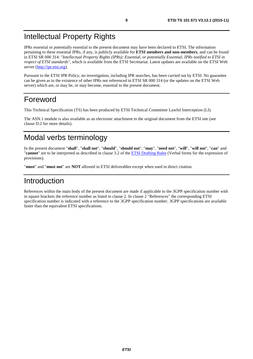### <span id="page-8-0"></span>Intellectual Property Rights

IPRs essential or potentially essential to the present document may have been declared to ETSI. The information pertaining to these essential IPRs, if any, is publicly available for **ETSI members and non-members**, and can be found in ETSI SR 000 314: *"Intellectual Property Rights (IPRs); Essential, or potentially Essential, IPRs notified to ETSI in respect of ETSI standards"*, which is available from the ETSI Secretariat. Latest updates are available on the ETSI Web server ([http://ipr.etsi.org](http://webapp.etsi.org/IPR/home.asp)).

Pursuant to the ETSI IPR Policy, no investigation, including IPR searches, has been carried out by ETSI. No guarantee can be given as to the existence of other IPRs not referenced in ETSI SR 000 314 (or the updates on the ETSI Web server) which are, or may be, or may become, essential to the present document.

### Foreword

This Technical Specification (TS) has been produced by ETSI Technical Committee Lawful Interception (LI).

The ASN.1 module is also available as an electronic attachment to the original document from the ETSI site (see clause D.2 for more details).

### Modal verbs terminology

In the present document "**shall**", "**shall not**", "**should**", "**should not**", "**may**", "**need not**", "**will**", "**will not**", "**can**" and "**cannot**" are to be interpreted as described in clause 3.2 of the [ETSI Drafting Rules](http://portal.etsi.org/Help/editHelp!/Howtostart/ETSIDraftingRules.aspx) (Verbal forms for the expression of provisions).

"**must**" and "**must not**" are **NOT** allowed in ETSI deliverables except when used in direct citation.

### Introduction

References within the main body of the present document are made if applicable to the 3GPP specification number with in square brackets the reference number as listed in clause 2. In clause 2 "References" the corresponding ETSI specification number is indicated with a reference to the 3GPP specification number. 3GPP specifications are available faster than the equivalent ETSI specifications.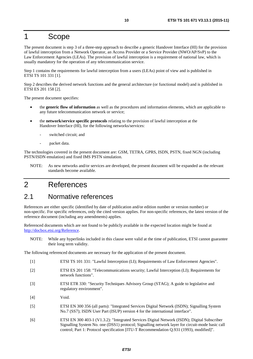### <span id="page-9-0"></span>1 Scope

The present document is step 3 of a three-step approach to describe a generic Handover Interface (HI) for the provision of lawful interception from a Network Operator, an Access Provider or a Service Provider (NWO/AP/SvP) to the Law Enforcement Agencies (LEAs). The provision of lawful interception is a requirement of national law, which is usually mandatory for the operation of any telecommunication service.

Step 1 contains the requirements for lawful interception from a users (LEAs) point of view and is published in ETSI TS 101 331 [1].

Step 2 describes the derived network functions and the general architecture (or functional model) and is published in ETSI ES 201 158 [2].

The present document specifies:

- the **generic flow of information** as well as the procedures and information elements, which are applicable to any future telecommunication network or service;
- the **network/service specific protocols** relating to the provision of lawful interception at the Handover Interface (HI), for the following networks/services:
	- switched circuit: and
	- packet data.

The technologies covered in the present document are: GSM, TETRA, GPRS, ISDN, PSTN, fixed NGN (including PSTN/ISDN emulation) and fixed IMS PSTN simulation.

NOTE: As new networks and/or services are developed, the present document will be expanded as the relevant standards become available.

### 2 References

#### 2.1 Normative references

References are either specific (identified by date of publication and/or edition number or version number) or non-specific. For specific references, only the cited version applies. For non-specific references, the latest version of the reference document (including any amendments) applies.

Referenced documents which are not found to be publicly available in the expected location might be found at <http://docbox.etsi.org/Reference>.

NOTE: While any hyperlinks included in this clause were valid at the time of publication, ETSI cannot guarantee their long term validity.

The following referenced documents are necessary for the application of the present document.

- [1] ETSI TS 101 331: "Lawful Interception (LI); Requirements of Law Enforcement Agencies".
- [2] ETSI ES 201 158: "Telecommunications security; Lawful Interception (LI); Requirements for network functions".
- [3] ETSI ETR 330: "Security Techniques Advisory Group (STAG); A guide to legislative and regulatory environment".
- [4] Void.
- [5] ETSI EN 300 356 (all parts): "Integrated Services Digital Network (ISDN); Signalling System No.7 (SS7); ISDN User Part (ISUP) version 4 for the international interface".
- [6] ETSI EN 300 403-1 (V1.3.2): "Integrated Services Digital Network (ISDN); Digital Subscriber Signalling System No. one (DSS1) protocol; Signalling network layer for circuit-mode basic call control; Part 1: Protocol specification [ITU-T Recommendation Q.931 (1993), modified]".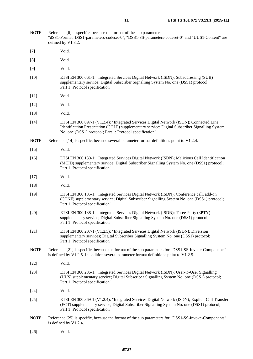- <span id="page-10-0"></span>NOTE: Reference [6] is specific, because the format of the sub parameters "dSS1-Format, DSS1-parameters-codeset-0", "DSS1-SS-parameters-codeset-0" and "UUS1-Content" are defined by V1.3.2.
- [7] Void.
- [8] Void.
- [9] Void.
- [10] ETSI EN 300 061-1: "Integrated Services Digital Network (ISDN); Subaddressing (SUB) supplementary service; Digital Subscriber Signalling System No. one (DSS1) protocol; Part 1: Protocol specification".
- [11] **Void.**
- [12] Void.
- [13] **Void.**
- [14] ETSI EN 300 097-1 (V1.2.4): "Integrated Services Digital Network (ISDN); Connected Line Identification Presentation (COLP) supplementary service; Digital Subscriber Signalling System No. one (DSS1) protocol; Part 1: Protocol specification".
- NOTE: Reference [14] is specific, because several parameter format definitions point to V1.2.4.
- [15] Void.
- [16] ETSI EN 300 130-1: "Integrated Services Digital Network (ISDN); Malicious Call Identification (MCID) supplementary service; Digital Subscriber Signalling System No. one (DSS1) protocol; Part 1: Protocol specification".
- [17] Void.
- [18] Void.
- [19] ETSI EN 300 185-1: "Integrated Services Digital Network (ISDN); Conference call, add-on (CONF) supplementary service; Digital Subscriber Signalling System No. one (DSS1) protocol; Part 1: Protocol specification".
- [20] ETSI EN 300 188-1: "Integrated Services Digital Network (ISDN); Three-Party (3PTY) supplementary service; Digital Subscriber Signalling System No. one (DSS1) protocol; Part 1: Protocol specification".
- [21] ETSI EN 300 207-1 (V1.2.5): "Integrated Services Digital Network (ISDN); Diversion supplementary services; Digital Subscriber Signalling System No. one (DSS1) protocol; Part 1: Protocol specification".
- NOTE: Reference [21] is specific, because the format of the sub parameters for "DSS1-SS-Invoke-Components" is defined by V1.2.5. In addition several parameter format definitions point to V1.2.5.
- [22] **Void.**
- [23] ETSI EN 300 286-1: "Integrated Services Digital Network (ISDN); User-to-User Signalling (UUS) supplementary service; Digital Subscriber Signalling System No. one (DSS1) protocol; Part 1: Protocol specification".
- [24] Void.
- [25] ETSI EN 300 369-1 (V1.2.4): "Integrated Services Digital Network (ISDN); Explicit Call Transfer (ECT) supplementary service; Digital Subscriber Signalling System No. one (DSS1) protocol; Part 1: Protocol specification".
- NOTE: Reference [25] is specific, because the format of the sub parameters for "DSS1-SS-Invoke-Components" is defined by V1.2.4.
- [26] Void.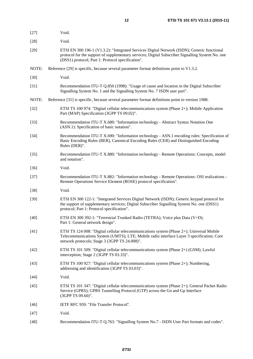<span id="page-11-0"></span>

| $[27]$ | Void.                                                                                                                                                                                                                                                |
|--------|------------------------------------------------------------------------------------------------------------------------------------------------------------------------------------------------------------------------------------------------------|
| $[28]$ | Void.                                                                                                                                                                                                                                                |
| $[29]$ | ETSI EN 300 196-1 (V1.3.2): "Integrated Services Digital Network (ISDN); Generic functional<br>protocol for the support of supplementary services; Digital Subscriber Signalling System No. one<br>(DSS1) protocol; Part 1: Protocol specification". |
| NOTE:  | Reference [29] is specific, because several parameter format definitions point to V1.3.2.                                                                                                                                                            |
| $[30]$ | Void.                                                                                                                                                                                                                                                |
| $[31]$ | Recommendation ITU-T Q.850 (1998): "Usage of cause and location in the Digital Subscriber<br>Signalling System No. 1 and the Signalling System No. 7 ISDN user part".                                                                                |
| NOTE:  | Reference [31] is specific, because several parameter format definitions point to version 1988.                                                                                                                                                      |
| $[32]$ | ETSI TS 100 974: "Digital cellular telecommunications system (Phase 2+); Mobile Application<br>Part (MAP) Specification (3GPP TS 09.02)".                                                                                                            |
| $[33]$ | Recommendation ITU-T X.680: "Information technology - Abstract Syntax Notation One<br>(ASN.1): Specification of basic notation".                                                                                                                     |
| $[34]$ | Recommendation ITU-T X.690: "Information technology - ASN.1 encoding rules: Specification of<br>Basic Encoding Rules (BER), Canonical Encoding Rules (CER) and Distinguished Encoding<br>Rules (DER)".                                               |
| $[35]$ | Recommendation ITU-T X.880: "Information technology - Remote Operations: Concepts, model<br>and notation".                                                                                                                                           |
| $[36]$ | Void.                                                                                                                                                                                                                                                |
| $[37]$ | Recommendation ITU-T X.882: "Information technology - Remote Operations: OSI realizations -<br>Remote Operations Service Element (ROSE) protocol specification".                                                                                     |
| $[38]$ | Void.                                                                                                                                                                                                                                                |
| $[39]$ | ETSI EN 300 122-1: "Integrated Services Digital Network (ISDN); Generic keypad protocol for<br>the support of supplementary services; Digital Subscriber Signalling System No. one (DSS1)<br>protocol; Part 1: Protocol specification".              |
| $[40]$ | ETSI EN 300 392-1: "Terrestrial Trunked Radio (TETRA); Voice plus Data (V+D);<br>Part 1: General network design".                                                                                                                                    |
| $[41]$ | ETSI TS 124 008: "Digital cellular telecommunications system (Phase 2+); Universal Mobile<br>Telecommunications System (UMTS); LTE; Mobile radio interface Layer 3 specification; Core<br>network protocols; Stage 3 (3GPP TS 24.008)".              |
| $[42]$ | ETSI TS 101 509: "Digital cellular telecommunications system (Phase 2+) (GSM); Lawful<br>interception; Stage 2 (3GPP TS 03.33)".                                                                                                                     |
| $[43]$ | ETSI TS 100 927: "Digital cellular telecommunications system (Phase 2+); Numbering,<br>addressing and identification (3GPP TS 03.03)".                                                                                                               |
| $[44]$ | Void.                                                                                                                                                                                                                                                |
| $[45]$ | ETSI TS 101 347: "Digital cellular telecommunications system (Phase 2+); General Packet Radio<br>Service (GPRS); GPRS Tunnelling Protocol (GTP) across the Gn and Gp Interface<br>(3GPP TS 09.60)".                                                  |
| $[46]$ | IETF RFC 959: "File Transfer Protocol".                                                                                                                                                                                                              |
| $[47]$ | Void.                                                                                                                                                                                                                                                |
| $[48]$ | Recommendation ITU-T Q.763: "Signalling System No.7 - ISDN User Part formats and codes".                                                                                                                                                             |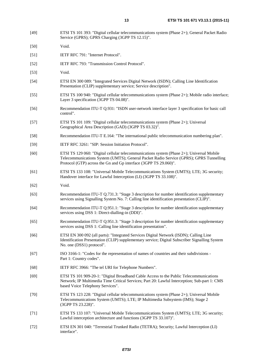[49] ETSI TS 101 393: "Digital cellular telecommunications system (Phase 2+); General Packet Radio

|        | Service (GPRS); GPRS Charging (3GPP TS 12.15)".                                                                                                                                                                                                            |
|--------|------------------------------------------------------------------------------------------------------------------------------------------------------------------------------------------------------------------------------------------------------------|
| $[50]$ | Void.                                                                                                                                                                                                                                                      |
| $[51]$ | IETF RFC 791: "Internet Protocol".                                                                                                                                                                                                                         |
| $[52]$ | IETF RFC 793: "Transmission Control Protocol".                                                                                                                                                                                                             |
| $[53]$ | Void.                                                                                                                                                                                                                                                      |
| $[54]$ | ETSI EN 300 089: "Integrated Services Digital Network (ISDN); Calling Line Identification<br>Presentation (CLIP) supplementary service; Service description".                                                                                              |
| $[55]$ | ETSI TS 100 940: "Digital cellular telecommunications system (Phase $2+$ ); Mobile radio interface;<br>Layer 3 specification (3GPP TS 04.08)".                                                                                                             |
| $[56]$ | Recommendation ITU-T Q.931: "ISDN user-network interface layer 3 specification for basic call<br>control".                                                                                                                                                 |
| $[57]$ | ETSI TS 101 109: "Digital cellular telecommunications system (Phase $2+$ ); Universal<br>Geographical Area Description (GAD) (3GPP TS 03.32)".                                                                                                             |
| $[58]$ | Recommendation ITU-T E.164: "The international public telecommunication numbering plan".                                                                                                                                                                   |
| $[59]$ | IETF RFC 3261: "SIP: Session Initiation Protocol".                                                                                                                                                                                                         |
| $[60]$ | ETSI TS 129 060: "Digital cellular telecommunications system (Phase $2+$ ); Universal Mobile<br>Telecommunications System (UMTS); General Packet Radio Service (GPRS); GPRS Tunnelling<br>Protocol (GTP) across the Gn and Gp interface (3GPP TS 29.060)". |
| [61]   | ETSI TS 133 108: "Universal Mobile Telecommunications System (UMTS); LTE; 3G security;<br>Handover interface for Lawful Interception (LI) (3GPP TS 33.108)".                                                                                               |
| $[62]$ | Void.                                                                                                                                                                                                                                                      |
| $[63]$ | Recommendation ITU-T Q.731.3: "Stage 3 description for number identification supplementary<br>services using Signalling System No. 7: Calling line identification presentation (CLIP)".                                                                    |
| $[64]$ | Recommendation ITU-T Q.951.1: "Stage 3 description for number identification supplementary<br>services using DSS 1: Direct-dialling-in (DDI)".                                                                                                             |
| $[65]$ | Recommendation ITU-T Q.951.3: "Stage 3 description for number identification supplementary<br>services using DSS 1: Calling line identification presentation".                                                                                             |
| $[66]$ | ETSI EN 300 092 (all parts): "Integrated Services Digital Network (ISDN); Calling Line<br>Identification Presentation (CLIP) supplementary service; Digital Subscriber Signalling System<br>No. one (DSS1) protocol".                                      |
| $[67]$ | ISO 3166-1: "Codes for the representation of names of countries and their subdivisions -<br>Part 1: Country codes".                                                                                                                                        |
| [68]   | IETF RFC 3966: "The tel URI for Telephone Numbers".                                                                                                                                                                                                        |
| $[69]$ | ETSI TS 101 909-20-1: "Digital Broadband Cable Access to the Public Telecommunications<br>Network; IP Multimedia Time Critical Services; Part 20: Lawful Interception; Sub-part 1: CMS<br>based Voice Telephony Services".                                 |
| $[70]$ | ETSI TS 123 228: "Digital cellular telecommunications system (Phase 2+); Universal Mobile<br>Telecommunications System (UMTS); LTE; IP Multimedia Subsystem (IMS); Stage 2                                                                                 |

[71] ETSI TS 133 107: "Universal Mobile Telecommunications System (UMTS); LTE; 3G security; Lawful interception architecture and functions (3GPP TS 33.107)".

(3GPP TS 23.228)".

[72] ETSI EN 301 040: "Terrestrial Trunked Radio (TETRA); Security; Lawful Interception (LI) interface".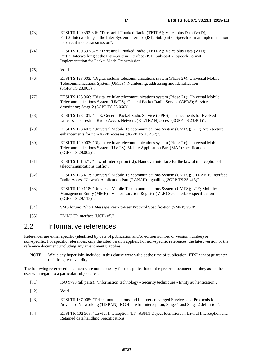- <span id="page-13-0"></span>[73] ETSI TS 100 392-3-6: "Terrestrial Trunked Radio (TETRA); Voice plus Data (V+D); Part 3: Interworking at the Inter-System Interface (ISI); Sub-part 6: Speech format implementation for circuit mode transmission".
- [74] ETSI TS 100 392-3-7: "Terrestrial Trunked Radio (TETRA); Voice plus Data (V+D); Part 3: Interworking at the Inter-System Interface (ISI); Sub-part 7: Speech Format Implementation for Packet Mode Transmission".
- [75] Void.
- [76] ETSI TS 123 003: "Digital cellular telecommunications system (Phase 2+); Universal Mobile Telecommunications System (UMTS); Numbering, addressing and identification (3GPP TS 23.003)".
- [77] ETSI TS 123 060: "Digital cellular telecommunications system (Phase 2+); Universal Mobile Telecommunications System (UMTS); General Packet Radio Service (GPRS); Service description; Stage 2 (3GPP TS 23.060)".
- [78] ETSI TS 123 401: "LTE; General Packet Radio Service (GPRS) enhancements for Evolved Universal Terrestrial Radio Access Network (E-UTRAN) access (3GPP TS 23.401)".
- [79] ETSI TS 123 402: "Universal Mobile Telecommunications System (UMTS); LTE; Architecture enhancements for non-3GPP accesses (3GPP TS 23.402)".
- [80] ETSI TS 129 002: "Digital cellular telecommunications system (Phase 2+); Universal Mobile Telecommunications System (UMTS); Mobile Application Part (MAP) specification (3GPP TS 29.002)".
- [81] ETSI TS 101 671: "Lawful Interception (LI); Handover interface for the lawful interception of telecommunications traffic".
- [82] ETSI TS 125 413: "Universal Mobile Telecommunications System (UMTS); UTRAN Iu interface Radio Access Network Application Part (RANAP) signalling (3GPP TS 25.413)".
- [83] ETSI TS 129 118: "Universal Mobile Telecommunications System (UMTS); LTE; Mobility Management Entity (MME) - Visitor Location Register (VLR) SGs interface specification (3GPP TS 29.118)".
- [84] SMS forum: "Short Message Peer-to-Peer Protocol Specification (SMPP) v5.0".
- [85] EMI-UCP interface (UCP) v5.2.

#### 2.2 Informative references

References are either specific (identified by date of publication and/or edition number or version number) or non-specific. For specific references, only the cited version applies. For non-specific references, the latest version of the reference document (including any amendments) applies.

NOTE: While any hyperlinks included in this clause were valid at the time of publication, ETSI cannot guarantee their long term validity.

The following referenced documents are not necessary for the application of the present document but they assist the user with regard to a particular subject area.

- [i.1] ISO 9798 (all parts): "Information technology Security techniques Entity authentication".
- [i.2] Void.
- [i.3] ETSI TS 187 005: "Telecommunications and Internet converged Services and Protocols for Advanced Networking (TISPAN); NGN Lawful Interception; Stage 1 and Stage 2 definition".
- [i.4] ETSI TR 102 503: "Lawful Interception (LI); ASN.1 Object Identifiers in Lawful Interception and Retained data handling Specifications".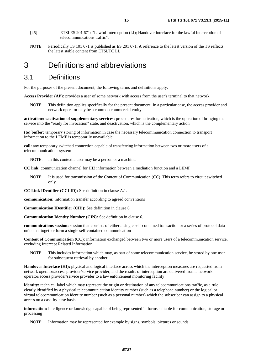- <span id="page-14-0"></span>[i.5] ETSI ES 201 671: "Lawful Interception (LI); Handover interface for the lawful interception of telecommunications traffic".
- NOTE: Periodically TS 101 671 is published as ES 201 671. A reference to the latest version of the TS reflects the latest stable content from ETSI/TC LI.

### 3 Definitions and abbreviations

#### 3.1 Definitions

For the purposes of the present document, the following terms and definitions apply:

**Access Provider (AP):** provides a user of some network with access from the user's terminal to that network

NOTE: This definition applies specifically for the present document. In a particular case, the access provider and network operator may be a common commercial entity.

**activation/deactivation of supplementary services:** procedures for activation, which is the operation of bringing the service into the "ready for invocation" state, and deactivation, which is the complementary action

**(to) buffer:** temporary storing of information in case the necessary telecommunication connection to transport information to the LEMF is temporarily unavailable

**call:** any temporary switched connection capable of transferring information between two or more users of a telecommunications system

NOTE: In this context a user may be a person or a machine.

**CC link:** communication channel for HI3 information between a mediation function and a LEMF

NOTE: It is used for transmission of the Content of Communication (CC). This term refers to circuit switched only.

**CC Link IDentifier (CCLID):** See definition in clause A.1.

**communication:** information transfer according to agreed conventions

**Communication IDentifier (CID):** See definition in clause 6.

**Communication Identity Number (CIN):** See definition in clause 6.

**communications session:** session that consists of either a single self-contained transaction or a series of protocol data units that together form a single self-contained communication

**Content of Communication (CC):** information exchanged between two or more users of a telecommunication service, excluding Intercept Related Information

NOTE: This includes information which may, as part of some telecommunication service, be stored by one user for subsequent retrieval by another.

**Handover Interface (HI):** physical and logical interface across which the interception measures are requested from network operator/access provider/service provider, and the results of interception are delivered from a network operator/access provider/service provider to a law enforcement monitoring facility

**identity:** technical label which may represent the origin or destination of any telecommunications traffic, as a rule clearly identified by a physical telecommunication identity number (such as a telephone number) or the logical or virtual telecommunication identity number (such as a personal number) which the subscriber can assign to a physical access on a case-by-case basis

**information:** intelligence or knowledge capable of being represented in forms suitable for communication, storage or processing

NOTE: Information may be represented for example by signs, symbols, pictures or sounds.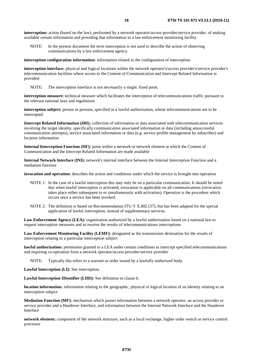**interception:** action (based on the law), performed by a network operator/access provider/service provider, of making available certain information and providing that information to a law enforcement monitoring facility

NOTE: In the present document the term interception is not used to describe the action of observing communications by a law enforcement agency.

**interception configuration information:** information related to the configuration of interception

**interception interface:** physical and logical locations within the network operator's/access provider's/service provider's telecommunication facilities where access to the Content of Communication and Intercept Related Information is provided

NOTE: The interception interface is not necessarily a single, fixed point.

**interception measure:** technical measure which facilitates the interception of telecommunications traffic pursuant to the relevant national laws and regulations

**interception subject:** person or persons, specified in a lawful authorization, whose telecommunications are to be intercepted

**Intercept Related Information (IRI):** collection of information or data associated with telecommunication services involving the target identity, specifically communication associated information or data (including unsuccessful communication attempts), service associated information or data (e.g. service profile management by subscriber) and location information

**Internal Interception Function (IIF):** point within a network or network element at which the Content of Communication and the Intercept Related Information are made available

**Internal Network Interface (INI):** network's internal interface between the Internal Interception Function and a mediation function

**invocation and operation:** describes the action and conditions under which the service is brought into operation

- NOTE 1: In the case of a lawful interception this may only be on a particular communication. It should be noted that when lawful interception is activated, invocation is applicable on all communications (invocation takes place either subsequent to or simultaneously with activation). Operation is the procedure which occurs once a service has been invoked.
- NOTE 2: The definition is based on Recommendation ITU-T X.882 [\[37](#page-11-0)], but has been adapted for the special application of lawful interception, instead of supplementary services.

**Law Enforcement Agency (LEA):** organization authorized by a lawful authorization based on a national law to request interception measures and to receive the results of telecommunications interceptions

**Law Enforcement Monitoring Facility (LEMF):** designated as the transmission destination for the results of interception relating to a particular interception subject

**lawful authorization:** permission granted to a LEA under certain conditions to intercept specified telecommunications and requiring co-operation from a network operator/access provider/service provider

NOTE: Typically this refers to a warrant or order issued by a lawfully authorized body.

**Lawful Interception (LI):** See interception.

**Lawful Interception IDentifier (LIID):** See definition in clause 6.

**location information:** information relating to the geographic, physical or logical location of an identity relating to an interception subject

**Mediation Function (MF):** mechanism which passes information between a network operator, an access provider or service provider and a Handover Interface, and information between the Internal Network Interface and the Handover Interface

**network element:** component of the network structure, such as a local exchange, higher order switch or service control processor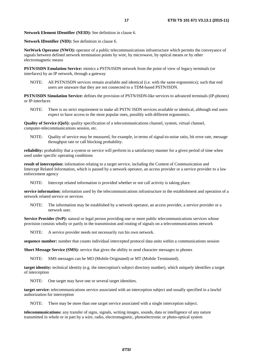**Network Element IDentifier (NEID):** See definition in clause 6.

**Network IDentifier (NID):** See definition in clause 6.

**NetWork Operator (NWO):** operator of a public telecommunications infrastructure which permits the conveyance of signals between defined network termination points by wire, by microwave, by optical means or by other electromagnetic means

**PSTN/ISDN Emulation Service:** mimics a PSTN/ISDN network from the point of view of legacy terminals (or interfaces) by an IP network, through a gateway

NOTE: All PSTN/ISDN services remain available and identical (i.e. with the same ergonomics); such that end users are unaware that they are not connected to a TDM-based PSTN/ISDN.

**PSTN/ISDN Simulation Service:** defines the provision of PSTN/ISDN-like services to advanced terminals (IP-phones) or IP-interfaces

NOTE: There is no strict requirement to make all PSTN/ ISDN services available or identical, although end users expect to have access to the most popular ones, possibly with different ergonomics.

**Quality of Service (QoS):** quality specification of a telecommunications channel, system, virtual channel, computer-telecommunications session, etc.

NOTE: Quality of service may be measured, for example, in terms of signal-to-noise ratio, bit error rate, message throughput rate or call blocking probability.

**reliability:** probability that a system or service will perform in a satisfactory manner for a given period of time when used under specific operating conditions

**result of interception:** information relating to a target service, including the Content of Communication and Intercept Related Information, which is passed by a network operator, an access provider or a service provider to a law enforcement agency

NOTE: Intercept related information is provided whether or not call activity is taking place.

**service information:** information used by the telecommunications infrastructure in the establishment and operation of a network related service or services

NOTE: The information may be established by a network operator, an access provider, a service provider or a network user.

**Service Provider (SvP):** natural or legal person providing one or more public telecommunications services whose provision consists wholly or partly in the transmission and routing of signals on a telecommunications network

NOTE: A service provider needs not necessarily run his own network.

**sequence number:** number that counts individual intercepted protocol data units within a communications session

**Short Message Service (SMS):** service that gives the ability to send character messages to phones

NOTE: SMS messages can be MO (Mobile Originated) or MT (Mobile Terminated).

**target identity:** technical identity (e.g. the interception's subject directory number), which uniquely identifies a target of interception

NOTE: One target may have one or several target identities.

**target service:** telecommunications service associated with an interception subject and usually specified in a lawful authorization for interception

NOTE: There may be more than one target service associated with a single interception subject.

**telecommunications:** any transfer of signs, signals, writing images, sounds, data or intelligence of any nature transmitted in whole or in part by a wire, radio, electromagnetic, photoelectronic or photo-optical system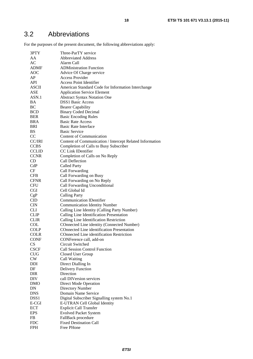### <span id="page-17-0"></span>3.2 Abbreviations

For the purposes of the present document, the following abbreviations apply:

| 3PTY                      | Three-ParTY service                                      |
|---------------------------|----------------------------------------------------------|
| AA                        | <b>Abbreviated Address</b>                               |
| AC                        | Alarm Call                                               |
| <b>ADMF</b>               | <b>ADMinistration Function</b>                           |
| <b>AOC</b>                | Advice Of Charge service                                 |
| AP                        | Access Provider                                          |
| API                       | <b>Access Point Identifier</b>                           |
| <b>ASCII</b>              | American Standard Code for Information Interchange       |
| ASE                       | <b>Application Service Element</b>                       |
| ASN.1                     | <b>Abstract Syntax Notation One</b>                      |
| ВA                        | <b>DSS1 Basic Access</b>                                 |
| BC                        | <b>Bearer Capability</b>                                 |
| <b>BCD</b>                | <b>Binary Coded Decimal</b>                              |
| BER                       | <b>Basic Encoding Rules</b>                              |
| BRA                       | <b>Basic Rate Access</b>                                 |
| BRI                       | <b>Basic Rate Interface</b>                              |
|                           |                                                          |
| <b>BS</b>                 | <b>Basic Service</b>                                     |
| CC                        | Content of Communication                                 |
| CC/IRI                    | Content of Communication / Intercept Related Information |
| <b>CCBS</b>               | <b>Completion of Calls to Busy Subscriber</b>            |
| <b>CCLID</b>              | CC Link IDentifier                                       |
| <b>CCNR</b>               | Completion of Calls on No Reply                          |
| CD                        | Call Deflection                                          |
| CdP                       | <b>Called Party</b>                                      |
| CF                        | Call Forwarding                                          |
| <b>CFB</b>                | Call Forwarding on Busy                                  |
| <b>CFNR</b>               | Call Forwarding on No Reply                              |
| <b>CFU</b>                | Call Forwarding Unconditional                            |
| <b>CGI</b>                | Cell Global Id                                           |
| CgP                       | <b>Calling Party</b>                                     |
| $\text{CID}$              | <b>Communication IDentifier</b>                          |
| <b>CIN</b>                | <b>Communication Identity Number</b>                     |
| <b>CLI</b>                | Calling Line Identity (Calling Party Number)             |
| <b>CLIP</b>               | Calling Line Identification Presentation                 |
| <b>CLIR</b>               | Calling Line Identification Restriction                  |
| COL                       | COnnected Line identity (Connected Number)               |
| <b>COLP</b>               | COnnected Line identification Presentation               |
| <b>COLR</b>               | COnnected Line identification Restriction                |
| <b>CONF</b>               | CONFerence call, add-on                                  |
| $\mathbf{C}\mathbf{S}$    | Circuit Switched                                         |
| <b>CSCF</b>               | Call Session Control Function                            |
| <b>CUG</b>                | Closed User Group                                        |
| CW                        | Call Waiting                                             |
| <b>DDI</b>                | Direct Dialling In                                       |
| DF                        | <b>Delivery Function</b>                                 |
| DIR                       | Direction                                                |
| DIV                       | call DIVersion services                                  |
| <b>DMO</b>                | Direct Mode Operation                                    |
| DN                        | <b>Directory Number</b>                                  |
| <b>DNS</b>                | Domain Name Service                                      |
|                           |                                                          |
| DSS <sub>1</sub><br>E-CGI | Digital Subscriber Signalling system No.1                |
|                           | E-UTRAN Cell Global Identity                             |
| <b>ECT</b>                | <b>Explicit Call Transfer</b>                            |
| <b>EPS</b>                | <b>Evolved Packet System</b>                             |
| FB                        | FallBack procedure                                       |
| <b>FDC</b>                | <b>Fixed Destination Call</b>                            |
| FPH                       | Free PHone                                               |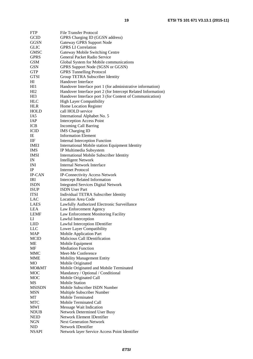| <b>FTP</b>                | <b>File Transfer Protocol</b>                                 |
|---------------------------|---------------------------------------------------------------|
| <b>GCID</b>               | GPRS Charging ID (GGSN address)                               |
| GGSN                      | <b>Gateway GPRS Support Node</b>                              |
| <b>GLIC</b>               | <b>GPRS LI Correlation</b>                                    |
| <b>GMSC</b>               | Gateway Mobile Switching Centre                               |
| <b>GPRS</b>               | General Packet Radio Service                                  |
| <b>GSM</b>                | Global System for Mobile communications                       |
| <b>GSN</b>                | GPRS Support Node (SGSN or GGSN)                              |
| <b>GTP</b>                | <b>GPRS</b> Tunnelling Protocol                               |
| <b>GTSI</b>               | Group TETRA Subscriber Identity                               |
| HІ                        | Handover Interface                                            |
| HI1                       | Handover Interface port 1 (for administrative information)    |
| HI <sub>2</sub>           | Handover Interface port 2 (for Intercept Related Information) |
| HI3                       | Handover Interface port 3 (for Content of Communication)      |
| <b>HLC</b>                | <b>High Layer Compatibility</b>                               |
| <b>HLR</b>                | Home Location Register                                        |
| HOLD                      | call HOLD service                                             |
| IA5                       | International Alphabet No. 5                                  |
| <b>IAP</b>                | <b>Interception Access Point</b>                              |
| <b>ICB</b>                | <b>Incoming Call Barring</b>                                  |
| <b>ICID</b>               | <b>IMS</b> Charging ID                                        |
| ΙE                        | <b>Information Element</b>                                    |
| IIF                       | <b>Internal Interception Function</b>                         |
| <b>IMEI</b>               | International Mobile station Equipment Identity               |
| <b>IMS</b>                | IP Multimedia Subsystem                                       |
| <b>IMSI</b>               | International Mobile Subscriber Identity                      |
| IN                        | <b>Intelligent Network</b>                                    |
| INI                       | <b>Internal Network Interface</b>                             |
| IP                        | <b>Internet Protocol</b>                                      |
| <b>IP-CAN</b>             | <b>IP-Connectivity Access Network</b>                         |
| IRI                       | <b>Intercept Related Information</b>                          |
| <b>ISDN</b>               | <b>Integrated Services Digital Network</b>                    |
| <b>ISUP</b>               | <b>ISDN</b> User Part                                         |
| <b>ITSI</b>               | Individual TETRA Subscriber Identity                          |
| LAC                       | <b>Location Area Code</b>                                     |
|                           |                                                               |
| <b>LAES</b><br><b>LEA</b> | Lawfully Authorized Electronic Surveillance                   |
|                           | Law Enforcement Agency                                        |
| <b>LEMF</b>               | Law Enforcement Monitoring Facility                           |
| LI                        | Lawful Interception                                           |
| <b>LIID</b>               | Lawful Interception IDentifier                                |
| <b>LLC</b>                | Lower Layer Compatibility                                     |
| <b>MAP</b>                | Mobile Application Part                                       |
| <b>MCID</b>               | Malicious Call IDentification                                 |
| МE                        | Mobile Equipment                                              |
| MF                        | <b>Mediation Function</b>                                     |
| <b>MMC</b>                | Meet-Me Conference                                            |
| MME                       | <b>Mobility Management Entity</b>                             |
| МO                        | Mobile Originated                                             |
| MO&MT                     | Mobile Originated and Mobile Terminated                       |
| <b>MOC</b>                | Mandatory / Optional / Conditional                            |
| MOC                       | Mobile Originated Call                                        |
| MS                        | <b>Mobile Station</b>                                         |
| <b>MSISDN</b>             | Mobile Subscriber ISDN Number                                 |
| <b>MSN</b>                | Multiple Subscriber Number                                    |
| МT                        | Mobile Terminated                                             |
| <b>MTC</b>                | <b>Mobile Terminated Call</b>                                 |
| MWI                       | Message Wait Indication                                       |
| NDUB                      | Network Determined User Busy                                  |
| NEID                      | Network Element IDentifier                                    |
| NGN                       | <b>Next Generation Network</b>                                |
| <b>NID</b>                | Network IDentifier                                            |
| <b>NSAPI</b>              | Network layer Service Access Point Identifier                 |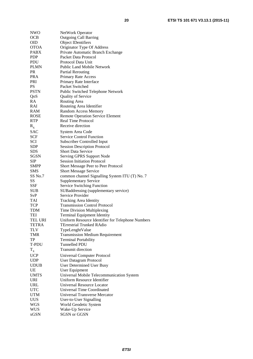| <b>NWO</b>   | NetWork Operator                                                  |
|--------------|-------------------------------------------------------------------|
| <b>OCB</b>   | <b>Outgoing Call Barring</b>                                      |
| <b>OID</b>   | <b>Object IDentifiers</b>                                         |
| <b>OTOA</b>  | Originator Type Of Address                                        |
| <b>PABX</b>  | Private Automatic Branch Exchange                                 |
| <b>PDP</b>   | Packet Data Protocol                                              |
| <b>PDU</b>   | Protocol Data Unit                                                |
| <b>PLMN</b>  | Public Land Mobile Network                                        |
| <b>PR</b>    | <b>Partial Rerouting</b>                                          |
| <b>PRA</b>   | Primary Rate Access                                               |
| PRI          | Primary Rate Interface                                            |
| PS           | Packet Switched                                                   |
| <b>PSTN</b>  | Public Switched Telephone Network                                 |
| QoS          | <b>Quality of Service</b>                                         |
| RA           | Routing Area                                                      |
| RAI          | Routeing Area Identifier                                          |
| RAM          | Random Access Memory                                              |
| ROSE         | <b>Remote Operation Service Element</b>                           |
| <b>RTP</b>   | <b>Real Time Protocol</b>                                         |
| $R_{x}$      | Receive direction                                                 |
| <b>SAC</b>   | System Area Code                                                  |
| <b>SCF</b>   | <b>Service Control Function</b>                                   |
| SCI          | Subscriber Controlled Input                                       |
| SDP          | <b>Session Description Protocol</b>                               |
| <b>SDS</b>   | <b>Short Data Service</b>                                         |
| SGSN         | Serving GPRS Support Node                                         |
| SIP          | <b>Session Initiation Protocol</b>                                |
| <b>SMPP</b>  | Short Message Peer to Peer Protocol                               |
| SMS          | <b>Short Message Service</b>                                      |
| SS No.7      | common channel Signalling System ITU (T) No. 7                    |
| SS           |                                                                   |
| SSF          | <b>Supplementary Service</b><br><b>Service Switching Function</b> |
| SUB          | SUBaddressing (supplementary service)                             |
| SvP          | Service Provider                                                  |
| TAI          |                                                                   |
| <b>TCP</b>   | Tracking Area Identity<br><b>Transmission Control Protocol</b>    |
| TDM          | Time Division Multiplexing                                        |
| <b>TEI</b>   | <b>Terminal Equipment Identity</b>                                |
| TEL URI      | Uniform Resource Identifier for Telephone Numbers                 |
| <b>TETRA</b> | <b>TErrestrial Trunked RAdio</b>                                  |
| <b>TLV</b>   | TypeLenghtValue                                                   |
| TMR          | <b>Transmission Medium Requirement</b>                            |
| TP           | <b>Terminal Portability</b>                                       |
| T-PDU        | Tunnelled PDU                                                     |
|              | <b>Transmit direction</b>                                         |
| $T_{\rm x}$  |                                                                   |
| <b>UCP</b>   | <b>Universal Computer Protocol</b>                                |
| <b>UDP</b>   | <b>User Datagram Protocol</b>                                     |
| <b>UDUB</b>  | User Determined User Busy                                         |
| UE           | User Equipment                                                    |
| <b>UMTS</b>  | Universal Mobile Telecommunication System                         |
| URI          | Uniform Resource Identifier                                       |
| <b>URL</b>   | Universal Resource Locator                                        |
| <b>UTC</b>   | Universal Time Coordinated                                        |
| <b>UTM</b>   | Universal Transverse Mercator                                     |
| <b>UUS</b>   | User-to-User Signalling                                           |
| <b>WGS</b>   | World Geodetic System                                             |
| WUS          | Wake-Up Service                                                   |
| xGSN         | <b>SGSN</b> or GGSN                                               |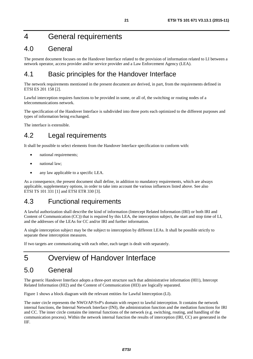### <span id="page-20-0"></span>4 General requirements

### 4.0 General

The present document focuses on the Handover Interface related to the provision of information related to LI between a network operator, access provider and/or service provider and a Law Enforcement Agency (LEA).

### 4.1 Basic principles for the Handover Interface

The network requirements mentioned in the present document are derived, in part, from the requirements defined in ETSI ES 201 158 [\[2](#page-9-0)].

Lawful interception requires functions to be provided in some, or all of, the switching or routing nodes of a telecommunications network.

The specification of the Handover Interface is subdivided into three ports each optimized to the different purposes and types of information being exchanged.

The interface is extensible.

### 4.2 Legal requirements

It shall be possible to select elements from the Handover Interface specification to conform with:

- national requirements;
- national law:
- any law applicable to a specific LEA.

As a consequence, the present document shall define, in addition to mandatory requirements, which are always applicable, supplementary options, in order to take into account the various influences listed above. See also ETSI TS 101 331 [\[1](#page-9-0)] and ETSI ETR 330 [\[3](#page-9-0)].

### 4.3 Functional requirements

A lawful authorization shall describe the kind of information (Intercept Related Information (IRI) or both IRI and Content of Communication (CC)) that is required by this LEA, the interception subject, the start and stop time of LI, and the addresses of the LEAs for CC and/or IRI and further information.

A single interception subject may be the subject to interception by different LEAs. It shall be possible strictly to separate these interception measures.

If two targets are communicating with each other, each target is dealt with separately.

### 5 Overview of Handover Interface

### 5.0 General

The generic Handover Interface adopts a three-port structure such that administrative information (HI1), Intercept Related Information (HI2) and the Content of Communication (HI3) are logically separated.

Figure 1 shows a block diagram with the relevant entities for Lawful Interception (LI).

The outer circle represents the NWO/AP/SvP's domain with respect to lawful interception. It contains the network internal functions, the Internal Network Interface (INI), the administration function and the mediation functions for IRI and CC. The inner circle contains the internal functions of the network (e.g. switching, routing, and handling of the communication process). Within the network internal function the results of interception (IRI, CC) are generated in the IIF.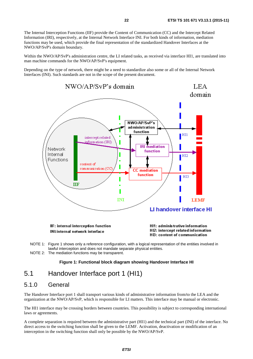<span id="page-21-0"></span>The Internal Interception Functions (IIF) provide the Content of Communication (CC) and the Intercept Related Information (IRI), respectively, at the Internal Network Interface INI. For both kinds of information, mediation functions may be used, which provide the final representation of the standardized Handover Interfaces at the NWO/AP/SvP's domain boundary.

Within the NWO/AP/SvP's administration centre, the LI related tasks, as received via interface HI1, are translated into man machine commands for the NWO/AP/SvP's equipment.

Depending on the type of network, there might be a need to standardize also some or all of the Internal Network Interfaces (INI). Such standards are not in the scope of the present document.



- NOTE 1: Figure 1 shows only a reference configuration, with a logical representation of the entities involved in lawful interception and does not mandate separate physical entities.
- NOTE 2: The mediation functions may be transparent.

#### **Figure 1: Functional block diagram showing Handover Interface HI**

#### 5.1 Handover Interface port 1 (HI1)

#### 5.1.0 General

The Handover Interface port 1 shall transport various kinds of administrative information from/to the LEA and the organization at the NWO/AP/SvP, which is responsible for LI matters. This interface may be manual or electronic.

The HI1 interface may be crossing borders between countries. This possibility is subject to corresponding international laws or agreements.

A complete separation is required between the administrative part (HI1) and the technical part (INI) of the interface. No direct access to the switching function shall be given to the LEMF. Activation, deactivation or modification of an interception in the switching function shall only be possible by the NWO/AP/SvP.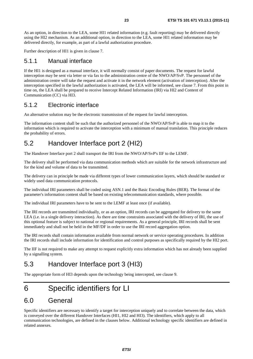<span id="page-22-0"></span>As an option, in direction to the LEA, some HI1 related information (e.g. fault reporting) may be delivered directly using the HI2 mechanism. As an additional option, in direction to the LEA, some HI1 related information may be delivered directly, for example, as part of a lawful authorization procedure.

Further description of HI1 is given in clause 7.

#### 5.1.1 Manual interface

If the HI1 is designed as a manual interface, it will normally consist of paper documents. The request for lawful interception may be sent via letter or via fax to the administration centre of the NWO/AP/SvP. The personnel of the administration centre will take the request and activate it in the network element (activation of interception). After the interception specified in the lawful authorization is activated, the LEA will be informed, see clause 7. From this point in time on, the LEA shall be prepared to receive Intercept Related Information (IRI) via HI2 and Content of Communication (CC) via HI3.

#### 5.1.2 Electronic interface

An alternative solution may be the electronic transmission of the request for lawful interception.

The information content shall be such that the authorized personnel of the NWO/AP/SvP is able to map it to the information which is required to activate the interception with a minimum of manual translation. This principle reduces the probability of errors.

#### 5.2 Handover Interface port 2 (HI2)

The Handover Interface port 2 shall transport the IRI from the NWO/AP/SvP's IIF to the LEMF.

The delivery shall be performed via data communication methods which are suitable for the network infrastructure and for the kind and volume of data to be transmitted.

The delivery can in principle be made via different types of lower communication layers, which should be standard or widely used data communication protocols.

The individual IRI parameters shall be coded using ASN.1 and the Basic Encoding Rules (BER). The format of the parameter's information content shall be based on existing telecommunication standards, where possible.

The individual IRI parameters have to be sent to the LEMF at least once (if available).

The IRI records are transmitted individually, or as an option, IRI records can be aggregated for delivery to the same LEA (i.e. in a single delivery interaction). As there are time constraints associated with the delivery of IRI, the use of this optional feature is subject to national or regional requirements. As a general principle, IRI records shall be sent immediately and shall not be held in the MF/DF in order to use the IRI record aggregation option.

The IRI records shall contain information available from normal network or service operating procedures. In addition the IRI records shall include information for identification and control purposes as specifically required by the HI2 port.

The IIF is not required to make any attempt to request explicitly extra information which has not already been supplied by a signalling system.

### 5.3 Handover Interface port 3 (HI3)

The appropriate form of HI3 depends upon the technology being intercepted, see clause 9.

### 6 Specific identifiers for LI

#### 6.0 General

Specific identifiers are necessary to identify a target for interception uniquely and to correlate between the data, which is conveyed over the different Handover Interfaces (HI1, HI2 and HI3). The identifiers, which apply to all communication technologies, are defined in the clauses below. Additional technology specific identifiers are defined in related annexes.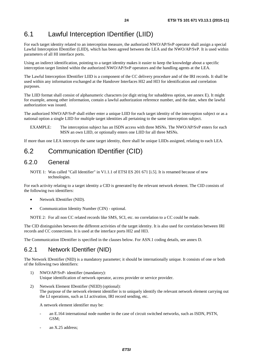### <span id="page-23-0"></span>6.1 Lawful Interception IDentifier (LIID)

For each target identity related to an interception measure, the authorized NWO/AP/SvP operator shall assign a special Lawful Interception IDentifier (LIID), which has been agreed between the LEA and the NWO/AP/SvP. It is used within parameters of all HI interface ports.

Using an indirect identification, pointing to a target identity makes it easier to keep the knowledge about a specific interception target limited within the authorized NWO/AP/SvP operators and the handling agents at the LEA.

The Lawful Interception IDentifier LIID is a component of the CC delivery procedure and of the IRI records. It shall be used within any information exchanged at the Handover Interfaces HI2 and HI3 for identification and correlation purposes.

The LIID format shall consist of alphanumeric characters (or digit string for subaddress option, see annex E). It might for example, among other information, contain a lawful authorization reference number, and the date, when the lawful authorization was issued.

The authorized NWO/AP/SvP shall either enter a unique LIID for each target identity of the interception subject or as a national option a single LIID for multiple target identities all pertaining to the same interception subject.

EXAMPLE: The interception subject has an ISDN access with three MSNs. The NWO/AP/SvP enters for each MSN an own LIID, or optionally enters one LIID for all three MSNs.

If more than one LEA intercepts the same target identity, there shall be unique LIIDs assigned, relating to each LEA.

#### 6.2 Communication IDentifier (CID)

#### 6.2.0 General

NOTE 1: Was called "Call Identifier" in V1.1.1 of ETSI ES 201 671 [\[i.5](#page-14-0)]. It is renamed because of new technologies.

For each activity relating to a target identity a CID is generated by the relevant network element. The CID consists of the following two identifiers:

- Network IDentifier (NID).
- Communication Identity Number (CIN) optional.

NOTE 2: For all non CC related records like SMS, SCI, etc. no correlation to a CC could be made.

The CID distinguishes between the different activities of the target identity. It is also used for correlation between IRI records and CC connections. It is used at the interface ports HI2 and HI3.

The Communication IDentifier is specified in the clauses below. For ASN.1 coding details, see annex D.

#### 6.2.1 Network IDentifier (NID)

The Network IDentifier (NID) is a mandatory parameter; it should be internationally unique. It consists of one or both of the following two identifiers:

- 1) NWO/AP/SvP- identifier (mandatory): Unique identification of network operator, access provider or service provider.
- 2) Network Element IDentifier (NEID) (optional): The purpose of the network element identifier is to uniquely identify the relevant network element carrying out the LI operations, such as LI activation, IRI record sending, etc.

A network element identifier may be:

- an E.164 international node number in the case of circuit switched networks, such as ISDN, PSTN, GSM;
- an X.25 address;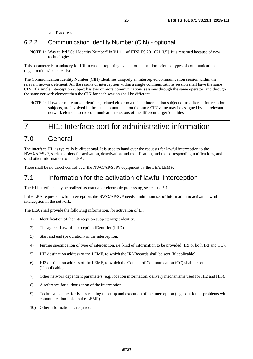an IP address.

#### <span id="page-24-0"></span>6.2.2 Communication Identity Number (CIN) - optional

NOTE 1: Was called "Call Identity Number" in V1.1.1 of ETSI ES 201 671 [\[i.5](#page-14-0)]. It is renamed because of new technologies.

This parameter is mandatory for IRI in case of reporting events for connection-oriented types of communication (e.g. circuit switched calls).

The Communication Identity Number (CIN) identifies uniquely an intercepted communication session within the relevant network element. All the results of interception within a single communications session shall have the same CIN. If a single interception subject has two or more communications sessions through the same operator, and through the same network element then the CIN for each session shall be different.

NOTE 2: If two or more target identities, related either to a unique interception subject or to different interception subjects, are involved in the same communication the same CIN value may be assigned by the relevant network element to the communication sessions of the different target identities.

### 7 HI1: Interface port for administrative information

#### 7.0 General

The interface HI1 is typically bi-directional. It is used to hand over the requests for lawful interception to the NWO/AP/SvP, such as orders for activation, deactivation and modification, and the corresponding notifications, and send other information to the LEA.

There shall be no direct control over the NWO/AP/SvP's equipment by the LEA/LEMF.

#### 7.1 Information for the activation of lawful interception

The HI1 interface may be realized as manual or electronic processing, see clause 5.1.

If the LEA requests lawful interception, the NWO/AP/SvP needs a minimum set of information to activate lawful interception in the network.

The LEA shall provide the following information, for activation of LI:

- 1) Identification of the interception subject: target identity.
- 2) The agreed Lawful Interception IDentifier (LIID).
- 3) Start and end (or duration) of the interception.
- 4) Further specification of type of interception, i.e. kind of information to be provided (IRI or both IRI and CC).
- 5) HI2 destination address of the LEMF, to which the IRI-Records shall be sent (if applicable).
- 6) HI3 destination address of the LEMF, to which the Content of Communication (CC) shall be sent (if applicable).
- 7) Other network dependent parameters (e.g. location information, delivery mechanisms used for HI2 and HI3).
- 8) A reference for authorization of the interception.
- 9) Technical contact for issues relating to set-up and execution of the interception (e.g. solution of problems with communication links to the LEMF).
- 10) Other information as required.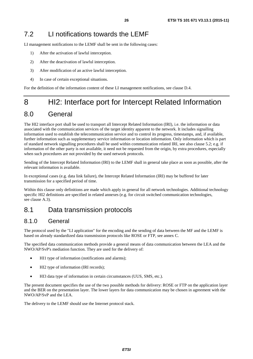<span id="page-25-0"></span>LI management notifications to the LEMF shall be sent in the following cases:

- 1) After the activation of lawful interception.
- 2) After the deactivation of lawful interception.
- 3) After modification of an active lawful interception.
- 4) In case of certain exceptional situations.

For the definition of the information content of these LI management notifications, see clause D.4.

### 8 HI2: Interface port for Intercept Related Information

### 8.0 General

The HI2 interface port shall be used to transport all Intercept Related Information (IRI), i.e. the information or data associated with the communication services of the target identity apparent to the network. It includes signalling information used to establish the telecommunication service and to control its progress, timestamps, and, if available, further information such as supplementary service information or location information. Only information which is part of standard network signalling procedures shall be used within communication related IRI, see also clause 5.2; e.g. if information of the other party is not available, it need not be requested from the origin, by extra procedures, especially when such procedures are not provided by the used network protocols.

Sending of the Intercept Related Information (IRI) to the LEMF shall in general take place as soon as possible, after the relevant information is available.

In exceptional cases (e.g. data link failure), the Intercept Related Information (IRI) may be buffered for later transmission for a specified period of time.

Within this clause only definitions are made which apply in general for all network technologies. Additional technology specific HI2 definitions are specified in related annexes (e.g. for circuit switched communication technologies, see clause A.3).

#### 8.1 Data transmission protocols

#### 8.1.0 General

The protocol used by the "LI application" for the encoding and the sending of data between the MF and the LEMF is based on already standardized data transmission protocols like ROSE or FTP, see annex C.

The specified data communication methods provide a general means of data communication between the LEA and the NWO/AP/SvP's mediation function. They are used for the delivery of:

- HI1 type of information (notifications and alarms);
- HI2 type of information (IRI records);
- HI3 data type of information in certain circumstances (UUS, SMS, etc.).

The present document specifies the use of the two possible methods for delivery: ROSE or FTP on the application layer and the BER on the presentation layer. The lower layers for data communication may be chosen in agreement with the NWO/AP/SvP and the LEA.

The delivery to the LEMF should use the Internet protocol stack.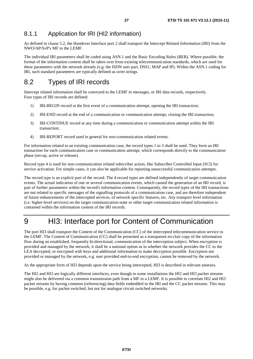#### <span id="page-26-0"></span>8.1.1 Application for IRI (HI2 information)

As defined in clause 5.2, the Handover Interface port 2 shall transport the Intercept Related Information (IRI) from the NWO/AP/SvP's MF to the LEMF.

The individual IRI parameters shall be coded using ASN.1 and the Basic Encoding Rules (BER). Where possible, the format of the information content shall be taken over from existing telecommunication standards, which are used for these parameters with the network already (e.g. the ISDN user part, DSS1, MAP and IP). Within the ASN.1 coding for IRI, such standard parameters are typically defined as octet strings.

### 8.2 Types of IRI records

Intercept related information shall be conveyed to the LEMF in messages, or IRI data records, respectively. Four types of IRI records are defined:

- 1) IRI-BEGIN record at the first event of a communication attempt, opening the IRI transaction;
- 2) IRI-END record at the end of a communication or communication attempt, closing the IRI transaction;
- 3) IRI-CONTINUE record at any time during a communication or communication attempt within the IRI transaction;
- 4) IRI-REPORT record used in general for non-communication related events.

For information related to an existing communication case, the record types 1 to 3 shall be used. They form an IRI transaction for each communication case or communication attempt, which corresponds directly to the communication phase (set-up, active or release).

Record type 4 is used for non-communication related subscriber action, like Subscriber Controlled Input (SCI) for service activation. For simple cases, it can also be applicable for reporting unsuccessful communication attempts.

The record type is an explicit part of the record. The 4 record types are defined independently of target communication events. The actual indication of one or several communication events, which caused the generation of an IRI record, is part of further parameters within the record's information content. Consequently, the record types of the IRI transactions are not related to specific messages of the signalling protocols of a communication case, and are therefore independent of future enhancements of the intercepted services, of network specific features, etc. Any transport level information (i.e. higher-level services) on the target communication-state or other target communication related information is contained within the information content of the IRI records.

# 9 HI3: Interface port for Content of Communication

The port HI3 shall transport the Content of the Communication (CC) of the intercepted telecommunication service to the LEMF. The Content of Communication (CC) shall be presented as a transparent en-clair copy of the information flow during an established, frequently bi-directional, communication of the interception subject. When encryption is provided and managed by the network, it shall be a national option as to whether the network provides the CC to the LEA decrypted, or encrypted with keys and additional information to make decryption possible. Encryption not provided or managed by the network, e.g. user provided end-to-end encryption, cannot be removed by the network.

As the appropriate form of HI3 depends upon the service being intercepted, HI3 is described in relevant annexes.

The HI2 and HI3 are logically different interfaces, even though in some installations the HI2 and HI3 packet streams might also be delivered via a common transmission path from a MF to a LEMF. It is possible to correlate HI2 and HI3 packet streams by having common (referencing) data fields embedded in the IRI and the CC packet streams. This may be possible, e.g. for packet switched, but not for analogue circuit switched networks.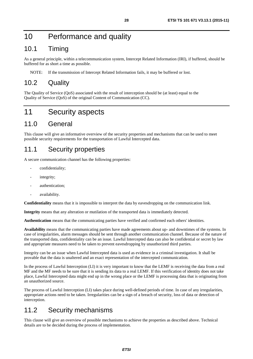### <span id="page-27-0"></span>10 Performance and quality

#### 10.1 Timing

As a general principle, within a telecommunication system, Intercept Related Information (IRI), if buffered, should be buffered for as short a time as possible.

NOTE: If the transmission of Intercept Related Information fails, it may be buffered or lost.

#### 10.2 Quality

The Quality of Service (QoS) associated with the result of interception should be (at least) equal to the Quality of Service (QoS) of the original Content of Communication (CC).

### 11 Security aspects

#### 11.0 General

This clause will give an informative overview of the security properties and mechanisms that can be used to meet possible security requirements for the transportation of Lawful Intercepted data.

#### 11.1 Security properties

A secure communication channel has the following properties:

- confidentiality;
- integrity;
- authentication:
- availability.

**Confidentiality** means that it is impossible to interpret the data by eavesdropping on the communication link.

**Integrity** means that any alteration or mutilation of the transported data is immediately detected.

**Authentication** means that the communicating parties have verified and confirmed each others' identities.

**Availability** means that the communicating parties have made agreements about up- and downtimes of the systems. In case of irregularities, alarm messages should be sent through another communication channel. Because of the nature of the transported data, confidentiality can be an issue. Lawful Intercepted data can also be confidential or secret by law and appropriate measures need to be taken to prevent eavesdropping by unauthorized third parties.

Integrity can be an issue when Lawful Intercepted data is used as evidence in a criminal investigation. It shall be provable that the data is unaltered and an exact representation of the intercepted communication.

In the process of Lawful Interception (LI) it is very important to know that the LEMF is receiving the data from a real MF and the MF needs to be sure that it is sending its data to a real LEMF. If this verification of identity does not take place, Lawful Intercepted data might end up in the wrong place or the LEMF is processing data that is originating from an unauthorized source.

The process of Lawful Interception (LI) takes place during well-defined periods of time. In case of any irregularities, appropriate actions need to be taken. Irregularities can be a sign of a breach of security, loss of data or detection of interception.

### 11.2 Security mechanisms

This clause will give an overview of possible mechanisms to achieve the properties as described above. Technical details are to be decided during the process of implementation.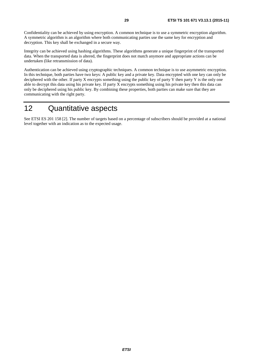<span id="page-28-0"></span>Confidentiality can be achieved by using encryption. A common technique is to use a symmetric encryption algorithm. A symmetric algorithm is an algorithm where both communicating parties use the same key for encryption and decryption. This key shall be exchanged in a secure way.

Integrity can be achieved using hashing algorithms. These algorithms generate a unique fingerprint of the transported data. When the transported data is altered, the fingerprint does not match anymore and appropriate actions can be undertaken (like retransmission of data).

Authentication can be achieved using cryptographic techniques. A common technique is to use asymmetric encryption. In this technique, both parties have two keys: A public key and a private key. Data encrypted with one key can only be deciphered with the other. If party X encrypts something using the public key of party  $\overline{Y}$  then party  $\overline{Y}$  is the only one able to decrypt this data using his private key. If party X encrypts something using his private key then this data can only be deciphered using his public key. By combining these properties, both parties can make sure that they are communicating with the right party.

### 12 Quantitative aspects

See ETSI ES 201 158 [\[2](#page-9-0)]. The number of targets based on a percentage of subscribers should be provided at a national level together with an indication as to the expected usage.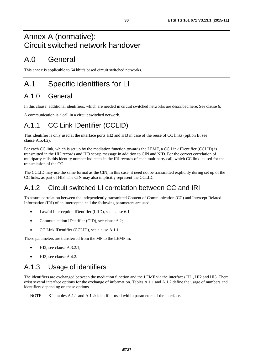### <span id="page-29-0"></span>Annex A (normative): Circuit switched network handover

## A.0 General

This annex is applicable to 64 kbit/s based circuit switched networks.

# A.1 Specific identifiers for LI

### A.1.0 General

In this clause, additional identifiers, which are needed in circuit switched networks are described here. See clause 6.

A communication is a call in a circuit switched network.

### A.1.1 CC Link IDentifier (CCLID)

This identifier is only used at the interface ports HI2 and HI3 in case of the reuse of CC links (option B, see clause A.5.4.2).

For each CC link, which is set up by the mediation function towards the LEMF, a CC Link IDentifier (CCLID) is transmitted in the HI2 records and HI3 set-up message in addition to CIN and NID. For the correct correlation of multiparty calls this identity number indicates in the IRI records of each multiparty call, which CC link is used for the transmission of the CC.

The CCLID may use the same format as the CIN; in this case, it need not be transmitted explicitly during set up of the CC links, as part of HI3. The CIN may also implicitly represent the CCLID.

### A.1.2 Circuit switched LI correlation between CC and IRI

To assure correlation between the independently transmitted Content of Communication (CC) and Intercept Related Information (IRI) of an intercepted call the following parameters are used:

- Lawful Interception IDentifier (LIID), see clause 6.1;
- Communication IDentifier (CID), see clause 6.2;
- CC Link IDentifier (CCLID), see clause A.1.1.

These parameters are transferred from the MF to the LEMF in:

- HI2, see clause A.3.2.1;
- HI3, see clause A.4.2.

### A.1.3 Usage of identifiers

The identifiers are exchanged between the mediation function and the LEMF via the interfaces HI1, HI2 and HI3. There exist several interface options for the exchange of information. Tables A.1.1 and A.1.2 define the usage of numbers and identifiers depending on these options.

NOTE: X in tables A.1.1 and A.1.2: Identifier used within parameters of the interface.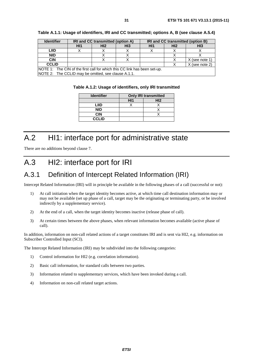| <b>Identifier</b>                                                                 |                 | IRI and CC transmitted (option A) |                 |     |                 | IRI and CC transmitted (option B)<br>H <sub>13</sub> |  |  |
|-----------------------------------------------------------------------------------|-----------------|-----------------------------------|-----------------|-----|-----------------|------------------------------------------------------|--|--|
|                                                                                   | H <sub>11</sub> | H <sub>12</sub>                   | HI <sub>3</sub> | HI1 | H <sub>12</sub> |                                                      |  |  |
| LIID                                                                              |                 |                                   |                 |     |                 |                                                      |  |  |
| <b>NID</b>                                                                        |                 |                                   |                 |     |                 |                                                      |  |  |
| <b>CIN</b>                                                                        |                 |                                   |                 |     |                 | X (see note 1)                                       |  |  |
| <b>CCLID</b>                                                                      |                 |                                   |                 |     |                 | X (see note 2)                                       |  |  |
| <b>INOTE 1:</b> The CIN of the first call for which this CC link has been set-up. |                 |                                   |                 |     |                 |                                                      |  |  |
| NOTE 2: The CCLID may be omitted, see clause A.1.1.                               |                 |                                   |                 |     |                 |                                                      |  |  |

<span id="page-30-0"></span>**Table A.1.1: Usage of identifiers, IRI and CC transmitted; options A, B (see clause A.5.4)** 

|  |  | Table A.1.2: Usage of identifiers, only IRI transmitted |
|--|--|---------------------------------------------------------|
|--|--|---------------------------------------------------------|

| <b>Identifier</b> | <b>Only IRI transmitted</b> |     |
|-------------------|-----------------------------|-----|
|                   | H11                         | H12 |
| LIID              |                             |     |
| <b>NID</b>        |                             |     |
| <b>CIN</b>        |                             |     |
| <b>CCLID</b>      |                             |     |

# A.2 HI1: interface port for administrative state

There are no additions beyond clause 7.

### A.3 HI2: interface port for IRI

#### A.3.1 Definition of Intercept Related Information (IRI)

Intercept Related Information (IRI) will in principle be available in the following phases of a call (successful or not):

- 1) At call initiation when the target identity becomes active, at which time call destination information may or may not be available (set up phase of a call, target may be the originating or terminating party, or be involved indirectly by a supplementary service).
- 2) At the end of a call, when the target identity becomes inactive (release phase of call).
- 3) At certain times between the above phases, when relevant information becomes available (active phase of call).

In addition, information on non-call related actions of a target constitutes IRI and is sent via HI2, e.g. information on Subscriber Controlled Input (SCI).

The Intercept Related Information (IRI) may be subdivided into the following categories:

- 1) Control information for HI2 (e.g. correlation information).
- 2) Basic call information, for standard calls between two parties.
- 3) Information related to supplementary services, which have been invoked during a call.
- 4) Information on non-call related target actions.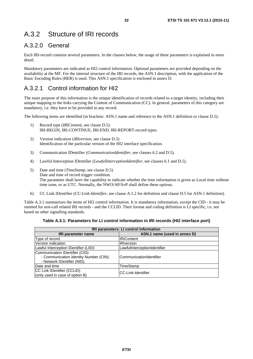### <span id="page-31-0"></span>A.3.2 Structure of IRI records

#### A.3.2.0 General

Each IRI-record contains several parameters. In the clauses below, the usage of these parameters is explained in more detail.

Mandatory parameters are indicated as HI2 control information. Optional parameters are provided depending on the availability at the MF. For the internal structure of the IRI records, the ASN.1 description, with the application of the Basic Encoding Rules (BER) is used. This ASN.1 specification is enclosed in annex D.

#### A.3.2.1 Control information for HI2

The main purpose of this information is the unique identification of records related to a target identity, including their unique mapping to the links carrying the Content of Communication (CC). In general, parameters of this category are mandatory, i.e. they have to be provided in any record.

The following items are identified (in brackets: ASN.1 name and reference to the ASN.1 definition or clause D.5):

- 1) Record type (*IRIContent*, see clause D.5) IRI-BEGIN, IRI-CONTINUE, IRI-END, IRI-REPORT-record types.
- 2) Version indication (*iRIversion*, see clause D.5) Identification of the particular version of the HI2 interface specification.
- 3) Communication IDentifier (*CommunicationIdentifier,* see clauses 6.2 and D.5).
- 4) Lawful Interception IDentifier (*LawfulInterceptionIdentifier,* see clauses 6.1 and D.5).
- 5) Date and time (*TimeStamp*, see clause D.5) Date and time of record trigger condition. The parameter shall have the capability to indicate whether the time information is given as Local time without time zone, or as UTC. Normally, the NWO/AP/SvP shall define these options.
- 6) CC Link IDentifier (*CC-Link-Identifier*, see clause A.1.2 for definition and clause D.5 for ASN.1 definition).

Table A.3.1 summarizes the items of HI2 control information. It is mandatory information, except the CID - it may be omitted for non-call related IRI records - and the CCLID. Their format and coding definition is LI specific, i.e. not based on other signalling standards.

| Table A.3.1: Parameters for LI control information in IRI records (HI2 interface port) |  |
|----------------------------------------------------------------------------------------|--|
|----------------------------------------------------------------------------------------|--|

| IRI parameters: LI control information                                                                   |                              |  |
|----------------------------------------------------------------------------------------------------------|------------------------------|--|
| <b>IRI parameter name</b>                                                                                | ASN.1 name (used in annex D) |  |
| Type of record                                                                                           | <b>IRIContent</b>            |  |
| Version indication                                                                                       | <b>iRIversion</b>            |  |
| Lawful Interception IDentifier (LIID)                                                                    | LawfulInterceptionIdentifier |  |
| Communication IDentifier (CID):<br>- Communication Identity Number (CIN);<br>- Network IDentifier (NID). | ICommunicationIdentifier     |  |
| Date and time                                                                                            | TimeStamp                    |  |
| CC Link IDentifier (CCLID)<br>(only used in case of option B)                                            | ICC-Link-Identifier          |  |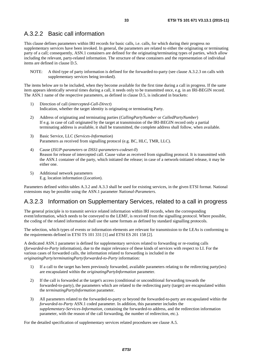#### <span id="page-32-0"></span>A.3.2.2 Basic call information

This clause defines parameters within IRI records for basic calls, i.e. calls, for which during their progress no supplementary services have been invoked. In general, the parameters are related to either the originating or terminating party of a call; consequently, ASN.1 containers are defined for the originating/terminating types of parties, which allow including the relevant, party-related information. The structure of these containers and the representation of individual items are defined in clause D.5.

NOTE: A third type of party information is defined for the forwarded-to-party (see clause A.3.2.3 on calls with supplementary services being invoked).

The items below are to be included, when they become available for the first time during a call in progress. If the same item appears identically several times during a call, it needs only to be transmitted once, e.g. in an IRI-BEGIN record. The ASN.1 name of the respective parameters, as defined in clause D.5, is indicated in brackets:

- 1) Direction of call (*intercepted-Call-Direct*) Indication, whether the target identity is originating or terminating Party.
- 2) Address of originating and terminating parties (*CallingPartyNumber* or *CalledPartyNumber*) If e.g. in case of call originated by the target at transmission of the IRI-BEGIN record only a partial terminating address is available, it shall be transmitted, the complete address shall follow, when available.
- 3) Basic Service, LLC (*Services-Information*) Parameters as received from signalling protocol (e.g. BC, HLC, TMR, LLC).
- 4) Cause (*ISUP-parameters* or *DSS1-parameters-codeset-0*) Reason for release of intercepted call. Cause value as received from signalling protocol. It is transmitted with the ASN.1 container of the party, which initiated the release; in case of a network-initiated release, it may be either one.
- 5) Additional network parameters E.g. location information (*Location*).

Parameters defined within tables A.3.2 and A.3.3 shall be used for existing services, in the given ETSI format. National extensions may be possible using the ASN.1 parameter *National-Parameters*.

#### A.3.2.3 Information on Supplementary Services, related to a call in progress

The general principle is to transmit service related information within IRI records, when the corresponding event/information, which needs to be conveyed to the LEMF, is received from the signalling protocol. Where possible, the coding of the related information shall use the same formats as defined by standard signalling protocols.

The selection, which types of events or information elements are relevant for transmission to the LEAs is conforming to the requirements defined in ETSI TS 101 331 [\[1](#page-9-0)] and ETSI ES 201 158 [\[2](#page-9-0)].

A dedicated ASN.1 parameter is defined for supplementary services related to forwarding or re-routing calls (*forwarded-to-Party* information), due to the major relevance of these kinds of services with respect to LI. For the various cases of forwarded calls, the information related to forwarding is included in the *originatingParty*/*terminatingParty*/*forwarded-to-Party* information:

- 1) If a call to the target has been previously forwarded, available parameters relating to the redirecting party(ies) are encapsulated within the *originatingPartyInformation* parameter.
- 2) If the call is forwarded at the target's access (conditional or unconditional forwarding towards the forwarded-to-party), the parameters which are related to the redirecting party (target) are encapsulated within the *terminatingPartyInformation* parameter.
- 3) All parameters related to the forwarded-to-party or beyond the forwarded-to-party are encapsulated within the *forwarded-to-Party* ASN.1 coded parameter. In addition, this parameter includes the *supplementary-Services-Information*, containing the forwarded-to address, and the redirection information parameter, with the reason of the call forwarding, the number of redirection, etc.).

For the detailed specification of supplementary services related procedures see clause A.5.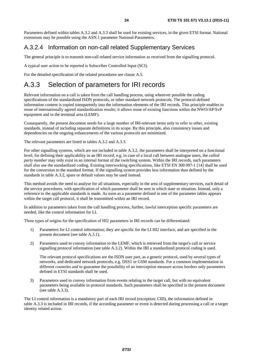<span id="page-33-0"></span>Parameters defined within tables A.3.2 and A.3.3 shall be used for existing services, in the given ETSI format. National extensions may be possible using the ASN.1 parameter National-Parameters.

#### A.3.2.4 Information on non-call related Supplementary Services

The general principle is to transmit non-call related service information as received from the signalling protocol.

A typical user action to be reported is Subscriber Controlled Input (SCI).

For the detailed specification of the related procedures see clause A.5.

### A.3.3 Selection of parameters for IRI records

Relevant information on a call is taken from the call handling process, using wherever possible the coding specifications of the standardized ISDN protocols, or other standard network protocols. The protocol-defined information content is copied transparently into the information elements of the IRI records. This principle enables to reuse of internationally agreed standardization results; it allows reuse of existing functions within the NWO/AP/SvP equipment and in the terminal area (LEMF).

Consequently, the present document needs for a large number of IRI-relevant items only to refer to other, existing standards, instead of including separate definitions in its scope. By this principle, also consistency issues and dependencies on the ongoing enhancements of the various protocols are minimized.

The relevant parameters are listed in tables A.3.2 and A.3.3.

For other signalling systems, which are not included in table A.3.2, the parameters shall be interpreted on a functional level, for defining their applicability in an IRI record; e.g. in case of a local call between analogue users, the *called party number* may only exist in an internal format of the switching system. Within the IRI records, such parameters shall also use the standardized coding. Existing interworking specifications, like ETSI EN 300 097-1 [[14](#page-10-0)] shall be used for the conversion to the standard format. If the signalling system provides less information than defined by the standards in table A.3.2, spare or default values may be used instead.

This method avoids the need to analyse for all situations, especially in the area of supplementary services, each detail of the service procedures, with specification of which parameter shall be sent in which state or situation. Instead, only a reference to the applicable standards is made. As soon as a parameter defined in one of the parameter tables appears within the target call protocol, it shall be transmitted within an IRI record.

In addition to parameters taken from the call handling process, further, lawful interception specific parameters are needed, like the control information for LI.

Three types of origins for the specification of HI2 parameters in IRI records can be differentiated:

- 1) Parameters for LI control information; they are specific for the LI HI2 interface, and are specified in the present document (see table A.3.1).
- 2) Parameters used to convey information to the LEMF, which is retrieved from the target's call or service signalling protocol information (see table A.3.2). Within the IRI a standardized protocol coding is used.

The relevant protocol specifications are the ISDN user part, as a generic protocol, used by several types of networks, and dedicated network protocols, e.g. DSS1 or GSM standards. For a common implementation in different countries and to guarantee the possibility of an interception measure across borders only parameters defined in ETSI standards shall be used.

3) Parameters used to convey information from events relating to the target call, but with no equivalent parameters being available in protocol standards. Such parameters shall be specified in the present document (see table A.3.3).

The LI control information is a mandatory part of each IRI record (exception: CID), the information defined in table A.3.3 is included in IRI records, if the according parameter or event is detected during processing a call or a target identity related action.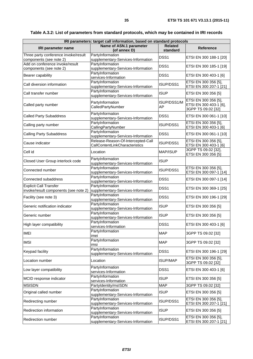| IRI parameters: target call information, based on standard protocols |                                                        |                  |                        |
|----------------------------------------------------------------------|--------------------------------------------------------|------------------|------------------------|
| Name of ASN.1 parameter<br><b>Related</b>                            |                                                        |                  |                        |
| IRI parameter name                                                   | (of annex D)                                           | standard         | <b>Reference</b>       |
| Three party conference invoke/result                                 | PartyInformation                                       | DSS <sub>1</sub> |                        |
| components (see note 2)                                              | supplementary-Services-Information                     |                  | ETSI EN 300 188-1 [20] |
| Add on conference invoke/result                                      | PartyInformation                                       | DSS <sub>1</sub> | ETSI EN 300 185-1 [19] |
| components (see note 2)                                              | supplementary-Services-Information                     |                  |                        |
| Bearer capability                                                    | PartyInformation                                       | DSS <sub>1</sub> | ETSI EN 300 403-1 [6]  |
|                                                                      | services-Information                                   |                  |                        |
| Call diversion information                                           | PartyInformation                                       | ISUP/DSS1        | ETSI EN 300 356 [5],   |
|                                                                      | supplementary-Services-Information<br>PartyInformation |                  | ETSI EN 300 207-1 [21] |
| Call transfer number                                                 | supplementary-Services-Information                     | <b>ISUP</b>      | ETSI EN 300 356 [5]    |
|                                                                      |                                                        |                  | ETSI EN 300 356 [5],   |
| Called party number                                                  | PartyInformation                                       | ISUP/DSS1/M      | ETSI EN 300 403-1 [6], |
|                                                                      | CalledPartyNumber                                      | AP               | 3GPP TS 09.02 [32]     |
|                                                                      | PartyInformation                                       |                  |                        |
| <b>Called Party Subaddress</b>                                       | supplementary-Services-Information                     | DSS <sub>1</sub> | ETSI EN 300 061-1 [10] |
|                                                                      | PartyInformation                                       | ISUP/DSS1        | ETSI EN 300 356 [5],   |
| Calling party number                                                 | CallingPartyNumber                                     |                  | ETSI EN 300 403-1 [6]  |
| <b>Calling Party Subaddress</b>                                      | PartyInformation                                       | DSS <sub>1</sub> | ETSI EN 300 061-1 [10] |
|                                                                      | supplementary-Services-Information                     |                  |                        |
| Cause indicator                                                      | Release-Reason-Of-Intercepted-Call                     | ISUP/DSS1        | ETSI EN 300 356 [5],   |
|                                                                      | CallContentLinkCharacteristics                         |                  | ETSI EN 300 403-1 [6]  |
| Cell id                                                              | Location                                               | MAP/ISUP         | 3GPP TS 09.02 [32],    |
|                                                                      |                                                        |                  | ETSI EN 300 356 [5]    |
| Closed User Group interlock code                                     | PartyInformation                                       | <b>ISUP</b>      |                        |
|                                                                      | supplementary-Services-Information                     |                  |                        |
| Connected number                                                     | PartyInformation                                       | ISUP/DSS1        | ETSI EN 300 356 [5],   |
|                                                                      | supplementary-Services-Information                     |                  | ETSI EN 300 097-1 [14] |
| Connected subaddress                                                 | PartyInformation                                       | DSS <sub>1</sub> | ETSI EN 300 097-1 [14] |
| <b>Explicit Call Transfer</b>                                        | supplementary-Services-Information<br>PartyInformation |                  |                        |
| invoke/result components (see note 2)                                | supplementary-Services-Information                     | DSS <sub>1</sub> | ETSI EN 300 369-1 [25] |
|                                                                      | PartyInformation                                       |                  |                        |
| Facility (see note 3)                                                | supplementary-Services-Information                     | DSS <sub>1</sub> | ETSI EN 300 196-1 [29] |
|                                                                      | PartyInformation                                       |                  |                        |
| Generic notification indicator                                       | supplementary-Services-Information                     | <b>ISUP</b>      | ETSI EN 300 356 [5]    |
|                                                                      | PartyInformation                                       | <b>ISUP</b>      |                        |
| Generic number                                                       | supplementary-Services-Information                     |                  | ETSI EN 300 356 [5]    |
| High layer compatibility                                             | PartyInformation                                       | DSS1             | ETSI EN 300 403-1 [6]  |
|                                                                      | services-Information                                   |                  |                        |
| <b>IMEI</b>                                                          | PartyInformation                                       | <b>MAP</b>       | 3GPP TS 09.02 [32]     |
|                                                                      | imei                                                   |                  |                        |
| <b>IMSI</b>                                                          | PartyInformation                                       | <b>MAP</b>       | 3GPP TS 09.02 [32]     |
|                                                                      | imsi                                                   |                  |                        |
| Keypad facility                                                      | PartyInformation<br>supplementary-Services-Information | DSS1             | ETSI EN 300 196-1 [29] |
|                                                                      |                                                        |                  | ETSI EN 300 356 [5],   |
| Location number                                                      | Location                                               | <b>ISUP/MAP</b>  | 3GPP TS 09.02 [32]     |
|                                                                      | PartyInformation                                       |                  |                        |
| Low layer compatibility                                              | services-Information                                   | DSS <sub>1</sub> | ETSI EN 300 403-1 [6]  |
|                                                                      | PartyInformation                                       |                  |                        |
| MCID response indicator                                              | services-Information                                   | <b>ISUP</b>      | ETSI EN 300 356 [5]    |
| <b>MSISDN</b>                                                        | PartyIdentity/msISDN                                   | <b>MAP</b>       | 3GPP TS 09.02 [32]     |
| Original called number                                               | PartyInformation                                       | <b>ISUP</b>      | ETSI EN 300 356 [5]    |
|                                                                      | supplementary-Services-Information                     |                  |                        |
| Redirecting number                                                   | PartyInformation                                       | ISUP/DSS1        | ETSI EN 300 356 [5],   |
|                                                                      | supplementary-Services-Information                     |                  | ETSI EN 300 207-1 [21] |
| Redirection information                                              | PartyInformation                                       | <b>ISUP</b>      | ETSI EN 300 356 [5]    |
|                                                                      | supplementary-Services-Information                     |                  |                        |
| Redirection number                                                   | PartyInformation                                       | ISUP/DSS1        | ETSI EN 300 356 [5],   |
|                                                                      | supplementary-Services-Information                     |                  | ETSI EN 300 207-1 [21] |

**Table A.3.2: List of parameters from standard protocols, which may be contained in IRI records**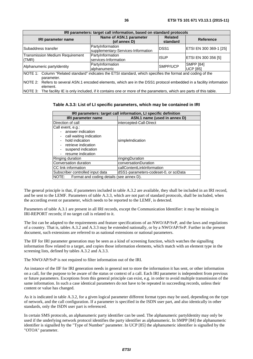| IRI parameters: target call information, based on standard protocols                                                            |                                                        |                            |                                     |
|---------------------------------------------------------------------------------------------------------------------------------|--------------------------------------------------------|----------------------------|-------------------------------------|
| <b>IRI parameter name</b>                                                                                                       | Name of ASN.1 parameter<br>(of annex D)                | <b>Related</b><br>standard | <b>Reference</b>                    |
| Subaddress transfer                                                                                                             | PartyInformation<br>supplementary-Services-Information | <b>IDSS1</b>               | ETSI EN 300 369-1 [25]              |
| <b>Transmission Medium Requirement</b><br>(TMR)                                                                                 | PartyInformation<br>services-Information               | <b>IISUP</b>               | ETSI EN 300 356 [5]                 |
| Alphanumeric partyldentity                                                                                                      | PartyInformation<br>alphanumeric                       | SMPP/UCP                   | <b>SMPP [84]</b><br><b>UCP 1851</b> |
| NOTE 1: Column "Related standard" indicates the ETSI standard, which specifies the format and coding of the<br>parameter.       |                                                        |                            |                                     |
| NOTE 2: Refers to several ASN.1 encoded elements, which are in the DSS1 protocol embedded in a facility information<br>element. |                                                        |                            |                                     |
| NOTE 3: The facility IE is only included, if it contains one or more of the parameters, which are parts of this table.          |                                                        |                            |                                     |

**Table A.3.3: List of LI specific parameters, which may be contained in IRI** 

| IRI parameters: target call information, LI specific definition |                                       |  |
|-----------------------------------------------------------------|---------------------------------------|--|
| <b>IRI parameter name</b>                                       | ASN.1 name (used in annex D)          |  |
| Direction of call                                               | intercepted-Call-Direct               |  |
| Call event, e.g.:                                               |                                       |  |
| - answer indication                                             |                                       |  |
| call waiting indication                                         |                                       |  |
| hold indication                                                 | simpleIndication                      |  |
| retrieve indication                                             |                                       |  |
| suspend indication                                              |                                       |  |
| resume indication                                               |                                       |  |
| Ringing duration                                                | ringingDuration                       |  |
| Conversation duration                                           | conversationDuration                  |  |
| CC link information                                             | callContentLinkInformation            |  |
| Subscriber controlled input data                                | dSS1-parameters-codeset-0, or sciData |  |
| NOTE:<br>Format and coding details (see annex D).               |                                       |  |

The general principle is that, if parameters included in table A.3.2 are available, they shall be included in an IRI record, and be sent to the LEMF. Parameters of table A.3.3, which are not part of standard protocols, shall be included, when the according event or parameter, which needs to be reported to the LEMF, is detected.

Parameters of table A.3.1 are present in all IRI records, except the Communication Identifier: it may be missing in IRI-REPORT records; if no target call is related to it.

The list can be adapted to the requirements and feature specifications of an NWO/AP/SvP, and the laws and regulations of a country. That is, tables A.3.2 and A.3.3 may be extended nationally, or by a NWO/AP/SvP. Further in the present document, such extensions are referred to as national extensions or national parameters.

The IIF for IRI parameter generation may be seen as a kind of screening function, which watches the signalling information flow related to a target, and copies those information elements, which match with an element type in the screening lists, defined by tables A.3.2 and A.3.3.

The NWO/AP/SvP is not required to filter information out of the IRI.

An instance of the IIF for IRI generation needs in general not to store the information it has sent, or other information on a call, for the purpose to be aware of the status or context of a call. Each IRI parameter is independent from previous or future parameters. Exceptions from this general principle can exist, e.g. in order to avoid multiple transmission of the same information. In such a case identical parameters do not have to be repeated in succeeding records, unless their content or value has changed.

As it is indicated in table A.3.2, for a given logical parameter different format types may be used, depending on the type of network, and the call configuration. If a parameter is specified in the ISDN user part, and also identically in other standards, only the ISDN user part is referenced.

In certain SMS protocols, an alphanumeric party identifier can be used. The alphanumeric partyIdentity may only be used if the underlying network protocol identifies the party identifier as alphanumeric. In SMPP [\[84](#page-13-0)] the alphanumeric identifier is signalled by the "Type of Number" parameter. In UCP [\[85](#page-13-0)] the alphanumeric identifier is signalled by the "OTOA" parameter.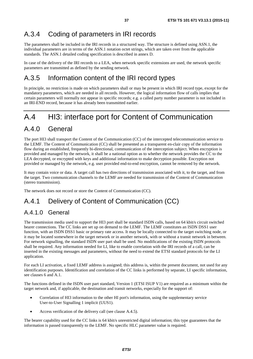## A.3.4 Coding of parameters in IRI records

The parameters shall be included in the IRI records in a structured way. The structure is defined using ASN.1, the individual parameters are in terms of the ASN.1 notation octet strings, which are taken over from the applicable standards. The ASN.1 detailed coding specification is described in annex D.

In case of the delivery of the IRI records to a LEA, when network specific extensions are used, the network specific parameters are transmitted as defined by the sending network.

## A.3.5 Information content of the IRI record types

In principle, no restriction is made on which parameters shall or may be present in which IRI record type, except for the mandatory parameters, which are needed in all records. However, the logical information flow of calls implies that certain parameters will normally not appear in specific records; e.g. a called party number parameter is not included in an IRI-END record, because it has already been transmitted earlier.

# A.4 HI3: interface port for Content of Communication

## A.4.0 General

The port HI3 shall transport the Content of the Communication (CC) of the intercepted telecommunication service to the LEMF. The Content of Communication (CC) shall be presented as a transparent en-clair copy of the information flow during an established, frequently bi-directional, communication of the interception subject. When encryption is provided and managed by the network, it shall be a national option as to whether the network provides the CC to the LEA decrypted, or encrypted with keys and additional information to make decryption possible. Encryption not provided or managed by the network, e.g. user provided end-to-end encryption, cannot be removed by the network.

It may contain voice or data. A target call has two directions of transmission associated with it, to the target, and from the target. Two communication channels to the LEMF are needed for transmission of the Content of Communication (stereo transmission).

The network does not record or store the Content of Communication (CC).

# A.4.1 Delivery of Content of Communication (CC)

## A.4.1.0 General

The transmission media used to support the HI3 port shall be standard ISDN calls, based on 64 kbit/s circuit switched bearer connections. The CC links are set up on demand to the LEMF. The LEMF constitutes an ISDN DSS1 user function, with an ISDN DSS1 basic or primary rate access. It may be locally connected to the target switching node, or it may be located somewhere in the target network or in another network, with or without a transit network in between. For network signalling, the standard ISDN user part shall be used. No modifications of the existing ISDN protocols shall be required. Any information needed for LI, like to enable correlation with the IRI records of a call, can be inserted in the existing messages and parameters, without the need to extend the ETSI standard protocols for the LI application.

For each LI activation, a fixed LEMF address is assigned; this address is, within the present document, not used for any identification purposes. Identification and correlation of the CC links is performed by separate, LI specific information, see clauses 6 and A.1.

The functions defined in the ISDN user part standard, Version 1 (ETSI ISUP V1) are required as a minimum within the target network and, if applicable, the destination and transit networks, especially for the support of:

- Correlation of HI3 information to the other HI port's information, using the supplementary service User-to-User Signalling 1 implicit (UUS1).
- Access verification of the delivery call (see clause A.4.5).

The bearer capability used for the CC links is 64 kbit/s unrestricted digital information; this type guarantees that the information is passed transparently to the LEMF. No specific HLC parameter value is required.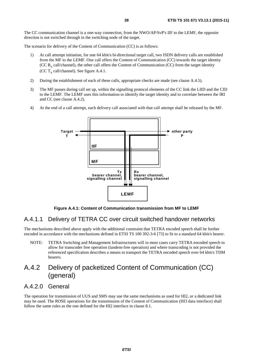The CC communication channel is a one-way connection, from the NWO/AP/SvP's IIF to the LEMF, the opposite direction is not switched through in the switching node of the target.

The scenario for delivery of the Content of Communication (CC) is as follows:

- 1) At call attempt initiation, for one 64 kbit/s bi-directional target call, two ISDN delivery calls are established from the MF to the LEMF. One call offers the Content of Communication (CC) towards the target identity (CC  $R<sub>x</sub>$  call/channel), the other call offers the Content of Communication (CC) from the target identity (CC  $T_x$  call/channel). See figure A.4.1.
- 2) During the establishment of each of these calls, appropriate checks are made (see clause A.4.5).
- 3) The MF passes during call set up, within the signalling protocol elements of the CC link the LIID and the CID to the LEMF. The LEMF uses this information to identify the target identity and to correlate between the IRI and CC (see clause A.4.2).
- 4) At the end of a call attempt, each delivery call associated with that call attempt shall be released by the MF.



**Figure A.4.1: Content of Communication transmission from MF to LEMF** 

### A.4.1.1 Delivery of TETRA CC over circuit switched handover networks

The mechanisms described above apply with the additional constraint that TETRA encoded speech shall be further encoded in accordance with the mechanisms defined in ETSI TS 100 392-3-6 [\[73](#page-13-0)] to fit to a standard 64 kbit/s bearer.

NOTE: TETRA Switching and Management Infrastructures will in most cases carry TETRA encoded speech to allow for transcoder free operation (tandem-free operation) and where transcoding is not provided the referenced specification describes a means to transport the TETRA encoded speech over 64 kbit/s TDM bearers.

## A.4.2 Delivery of packetized Content of Communication (CC) (general)

### A.4.2.0 General

The operation for transmission of UUS and SMS may use the same mechanisms as used for HI2, or a dedicated link may be used. The ROSE operations for the transmission of the Content of Communication (HI3 data interface) shall follow the same rules as the one defined for the HI2 interface in clause 8.1.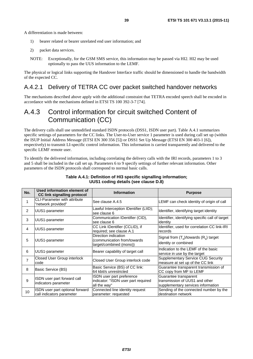A differentiation is made between:

- 1) bearer related or bearer unrelated end user information; and
- 2) packet data services.
- NOTE: Exceptionally, for the GSM SMS service, this information may be passed via HI2. HI2 may be used optionally to pass the UUS information to the LEMF.

The physical or logical links supporting the Handover Interface traffic should be dimensioned to handle the bandwidth of the expected CC.

### A.4.2.1 Delivery of TETRA CC over packet switched handover networks

The mechanisms described above apply with the additional constraint that TETRA encoded speech shall be encoded in accordance with the mechanisms defined in ETSI TS 100 392-3-7 [\[74](#page-13-0)].

## A.4.3 Control information for circuit switched Content of Communication (CC)

The delivery calls shall use unmodified standard ISDN protocols (DSS1, ISDN user part). Table A.4.1 summarizes specific settings of parameters for the CC links. The User-to-User service 1 parameter is used during call set up (within the ISUP Initial Address Message (ETSI EN 300 356 [\[5](#page-9-0)]) or DSS1 Set Up Message (ETSI EN 300 403-1 [\[6](#page-9-0)]), respectively) to transmit LI-specific control information. This information is carried transparently and delivered to the specific LEMF remote user.

To identify the delivered information, including correlating the delivery calls with the IRI records, parameters 1 to 3 and 5 shall be included in the call set up. Parameters 6 to 9 specify settings of further relevant information. Other parameters of the ISDN protocols shall correspond to normal basic calls.

| No. | Used information element of<br><b>CC link signalling protocol</b> | <b>Information</b>                                                               | <b>Purpose</b>                                                                                |
|-----|-------------------------------------------------------------------|----------------------------------------------------------------------------------|-----------------------------------------------------------------------------------------------|
|     | <b>CLI-Parameter with attribute</b><br>"network provided"         | See clause A.4.5                                                                 | LEMF can check identity of origin of call                                                     |
| 2   | UUS1-parameter                                                    | Lawful Interception IDentifier (LIID);<br>see clause 6                           | Identifier, identifying target identity                                                       |
| 3   | UUS1-parameter                                                    | Communication IDentifier (CID),<br>see clause 6                                  | Identifier, identifying specific call of target<br>identity                                   |
| 4   | UUS1-parameter                                                    | CC Link IDentifier (CCLID), if<br>required; see clause A.1                       | Identifier, used for correlation CC link-IRI<br>records                                       |
| 5   | UUS1-parameter                                                    | Direction indication<br>(communication from/towards<br>target/combined (mono))   | Signal from $(T_x)$ /towards $(R_x)$ target<br>identity or combined                           |
| 6   | UUS1-parameter                                                    | Bearer capability of target call                                                 | Indication to the LEMF of the basic<br>service in use by the target                           |
| 7   | Closed User Group interlock<br>code                               | Closed User Group interlock code                                                 | <b>Supplementary Service CUG Security</b><br>measure at set up of the CC link                 |
| 8   | Basic Service (BS)                                                | Basic Service (BS) of CC link:<br>64 kbit/s unrestricted                         | Guarantee transparent transmission of<br>CC copy from MF to LEMF                              |
| 9   | ISDN user part forward call<br>indicators parameter               | ISDN user part preference<br>indicator: "ISDN user part required<br>all the way" | Guarantee transparent<br>transmission of UUS1 and other<br>supplementary services information |
| 10  | ISDN user part optional forward<br>call indicators parameter      | Connected line identity request<br>parameter: requested                          | Sending of the connected number by the<br>destination network                                 |

#### **Table A.4.1: Definition of HI3 specific signalling information; UUS1 coding details (see clause D.8)**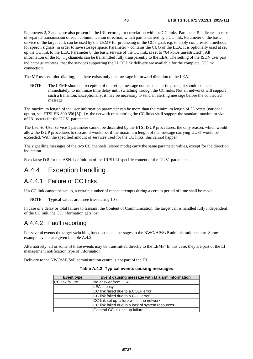Parameters 2, 3 and 4 are also present in the IRI records, for correlation with the CC links. Parameter 5 indicates in case of separate transmission of each communication direction, which part is carried by a CC link. Parameter 6, the basic service of the target call, can be used by the LEMF for processing of the CC signal, e.g. to apply compression methods for speech signals, in order to save storage space. Parameter 7 contains the CUG of the LEA. It is optionally used at set up the CC link to the LEA. Parameter 8, the basic service of the CC link, is set to "64 kbit/s unrestricted": All information of the  $R_x$ ,  $T_x$  channels can be transmitted fully transparently to the LEA. The setting of the ISDN user part indicator guarantees, that the services supporting the LI CC link delivery are available for the complete CC link connection.

The MF uses en-bloc dialling, i.e. there exists only one message in forward direction to the LEA.

NOTE: The LEMF should at reception of the set up message not use the alerting state, it should connect immediately, to minimize time delay until switching through the CC links. Not all networks will support such a transition. Exceptionally, it may be necessary to send an alerting message before the connected message.

The maximum length of the user information parameter can be more than the minimum length of 35 octets (national option, see ETSI EN 300 356 [\[5](#page-9-0)]), i.e. the network transmitting the CC links shall support the standard maximum size of 131 octets for the UUS1 parameter.

The User-to-User service 1 parameter cannot be discarded by the ETSI ISUP procedures: the only reason, which would allow the ISUP procedures to discard it would be, if the maximum length of the message carrying UUS1 would be exceeded. With the specified amount of services used for the CC links, this cannot happen.

The signalling messages of the two CC channels (stereo mode) carry the same parameter values, except for the direction indication.

See clause D.8 for the ASN.1 definition of the UUS1 LI specific content of the UUS1 parameter.

## A.4.4 Exception handling

### A.4.4.1 Failure of CC links

If a CC link cannot be set up, a certain number of repeat attempts during a certain period of time shall be made.

NOTE: Typical values are three tries during 10 s.

In case of a delay or total failure to transmit the Content of Communication, the target call is handled fully independent of the CC link, the CC information gets lost.

### A.4.4.2 Fault reporting

For several events the target switching function sends messages to the NWO/AP/SvP administration centre. Some example events are given in table A.4.2.

Alternatively, all or some of these events may be transmitted directly to the LEMF. In this case, they are part of the LI management notification type of information.

Delivery to the NWO/AP/SvP administration centre is not part of the HI.

| Event type             | Event causing message with LI alarm information  |
|------------------------|--------------------------------------------------|
| <b>CC</b> link failure | No answer from LEA                               |
|                        | LEA is busy                                      |
|                        | CC link failed due to a COLP error               |
|                        | ICC link failed due to a CUG error               |
|                        | CC link set up failure within the network        |
|                        | CC link failed due to a lack of system resources |
|                        | General CC link set up failure                   |

#### **Table A.4.2: Typical events causing messages**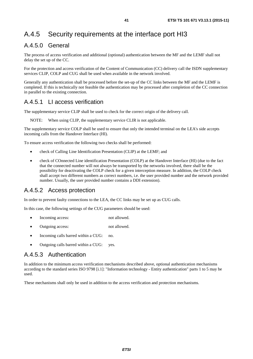# A.4.5 Security requirements at the interface port HI3

## A.4.5.0 General

The process of access verification and additional (optional) authentication between the MF and the LEMF shall not delay the set up of the CC.

For the protection and access verification of the Content of Communication (CC) delivery call the ISDN supplementary services CLIP, COLP and CUG shall be used when available in the network involved.

Generally any authentication shall be processed before the set-up of the CC links between the MF and the LEMF is completed. If this is technically not feasible the authentication may be processed after completion of the CC connection in parallel to the existing connection.

### A.4.5.1 LI access verification

The supplementary service CLIP shall be used to check for the correct origin of the delivery call.

NOTE: When using CLIP, the supplementary service CLIR is not applicable.

The supplementary service COLP shall be used to ensure that only the intended terminal on the LEA's side accepts incoming calls from the Handover Interface (HI).

To ensure access verification the following two checks shall be performed:

- check of Calling Line Identification Presentation (CLIP) at the LEMF; and
- check of COnnected Line identification Presentation (COLP) at the Handover Interface (HI) (due to the fact that the connected number will not always be transported by the networks involved, there shall be the possibility for deactivating the COLP check for a given interception measure. In addition, the COLP check shall accept two different numbers as correct numbers, i.e. the user provided number and the network provided number. Usually, the user provided number contains a DDI extension).

### A.4.5.2 Access protection

In order to prevent faulty connections to the LEA, the CC links may be set up as CUG calls.

In this case, the following settings of the CUG parameters should be used:

- Incoming access: not allowed.
- Outgoing access: not allowed.
- Incoming calls barred within a CUG: no.
- Outgoing calls barred within a CUG: yes.

### A.4.5.3 Authentication

In addition to the minimum access verification mechanisms described above, optional authentication mechanisms according to the standard series ISO 9798 [\[i.1](#page-13-0)]: "Information technology - Entity authentication" parts 1 to 5 may be used.

These mechanisms shall only be used in addition to the access verification and protection mechanisms.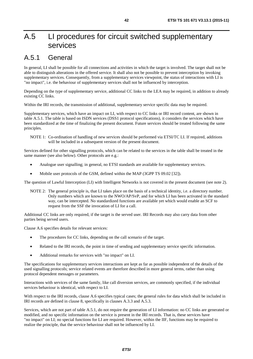# A.5 LI procedures for circuit switched supplementary services

# A.5.1 General

In general, LI shall be possible for all connections and activities in which the target is involved. The target shall not be able to distinguish alterations in the offered service. It shall also not be possible to prevent interception by invoking supplementary services. Consequently, from a supplementary services viewpoint, the status of interactions with LI is "no impact", i.e. the behaviour of supplementary services shall not be influenced by interception.

Depending on the type of supplementary service, additional CC links to the LEA may be required, in addition to already existing CC links.

Within the IRI records, the transmission of additional, supplementary service specific data may be required.

Supplementary services, which have an impact on LI, with respect to CC links or IRI record content, are shown in table A.5.1. The table is based on ISDN services (DSS1 protocol specifications), it considers the services which have been standardized at the time of finalizing the present document. Future services should be treated following the same principles.

NOTE 1: Co-ordination of handling of new services should be performed via ETSI/TC LI. If required, additions will be included in a subsequent version of the present document.

Services defined for other signalling protocols, which can be related to the services in the table shall be treated in the same manner (see also below). Other protocols are e.g.:

- Analogue user signalling; in general, no ETSI standards are available for supplementary services.
- Mobile user protocols of the GSM, defined within the MAP (3GPP TS 09.02 [\[32](#page-11-0)]).

The question of Lawful Interception (LI) with Intelligent Networks is not covered in the present document (see note 2).

NOTE 2: The general principle is, that LI takes place on the basis of a technical identity, i.e. a directory number. Only numbers which are known to the NWO/AP/SvP, and for which LI has been activated in the standard way, can be intercepted. No standardized functions are available yet which would enable an SCF to request from the SSF the invocation of LI for a call.

Additional CC links are only required, if the target is the served user. IRI Records may also carry data from other parties being served users.

Clause A.6 specifies details for relevant services:

- The procedures for CC links, depending on the call scenario of the target.
- Related to the IRI records, the point in time of sending and supplementary service specific information.
- Additional remarks for services with "no impact" on LI.

The specifications for supplementary services interactions are kept as far as possible independent of the details of the used signalling protocols; service related events are therefore described in more general terms, rather than using protocol dependent messages or parameters.

Interactions with services of the same family, like call diversion services, are commonly specified, if the individual services behaviour is identical, with respect to LI.

With respect to the IRI records, clause A.6 specifies typical cases; the general rules for data which shall be included in IRI records are defined in clause 8, specifically in clauses A.3.3 and A.5.3.

Services, which are not part of table A.5.1, do not require the generation of LI information: no CC links are generated or modified, and no specific information on the service is present in the IRI records. That is, these services have "no impact" on LI; no special functions for LI are required. However, within the IIF, functions may be required to realize the principle, that the service behaviour shall not be influenced by LI.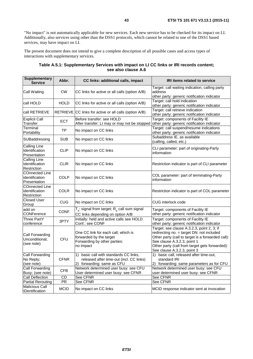"No impact" is not automatically applicable for new services. Each new service has to be checked for its impact on LI. Additionally, also services using other than the DSS1 protocols, which cannot be related to one of the DSS1 based services, may have impact on LI.

The present document does not intend to give a complete description of all possible cases and access types of interactions with supplementary services.

| <b>Supplementary</b><br><b>Service</b>                  | Abbr.           | CC links: additional calls, impact                                                                                  | IRI items related to service                                                                                                                                                                                                                                 |
|---------------------------------------------------------|-----------------|---------------------------------------------------------------------------------------------------------------------|--------------------------------------------------------------------------------------------------------------------------------------------------------------------------------------------------------------------------------------------------------------|
| Call Waiting                                            | <b>CW</b>       | CC links for active or all calls (option A/B)                                                                       | Target: call waiting indication, calling party<br>address<br>other party: generic notification indicator                                                                                                                                                     |
| call HOLD                                               | <b>HOLD</b>     | CC links for active or all calls (option A/B)                                                                       | Target: call hold indication<br>other party: generic notification indicator                                                                                                                                                                                  |
| call RETRIEVE                                           | <b>RETRIEVE</b> | CC links for active or all calls (option A/B)                                                                       | Target: call retrieve indication<br>other party: generic notification indicator                                                                                                                                                                              |
| <b>Explicit Call</b><br>Transfer                        | ECT             | Before transfer: see HOLD<br>After transfer: LI may or may not be stopped                                           | Target: components of Facility IE<br>other party: generic notification indicator                                                                                                                                                                             |
| Terminal<br>Portability                                 | <b>TP</b>       | No impact on CC links                                                                                               | Target: call suspend/resume indications<br>other party: generic notification indicator                                                                                                                                                                       |
| SUBaddressing                                           | <b>SUB</b>      | No impact on CC links                                                                                               | Subaddress IE, as available<br>(calling, called, etc.)                                                                                                                                                                                                       |
| Calling Line<br>Identification<br>Presentation          | <b>CLIP</b>     | No impact on CC links                                                                                               | CLI parameter: part of originating-Party<br>information                                                                                                                                                                                                      |
| Calling Line<br>Identification<br>Restriction           | <b>CLIR</b>     | No impact on CC links                                                                                               | Restriction indicator is part of CLI parameter                                                                                                                                                                                                               |
| <b>COnnected Line</b><br>identification<br>Presentation | <b>COLP</b>     | No impact on CC links                                                                                               | COL parameter: part of terminating-Party<br>information                                                                                                                                                                                                      |
| <b>COnnected Line</b><br>identification<br>Restriction  | <b>COLR</b>     | No impact on CC links                                                                                               | Restriction indicator is part of COL parameter                                                                                                                                                                                                               |
| Closed User<br>Group                                    | <b>CUG</b>      | No impact on CC links                                                                                               | CUG interlock code                                                                                                                                                                                                                                           |
| add on<br>CONFerence                                    | CONF            | $T_x$ : signal from target; $R_x$ call sum signal<br>CC links depending on option A/B                               | Target: components of Facility IE<br>other party: generic notification indicator                                                                                                                                                                             |
| <b>Three PartY</b><br>conference                        | 3PTY            | Initially: held and active calls see HOLD<br>Conf.: see CONF                                                        | Target: components of Facility IE<br>other party: generic notification indicator                                                                                                                                                                             |
| Call Forwarding<br>Unconditional;<br>(see note)         | CFU             | One CC link for each call, which is<br>forwarded by the target<br>Forwarding by other parties:<br>no impact         | Target: see clause A.3.2.3, point 2, 3; if<br>redirecting no. = target DN: not included<br>Other party (call to target is a forwarded call):<br>See clause A.3.2.3, point 1<br>Other party (call from target gets forwarded):<br>See clause A.3.2.3, point 3 |
| Call Forwarding<br>No Reply;<br>(see note)              | <b>CFNR</b>     | basic call with standards CC links,<br>1)<br>released after time-out (incl. CC links)<br>2) forwarding: same as CFU | basic call, released after time-out,<br>1)<br>standard IRI<br>2) forwarding: same parameters as for CFU                                                                                                                                                      |
| <b>Call Forwarding</b><br>Busy; (see note)              | <b>CFB</b>      | Network determined user busy: see CFU<br>User determined user busy: see CFNR                                        | Network determined user busy: see CFU<br>user determined user busy: see CFNR                                                                                                                                                                                 |
| <b>Call Deflection</b>                                  | <b>CD</b>       | See CFNR                                                                                                            | See CFNR                                                                                                                                                                                                                                                     |
| <b>Partial Rerouting</b>                                | PR              | See CFNR                                                                                                            | See CFNR                                                                                                                                                                                                                                                     |
| <b>Malicious Call</b><br><b>IDentification</b>          | <b>MCID</b>     | No impact on CC links                                                                                               | MCID response indicator sent at invocation                                                                                                                                                                                                                   |

#### **Table A.5.1: Supplementary Services with impact on LI CC links or IRI records content; see also clause A.6**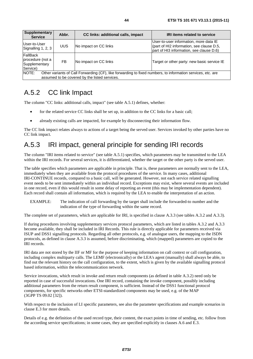| <b>Supplementary</b><br><b>Service</b>                                                                                                                                | Abbr.     | CC links: additional calls, impact | <b>IRI items related to service</b>                                                                                             |
|-----------------------------------------------------------------------------------------------------------------------------------------------------------------------|-----------|------------------------------------|---------------------------------------------------------------------------------------------------------------------------------|
| User-to-User<br>Signalling 1, 2, 3                                                                                                                                    | UUS       | No impact on CC links              | User-to-user information, more data IE<br>(part of HI2 information, see clause D.5,<br>part of HI3 information, see clause D.6) |
| FallBack<br>procedure (not a<br>Supplementary<br>Service)                                                                                                             | <b>FB</b> | No impact on CC links              | Target or other party: new basic service IE                                                                                     |
| NOTE:<br>Other variants of Call Forwarding (CF), like forwarding to fixed numbers, to information services, etc. are<br>assumed to be covered by the listed services. |           |                                    |                                                                                                                                 |

## A.5.2 CC link Impact

The column "CC links: additional calls, impact" (see table A.5.1) defines, whether:

- for the related service CC links shall be set up, in addition to the CC links for a basic call;
- already existing calls are impacted, for example by disconnecting their information flow.

The CC link impact relates always to actions of a target being the served user. Services invoked by other parties have no CC link impact.

## A.5.3 IRI impact, general principle for sending IRI records

The column "IRI items related to service" (see table A.5.1) specifies, which parameters may be transmitted to the LEA within the IRI records. For several services, it is differentiated, whether the target or the other party is the served user.

The table specifies which parameters are applicable in principle. That is, these parameters are normally sent to the LEA, immediately when they are available from the protocol procedures of the service. In many cases, additional IRI-CONTINUE records, compared to a basic call, will be generated. However, not each service related signalling event needs to be sent immediately within an individual record. Exceptions may exist, where several events are included in one record, even if this would result in some delay of reporting an event (this may be implementation dependent). Each record shall contain all information, which is required by the LEA to enable the interpretation of an action.

EXAMPLE: The indication of call forwarding by the target shall include the forwarded-to number and the indication of the type of forwarding within the same record.

The complete set of parameters, which are applicable for IRI, is specified in clause A.3.3 (see tables A.3.2 and A.3.3).

If during procedures involving supplementary services protocol parameters, which are listed in tables A.3.2 and A.3.3 become available, they shall be included in IRI Records. This rule is directly applicable for parameters received via ISUP and DSS1 signalling protocols. Regarding all other protocols, e.g. of analogue users, the mapping to the ISDN protocols, as defined in clause A.3.3 is assumed, before discriminating, which (mapped) parameters are copied to the IRI records.

IRI data are not stored by the IIF or MF for the purpose of keeping information on call context or call configuration, including complex multiparty calls. The LEMF (electronically) or the LEA's agent (manually) shall always be able, to find out the relevant history on the call configuration, to the extent, which is given by the available signalling protocol based information, within the telecommunication network.

Service invocations, which result in invoke and return result components (as defined in table A.3.2) need only be reported in case of successful invocations. One IRI record, containing the invoke component, possibly including additional parameters from the return result component, is sufficient. Instead of the DSS1 functional protocol components, for specific networks other ETSI-standardized components may be used, e.g. of the MAP (3GPP TS 09.02 [\[32](#page-11-0)]).

With respect to the inclusion of LI specific parameters, see also the parameter specifications and example scenarios in clause E.3 for more details.

Details of e.g. the definition of the used record type, their content, the exact points in time of sending, etc. follow from the according service specifications; in some cases, they are specified explicitly in clauses A.6 and E.3.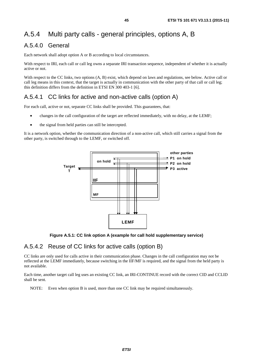# A.5.4 Multi party calls - general principles, options A, B

### A.5.4.0 General

Each network shall adopt option A or B according to local circumstances.

With respect to IRI, each call or call leg owns a separate IRI transaction sequence, independent of whether it is actually active or not.

With respect to the CC links, two options  $(A, B)$  exist, which depend on laws and regulations, see below. Active call or call leg means in this context, that the target is actually in communication with the other party of that call or call leg; this definition differs from the definition in ETSI EN 300 403-1 [\[6](#page-9-0)].

## A.5.4.1 CC links for active and non-active calls (option A)

For each call, active or not, separate CC links shall be provided. This guarantees, that:

- changes in the call configuration of the target are reflected immediately, with no delay, at the LEMF;
- the signal from held parties can still be intercepted.

It is a network option, whether the communication direction of a non-active call, which still carries a signal from the other party, is switched through to the LEMF, or switched off.



**Figure A.5.1: CC link option A (example for call hold supplementary service)** 

### A.5.4.2 Reuse of CC links for active calls (option B)

CC links are only used for calls active in their communication phase. Changes in the call configuration may not be reflected at the LEMF immediately, because switching in the IIF/MF is required, and the signal from the held party is not available.

Each time, another target call leg uses an existing CC link, an IRI-CONTINUE record with the correct CID and CCLID shall be sent.

NOTE: Even when option B is used, more than one CC link may be required simultaneously.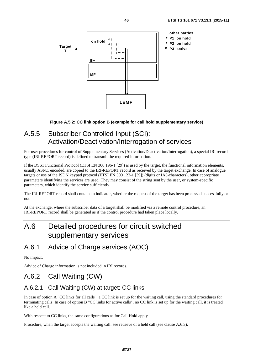

#### **Figure A.5.2: CC link option B (example for call hold supplementary service)**

## A.5.5 Subscriber Controlled Input (SCI): Activation/Deactivation/Interrogation of services

For user procedures for control of Supplementary Services (Activation/Deactivation/Interrogation), a special IRI record type (IRI-REPORT record) is defined to transmit the required information.

If the DSS1 Functional Protocol (ETSI EN 300 196-1 [\[29](#page-11-0)]) is used by the target, the functional information elements, usually ASN.1 encoded, are copied to the IRI-REPORT record as received by the target exchange. In case of analogue targets or use of the ISDN keypad protocol (ETSI EN 300 122-1 [\[39](#page-11-0)]) (digits or IA5-characters), other appropriate parameters identifying the services are used. They may consist of the string sent by the user, or system-specific parameters, which identify the service sufficiently.

The IRI-REPORT record shall contain an indicator, whether the request of the target has been processed successfully or not.

At the exchange, where the subscriber data of a target shall be modified via a remote control procedure, an IRI-REPORT record shall be generated as if the control procedure had taken place locally.

# A.6 Detailed procedures for circuit switched supplementary services

## A.6.1 Advice of Charge services (AOC)

No impact.

Advice of Charge information is not included in IRI records.

## A.6.2 Call Waiting (CW)

## A.6.2.1 Call Waiting (CW) at target: CC links

In case of option A "CC links for all calls", a CC link is set up for the waiting call, using the standard procedures for terminating calls. In case of option B "CC links for active calls", no CC link is set up for the waiting call, it is treated like a held call.

With respect to CC links, the same configurations as for Call Hold apply.

Procedure, when the target accepts the waiting call: see retrieve of a held call (see clause A.6.3).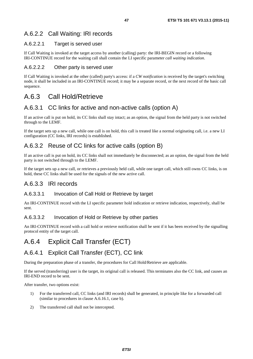## A.6.2.2 Call Waiting: IRI records

#### A.6.2.2.1 Target is served user

If Call Waiting is invoked at the target access by another (calling) party: the IRI-BEGIN record or a following IRI-CONTINUE record for the waiting call shall contain the LI specific parameter *call waiting indication*.

#### A.6.2.2.2 Other party is served user

If Call Waiting is invoked at the other (called) party's access: if a *CW notification* is received by the target's switching node, it shall be included in an IRI-CONTINUE record; it may be a separate record, or the next record of the basic call sequence.

## A.6.3 Call Hold/Retrieve

### A.6.3.1 CC links for active and non-active calls (option A)

If an active call is put on hold, its CC links shall stay intact; as an option, the signal from the held party is not switched through to the LEMF.

If the target sets up a new call, while one call is on hold, this call is treated like a normal originating call, i.e. a new LI configuration (CC links, IRI records) is established.

## A.6.3.2 Reuse of CC links for active calls (option B)

If an active call is put on hold, its CC links shall not immediately be disconnected; as an option, the signal from the held party is not switched through to the LEMF.

If the target sets up a new call, or retrieves a previously held call, while one target call, which still owns CC links, is on hold, these CC links shall be used for the signals of the new active call.

### A.6.3.3 IRI records

#### A.6.3.3.1 Invocation of Call Hold or Retrieve by target

An IRI-CONTINUE record with the LI specific parameter hold indication or retrieve indication, respectively, shall be sent.

#### A.6.3.3.2 Invocation of Hold or Retrieve by other parties

An IRI-CONTINUE record with a call hold or retrieve notification shall be sent if it has been received by the signalling protocol entity of the target call.

# A.6.4 Explicit Call Transfer (ECT)

### A.6.4.1 Explicit Call Transfer (ECT), CC link

During the preparation phase of a transfer, the procedures for Call Hold/Retrieve are applicable.

If the served (transferring) user is the target, its original call is released. This terminates also the CC link, and causes an IRI-END record to be sent.

After transfer, two options exist:

- 1) For the transferred call, CC links (and IRI records) shall be generated, in principle like for a forwarded call (similar to procedures in clause A.6.16.1, case b).
- 2) The transferred call shall not be intercepted.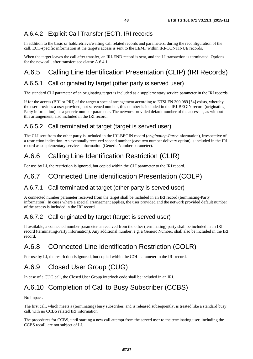## A.6.4.2 Explicit Call Transfer (ECT), IRI records

In addition to the basic or hold/retrieve/waiting call related records and parameters, during the reconfiguration of the call, ECT-specific information at the target's access is sent to the LEMF within IRI-CONTINUE records.

When the target leaves the call after transfer, an IRI-END record is sent, and the LI transaction is terminated. Options for the new call, after transfer: see clause A.6.4.1.

# A.6.5 Calling Line Identification Presentation (CLIP) (IRI Records)

## A.6.5.1 Call originated by target (other party is served user)

The standard CLI parameter of an originating target is included as a supplementary service parameter in the IRI records.

If for the access (BRI or PRI) of the target a special arrangement according to ETSI EN 300 089 [\[54](#page-12-0)] exists, whereby the user provides a user provided, not screened number, this number is included in the IRI-BEGIN record (originating-Party information), as a generic number parameter. The network provided default number of the access is, as without this arrangement, also included in the IRI record.

### A.6.5.2 Call terminated at target (target is served user)

The CLI sent from the other party is included in the IRI-BEGIN record (*originating-Party* information), irrespective of a restriction indication. An eventually received second number (case two number delivery option) is included in the IRI record as supplementary services information (Generic Number parameter).

# A.6.6 Calling Line Identification Restriction (CLIR)

For use by LI, the restriction is ignored, but copied within the CLI parameter to the IRI record.

## A.6.7 COnnected Line identification Presentation (COLP)

### A.6.7.1 Call terminated at target (other party is served user)

A connected number parameter received from the target shall be included in an IRI record (terminating-Party information). In cases where a special arrangement applies, the user provided and the network provided default number of the access is included in the IRI record.

### A.6.7.2 Call originated by target (target is served user)

If available, a connected number parameter as received from the other (terminating) party shall be included in an IRI record (terminating-Party information). Any additional number, e.g. a Generic Number, shall also be included in the IRI record.

# A.6.8 COnnected Line identification Restriction (COLR)

For use by LI, the restriction is ignored, but copied within the COL parameter to the IRI record.

# A.6.9 Closed User Group (CUG)

In case of a CUG call, the Closed User Group interlock code shall be included in an IRI.

# A.6.10 Completion of Call to Busy Subscriber (CCBS)

No impact.

The first call, which meets a (terminating) busy subscriber, and is released subsequently, is treated like a standard busy call, with no CCBS related IRI information.

The procedures for CCBS, until starting a new call attempt from the served user to the terminating user, including the CCBS recall, are not subject of LI.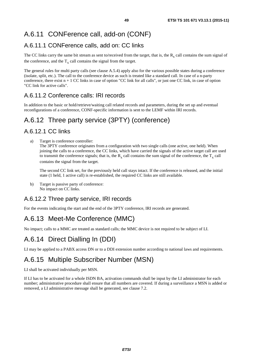# A.6.11 CONFerence call, add-on (CONF)

## A.6.11.1 CONFerence calls, add on: CC links

The CC links carry the same bit stream as sent to/received from the target, that is, the  $R_x$  call contains the sum signal of the conference, and the  $T<sub>x</sub>$  call contains the signal from the target.

The general rules for multi party calls (see clause A.5.4) apply also for the various possible states during a conference (isolate, split, etc.). The call to the conference device as such is treated like a standard call. In case of a n-party conference, there exist  $n + 1$  CC links in case of option "CC link for all calls", or just one CC link, in case of option "CC link for active calls".

## A.6.11.2 Conference calls: IRI records

In addition to the basic or hold/retrieve/waiting call related records and parameters, during the set up and eventual reconfigurations of a conference, CONF-specific information is sent to the LEMF within IRI records.

# A.6.12 Three party service (3PTY) (conference)

### A.6.12.1 CC links

a) Target is conference controller:

The 3PTY conference originates from a configuration with two single calls (one active, one held). When joining the calls to a conference, the CC links, which have carried the signals of the active target call are used to transmit the conference signals; that is, the  $R_x$  call contains the sum signal of the conference, the  $T_x$  call contains the signal from the target.

 The second CC link set, for the previously held call stays intact. If the conference is released, and the initial state (1 held, 1 active call) is re-established, the required CC links are still available.

b) Target is passive party of conference: No impact on CC links.

### A.6.12.2 Three party service, IRI records

For the events indicating the start and the end of the 3PTY conference, IRI records are generated.

# A.6.13 Meet-Me Conference (MMC)

No impact; calls to a MMC are treated as standard calls; the MMC device is not required to be subject of LI.

## A.6.14 Direct Dialling In (DDI)

LI may be applied to a PABX access DN or to a DDI extension number according to national laws and requirements.

# A.6.15 Multiple Subscriber Number (MSN)

LI shall be activated individually per MSN.

If LI has to be activated for a whole ISDN BA, activation commands shall be input by the LI administrator for each number; administrative procedure shall ensure that all numbers are covered. If during a surveillance a MSN is added or removed, a LI administrative message shall be generated, see clause 7.2.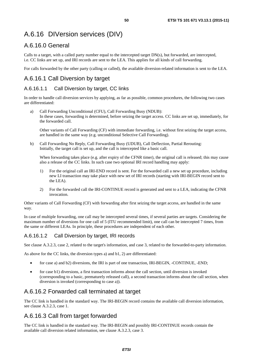# A.6.16 DIVersion services (DIV)

### A.6.16.0 General

Calls to a target, with a called party number equal to the intercepted target DN(s), but forwarded, are intercepted, i.e. CC links are set up, and IRI records are sent to the LEA. This applies for all kinds of call forwarding.

For calls forwarded by the other party (calling or called), the available diversion-related information is sent to the LEA.

## A.6.16.1 Call Diversion by target

### A.6.16.1.1 Call Diversion by target, CC links

In order to handle call diversion services by applying, as far as possible, common procedures, the following two cases are differentiated:

a) Call Forwarding Unconditional (CFU), Call Forwarding Busy (NDUB): In these cases, forwarding is determined, before seizing the target access. CC links are set up, immediately, for the forwarded call.

 Other variants of Call Forwarding (CF) with immediate forwarding, i.e. without first seizing the target access, are handled in the same way (e.g. unconditional Selective Call Forwarding).

b) Call Forwarding No Reply, Call Forwarding Busy (UDUB), Call Deflection, Partial Rerouting: Initially, the target call is set up, and the call is intercepted like a basic call.

When forwarding takes place (e.g. after expiry of the CFNR timer), the original call is released; this may cause also a release of the CC links. In such case two optional IRI record handling may apply:

- 1) For the original call an IRI-END record is sent. For the forwarded call a new set up procedure, including new LI transaction may take place with new set of IRI records (starting with IRI-BEGIN record sent to the LEA).
- 2) For the forwarded call the IRI-CONTINUE record is generated and sent to a LEA, indicating the CFNR invocation.

Other variants of Call Forwarding (CF) with forwarding after first seizing the target access, are handled in the same way.

In case of multiple forwarding, one call may be intercepted several times, if several parties are targets. Considering the maximum number of diversions for one call of 5 (ITU recommended limit), one call can be intercepted 7 times, from the same or different LEAs. In principle, these procedures are independent of each other.

### A.6.16.1.2 Call Diversion by target, IRI records

See clause A.3.2.3, case 2, related to the target's information, and case 3, related to the forwarded-to-party information.

As above for the CC links, the diversion types a) and b1, 2) are differentiated:

- for case a) and b2) diversions, the IRI is part of one transaction, IRI-BEGIN, -CONTINUE, -END;
- for case b1) diversions, a first transaction informs about the call section, until diversion is invoked (corresponding to a basic, prematurely released call), a second transaction informs about the call section, when diversion is invoked (corresponding to case a)).

### A.6.16.2 Forwarded call terminated at target

The CC link is handled in the standard way. The IRI-BEGIN record contains the available call diversion information, see clause A.3.2.3, case 1.

## A.6.16.3 Call from target forwarded

The CC link is handled in the standard way. The IRI-BEGIN and possibly IRI-CONTINUE records contain the available call diversion related information, see clause A.3.2.3, case 3.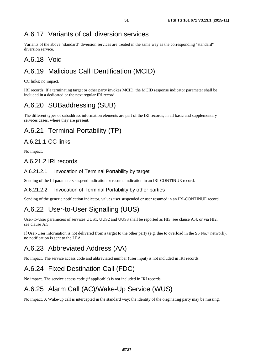## A.6.17 Variants of call diversion services

Variants of the above "standard" diversion services are treated in the same way as the corresponding "standard" diversion service.

## A.6.18 Void

## A.6.19 Malicious Call IDentification (MCID)

CC links: no impact.

IRI records: If a terminating target or other party invokes MCID, the MCID response indicator parameter shall be included in a dedicated or the next regular IRI record.

## A.6.20 SUBaddressing (SUB)

The different types of subaddress information elements are part of the IRI records, in all basic and supplementary services cases, where they are present.

# A.6.21 Terminal Portability (TP)

### A.6.21.1 CC links

No impact.

### A.6.21.2 IRI records

#### A.6.21.2.1 Invocation of Terminal Portability by target

Sending of the LI parameters suspend indication or resume indication in an IRI-CONTINUE record.

#### A.6.21.2.2 Invocation of Terminal Portability by other parties

Sending of the generic notification indicator, values user suspended or user resumed in an IRI-CONTINUE record.

# A.6.22 User-to-User Signalling (UUS)

User-to-User parameters of services UUS1, UUS2 and UUS3 shall be reported as HI3, see clause A.4, or via HI2, see clause A.5.

If User-User information is not delivered from a target to the other party (e.g. due to overload in the SS No.7 network), no notification is sent to the LEA.

# A.6.23 Abbreviated Address (AA)

No impact. The service access code and abbreviated number (user input) is not included in IRI records.

# A.6.24 Fixed Destination Call (FDC)

No impact. The service access code (if applicable) is not included in IRI records.

# A.6.25 Alarm Call (AC)/Wake-Up Service (WUS)

No impact. A Wake-up call is intercepted in the standard way; the identity of the originating party may be missing.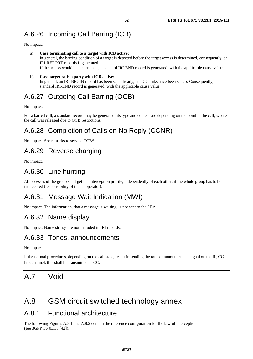# A.6.26 Incoming Call Barring (ICB)

No impact.

- a) **Case terminating call to a target with ICB active:**  In general, the barring condition of a target is detected before the target access is determined, consequently, an IRI-REPORT records is generated. If the access would be determined, a standard IRI-END record is generated, with the applicable cause value.
- b) **Case target calls a party with ICB active:**  In general, an IRI-BEGIN record has been sent already, and CC links have been set up. Consequently, a standard IRI-END record is generated, with the applicable cause value.

# A.6.27 Outgoing Call Barring (OCB)

No impact.

For a barred call, a standard record may be generated; its type and content are depending on the point in the call, where the call was released due to OCB restrictions.

# A.6.28 Completion of Calls on No Reply (CCNR)

No impact. See remarks to service CCBS.

## A.6.29 Reverse charging

No impact.

## A.6.30 Line hunting

All accesses of the group shall get the interception profile, independently of each other, if the whole group has to be intercepted (responsibility of the LI operator).

# A.6.31 Message Wait Indication (MWI)

No impact. The information, that a message is waiting, is not sent to the LEA.

## A.6.32 Name display

No impact. Name strings are not included in IRI records.

## A.6.33 Tones, announcements

No impact.

If the normal procedures, depending on the call state, result in sending the tone or announcement signal on the  $R<sub>x</sub>$  CC link channel, this shall be transmitted as CC.

# A.7 Void

# A.8 GSM circuit switched technology annex

### A.8.1 Functional architecture

The following Figures A.8.1 and A.8.2 contain the reference configuration for the lawful interception (see 3GPP TS 03.33 [\[42](#page-11-0)]).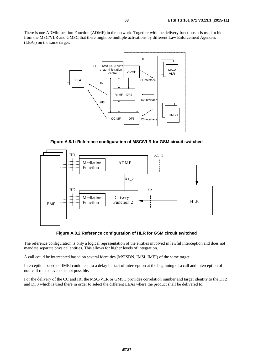There is one ADMinistration Function (ADMF) in the network. Together with the delivery functions it is used to hide from the MSC/VLR and GMSC that there might be multiple activations by different Law Enforcement Agencies (LEAs) on the same target.



**Figure A.8.1: Reference configuration of MSC/VLR for GSM circuit switched** 



**Figure A.8.2 Reference configuration of HLR for GSM circuit switched** 

The reference configuration is only a logical representation of the entities involved in lawful interception and does not mandate separate physical entities. This allows for higher levels of integration.

A call could be intercepted based on several identities (MSISDN, IMSI, IMEI) of the same target.

Interception based on IMEI could lead to a delay in start of interception at the beginning of a call and interception of non-call related events is not possible.

For the delivery of the CC and IRI the MSC/VLR or GMSC provides correlation number and target identity to the DF2 and DF3 which is used there in order to select the different LEAs where the product shall be delivered to.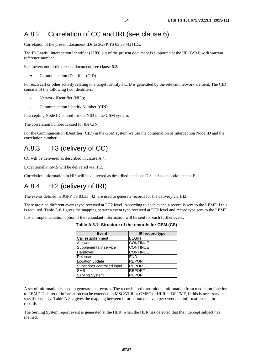# A.8.2 Correlation of CC and IRI (see clause 6)

Correlation of the present document IDs to 3GPP TS 03.33 [\[42](#page-11-0)] IDs.

The ID Lawful Interception Identifier (LIID) out of the present document is supported at the IIF (GSM) with warrant reference number.

Parameters out of the present document, see clause 6.2:

• Communication IDentifier (CID).

For each call or other activity relating to a target identity a CID is generated by the relevant network element. The CID consists of the following two identifiers:

- Network IDentifier (NID);
- Communication Identity Number (CIN).

Intercepting Node ID is used for the NID in the GSM system.

The correlation number is used for the CIN.

For the Communication IDentifier (CID) in the GSM system we use the combination of Interception Node ID and the correlation number.

# A.8.3 HI3 (delivery of CC)

CC will be delivered as described in clause A.4.

Exceptionally, SMS will be delivered via HI2.

Correlation information in HI3 will be delivered as described in clause D.8 and as an option annex E.

## A.8.4 HI2 (delivery of IRI)

The events defined in 3GPP TS 03.33 [\[42](#page-11-0)] are used to generate records for the delivery via HI2.

There are nine different events type received at DF2 level. According to each event, a record is sent to the LEMF if this is required. Table A.8.1 gives the mapping between event type received at DF2 level and record type sent to the LEMF.

It is an implementation option if the redundant information will be sent for each further event.

**Table A.8.1: Structure of the records for GSM (CS)** 

| <b>Event</b>                | <b>IRI record type</b> |
|-----------------------------|------------------------|
| Call establishment          | <b>BEGIN</b>           |
| Answer                      | <b>CONTINUE</b>        |
| Supplementary service       | <b>CONTINUE</b>        |
| Handover                    | <b>CONTINUE</b>        |
| Release                     | <b>END</b>             |
| Location update             | <b>REPORT</b>          |
| Subscriber controlled input | <b>REPORT</b>          |
| <b>SMS</b>                  | <b>REPORT</b>          |
| <b>Serving System</b>       | <b>REPORT</b>          |

A set of information is used to generate the records. The records used transmit the information from mediation function to LEMF. This set of information can be extended in MSC/VLR or GMSC or HLR or DF2/MF, if this is necessary in a specific country. Table A.8.2 gives the mapping between information received per event and information sent in records.

The Serving System report event is generated at the HLR, when the HLR has detected that the intercept subject has roamed.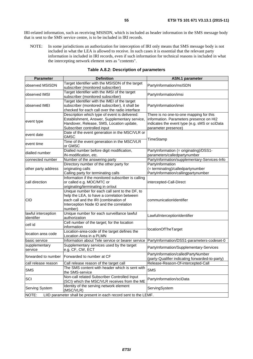IRI-related information, such as receiving MSISDN, which is included as header information in the SMS message body that is sent to the SMS service centre, is to be included in IRI records.

NOTE: In some jurisdictions an authorization for interception of IRI only means that SMS message body is not included in what the LEA is allowed to receive. In such cases it is essential that the relevant party information is included in IRI records, even if such information for technical reasons is included in what the intercepting network element sees as "contents".

| <b>Parameter</b>                                                          | <b>Definition</b>                                                                                                                                                                             | <b>ASN.1 parameter</b>                                                                                                                                     |  |
|---------------------------------------------------------------------------|-----------------------------------------------------------------------------------------------------------------------------------------------------------------------------------------------|------------------------------------------------------------------------------------------------------------------------------------------------------------|--|
| observed MSISDN                                                           | Target Identifier with the MSISDN of the target<br>subscriber (monitored subscriber)                                                                                                          | PartyInformation/msISDN                                                                                                                                    |  |
| observed IMSI                                                             | Target Identifier with the IMSI of the target<br>subscriber (monitored subscriber)                                                                                                            | PartyInformation/imsi                                                                                                                                      |  |
| observed IMEI                                                             | Target Identifier with the IMEI of the target<br>subscriber (monitored subscriber), it shall be<br>checked for each call over the radio interface                                             | PartyInformation/imei                                                                                                                                      |  |
| event type                                                                | Description which type of event is delivered:<br>Establishment, Answer, Supplementary service,<br>Handover, Release, SMS, Location update,<br>Subscriber controlled input                     | There is no one-to-one mapping for this<br>information. Parameters presence on HI2<br>indicates the event type (e.g. sMS or sciData<br>parameter presence) |  |
| event date                                                                | Date of the event generation in the MSC/VLR or<br><b>GMSC</b>                                                                                                                                 |                                                                                                                                                            |  |
| event time                                                                | Time of the event generation in the MSC/VLR<br>or GMSC                                                                                                                                        | TimeStamp                                                                                                                                                  |  |
| dialled number                                                            | Dialled number before digit modification,<br>IN-modification, etc.                                                                                                                            | PartyInformation (= originating)/DSS1-<br>parameters/calledpartynumber                                                                                     |  |
| connected number                                                          | Number of the answering party                                                                                                                                                                 | PartyInformation/supplementary-Services-Info                                                                                                               |  |
| other party address                                                       | Directory number of the other party for<br>originating calls<br>Calling party for terminating calls                                                                                           | PartyInformation<br>(= terminating)/calledpartynumber<br>PartyInformation/callingpartynumber                                                               |  |
| call direction                                                            | Information if the monitored subscriber is calling<br>or called e.g. MOC/MTC or<br>originating/terminating in or/out                                                                          | intercepted-Call-Direct                                                                                                                                    |  |
| CID                                                                       | Unique number for each call sent to the DF, to<br>help the LEA, to have a correlation between<br>each call and the IRI (combination of<br>Interception Node ID and the correlation<br>number) | communicationIdentifier                                                                                                                                    |  |
| lawful interception<br>identifier                                         | Unique number for each surveillance lawful<br>authorization                                                                                                                                   | LawfulInterceptionIdentifier                                                                                                                               |  |
| cell id                                                                   | Cell number of the target; for the location<br>information                                                                                                                                    | locationOfTheTarget                                                                                                                                        |  |
| location area code                                                        | Location-area-code of the target defines the<br>Location Area in a PLMN                                                                                                                       |                                                                                                                                                            |  |
| basic service                                                             | Information about Tele service or bearer service                                                                                                                                              | PartyInformation/DSS1-parameters-codeset-0                                                                                                                 |  |
| supplementary<br>service                                                  | Supplementary services used by the target<br>e.g. CF, CW, ECT                                                                                                                                 | PartyInformation/Supplementary-Services                                                                                                                    |  |
| forwarded to number                                                       | Forwarded to number at CF                                                                                                                                                                     | PartyInformation/calledPartyNumber<br>(party-Qualifier indicating forwarded-to-party)                                                                      |  |
| call release reason                                                       | Call release reason of the target call                                                                                                                                                        | Release-Reason-Of-intercepted-Call                                                                                                                         |  |
| <b>SMS</b>                                                                | The SMS content with header which is sent with<br>the SMS-service                                                                                                                             | <b>SMS</b>                                                                                                                                                 |  |
| SCI                                                                       | Non-call related Subscriber Controlled Input<br>(SCI) which the MSC/VLR receives from the ME                                                                                                  | PartyInformation/sciData                                                                                                                                   |  |
| <b>Serving System</b>                                                     | Identity of the serving network element<br>(MSC/VLR)                                                                                                                                          | ServingSystem                                                                                                                                              |  |
| NOTE:<br>LIID parameter shall be present in each record sent to the LEMF. |                                                                                                                                                                                               |                                                                                                                                                            |  |

#### **Table A.8.2: Description of parameters**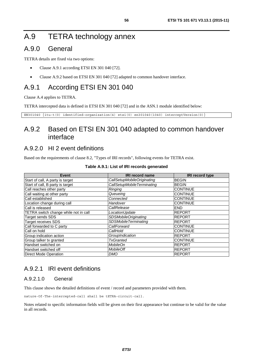# A.9 TETRA technology annex

## A.9.0 General

TETRA details are fixed via two options:

- Clause A.9.1 according ETSI EN 301 040 [\[72](#page-12-0)].
- Clause A.9.2 based on ETSI EN 301 040 [\[72](#page-12-0)] adapted to common handover interface.

## A.9.1 According ETSI EN 301 040

Clause A.4 applies to TETRA.

TETRA intercepted data is defined in ETSI EN 301 040 [\[72](#page-12-0)] and in the ASN.1 module identified below:

```
EN301040 {itu-t(0) identified-organization(4) etsi(0) en301040(1040) interceptVersion(0)}
```
## A.9.2 Based on ETSI EN 301 040 adapted to common handover interface

### A.9.2.0 HI 2 event definitions

Based on the requirements of clause 8.2, "Types of IRI records", following events for TETRA exist.

| Event                                 | <b>IRI record name</b>      | <b>IRI record type</b> |
|---------------------------------------|-----------------------------|------------------------|
| Start of call, A party is target      | CallSetupMobileOriginating  | <b>BEGIN</b>           |
| Start of call, B party is target      | CallSetupMobileTerminating  | <b>BEGIN</b>           |
| Call reaches other party              | Ringing                     | <b>CONTINUE</b>        |
| Call waiting at other party           | Queueing                    | <b>CONTINUE</b>        |
| Call established                      | Connected                   | <b>CONTINUE</b>        |
| Location change during call           | Handover                    | <b>CONTINUE</b>        |
| Call is released                      | CallRelease                 | <b>END</b>             |
| TETRA switch change while not in call | LocationUpdate              | <b>REPORT</b>          |
| Target sends SDS                      | <b>SDSMobileOriginating</b> | <b>REPORT</b>          |
| <b>Target receives SDS</b>            | <b>SDSMobileTerminating</b> | <b>REPORT</b>          |
| Call forwarded to C party             | CallForward                 | <b>CONTINUE</b>        |
| Call on hold                          | CallHold                    | <b>CONTINUE</b>        |
| Group indication action               | GroupIndication             | REPORT                 |
| Group talker tx granted               | <b>TxGranted</b>            | <b>CONTINUE</b>        |
| Handset switched on                   | MobileOn                    | <b>REPORT</b>          |
| Handset switched off                  | <b>MobileOff</b>            | <b>REPORT</b>          |
| Direct Mode Operation                 | <b>DMO</b>                  | <b>REPORT</b>          |

#### **Table A.9.1: List of IRI records generated**

### A.9.2.1 IRI event definitions

#### A.9.2.1.0 General

This clause shows the detailed definitions of event / record and parameters provided with them.

nature-Of-The-intercepted-call shall be tETRA-circuit-call.

Notes related to specific information fields will be given on their first appearance but continue to be valid for the value in all records.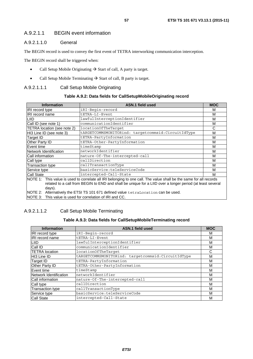### A.9.2.1.1 BEGIN event information

#### A.9.2.1.1.0 General

The BEGIN record is used to convey the first event of TETRA interworking communication interception.

The BEGIN record shall be triggered when:

- Call Setup Mobile Originating  $\rightarrow$  Start of call, A party is target.
- Call Setup Mobile Terminating  $\rightarrow$  Start of call, B party is target.

#### A.9.2.1.1.1 Call Setup Mobile Originating

#### **Table A.9.2: Data fields for CallSetupMobileOriginating record**

| <b>Information</b>                                                                                                                                                                                                                        | ASN.1 field used                                   | <b>MOC</b> |
|-------------------------------------------------------------------------------------------------------------------------------------------------------------------------------------------------------------------------------------------|----------------------------------------------------|------------|
| IRI record type                                                                                                                                                                                                                           | iRI-Begin-record                                   | м          |
| IRI record name                                                                                                                                                                                                                           | tETRA-LI-Event                                     | М          |
| LIID                                                                                                                                                                                                                                      | lawfulInterceptionIdentifier                       | М          |
| Call ID (see note 1)                                                                                                                                                                                                                      | communicationIdentifier                            | М          |
| TETRA location (see note 2)                                                                                                                                                                                                               | location0fTheTarqet                                | C          |
| HI3 Line ID (see note 3)                                                                                                                                                                                                                  | tARGETCOMMSMONITORind: targetcommsid:CircuitIdType | М          |
| Target ID                                                                                                                                                                                                                                 | tETRA-PartyInformation                             | М          |
| Other Party ID                                                                                                                                                                                                                            | tETRA-Other-PartyInformation                       | M          |
| Event time                                                                                                                                                                                                                                | timeStamp                                          | М          |
| Network Identification                                                                                                                                                                                                                    | networkIdentifier                                  | М          |
| Call information                                                                                                                                                                                                                          | nature-Of-The-intercepted-call                     | М          |
| Call type                                                                                                                                                                                                                                 | callDirection                                      | M          |
| <b>Transaction type</b>                                                                                                                                                                                                                   | callTransactionType                                | м          |
| Service type                                                                                                                                                                                                                              | basicService:teleServiceCode                       | М          |
| <b>Call State</b>                                                                                                                                                                                                                         | intercepted-Call-State                             | м          |
| NOTE 1: This value is used to correlate all IRI belonging to one call. The value shall be the same for all records<br>related to a call from BEGIN to END and shall be unique for a LIID over a longer period (at least several<br>days). |                                                    |            |
| NOTE 2: Alternatively the ETSI TS 101 671 defined value tetraLocation can be used.                                                                                                                                                        |                                                    |            |
| INOTE 3: This value is used for correlation of IRI and CC.                                                                                                                                                                                |                                                    |            |

### A.9.2.1.1.2 Call Setup Mobile Terminating

### **Table A.9.3: Data fields for CallSetupMobileTerminating record**

| <b>Information</b>      | ASN.1 field used                                    | <b>MOC</b> |
|-------------------------|-----------------------------------------------------|------------|
| IRI record type         | iRI-Begin-record                                    | М          |
| <b>IRI</b> record name  | tETRA-LI-Event                                      | M          |
| LIID                    | lawfulInterceptionIdentifier                        | М          |
| Call ID                 | communicationIdentifier                             | М          |
| <b>TETRA</b> location   | location0fTheTarqet                                 | C          |
| HI3 Line ID             | tARGETCOMMSMONITORind: targetcommsid: CircuitIdType | M          |
| <b>Target ID</b>        | tETRA-PartyInformation                              | M          |
| Other Party ID          | tETRA-Other-PartyInformation                        | М          |
| Event time              | timeStamp                                           | M          |
| Network Identification  | networkIdentifier                                   | M          |
| <b>Call information</b> | nature-Of-The-intercepted-call                      | M          |
| Call type               | callDirection                                       | M          |
| <b>Transaction type</b> | callTransactionType                                 | М          |
| Service type            | basicService:teleServiceCode                        | М          |
| <b>Call State</b>       | intercepted-Call-State                              | М          |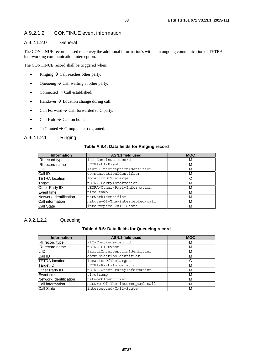### A.9.2.1.2 CONTINUE event information

#### A.9.2.1.2.0 General

The CONTINUE record is used to convey the additional information's within an ongoing communication of TETRA interworking communication interception.

The CONTINUE record shall be triggered when:

- Ringing  $\rightarrow$  Call reaches other party.
- Queueing  $\rightarrow$  Call waiting at other party.
- Connected  $\rightarrow$  Call established.
- Handover  $\rightarrow$  Location change during call.
- Call Forward  $\rightarrow$  Call forwarded to C party.
- Call Hold  $\rightarrow$  Call on hold.
- TxGranted  $\rightarrow$  Group talker tx granted.

#### A.9.2.1.2.1 Ringing

#### **Table A.9.4: Data fields for Ringing record**

| <b>Information</b>     | <b>ASN.1 field used</b>        | <b>MOC</b> |
|------------------------|--------------------------------|------------|
| <b>IRI</b> record type | iRI-Continue-record            | м          |
| <b>IRI</b> record name | tETRA-LI-Event                 | м          |
| <b>LIID</b>            | lawfulInterceptionIdentifier   | M          |
| Call ID                | communicationIdentifier        | M          |
| <b>TETRA</b> location  | locationOfTheTarget            | C          |
| Target ID              | tETRA-PartyInformation         | M          |
| Other Party ID         | tETRA-Other-PartyInformation   | M          |
| Event time             | timeStamp                      | M          |
| Network Identification | networkIdentifier              | M          |
| Call information       | nature-Of-The-intercepted-call | M          |
| <b>Call State</b>      | intercepted-Call-State         | M          |

#### A.9.2.1.2.2 Queueing

#### **Table A.9.5: Data fields for Queueing record**

| <b>Information</b>     | <b>ASN.1 field used</b>        | <b>MOC</b> |
|------------------------|--------------------------------|------------|
| <b>IRI</b> record type | iRI-Continue-record            | м          |
| <b>IRI</b> record name | tETRA-LI-Event                 | м          |
| <b>LIID</b>            | lawfulInterceptionIdentifier   | М          |
| Call ID                | communicationIdentifier        | М          |
| <b>TETRA</b> location  | locationOfTheTarget            | С          |
| Target ID              | tETRA-PartyInformation         | M          |
| Other Party ID         | tETRA-Other-PartyInformation   | M          |
| Event time             | timeStamp                      | M          |
| Network Identification | networkIdentifier              | м          |
| Call information       | nature-Of-The-intercepted-call | м          |
| Call State             | intercepted-Call-State         | м          |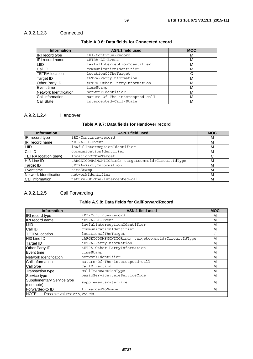### A.9.2.1.2.3 Connected

### **Table A.9.6: Data fields for Connected record**

| <b>Information</b>     | ASN.1 field used               | <b>MOC</b> |
|------------------------|--------------------------------|------------|
| <b>IRI</b> record type | iRI-Continue-record            | М          |
| <b>IRI</b> record name | tETRA-LI-Event                 | М          |
| <b>LIID</b>            | lawfulInterceptionIdentifier   | М          |
| Call ID                | communicationIdentifier        | М          |
| <b>TETRA</b> location  | location0fTheTarqet            | С          |
| Target ID              | tETRA-PartyInformation         | М          |
| <b>Other Party ID</b>  | tETRA-Other-PartyInformation   | М          |
| Event time             | timeStamp                      | М          |
| Network Identification | networkIdentifier              | М          |
| Call information       | nature-Of-The-intercepted-call | M          |
| <b>Call State</b>      | intercepted-Call-State         | М          |

#### A.9.2.1.2.4 Handover

#### **Table A.9.7: Data fields for Handover record**

| <b>Information</b>     | <b>ASN.1 field used</b>                             | <b>MOC</b> |
|------------------------|-----------------------------------------------------|------------|
| IRI record type        | iRI-Continue-record                                 | м          |
| <b>IRI</b> record name | tETRA-LI-Event                                      | M          |
| <b>LIID</b>            | lawfulInterceptionIdentifier                        | M          |
| Call ID                | communicationIdentifier                             | M          |
| TETRA location (new)   | locationOfTheTarqet                                 | C          |
| HI3 Line ID            | tARGETCOMMSMONITORind: targetcommsid: CircuitIdType | M          |
| Target ID              | tETRA-PartyInformation                              | M          |
| Event time             | timeStamp                                           | M          |
| Network Identification | networkIdentifier                                   | M          |
| Call information       | nature-Of-The-intercepted-call                      | M          |

### A.9.2.1.2.5 Call Forwarding

#### **Table A.9.8: Data fields for CallForwardRecord**

| <b>Information</b>                   | <b>ASN.1 field used</b>                            | <b>MOC</b> |
|--------------------------------------|----------------------------------------------------|------------|
| IRI record type                      | iRI-Continue-record                                | М          |
| IRI record name                      | tETRA-LI-Event                                     | M          |
| <b>LIID</b>                          | lawfulInterceptionIdentifier                       | М          |
| Call ID                              | communicationIdentifier                            | М          |
| <b>TETRA</b> location                | locationOfTheTarqet                                | С          |
| HI3 Line ID                          | tARGETCOMMSMONITORind: targetcommsid:CircuitIdType | M          |
| Target ID                            | tETRA-PartyInformation                             | M          |
| Other Party ID                       | tETRA-Other-PartyInformation                       | M          |
| Event time                           | timeStamp                                          | M          |
| Network Identification               | networkIdentifier                                  | M          |
| Call information                     | nature-Of-The-intercepted-call                     | M          |
| Call type                            | callDirection                                      | М          |
| <b>Transaction type</b>              | callTransactionType                                | М          |
| Service type                         | basicService:teleServiceCode                       | M          |
| Supplementary Service type           | supplementaryService                               | M          |
| (see note)                           |                                                    |            |
| Forwarded-to ID                      | forwardedToNumber                                  | M          |
| NOTE: Possible values: cfb, cw, etc. |                                                    |            |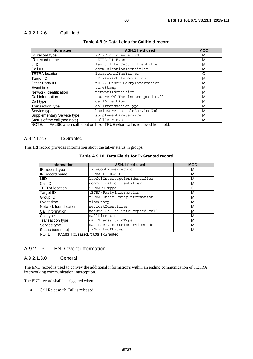| <b>Information</b>                                                           | ASN.1 field used               | <b>MOC</b> |
|------------------------------------------------------------------------------|--------------------------------|------------|
| IRI record type                                                              | iRI-Continue-record            | м          |
| <b>IRI</b> record name                                                       | tETRA-LI-Event                 | м          |
| LIID                                                                         | lawfulInterceptionIdentifier   | м          |
| Call ID                                                                      | communicationIdentifier        | м          |
| <b>TETRA</b> location                                                        | locationOfTheTarget            | C          |
| Target ID                                                                    | tETRA-PartyInformation         | М          |
| Other Party ID                                                               | tETRA-Other-PartyInformation   | м          |
| Event time                                                                   | timeStamp                      | м          |
| Network Identification                                                       | networkIdentifier              | M          |
| Call information                                                             | nature-Of-The-intercepted-call | M          |
| Call type                                                                    | callDirection                  | М          |
| <b>Transaction type</b>                                                      | callTransactionType            | M          |
| Service type                                                                 | basicService:teleServiceCode   | м          |
| <b>Supplementary Service type</b>                                            | supplementaryService           | м          |
| Status of the call (see note)                                                | callRetrieve                   | M          |
| NOTE: FALSE when call is put on hold, TRUE when call is retrieved from hold. |                                |            |

#### **Table A.9.9: Data fields for CallHold record**

### A.9.2.1.2.7 TxGranted

This IRI record provides information about the talker status in groups.

| <b>Information</b>                    | <b>ASN.1 field used</b>        | <b>MOC</b> |  |
|---------------------------------------|--------------------------------|------------|--|
| IRI record type                       | iRI-Continue-record            | М          |  |
| <b>IRI</b> record name                | tETRA-LI-Event                 | M          |  |
| <b>LIID</b>                           | lawfulInterceptionIdentifier   | М          |  |
| Call ID                               | communicationIdentifier        | M          |  |
| <b>TETRA</b> location                 | TETRACGIType                   | С          |  |
| <b>Target ID</b>                      | tETRA-PartyInformation         | М          |  |
| Group ID                              | tETRA-Other-PartyInformation   | M          |  |
| Event time                            | timeStamp                      | М          |  |
| Network Identification                | networkIdentifier              | М          |  |
| Call information                      | nature-Of-The-intercepted-call | М          |  |
| Call type                             | callDirection                  | М          |  |
| <b>Transaction type</b>               | callTransactionType            | М          |  |
| Service type                          | basicService:teleServiceCode   | M          |  |
| Status (see note)                     | txGrantedStatus                | М          |  |
| NOTE: FALSE TxCeased, TRUE TxGranted. |                                |            |  |

#### **Table A.9.10: Data Fields for TxGranted record**

#### A.9.2.1.3 END event information

#### A.9.2.1.3.0 General

The END record is used to convey the additional information's within an ending communication of TETRA interworking communication interception.

The END record shall be triggered when:

• Call Release  $\rightarrow$  Call is released.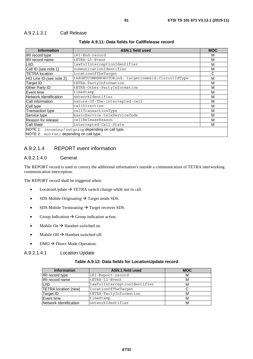#### A.9.2.1.3.1 Call Release

| <b>Information</b>                                                                               | ASN.1 field used                                    | <b>MOC</b> |
|--------------------------------------------------------------------------------------------------|-----------------------------------------------------|------------|
| IRI record type                                                                                  | iRI-End-record                                      | м          |
| IRI record name                                                                                  | tETRA-LI-Event                                      | М          |
| LIID                                                                                             | lawfulInterceptionIdentifier                        | М          |
| Call ID (see note 1)                                                                             | communicationIdentifier                             | М          |
| <b>TETRA</b> location                                                                            | locationOfTheTarqet                                 | С          |
| HI3 Line ID (see note 2)                                                                         | tARGETCOMMSMONITORind: targetcommsid: CircuitIdType | М          |
| Target ID                                                                                        | tETRA-PartyInformation                              | м          |
| Other Party ID                                                                                   | tETRA-Other-PartyInformation                        | М          |
| Event time                                                                                       | timeStamp                                           | М          |
| Network Identification                                                                           | networkIdentifier                                   | М          |
| Call information                                                                                 | nature-Of-The-intercepted-call                      | М          |
| Call type                                                                                        | callDirection                                       | М          |
| <b>Transaction type</b>                                                                          | callTransactionType                                 | М          |
| Service type                                                                                     | basicService:teleServiceCode                        | М          |
| Reason for release                                                                               | callReleaseReason                                   | М          |
| <b>Call State</b>                                                                                | intercepted-Call-State                              | М          |
| NOTE 1: incoming / outgoing depending on call type.<br>NOTE 2: $moc/mtc$ depending on call type. |                                                     |            |

#### **Table A.9.11: Data fields for CallRelease record**

### A.9.2.1.4 REPORT event information

#### A.9.2.1.4.0 General

The REPORT record is used to convey the additional information's outside a communication of TETRA interworking communication interception.

The REPORT record shall be triggered when:

- LocationUpdate  $\rightarrow$  TETRA switch change while not in call.
- SDS Mobile Originating  $\rightarrow$  Target sends SDS.
- SDS Mobile Terminating  $\rightarrow$  Target receives SDS.
- Group Indication  $\rightarrow$  Group indication action.
- Mobile On  $\rightarrow$  Handset switched on.
- Mobile Off  $\rightarrow$  Handset switched off.
- DMO  $\rightarrow$  Direct Mode Operation.

#### A.9.2.1.4.1 Location Update

#### **Table A.9.12: Data fields for LocationUpdate record**

| <b>Information</b>     | <b>ASN.1 field used</b>      | <b>MOC</b> |
|------------------------|------------------------------|------------|
| <b>IRI</b> record type | iRI-Report-record            | м          |
| <b>IRI</b> record name | tETRA-LI-Event               | М          |
| <b>LIID</b>            | lawfulInterceptionIdentifier | М          |
| TETRA location (new)   | locationOfTheTarget          |            |
| Target ID              | tETRA-PartyInformation       | М          |
| Event time             | timeStamp                    | м          |
| Network Identification | networkIdentifier            | м          |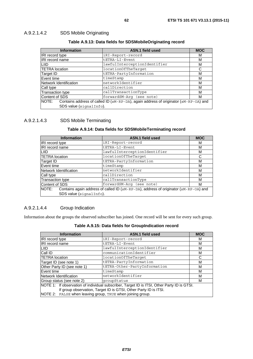### A.9.2.1.4.2 SDS Mobile Originating

#### **Table A.9.13: Data fields for SDSMobileOriginating record**

| <b>Information</b>                                                                            | <b>ASN.1 field used</b>      | <b>MOC</b> |
|-----------------------------------------------------------------------------------------------|------------------------------|------------|
| IRI record type                                                                               | iRI-Report-record            | м          |
| IRI record name                                                                               | tETRA-LI-Event               | М          |
| LIID                                                                                          | lawfulInterceptionIdentifier | м          |
| <b>TETRA</b> location                                                                         | locationOfTheTarqet          | С          |
| Target ID                                                                                     | tETRA-PartyInformation       | М          |
| Event time                                                                                    | timeStamp                    | М          |
| Network Identification                                                                        | networkIdentifier            | М          |
| Call type                                                                                     | callDirection                | М          |
| Transaction type                                                                              | callTransactionType          | М          |
| Content of SDS                                                                                | forwardSM-Arg (see note)     | м          |
| NOTE:<br>Contains address of called ID (sM-RP-DA), again address of originator (sM-RP-OA) and |                              |            |
| SDS value (signalInfo).                                                                       |                              |            |

### A.9.2.1.4.3 SDS Mobile Terminating

#### **Table A.9.14: Data fields for SDSMobileTerminating record**

| <b>Information</b>                                                                            | <b>ASN.1 field used</b>      | <b>MOC</b> |
|-----------------------------------------------------------------------------------------------|------------------------------|------------|
| IRI record type                                                                               | iRI-Report-record            | м          |
| IRI record name                                                                               | tETRA-LI-Event               | м          |
| LIID                                                                                          | lawfulInterceptionIdentifier | м          |
| <b>TETRA</b> location                                                                         | location0fTheTarqet          |            |
| Target ID                                                                                     | tETRA-PartyInformation       | м          |
| Event time                                                                                    | timeStamp                    | М          |
| Network Identification                                                                        | networkIdentifier            | М          |
| Call type                                                                                     | callDirection                | М          |
| Transaction type                                                                              | callTransactionType          | М          |
| Content of SDS                                                                                | forwardSM-Arg (see note)     | М          |
| Contains again address of called ID (sM-RP-DA), address of originator (sM-RP-OA) and<br>NOTE: |                              |            |
| SDS value (signalInfo).                                                                       |                              |            |

### A.9.2.1.4.4 Group Indication

Information about the groups the observed subscriber has joined. One record will be sent for every such group.

| Table A.9.15: Data fields for GroupIndication record |  |
|------------------------------------------------------|--|
|------------------------------------------------------|--|

| <b>Information</b>                                               | <b>ASN.1 field used</b>                                                                     | <b>MOC</b> |
|------------------------------------------------------------------|---------------------------------------------------------------------------------------------|------------|
| <b>IRI</b> record type                                           | iRI-Report-record                                                                           | М          |
| <b>IRI</b> record name                                           | tETRA-LI-Event                                                                              | М          |
| <b>LIID</b>                                                      | lawfulInterceptionIdentifier                                                                | М          |
| Call ID                                                          | communicationIdentifier                                                                     | М          |
| <b>TETRA</b> location                                            | location0fTheTarget                                                                         | C          |
| Target ID (see note 1)                                           | tETRA-PartyInformation                                                                      | М          |
| Other Party ID (see note 1)                                      | tETRA-Other-PartyInformation                                                                | М          |
| Event time                                                       | timeStamp                                                                                   | М          |
| Network Identification                                           | networkIdentifier                                                                           | М          |
| Group status (see note 2)                                        | qroupStatus                                                                                 | м          |
|                                                                  | NOTE 1: If observation of individual subscriber, Target ID is ITSI, Other Party ID is GTSI. |            |
| If group observation, Target ID is GTSI, Other Party ID is ITSI. |                                                                                             |            |
| NOTE 2: FALSE when leaving group, TRUE when joining group.       |                                                                                             |            |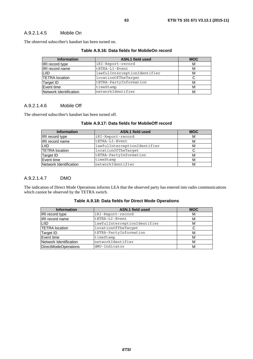#### A.9.2.1.4.5 Mobile On

The observed subscriber's handset has been turned on.

|  |  | Table A.9.16: Data fields for MobileOn record |
|--|--|-----------------------------------------------|
|--|--|-----------------------------------------------|

| <b>Information</b>     | ASN.1 field used             | <b>MOC</b> |
|------------------------|------------------------------|------------|
| <b>IRI</b> record type | iRI-Report-record            | М          |
| <b>IRI</b> record name | tETRA-LI-Event               | М          |
| ILIID                  | lawfulInterceptionIdentifier | м          |
| <b>TETRA</b> location  | locationOfTheTarget          |            |
| Target ID              | tETRA-PartyInformation       | м          |
| Event time             | timeStamp                    | М          |
| Network Identification | networkIdentifier            | м          |

#### A.9.2.1.4.6 Mobile Off

The observed subscriber's handset has been turned off.

| <b>Information</b>     | ASN.1 field used             | <b>MOC</b> |
|------------------------|------------------------------|------------|
| IRI record type        | iRI-Report-record            | м          |
| IRI record name        | tETRA-LI-Event               | M          |
| ILIID.                 | lawfulInterceptionIdentifier | М          |
| <b>TETRA</b> location  | locationOfTheTarget          |            |
| Target ID              | tETRA-PartyInformation       | М          |
| Event time             | timeStamp                    | м          |
| Network Identification | networkIdentifier            | M          |

#### **Table A.9.17: Data fields for MobileOff record**

#### A.9.2.1.4.7 DMO

The indication of Direct Mode Operations informs LEA that the observed party has entered into radio communications which cannot be observed by the TETRA switch.

| <b>Information</b>     | <b>ASN.1 field used</b>      | <b>MOC</b> |
|------------------------|------------------------------|------------|
| IRI record type        | iRI-Report-record            | м          |
| IRI record name        | tETRA-LI-Event               | м          |
| LIID.                  | lawfulInterceptionIdentifier | м          |
| <b>TETRA</b> location  | location0fTheTarget          |            |
| Target ID              | tETRA-PartyInformation       | м          |
| Event time             | timeStamp                    | м          |
| Network Identification | networkIdentifier            | M          |
| DirectModeOperations   | dMO-Indicator                | M          |

#### **Table A.9.18: Data fields for Direct Mode Operations**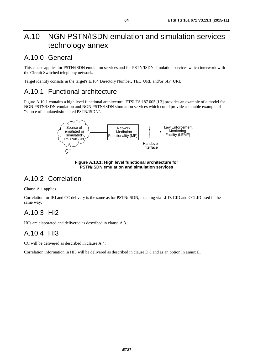# A.10 NGN PSTN/ISDN emulation and simulation services technology annex

## A.10.0 General

This clause applies for PSTN/ISDN emulation services and for PSTN/ISDN simulation services which interwork with the Circuit Switched telephony network.

Target identity consists in the target's E.164 Directory Number, TEL\_URL and/or SIP\_URI.

## A.10.1 Functional architecture

Figure A.10.1 contains a high level functional architecture. ETSI TS 187 005 [\[i.3](#page-13-0)] provides an example of a model for NGN PSTN/ISDN emulation and NGN PSTN/ISDN simulation services which could provide a suitable example of "source of emulated/simulated PSTN/ISDN".



**Figure A.10.1: High level functional architecture for PSTN/ISDN emulation and simulation services** 

# A.10.2 Correlation

Clause A.1 applies.

Correlation for IRI and CC delivery is the same as for PSTN/ISDN, meaning via LIID, CID and CCLID used in the same way.

# A.10.3 HI2

IRIs are elaborated and delivered as described in clause A.3.

# A.10.4 HI3

CC will be delivered as described in clause A.4.

Correlation information in HI3 will be delivered as described in clause D.8 and as an option in annex E.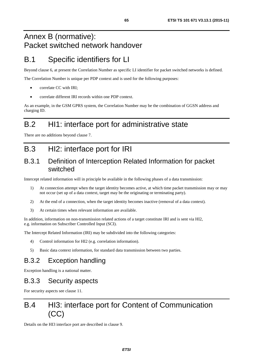# Annex B (normative): Packet switched network handover

# B.1 Specific identifiers for LI

Beyond clause 6, at present the Correlation Number as specific LI identifier for packet switched networks is defined.

The Correlation Number is unique per PDP context and is used for the following purposes:

- correlate CC with IRI;
- correlate different IRI records within one PDP context.

As an example, in the GSM GPRS system, the Correlation Number may be the combination of GGSN address and charging ID.

# B.2 HI1: interface port for administrative state

There are no additions beyond clause 7.

# B.3 HI2: interface port for IRI

## B.3.1 Definition of Interception Related Information for packet switched

Intercept related information will in principle be available in the following phases of a data transmission:

- 1) At connection attempt when the target identity becomes active, at which time packet transmission may or may not occur (set up of a data context, target may be the originating or terminating party).
- 2) At the end of a connection, when the target identity becomes inactive (removal of a data context).
- 3) At certain times when relevant information are available.

In addition, information on non-transmission related actions of a target constitute IRI and is sent via HI2, e.g. information on Subscriber Controlled Input (SCI).

The Intercept Related Information (IRI) may be subdivided into the following categories:

- 4) Control information for HI2 (e.g. correlation information).
- 5) Basic data context information, for standard data transmission between two parties.

## B.3.2 Exception handling

Exception handling is a national matter.

## B.3.3 Security aspects

For security aspects see clause 11.

# B.4 HI3: interface port for Content of Communication (CC)

Details on the HI3 interface port are described in clause 9.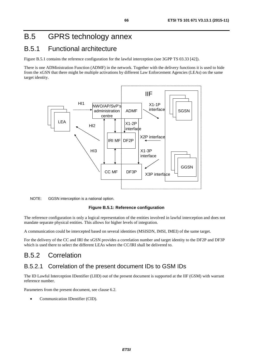# B.5 GPRS technology annex

## B.5.1 Functional architecture

Figure B.5.1 contains the reference configuration for the lawful interception (see 3GPP TS 03.33 [\[42](#page-11-0)]).

There is one ADMinistration Function (ADMF) in the network. Together with the delivery functions it is used to hide from the xGSN that there might be multiple activations by different Law Enforcement Agencies (LEAs) on the same target identity.





#### **Figure B.5.1: Reference configuration**

The reference configuration is only a logical representation of the entities involved in lawful interception and does not mandate separate physical entities. This allows for higher levels of integration.

A communication could be intercepted based on several identities (MSISDN, IMSI, IMEI) of the same target.

For the delivery of the CC and IRI the xGSN provides a correlation number and target identity to the DF2P and DF3P which is used there to select the different LEAs where the CC/IRI shall be delivered to.

## B.5.2 Correlation

### B.5.2.1 Correlation of the present document IDs to GSM IDs

The ID Lawful Interception IDentifier (LIID) out of the present document is supported at the IIF (GSM) with warrant reference number.

Parameters from the present document, see clause 6.2.

• Communication IDentifier (CID).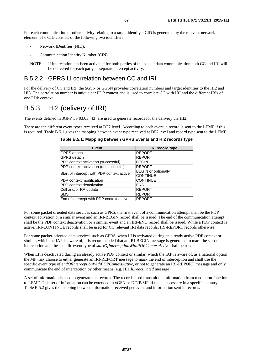For each communication or other activity relating to a target identity a CID is generated by the relevant network element. The CID consists of the following two identifiers:

- Network IDentifier (NID);
- Communication Identity Number (CIN).
- NOTE: If interception has been activated for both parties of the packet data communication both CC and IRI will be delivered for each party as separate intercept activity.

### B.5.2.2 GPRS LI correlation between CC and IRI

For the delivery of CC and IRI, the SGSN or GGSN provides correlation numbers and target identities to the HI2 and HI3. The correlation number is unique per PDP context and is used to correlate CC with IRI and the different IRIs of one PDP context.

# B.5.3 HI2 (delivery of IRI)

The events defined in 3GPP TS 03.03 [\[43](#page-11-0)] are used to generate records for the delivery via HI2.

There are ten different event types received at DF2 level. According to each event, a record is sent to the LEMF if this is required. Table B.5.1 gives the mapping between event type received at DF2 level and record type sent to the LEMF.

| Table B.5.1: Mapping between GPRS Events and HI2 records type |  |  |  |
|---------------------------------------------------------------|--|--|--|
|                                                               |  |  |  |

| <b>Event</b>                               | <b>IRI record type</b>     |
|--------------------------------------------|----------------------------|
| <b>GPRS</b> attach                         | <b>REPORT</b>              |
| <b>GPRS</b> detach                         | <b>REPORT</b>              |
| PDP context activation (successful)        | <b>BEGIN</b>               |
| PDP context activation (unsuccessful)      | <b>REPORT</b>              |
| Start of intercept with PDP context active | <b>BEGIN</b> or optionally |
|                                            | <b>CONTINUE</b>            |
| PDP context modification                   | <b>CONTINUE</b>            |
| PDP context deactivation                   | <b>END</b>                 |
| Cell and/or RA update                      | <b>REPORT</b>              |
| <b>SMS</b>                                 | <b>REPORT</b>              |
| End of intercept with PDP context active   | <b>REPORT</b>              |

For some packet oriented data services such as GPRS, the first event of a communication attempt shall be the PDP context activation or a similar event and an IRI-BEGIN record shall be issued. The end of the communication attempt shall be the PDP context deactivation or a similar event and an IRI-END record shall be issued. While a PDP context is active, IRI-CONTINUE records shall be used for CC relevant IRI data records, IRI-REPORT records otherwise.

For some packet-oriented data services such as GPRS, when LI is activated during an already active PDP context or similar, which the IAP is aware of, it is recommended that an IRI-BEGIN message is generated to mark the start of interception and the specific event type of *startOfInterceptionWithPDPContextActive* shall be used.

When LI is deactivated during an already active PDP context or similar, which the IAP is aware of, as a national option the MF may choose to either generate an IRI-REPORT message to mark the end of interception and shall use the specific event type of *endOfInterceptionWithPDPContextActive,* or not to generate an IRI-REPORT message and only communicate the end of interception by other means (e.g. HI1 *liDeactivated* message).

A set of information is used to generate the records. The records used transmit the information from mediation function to LEMF. This set of information can be extended in xGSN or DF2P/MF, if this is necessary in a specific country. Table B.5.2 gives the mapping between information received per event and information sent in records.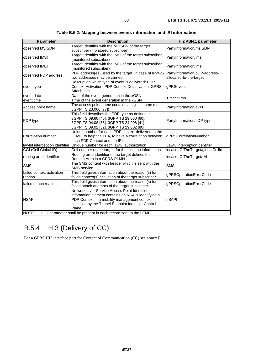| <b>Parameter</b>                    | <b>Description</b>                                                                                                                                                                                                   | HI2 ASN.1 parameter                                      |
|-------------------------------------|----------------------------------------------------------------------------------------------------------------------------------------------------------------------------------------------------------------------|----------------------------------------------------------|
| observed MSISDN                     | Target Identifier with the MSISDN of the target<br>subscriber (monitored subscriber)                                                                                                                                 | PartyInformation/msISDN                                  |
| observed IMSI                       | Target Identifier with the IMSI of the target subscriber<br>(monitored subscriber)                                                                                                                                   | PartyInformation/imsi                                    |
| observed IMEI                       | Target Identifier with the IMEI of the target subscriber<br>(monitored subscriber)                                                                                                                                   | PartyInformation/imei                                    |
| observed PDP address                | PDP address(es) used by the target. In case of IPv4v6<br>two addresses may be carried                                                                                                                                | PartyInformation/pDP-address-<br>allocated-to-the-target |
| event type                          | Description which type of event is delivered: PDP<br>Context Activation, PDP Context Deactivation, GPRS<br>Attach, etc.                                                                                              | gPRSevent                                                |
| event date                          | Date of the event generation in the xGSN                                                                                                                                                                             | TimeStamp                                                |
| event time                          | Time of the event generation in the xGSN                                                                                                                                                                             |                                                          |
| Access point name                   | The access point name contains a logical name (see<br>3GPP TS 23.060 [77])                                                                                                                                           | PartyInformation/aPN                                     |
| PDP type                            | This field describes the PDP type as defined in<br>3GPP TS 09.60 [45], 3GPP TS 29.060 [60],<br>3GPP TS 04.08 [55], 3GPP TS 24.008 [41],<br>3GPP TS 09.02 [32], 3GPP TS 29.002 [80]                                   | PartyInformation/pDP-type                                |
| Correlation number                  | Unique number for each PDP context delivered to the<br>LEMF, to help the LEA, to have a correlation between<br>each PDP Context and the IRI                                                                          | gPRSCorrelationNumber                                    |
| lawful interception identifier      | Unique number for each lawful authorization                                                                                                                                                                          | LawfulInterceptionIdentifier                             |
| CGI (Cell Global ID)                | Cell number of the target; for the location information                                                                                                                                                              | locationOfTheTarget/globalCellId                         |
| routing area identifier             | Routing-area-identifier of the target defines the<br>Routing Area in a GPRS-PLMN                                                                                                                                     | locationOfTheTarget/rAl                                  |
| <b>SMS</b>                          | The SMS content with header which is sent with the<br>SMS-service                                                                                                                                                    | <b>SMS</b>                                               |
| failed context activation<br>reason | This field gives information about the reason(s) for<br>failed context(s) activation of the target subscriber                                                                                                        | gPRSOperationErrorCode                                   |
| failed attach reason                | This field gives information about the reason(s) for<br>failed attach attempts of the target subscriber                                                                                                              | gPRSOperationErrorCode                                   |
| <b>NSAPI</b><br>NOTE:               | Network layer Service Access Point Identifier<br>information element contains an NSAPI identifying a<br>PDP Context in a mobility management context<br>specified by the Tunnel Endpoint Identifier Control<br>Plane | nSAPI                                                    |
|                                     | LIID parameter shall be present in each record sent to the LEMF.                                                                                                                                                     |                                                          |

**Table B.5.2: Mapping between events information and IRI information** 

# B.5.4 HI3 (Delivery of CC)

For a GPRS HI3 interface port for Content of Communication (CC) see annex F.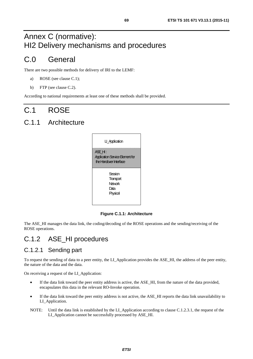# Annex C (normative): HI2 Delivery mechanisms and procedures

# C.0 General

There are two possible methods for delivery of IRI to the LEMF:

- a) ROSE (see clause C.1);
- b) FTP (see clause C.2).

According to national requirements at least one of these methods shall be provided.

# C.1 ROSE

## C.1.1 Architecture

| LI_Application                                                            |
|---------------------------------------------------------------------------|
| ASE H:<br><b>Application Service Element for</b><br>the Handwer Interface |
| Session<br>Transport<br>Network<br>Data<br>Physical                       |

#### **Figure C.1.1: Architecture**

The ASE\_HI manages the data link, the coding/decoding of the ROSE operations and the sending/receiving of the ROSE operations.

## C.1.2 ASE\_HI procedures

## C.1.2.1 Sending part

To request the sending of data to a peer entity, the LI\_Application provides the ASE\_HI, the address of the peer entity, the nature of the data and the data.

On receiving a request of the LI\_Application:

- If the data link toward the peer entity address is active, the ASE HI, from the nature of the data provided, encapsulates this data in the relevant RO-Invoke operation.
- If the data link toward the peer entity address is not active, the ASE HI reports the data link unavailability to LI\_Application.
- NOTE: Until the data link is established by the LI\_Application according to clause C.1.2.3.1, the request of the LI\_Application cannot be successfully processed by ASE\_HI.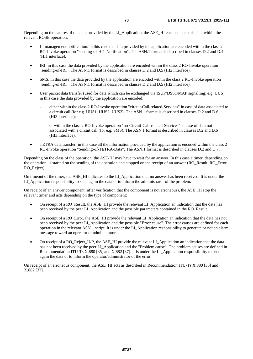Depending on the natures of the data provided by the LI\_Application, the ASE\_HI encapsulates this data within the relevant ROSE operation:

- LI management notification: in this case the data provided by the application are encoded within the class 2 RO-Invoke operation "sending-of-HI1-Notification". The ASN.1 format is described in clauses D.2 and D.4 (HI1 interface).
- IRI: in this case the data provided by the application are encoded within the class 2 RO-Invoke operation "sending-of-IRI". The ASN.1 format is described in clauses D.2 and D.5 (HI2 interface).
- SMS: in this case the data provided by the application are encoded within the class 2 RO-Invoke operation "sending-of-IRI". The ASN.1 format is described in clauses D.2 and D.5 (HI2 interface).
- User packet data transfer (used for data which can be exchanged via ISUP/DSS1/MAP signalling: e.g. UUS): in this case the data provided by the application are encoded:
	- either within the class 2 RO-Invoke operation "circuit-Call-related-Services" in case of data associated to a circuit call (for e.g. UUS1, UUS2, UUS3). The ASN.1 format is described in clauses D.2 and D.6 (HI3 interface);
	- or within the class 2 RO-Invoke operation "no-Circuit-Call-related-Services" in case of data not associated with a circuit call (for e.g. SMS). The ASN.1 format is described in clauses D.2 and D.6 (HI3 interface).
- TETRA data transfer: in this case all the information provided by the application is encoded within the class 2 RO-Invoke operation "Sending*-*of*-*TETRA*-*Data". The ASN.1 format is described in clauses D.2 and D.7.

Depending on the class of the operation, the ASE*-*HI may have to wait for an answer. In this case a timer, depending on the operation, is started on the sending of the operation and stopped on the receipt of an answer (RO\_Result, RO\_Error, RO\_Reject).

On timeout of the timer, the ASE\_HI indicates to the LI\_Application that no answer has been received. It is under the LI\_Application responsibility to send again the data or to inform the administrator of the problem.

On receipt of an answer component (after verification that the component is not erroneous), the ASE\_HI stop the relevant timer and acts depending on the type of component:

- On receipt of a RO\_Result, the ASE\_HI provide the relevant LI\_Application an indication that the data has been received by the peer LI\_Application and the possible parameters contained in the RO\_Result.
- On receipt of a RO\_Error, the ASE\_HI provide the relevant LI\_Application an indication that the data has not been received by the peer LI\_Application and the possible "Error cause". The error causes are defined for each operation in the relevant ASN.1 script. It is under the LI\_Application responsibility to generate or not an alarm message toward an operator or administrator.
- On receipt of a RO\_Reject\_U/P, the ASE\_HI provide the relevant LI\_Application an indication that the data has not been received by the peer LI\_Application and the "Problem cause". The problem causes are defined in Recommendation ITU-Ts X.880 [\[35](#page-11-0)] and X.882 [\[37\]](#page-11-0). It is under the LI\_Application responsibility to send again the data or to inform the operator/administrator of the error.

On receipt of an erroneous component, the ASE\_HI acts as described in Recommendation ITU-Ts X.880 [\[35](#page-11-0)] and X.882 [\[37](#page-11-0)].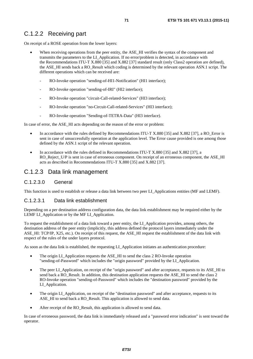## C.1.2.2 Receiving part

On receipt of a ROSE operation from the lower layers:

- When receiving operations from the peer entity, the ASE HI verifies the syntax of the component and transmits the parameters to the LI\_Application. If no error/problem is detected, in accordance with the Recommendations ITU-T X.880 [\[35](#page-11-0)] and X.882 [\[37](#page-11-0)] standard result (only Class2 operation are defined), the ASE\_HI sends back a RO\_Result which coding is determined by the relevant operation ASN.1 script. The different operations which can be received are:
	- RO-Invoke operation "sending-of-HI1-Notification" (HI1 interface);
	- RO-Invoke operation "sending-of-IRI" (HI2 interface);
	- RO-Invoke operation "circuit-Call-related-Services" (HI3 interface);
	- RO-Invoke operation "no-Circuit-Call-related-Services" (HI3 interface);
	- RO-Invoke operation "Sending-of-TETRA-Data" (HI3 interface).

In case of error, the ASE HI acts depending on the reason of the error or problem:

- In accordance with the rules defined by Recommendations ITU-T X.880 [\[35](#page-11-0)] and X.882 [\[37](#page-11-0)], a RO Error is sent in case of unsuccessfully operation at the application level. The Error cause provided is one among those defined by the ASN.1 script of the relevant operation.
- In accordance with the rules defined in Recommendations ITU-T X.880 [\[35](#page-11-0)] and X.882 [\[37](#page-11-0)], a RO\_Reject\_U/P is sent in case of erroneous component. On receipt of an erroneous component, the ASE\_HI acts as described in Recommendations ITU-T X.880 [\[35](#page-11-0)] and X.882 [\[37](#page-11-0)].

### C.1.2.3 Data link management

#### C.1.2.3.0 General

This function is used to establish or release a data link between two peer LI\_Applications entities (MF and LEMF).

#### C.1.2.3.1 Data link establishment

Depending on a per destination address configuration data, the data link establishment may be required either by the LEMF LI\_Application or by the MF LI\_Application.

To request the establishment of a data link toward a peer entity, the LI\_Application provides, among others, the destination address of the peer entity (implicitly, this address defined the protocol layers immediately under the ASE HI: TCP/IP, X25, etc.). On receipt of this request, the ASE HI request the establishment of the data link with respect of the rules of the under layers protocol.

As soon as the data link is established, the requesting LI\_Application initiates an authentication procedure:

- The origin LI Application requests the ASE HI to send the class 2 RO-Invoke operation "sending-of-Password" which includes the "origin password" provided by the LI\_Application.
- The peer LI\_Application, on receipt of the "origin password" and after acceptance, requests to its ASE\_HI to send back a RO\_Result. In addition, this destination application requests the ASE\_HI to send the class 2 RO-Invoke operation "sending-of-Password" which includes the "destination password" provided by the LI\_Application.
- The origin LI\_Application, on receipt of the "destination password" and after acceptance, requests to its ASE\_HI to send back a RO\_Result. This application is allowed to send data.
- After receipt of the RO\_Result, this application is allowed to send data.

In case of erroneous password, the data link is immediately released and a "password error indication" is sent toward the operator.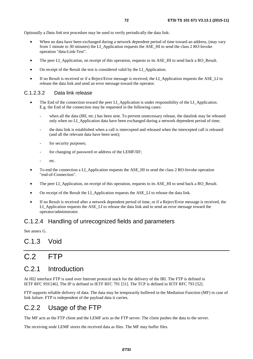Optionally a *Data link test* procedure may be used to verify periodically the data link:

- When no data have been exchanged during a network dependent period of time toward an address, (may vary from 1 minute to 30 minutes) the LI\_Application requests the ASE\_HI to send the class 2 RO-Invoke operation "data-Link-Test".
- The peer LI\_Application, on receipt of this operation, requests to its ASE\_HI to send back a RO\_Result.
- On receipt of the Result the test is considered valid by the LI\_Application.
- If no Result is received or if a Reject/Error message is received, the LI\_Application requests the ASE\_LI to release the data link and send an error message toward the operator.

#### C.1.2.3.2 Data link release

- The End of the connection toward the peer LI\_Application is under responsibility of the LI\_Application. E.g. the End of the connection may be requested in the following cases:
	- when all the data (IRI, etc.) has been sent. To prevent unnecessary release, the datalink may be released only when no LI\_Application data have been exchanged during a network dependent period of time;
	- the data link is established when a call is intercepted and released when the intercepted call is released (and all the relevant data have been sent);
	- for security purposes;
	- for changing of password or address of the LEMF/IIF;
	- etc.
- To end the connection a LI\_Application requests the ASE\_HI to send the class 2 RO-Invoke operation "end-of-Connection".
- The peer LI\_Application, on receipt of this operation, requests to its ASE\_HI to send back a RO\_Result.
- On receipt of the Result the LI\_Application requests the ASE\_LI to release the data link.
- If no Result is received after a network dependent period of time, or if a Reject/Error message is received, the LI\_Application requests the ASE\_LI to release the data link and to send an error message toward the operator/administrator.

### C.1.2.4 Handling of unrecognized fields and parameters

See annex G.

## C.1.3 Void

# C.2 FTP

## C.2.1 Introduction

At HI2 interface FTP is used over Internet protocol stack for the delivery of the IRI. The FTP is defined in IETF RFC 959 [\[46](#page-11-0)]. The IP is defined in IETF RFC 791 [[51](#page-12-0)]. The TCP is defined in IETF RFC 793 [[52](#page-12-0)].

FTP supports reliable delivery of data. The data may be temporarily buffered in the Mediation Function (MF) in case of link failure. FTP is independent of the payload data it carries.

## C.2.2 Usage of the FTP

The MF acts as the FTP client and the LEMF acts as the FTP server. The client pushes the data to the server.

The receiving node LEMF stores the received data as files. The MF may buffer files.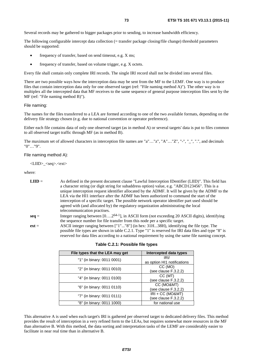Several records may be gathered to bigger packages prior to sending, to increase bandwidth efficiency.

The following configurable intercept data collection (= transfer package closing/file change) threshold parameters should be supported:

- frequency of transfer, based on send timeout, e.g. X ms;
- frequency of transfer, based on volume trigger, e.g. X octets.

Every file shall contain only complete IRI records. The single IRI record shall not be divided into several files.

There are two possible ways how the interception data may be sent from the MF to the LEMF. One way is to produce files that contain interception data only for one observed target (ref: "File naming method A)"). The other way is to multiplex all the intercepted data that MF receives to the same sequence of general purpose interception files sent by the MF (ref: "File naming method B)").

#### File naming:

The names for the files transferred to a LEA are formed according to one of the two available formats, depending on the delivery file strategy chosen (e.g. due to national convention or operator preference).

Either each file contains data of only one observed target (as in method A) or several targets' data is put to files common to all observed target traffic through MF (as in method B).

The maximum set of allowed characters in interception file names are "a"…"z", "A"…"Z", "-", "\_", ".", and decimals "0"…"9".

#### File naming method A):

<LIID>\_<seq>.<ext>

where:

- **LIID** = As defined in the present document clause "Lawful Interception IDentifier (LIID)". This field has a character string (or digit string for subaddress option) value, e.g. "ABCD123456". This is a unique interception request identifier allocated by the ADMF. It will be given by the ADMF to the LEA via the HI1 interface after the ADMF has been authorized to command the start of the interception of a specific target. The possible network operator identifier part used should be agreed with (and allocated by) the regulatory organization administrating the local telecommunication practises.
- **seq** = Integer ranging between  $[0...2^{64-1}]$ , in ASCII form (not exceeding 20 ASCII digits), identifying the sequence number for file transfer from this node per a specific target.
- **ext** = ASCII integer ranging between ["1"..."8"] (in hex: 31H...38H), identifying the file type. The possible file types are shown in table C.2.1. Type "1" is reserved for IRI data files and type "8" is reserved for data files according to a national requirement by using the same file naming concept.

| File types that the LEA may get | Intercepted data types      |
|---------------------------------|-----------------------------|
|                                 | IRI/                        |
| "1" (in binary: 0011 0001)      | as option HI1 notifications |
| "2" (in binary: 0011 0010)      | CC (MO)                     |
|                                 | (see clause F.3.2.2)        |
|                                 | CC (MT)                     |
| "4" (in binary: 0011 0100)      | (see clause F.3.2.2)        |
| "6" (in binary: 0011 0110)      | CC (MO&MT)                  |
|                                 | (see clause F.3.2.2)        |
| "7" (in binary: 0011 0111)      | $IRI + CC (MO&MT)$          |
|                                 | (see clause F.3.2.2)        |
| "8" (in binary: 0011 1000)      | for national use            |

|  |  |  | Table C.2.1: Possible file types |
|--|--|--|----------------------------------|
|--|--|--|----------------------------------|

This alternative A is used when each target's IRI is gathered per observed target to dedicated delivery files. This method provides the result of interception in a very refined form to the LEAs, but requires somewhat more resources in the MF than alternative B. With this method, the data sorting and interpretation tasks of the LEMF are considerably easier to facilitate in near real time than in alternative B.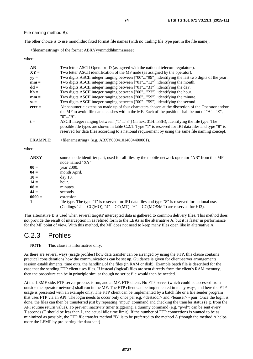File naming method B):

The other choice is to use monolithic fixed format file names (with no trailing file type part in the file name):

<filenamestring> of the format ABXYyymmddhhmmsseeeet

where:

| $AB =$          | Two letter ASCII Operator ID (as agreed with the national telecom regulators).                                                                                                                                                                                                                         |
|-----------------|--------------------------------------------------------------------------------------------------------------------------------------------------------------------------------------------------------------------------------------------------------------------------------------------------------|
| $XY =$          | Two letter ASCII identification of the MF node (as assigned by the operator).                                                                                                                                                                                                                          |
| $yy =$          | Two digits ASCII integer ranging between ["00""99"], identifying the last two digits of the year.                                                                                                                                                                                                      |
| $mm =$          | Two digits ASCII integer ranging between ["01""12"], identifying the month.                                                                                                                                                                                                                            |
| $dd =$          | Two digits ASCII integer ranging between ["01""31"], identifying the day.                                                                                                                                                                                                                              |
| $hh =$          | Two digits ASCII integer ranging between ["00""23"], identifying the hour.                                                                                                                                                                                                                             |
| $mm =$          | Two digits ASCII integer ranging between ["00""59"], identifying the minute.                                                                                                                                                                                                                           |
| $SS =$          | Two digits ASCII integer ranging between ["00""59"], identifying the second.                                                                                                                                                                                                                           |
| $eeee =$        | Alphanumeric extension made up of four characters chosen at the discretion of the Operator and/or                                                                                                                                                                                                      |
|                 | the MF to avoid file name clashes within the MF. Each of the position shall be out of "A""Z",<br>"0""9".                                                                                                                                                                                               |
| $t =$           | ASCII integer ranging between ["1""8"] (in hex: 31H38H), identifying the file type. The<br>possible file types are shown in table C.2.1. Type "1" is reserved for IRI data files and type "8" is<br>reserved for data files according to a national requirement by using the same file naming concept. |
| <b>EXAMPLE:</b> | $\leq$ filenamestring> (e.g. ABXY00041014084400001).                                                                                                                                                                                                                                                   |

where:

| $ABXY =$ | source node identifier part, used for all files by the mobile network operator "AB" from this MF<br>node named "XY". |
|----------|----------------------------------------------------------------------------------------------------------------------|
| $00 =$   | year 2000.                                                                                                           |
| $04 =$   | month April.                                                                                                         |
| $10 =$   | $day$ 10.                                                                                                            |
| $14 =$   | hour.                                                                                                                |
| $08 =$   | minutes.                                                                                                             |
| $44 =$   | seconds.                                                                                                             |
| $0000 =$ | extension.                                                                                                           |
| $1 =$    | file type. The type "1" is reserved for IRI data files and type "8" is reserved for national use.                    |
|          | (Codings "2" = CC(MO), "4" = CC(MT), "6" = CC(MO&MT) are reserved for HI3).                                          |

This alternative B is used when several targets' intercepted data is gathered to common delivery files. This method does not provide the result of interception in as refined form to the LEAs as the alternative A, but it is faster in performance for the MF point of view. With this method, the MF does not need to keep many files open like in alternative A.

### C.2.3 Profiles

NOTE: This clause is informative only.

As there are several ways (usage profiles) how data transfer can be arranged by using the FTP, this clause contains practical considerations how the communications can be set up. Guidance is given for client-server arrangements, session establishments, time outs, the handling of the files (in RAM or disk). Example batch file is described for the case that the sending FTP client uses files. If instead (logical) files are sent directly from the client's RAM memory, then the procedure can be in principle similar though no script file would then be needed.

At the LEMF side, FTP server process is run, and at MF, FTP client. No FTP server (which could be accessed from outside the operator network) shall run in the MF. The FTP client can be implemented in many ways, and here the FTP usage is presented with an example only. The FTP client can be implemented by a batch file or a file sender program that uses FTP via an API. The login needs to occur only once per e.g. <destaddr> and <leauser> - pair. Once the login is done, the files can then be transferred just by repeating "mput" command and checking the transfer status (e.g. from the API routine return value). To prevent inactivity timer triggering, a dummy command (e.g. "pwd") can be sent every T seconds (T should be less than L, the actual idle time limit). If the number of FTP connections is wanted to be as minimized as possible, the FTP file transfer method "B" is to be preferred to the method A (though the method A helps more the LEMF by pre-sorting the data sent).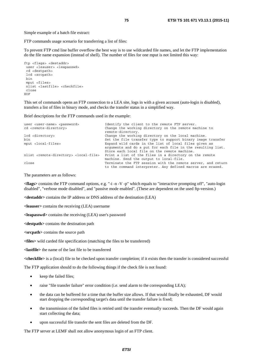Simple example of a batch file extract:

FTP commands usage scenario for transferring a list of files:

To prevent FTP cmd line buffer overflow the best way is to use wildcarded file names, and let the FTP implementation do the file name expansion (instead of shell). The number of files for one mput is not limited this way:

```
ftp <flags> <destaddr> 
 user <leauser> <leapasswd> 
  cd <destpath> 
  lcd <srcpath> 
 bin 
  mput <files> 
 nlist <lastfile> <checkfile> 
 close 
EOF
```
This set of commands opens an FTP connection to a LEA site, logs in with a given account (auto-login is disabled), transfers a list of files in binary mode, and checks the transfer status in a simplified way.

Brief descriptions for the FTP commands used in the example:

```
user <user-name> <password> Identify the client to the remote FTP server.
cd <remote-directory> Change the working directory on the remote machine to 
                                     remote-directory. 
lcd <directory> Change the working directory on the local machine. 
bin<br>
Set the file transfer type to support binary image transfer<br>
Expand wild cards in the list of local files given as
                                     Expand wild cards in the list of local files given as
                                     arguments and do a put for each file in the resulting list. 
                                     Store each local file on the remote machine. 
nlist <remote-directory> <local-file> Print a list of the files in a directory on the remote 
                                     machine. Send the output to local-file. 
close Terminate the FTP session with the remote server, and return 
                                     to the command interpreter. Any defined macros are erased.
```
The parameters are as follows:

**<flags>** contains the FTP command options, e.g. "-i -n -V -p" which equals to "interactive prompting off", "auto-login disabled", "verbose mode disabled", and "passive mode enabled". (These are dependent on the used ftp-version.)

**<destaddr>** contains the IP address or DNS address of the destination (LEA)

**<leauser>** contains the receiving (LEA) username

**<leapasswd>** contains the receiving (LEA) user's password

**<destpath>** contains the destination path

**<srcpath>** contains the source path

**<files>** wild carded file specification (matching the files to be transferred)

**<lastfile>** the name of the last file to be transferred

**<checkfile>** is a (local) file to be checked upon transfer completion; if it exists then the transfer is considered successful

The FTP application should to do the following things if the check file is not found:

- keep the failed files;
- raise "file transfer failure" error condition (i.e. send alarm to the corresponding LEA);
- the data can be buffered for a time that the buffer size allows. If that would finally be exhausted, DF would start dropping the corresponding target's data until the transfer failure is fixed;
- the transmission of the failed files is retried until the transfer eventually succeeds. Then the DF would again start collecting the data;
- upon successful file transfer the sent files are deleted from the DF.

The FTP server at LEMF shall not allow anonymous login of an FTP client.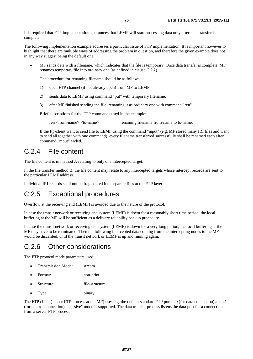It is required that FTP implementation guarantees that LEMF will start processing data only after data transfer is complete.

The following implementation example addresses a particular issue of FTP implementation. It is important however to highlight that there are multiple ways of addressing the problem in question, and therefore the given example does not in any way suggest being the default one.

• MF sends data with a filename, which indicates that the file is temporary. Once data transfer is complete, MF renames temporary file into ordinary one (as defined in clause C.2.2).

The procedure for renaming filename should be as follow:

- 1) open FTP channel (if not already open) from MF to LEMF;
- 2) sends data to LEMF using command "put" with temporary filename;
- 3) after MF finished sending the file, renaming it as ordinary one with command "ren".

Brief descriptions for the FTP commands used in the example:

ren <from-name> <to-name> renaming filename from-name to to-name.

 If the ftp-client want to send file to LEMF using the command "mput" (e.g. MF stored many IRI files and want to send all together with one command), every filename transferred successfully shall be renamed each after command "mput" ended.

### C.2.4 File content

The file content is in method A relating to only one intercepted target.

In the file transfer method B, the file content may relate to any intercepted targets whose intercept records are sent to the particular LEMF address.

Individual IRI records shall not be fragmented into separate files at the FTP layer.

### C.2.5 Exceptional procedures

Overflow at the receiving end (LEMF) is avoided due to the nature of the protocol.

In case the transit network or receiving end system (LEMF) is down for a reasonably short time period, the local buffering at the MF will be sufficient as a delivery reliability backup procedure.

In case the transit network or receiving end system (LEMF) is down for a very long period, the local buffering at the MF may have to be terminated. Then the following intercepted data coming from the intercepting nodes to the MF would be discarded, until the transit network or LEMF is up and running again.

### C.2.6 Other considerations

The FTP protocol mode parameters used:

- Transmission Mode: stream.
- Format: non-print.
- Structure: file-structure.
- Type: binary.

The FTP client (= user-FTP process at the MF) uses e.g. the default standard FTP ports 20 (for data connection) and 21 (for control connection), "passive" mode is supported. The data transfer process listens the data port for a connection from a server-FTP process.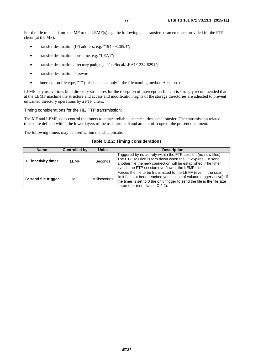For the file transfer from the MF to the LEMF(s) e.g. the following data transfer parameters are provided for the FTP client (at the MF):

- transfer destination (IP) address, e.g. "194.89.205.4";
- transfer destination username, e.g. "LEA1";
- transfer destination directory path, e.g. "/usr/local/LEA1/1234-8291";
- transfer destination password;
- interception file type, "1" (this is needed only if the file naming method A is used).

LEMF may use various kind directory structures for the reception of interception files. It is strongly recommended that at the LEMF machine the structure and access and modification rights of the storage directories are adjusted to prevent unwanted directory operations by a FTP client.

#### Timing considerations for the HI2 FTP transmission:

The MF and LEMF sides control the timers to ensure reliable, near-real time data transfer. The transmission related timers are defined within the lower layers of the used protocol and are out of scope of the present document.

The following timers may be used within the LI application.

**Table C.2.2: Timing considerations** 

| <b>Name</b>          | <b>Controlled by</b> | <b>Units</b> | <b>Description</b>                                                                                                                                                                                                                                   |
|----------------------|----------------------|--------------|------------------------------------------------------------------------------------------------------------------------------------------------------------------------------------------------------------------------------------------------------|
| T1 inactivity timer  | I FMF                | Seconds      | Triggered by no activity within the FTP session (no new files).<br>The FTP session is torn down when the T1 expires. To send<br>another file the new connection will be established. The timer<br>avoids the FTP session overflow at the LEMF side.  |
| T2 send file trigger | MF                   | Milliseconds | Forces the file to be transmitted to the LEMF (even if the size<br>limit has not been reached yet in case of volume trigger active). If<br>the timer is set to 0 the only trigger to send the file is the file size<br>parameter (see clause C.2.2). |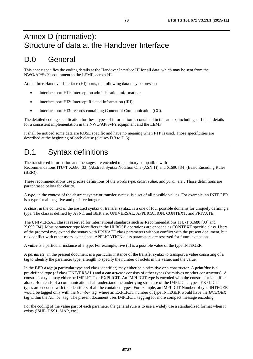## Annex D (normative): Structure of data at the Handover Interface

## D.0 General

This annex specifies the coding details at the Handover Interface HI for all data, which may be sent from the NWO/AP/SvP's equipment to the LEMF, across HI.

At the three Handover Interface (HI) ports, the following data may be present:

- interface port HI1: Interception administration information;
- interface port HI2: Intercept Related Information (IRI);
- interface port HI3: records containing Content of Communication (CC).

The detailed coding specification for these types of information is contained in this annex, including sufficient details for a consistent implementation in the NWO/AP/SvP's equipment and the LEMF.

It shall be noticed some data are ROSE specific and have no meaning when FTP is used. Those specificities are described at the beginning of each clause (clauses D.3 to D.6).

## D.1 Syntax definitions

The transferred information and messages are encoded to be binary compatible with Recommendations ITU-T X.680 [\[33](#page-11-0)] (Abstract Syntax Notation One (ASN.1)) and X.690 [\[34](#page-11-0)] (Basic Encoding Rules (BER)).

These recommendations use precise definitions of the words *type*, *class*, *value*, and *parameter*. Those definitions are paraphrased below for clarity.

A *type,* in the context of the abstract syntax or transfer syntax, is a set of all possible values. For example, an INTEGER is a type for all negative and positive integers.

A *class*, in the context of the abstract syntax or transfer syntax, is a one of four possible domains for uniquely defining a type. The classes defined by ASN.1 and BER are: UNIVERSAL, APPLICATION, CONTEXT, and PRIVATE.

The UNIVERSAL class is reserved for international standards such as Recommendations ITU-T X.680 [\[33](#page-11-0)] and X.690 [\[34](#page-11-0)]. Most parameter type identifiers in the HI ROSE operations are encoded as CONTEXT specific class. Users of the protocol may extend the syntax with PRIVATE class parameters without conflict with the present document, but risk conflict with other users' extensions. APPLICATION class parameters are reserved for future extensions.

A *value* is a particular instance of a type. For example, five (5) is a possible value of the type INTEGER.

A *parameter* in the present document is a particular instance of the transfer syntax to transport a value consisting of a tag to identify the parameter type, a length to specify the number of octets in the value, and the value.

In the BER a *tag* (a particular type and class identifier) may either be a primitive or a constructor. A *primitive* is a pre-defined type (of class UNIVERSAL) and a *constructor* consists of other types (primitives or other constructors). A constructor type may either be IMPLICIT or EXPLICIT. An IMPLICIT type is encoded with the constructor identifier alone. Both ends of a communication shall understand the underlying structure of the IMPLICIT types. EXPLICIT types are encoded with the identifiers of all the contained types. For example, an IMPLICIT Number of type INTEGER would be tagged only with the *Number* tag, where an EXPLICIT number of type INTEGER would have the *INTEGER* tag within the *Number* tag. The present document uses IMPLICIT tagging for more compact message encoding.

For the coding of the value part of each parameter the general rule is to use a widely use a standardized format when it exists (ISUP, DSS1, MAP, etc.).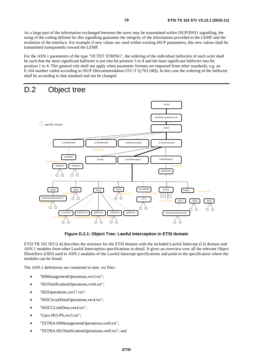As a large part of the information exchanged between the users may be transmitted within ISUP/DSS1 signalling, the using of the coding defined for this signalling guarantee the integrity of the information provided to the LEMF and the evolution of the interface. For example if new values are used within existing ISUP parameters, this new values shall be transmitted transparently toward the LEMF.

For the ASN.1 parameters of the type "OCTET STRING", the ordering of the individual halfoctets of each octet shall be such that the most significant halfoctet is put into bit position 5 to 8 and the least significant halfoctet into bit position 1 to 4. This general rule shall not apply when parameter formats are imported from other standards, e.g. an E.164 number coded according to ISUP (Recommendation ITU-T Q.763 [\[48](#page-11-0)]). In this case the ordering of the halfoctet shall be according to that standard and not be changed.

## D.2 Object tree



**Figure D.2.1: Object Tree: Lawful Interception in ETSI domain** 

ETSI TR 102 503 [\[i.4](#page-13-0)] describes the structure for the ETSI domain with the included Lawful Intercept (LI) domain and ASN.1 modules from other Lawful Interception specifications in detail. It gives an overview over all the relevant Object IDentifiers (OID) used in ASN.1 modules of the Lawful Intercept specifications and point to the specification where the modules can be found.

The ASN.1 definitions are contained in nine .txt files:

- "HIManagementOperations,ver3.txt";
- "HI1NotificationOperations,ver6.txt";
- "HI2Operations,ver17.txt";
- "HI3CircuitDataOperations, ver4.txt";
- "HI3CCLinkData,ver4.txt";
- "Gprs-HI3-PS, ver3.txt";
- "TETRA-HIManagementOperations,ver0.txt";
- "TETRA-HI1NotificationOperations,ver0.txt"; and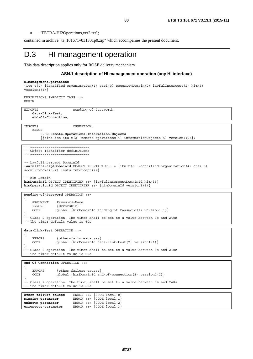• "TETRA-HI2Operations,ver2.txt";

contained in archive "ts\_101671v031301p0.zip" which accompanies the present document.

### D.3 HI management operation

This data description applies only for ROSE delivery mechanism.

#### **ASN.1 description of HI management operation (any HI interface)**

```
HIManagementOperations 
{itu-t(0) identified-organization(4) etsi(0) securityDomain(2) lawfulIntercept(2) him(3) 
version3(3)}
```
DEFINITIONS IMPLICIT TAGS ::= BEGIN

-- ============================

EXPORTS sending-of-Password, **data-Link-Test**, **end-Of-Connection**;

IMPORTS OPERATION, **ERROR** 

 FROM **Remote-Operations-Information-Objects** {joint-iso-itu-t(2) remote-operations(4) informationObjects(5) version1(0)};

-- ============================ -- Object Identifier definitions

```
-- LawfulIntercept DomainId 
lawfulInterceptDomainId OBJECT IDENTIFIER ::= {itu-t(0) identified-organization(4) etsi(0) 
securityDomain(2) lawfulIntercept(2) }
```
- him Domain **himDomainId** OBJECT IDENTIFIER ::= {lawfulInterceptDomainId him(3)} **himOperationId** OBJECT IDENTIFIER ::= {himDomainId version3(3)}

**sending-of-Password** OPERATION ::= { ARGUMENT Password-Name<br>ERRORS {ErrorsHim} ERRORS {ErrorsHim} CODE global:{himDomainId sending-of-Password(1) version1(1)} }

-- Class 2 operation. The timer shall be set to a value between 3s and 240s -- The timer default value is 60s

**data-Link-Test** OPERATION ::=

```
{ 
   ERRORS {other-failure-causes}
    CODE global:{himDomainId data-link-test(2) version1(1)} 
} 
-- Class 2 operation. The timer shall be set to a value between 3s and 240s 
-- The timer default value is 60s
```
**end-Of-Connection** OPERATION ::=

```
{ 
    ERRORS {other-failure-causes} 
    CODE global:{himDomainId end-of-connection(3) version1(1)} 
} 
-- Class 2 operation. The timer shall be set to a value between 3s and 240s 
-- The timer default value is 60s
```

| other-failure-causes | ERROR ::= $\{CODE local:0\}$    |
|----------------------|---------------------------------|
| missing-parameter    | ERROR ::= $\{CODE local:1\}$    |
| unknown-parameter    | ERROR ::= $\{CODE local : 2\}$  |
| erroneous-parameter  | ERROR $:= \{CODE \ local : 3\}$ |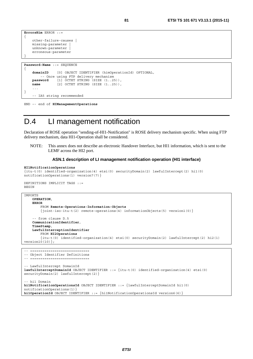```
ErrorsHim ERROR ::= 
{ 
     other-failure-causes | 
     missing-parameter | 
     unknown-parameter | 
     erroneous-parameter 
}
```
**Password-Name** ::= SEQUENCE

{

```
domainID [0] OBJECT IDENTIFIER (himOperationId) OPTIONAL, 
        - Once using FTP delivery mechanism
   password [1] OCTET STRING (SIZE (1..25)), 
   name [2] OCTET STRING (SIZE (1..25)),
 ... 
} 
    -- IA5 string recommended
```

```
END –- end of HIManagementOperations
```
## D.4 LI management notification

Declaration of ROSE operation "sending-of-HI1-Notification" is ROSE delivery mechanism specific. When using FTP delivery mechanism, data HI1-Operation shall be considered.

NOTE: This annex does not describe an electronic Handover Interface, but HI1 information, which is sent to the LEMF across the HI2 port.

#### **ASN.1 description of LI management notification operation (HI1 interface)**

```
HI1NotificationOperations
```

```
{itu-t(0) identified-organization(4) etsi(0) securityDomain(2) lawfulIntercept(2) hi1(0) 
notificationOperations(1) version7(7)}
```

```
DEFINITIONS IMPLICIT TAGS ::= 
BEGIN
```

```
IMPORTS 
    OPERATION, 
    ERROR 
         FROM Remote-Operations-Information-Objects
         {joint-iso-itu-t(2) remote-operations(4) informationObjects(5) version1(0)} 
     -- from clause D.5 
    CommunicationIdentifier, 
    TimeStamp, 
    LawfulInterceptionIdentifier 
         FROM HI2Operations
         {itu-t(0) identified-organization(4) etsi(0) securityDomain(2) lawfulIntercept(2) hi2(1) 
version10(10);
```

```
-- ============================= 
-- Object Identifier Definitions 
  -- ============================= 
-- LawfulIntercept DomainId 
lawfulInterceptDomainId OBJECT IDENTIFIER ::= {itu-t(0) identified-organization(4) etsi(0) 
securityDomain(2) lawfulIntercept(2) }
 -- hi1 Domain 
hi1NotificationOperationsId OBJECT IDENTIFIER ::= {lawfulInterceptDomainId hi1(0) 
notificationOperations(1)} 
hi1OperationId OBJECT IDENTIFIER ::= {hi1NotificationOperationsId version6(6)}
```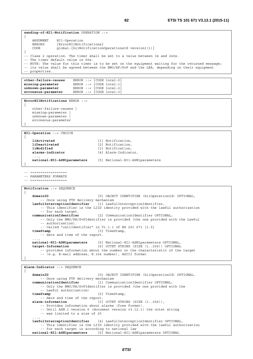**sending-of-HI1-Notification** OPERATION ::=

ERRORS {ErrorHI1Notifications}

CODE global:{hi1NotificationOperationsId version1(1)}

ARGUMENT HI1-Operation

{

```
} 
-- Class 2 operation. The timer shall be set to a value between 3s and 240s. 
-- The timer default value is 60s. 
-- NOTE: The value for this timer is to be set on the equipment waiting for the returned message; 
-- its value shall be agreed between the NWO/AP/SvP and the LEA, depending on their equipment 
-- properties. 
other-failure-causes ERROR ::= {CODE local:0} 
missing-parameter ERROR ::= {CODE local:1} 
unknown-parameter ERROR ::= {CODE local:2} 
erroneous-parameter ERROR ::= {CODE local:3} 
ErrorHI1Notifications ERROR ::= 
{ 
     other-failure-causes | 
     missing-parameter | 
    unknown-parameter | 
     erroneous-parameter 
} 
HI1-Operation ::= CHOICE 
{ 
    liActivated [1] Notification, 
    liDeactivated [2] Notification,<br>liModified [3] Notification,
                                      [3] Notification,
    alarms-indicator [4] Alarm-Indicator, 
 ..., 
     national-HI1-ASN1parameters [5] National-HI1-ASN1parameters 
} 
-- ================== 
-- PARAMETERS FORMATS
-- ================== 
Notification ::= SEQUENCE 
{ 
    domainID [0] OBJECT IDENTIFIER (hi1OperationId) OPTIONAL, 
        ---<br>-- Once using FTP delivery mechanism
    lawfulInterceptionIdentifier [1] LawfulInterceptionIdentifier, 
         -- This identifier is the LIID identity provided with the lawful authorization 
         -- for each target. 
    communicationIdentifier [2] CommunicationIdentifier OPTIONAL, 
         -- Only the NWO/PA/SvPIdentifier is provided (the one provided with the Lawful 
         -- authorization). 
    -- Called "callIdentifier" in V1.1.1 of ES 201 671 [i.5]<br>timeStamp [3] TimeStamp,
                                     timeStamp [3] TimeStamp, 
         -- date and time of the report. 
 ..., 
     national-HI1-ASN1parameters [5] National-HI1-ASN1parameters OPTIONAL, 
    target-Information [6] OCTET STRING (SIZE (1..256)) OPTIONAL 
         -- provides information about the number or the characteristic of the target 
         -- (e.g. E-mail address, E.164 number), ASCII format 
} 
Alarm-Indicator ::= SEQUENCE 
{ 
    domainID [0] OBJECT IDENTIFIER (hi1OperationId) OPTIONAL, 
    -- Once using FTP delivery mechanism<br>communicationIdentifier [1] Communication
                                      [1] CommunicationIdentifier OPTIONAL,
         -- Only the NWO/PA/SvPIdentifier is provided (the one provided with the 
         -- Lawful authorization) 
    timeStamp [2] TimeStamp, 
    -- date and time of the report.<br>alarm-information [3]
                                     alarm-information [3] OCTET STRING (SIZE (1..256)), 
         -- Provides information about alarms (free format). 
         -- Until ASN.1 version 6 (document version v3.12.1) the octet string 
         -- was limited to a size of 25 
 ..., 
    lawfulInterceptionIdentifier [4] LawfulInterceptionIdentifier OPTIONAL, 
         -- This identifier is the LIID identity provided with the lawful authorization 
    -- for each target in according to national law national-HI1-ASN1parameters [5] National-HI1-AS
                                      national-HI1-ASN1parameters [5] National-HI1-ASN1parameters OPTIONAL
```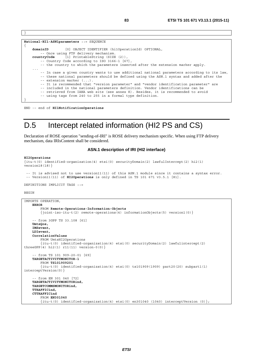```
National-HI1-ASN1parameters ::= SEQUENCE 
{ 
    domainID [0] OBJECT IDENTIFIER (hi1OperationId) OPTIONAL, 
         -- Once using FTP delivery mechanism. 
    countryCode [1] PrintableString (SIZE (2)), 
         -- Country Code according to ISO 3166-1 [67], 
         -- the country to which the parameters inserted after the extension marker apply. 
 ... 
         -- In case a given country wants to use additional national parameters according to its law, 
         -- these national parameters should be defined using the ASN.1 syntax and added after the 
        -- extension marker (\ldots).
         -- It is recommended that "version parameter" and "vendor identification parameter" are 
         -- included in the national parameters definition. Vendor identifications can be 
         -- retrieved from IANA web site (see annex K). Besides, it is recommended to avoid 
         -- using tags from 240 to 255 in a formal type definition. 
}
```
END -– end of **HI1NotificationOperations**

## D.5 Intercept related information (HI2 PS and CS)

Declaration of ROSE operation "sending-of-IRI" is ROSE delivery mechanism specific. When using FTP delivery mechanism, data IRIsContent shall be considered.

#### **ASN.1 description of IRI (HI2 interface)**

#### **HI2Operations**

```
{itu-t(0) identified-organization(4) etsi(0) securityDomain(2) lawfulIntercept(2) hi2(1) 
version18(18)} 
  -- It is advised not to use version11(11) of this ASN.1 module since it contains a syntax error. 
  -- Version11(11) of HI2Operations is only defined in TS 101 671 v3.5.1 [81].
```

```
DEFINITIONS IMPLICIT TAGS ::=
```
#### BEGIN

}

```
IMPORTS OPERATION, 
    ERROR 
         FROM Remote-Operations-Information-Objects
         {joint-iso-itu-t(2) remote-operations(4) informationObjects(5) version1(0)}
      -- from 3GPP TS 33.108 [61] 
    UmtsQos, 
    IMSevent, 
     LDIevent, 
     CorrelationValues 
         FROM UmtsHI2Operations 
          {itu-t(0) identified-organization(4) etsi(0) securityDomain(2) lawfulintercept(2) 
threeGPP(4) hi2(1) r11(11) version-0(0)} 
      -- from TS 101 909-20-01 [69] 
    TARGETACTIVITYMONITOR-1 
         FROM TS101909201
         {itu-t(0) identified-organization(4) etsi(0) ts101909(1909) part20(20) subpart1(1) 
interceptVersion(0)} 
     -- from EN 301 040 [72] 
    TARGETACTIVITYMONITORind, 
     TARGETCOMMSMONITORind, 
     TTRAFFICind,
    CTTRAFFICind 
         FROM EN301040
         \{itu-t(0) \text{ identified-organization}(4) \text{etsi}(0) \text{ en} 301040 (1040) \text{ interceptVersion}(0) \};
```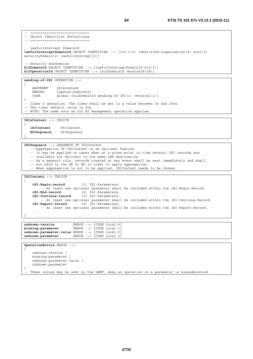-- ============================== -- Object Identifier Definitions -- ============================= -- LawfulIntercept DomainId **lawfulInterceptDomainId** OBJECT IDENTIFIER ::= {itu-t(0) identified-organization(4) etsi(0) securityDomain(2) lawfulIntercept(2) } - Security Subdomains **hi2DomainId** OBJECT IDENTIFIER ::= {lawfulInterceptDomainId hi2(1)} **hi2OperationId** OBJECT IDENTIFIER ::= {hi2DomainId version18(18)} **sending-of-IRI** OPERATION ::= { ARGUMENT IRIsContent ERRORS { OperationErrors }<br>CODE alobal: { hi2Domain qlobal: {hi2DomainId sending-of-IRI(1) version1(1) } } -- Class 2 operation. The timer shall be set to a value between 3s and 240s. -- The timer default value is 60s. -- NOTE: The same note as for HI management operation applies. **IRIsContent** ::= CHOICE {  **iRIContent** IRIContent,  **iRISequence** IRISequence } **IRISequence** ::= SEQUENCE OF IRIContent -- Aggregation of IRIContent is an optional feature. -- It may be applied in cases when at a given point in time several IRI records are -- available for delivery to the same LEA destination. -- As a general rule, records created at any event shall be sent immediately and shall -- not held in the DF or MF in order to apply aggregation. -- When aggregation is not to be applied, IRIContent needs to be chosen. **IRIContent** ::= CHOICE { **iRI-Begin-record** [1] IRI-Parameters, -- At least one optional parameter shall be included within the iRI-Begin-Record. **iRI-End-record** [2] IRI-Parameters, **iRI-Continue-record** [3] IRI-Parameters, -- At least one optional parameter shall be included within the iRI-Continue-Record.<br>Report-record [4] IRI-Parameters.  $i$ RI-Report-record -- At least one optional parameter shall be included within the iRI-Report-Record. ... } **unknown-version** ERROR ::= {CODE local:0} **missing-parameter** ERROR ::= {CODE local:1} **unknown-parameter-value** ERROR ::= {CODE local:2} **unknown-parameter** ERROR ::= {CODE local:3} **OperationErrors** ERROR ::=

{ unknown-version | missing-parameter | unknown-parameter-value | unknown-parameter } These values may be sent by the LEMF, when an operation or a parameter is misunderstood.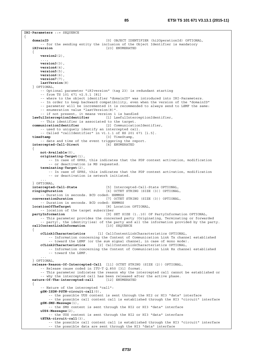**IRI-Parameters** ::= SEQUENCE

{ **domainID** [0] OBJECT IDENTIFIER (hi2OperationId) OPTIONAL, -- for the sending entity the inclusion of the Object Identifier is mandatory **iRIversion** [23] ENUMERATED { **version2**(2), ..., **version3**(3), **version4**(4), **version5**(5), **version6**(6), **version7**(7), **lastVersion**(8) } OPTIONAL, -- Optional parameter "iRIversion" (tag 23) is redundant starting -- from TS 101 671 v2.5.1 [81] -- where to the object identifier "domainID" was introduced into IRI-Parameters. -- In order to keep backward compatibility, even when the version of the "domainID" -- parameter will be incremented it is recommended to always send to LEMF the same: -- enumeration value "lastVersion(8)". - if not present, it means version 1 is handled **lawfulInterceptionIdentifier** [1] LawfulInterceptionIdentifier, -- This identifier is associated to the target. **communicationIdentifier** [2] CommunicationIdentifier, -- used to uniquely identify an intercepted call. -- Called "callIdentifier" in v1.1.1 of ES 201 671 [i.5].<br>timeStamp [3] TimeStamp, **timeStamp** [3] TimeStamp, -- date and time of the event triggering the report. **intercepted-Call-Direct** [4] ENUMERATED { **not-Available**(0), **originating-Target**(1), -- In case of GPRS, this indicates that the PDP context activation, modification -- or deactivation is MS requested. **terminating-Target**(2), -- In case of GPRS, this indicates that the PDP context activation, modification -- or deactivation is network initiated. ... } OPTIONAL, **intercepted-Call-State** [5] Intercepted-Call-State OPTIONAL, **ringingDuration** [6] OCTET STRING (SIZE (3)) OPTIONAL, -- Duration in seconds. BCD coded: HHMMSS<br>conversationDuration [7] OCTET **conversationDuration** [7] OCTET STRING (SIZE (3)) OPTIONAL, -- Duration in seconds. BCD coded: HHMMSS **locationOfTheTarget** [8] Location OPTIONAL, -- location of the target subscriber **partyInformation** [9] SET SIZE (1..10) OF PartyInformation OPTIONAL, -- This parameter provides the concerned party (Originating, Terminating or forwarded -- party), the identity(ies) of the party and all the information provided by the party.<br>ContentLinkInformation [10] SEQUENCE  $calICount$  callContentLinkInformation { **cCLink1Characteristics** [1] CallContentLinkCharacteristics OPTIONAL, -- Information concerning the Content of Communication Link Tx channel established -- toward the LEMF (or the sum signal channel, in case of mono mode). **cCLink2Characteristics** [2] CallContentLinkCharacteristics OPTIONAL, -- Information concerning the Content of Communication Link Rx channel established -- toward the LEMF. ... } OPTIONAL, **release-Reason-Of-Intercepted-Call** [11] OCTET STRING (SIZE (2)) OPTIONAL, -- Release cause coded in ITU-T Q.850 [31] format. -- This parameter indicates the reason why the intercepted call cannot be established or -- why the intercepted call has been released after the active phase. **nature-Of-The-intercepted-call** [12] ENUMERATED { -- Nature of the intercepted "call": **gSM-ISDN-PSTN-circuit-call**(0), -- the possible UUS content is sent through the HI2 or HI3 "data" interface -- the possible call content call is established through the HI3 "circuit" interface **gSM-SMS-Message**(1), -- the SMS content is sent through the HI2 or HI3 "data" interface **uUS4-Messages**(2), -- the UUS content is sent through the HI2 or HI3 "data" interface **tETRA-circuit-call**(3), -- the possible call content call is established through the HI3 "circuit" interface -- the possible data are sent through the HI3 "data" interface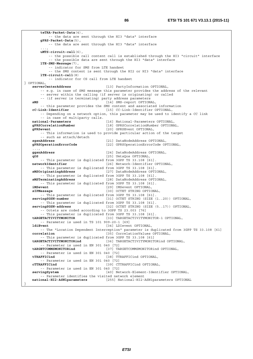**teTRA-Packet-Data**(4), -- the data are sent through the HI3 "data" interface **gPRS-Packet-Data**(5), -- the data are sent through the HI3 "data" interface ..., **uMTS-circuit-call**(6), -- the possible call content call is established through the HI3 "circuit" interface -- the possible data are sent through the HI3 "data" interface **lTE-SMS-Message**(7), -- indicator for SMS from LTE handset -- the SMS content is sent through the HI2 or HI3 "data" interface **lTE-circuit-call**(8) -- indicator for CS call from LTE handset } OPTIONAL, **serverCenterAddress** [13] PartyInformation OPTIONAL, -- e.g. in case of SMS message this parameter provides the address of the relevant -- server within the calling (if server is originating) or called -- (if server is terminating) party address parameters<br>sMS [14] SMS-report OPTIONAL, -- this parameter provides the SMS content and associated information cC-Link-Identifier OPTIONAL, [15] CC-Link-Identifier OPTIONAL, -- Depending on a network option, this parameter may be used to identify a CC link -- in case of multiparty calls. **national-Parameters** <sup>1</sup> 16] National-Parameters OPTIONAL,<br> **gPRSCorrelationNumber** 18] GPRSCorrelationNumber OPTIONA [18] GPRSCorrelationNumber OPTIONAL, **gPRSevent** [20] GPRSEvent OPTIONAL, -- This information is used to provide particular action of the target -- such as attach/detach **sgsnAddress** [21] DataNodeAddress OPTIONAL, **gPRSOperationErrorCode** [22] GPRSOperationErrorCode OPTIONAL, ..., **ggsnAddress** [24] DataNodeAddress OPTIONAL, **qOS** [25] UmtsQos OPTIONAL, -- This parameter is duplicated from 3GPP TS 33.108 [61]. **networkIdentifier** [26] Network-Identifier OPTIONAL, -- This parameter is duplicated from 3GPP TS 33.108 [61]. **sMSOriginatingAddress** [27] DataNodeAddress OPTIONAL, -- This parameter is duplicated from 3GPP TS 33.108 [61]. **sMSTerminatingAddress** [28] DataNodeAddress OPTIONAL, -- This parameter is duplicated from 3GPP TS 33.108 [61]. **iMSevent** [29] IMSevent OPTIONAL,<br>**sIPMessage intervalse in the service of the service of the service of the service of the service of the service of the service of the service of the service of the service of the servi** [30] OCTET STRING OPTIONAL, -- This parameter is duplicated from 3GPP TS 33.108 [61].<br>
servingSGSN-number [31] OCTET STRING (SIZE [31] OCTET STRING (SIZE (1..20)) OPTIONAL, -- This parameter is duplicated from 3GPP TS 33.108 [61]. **servingSGSN-address** [32] OCTET STRING (SIZE (5..17)) OPTIONAL, -- Octets are coded according to 3GPP TS 23.003 [76] -- This parameter is duplicated from 3GPP TS 33.108 [61]. **tARGETACTIVITYMONITOR** [33] TARGETACTIVITYMONITOR-1 OPTIONAL, -- Parameter is used in TS 101 909-20-1 [69]<br>1diEvent [34] LDIeven [34] LDIevent OPTIONAL, -- The "Location Dependent Interception" parameter is duplicated from 3GPP TS 33.108 [61] **correlation correlation** [35] CorrelationValues OPTIONAL, -- This parameter is duplicated from 3GPP TS 33.108 [61] **tARGETACTIVITYMONITORind** [36] TARGETACTIVITYMONITORind OPTIONAL, -- Parameter is used in EN 301 040 [72]<br>targetCOMMSMONITORind [37] TA  **tARGETCOMMSMONITORind** [37] TARGETCOMMSMONITORind OPTIONAL, -- Parameter is used in EN 301 040 [72]  **tTRAFFICind** [38] TTRAFFICind OPTIONAL, -- Parameter is used in EN 301 040 [72] **cTTRAFFICind** [39] CTTRAFFICind OPTIONAL, -- Parameter is used in EN 301 040 [72] **servingSystem** [40] Network-Element-Identifier OPTIONAL, -- Parameter identifies the visited network element **national-HI2-ASN1parameters** [255] National-HI2-ASN1parameters OPTIONAL }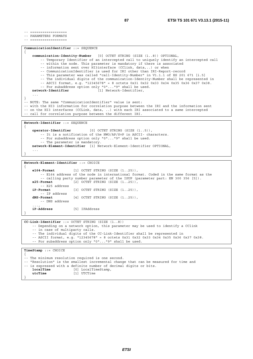-- ==================

-- PARAMETERS FORMATS -- ==================

```
CommunicationIdentifier ::= SEQUENCE 
{ 
    communication-Identity-Number [0] OCTET STRING (SIZE (1..8)) OPTIONAL, 
         -- Temporary Identifier of an intercepted call to uniquely identify an intercepted call 
         -- within the node. This parameter is mandatory if there is associated 
         -- information sent over HI3interface (CClink, data,..) or when 
         -- CommunicationIdentifier is used for IRI other than IRI-Report-record 
         -- This parameter was called "call-Identity-Number" in V1.1.1 of ES 201 671 [i.5] 
         -- The individual digits of the communication-Identity-Number shall be represented in 
        -- ASCII format, e.g. "12345678" = 8 octets 0x31 0x32 0x33 0x34 0x35 0x36 0x37 0x38.
         -- For subaddress option only "0"..."9" shall be used. 
    network-Identifier [1] Network-Identifier, 
 ... 
} 
-- NOTE: The same "CommunicationIdentifier" value is sent: 
-- with the HI3 information for correlation purpose between the IRI and the information sent 
-- on the HI3 interfaces (CCLink, data, ..) with each IRI associated to a same intercepted 
-- call for correlation purpose between the different IRI. 
Network-Identifier ::= SEQUENCE 
{ 
    operator-Identifier [0] OCTET STRING (SIZE (1..5)), 
         -- It is a notification of the NWO/AP/SvP in ASCII- characters.
```

```
 -- For subaddress option only "0"..."9" shall be used. 
        -- The parameter is mandatory.
   network-Element-Identifier [1] Network-Element-Identifier OPTIONAL, 
 ...
```

```
}
```
**Network-Element-Identifier** ::= CHOICE

```
{ 
    e164-Format [1] OCTET STRING (SIZE (1..25)), 
          -- E164 address of the node in international format. Coded in the same format as the 
   -- calling party number parameter of the ISUP (parameter part: EN 300 356 [5]).<br>x25-Format [2] OCTET STRING (SIZE (1..25)),
                          x25-Format [2] OCTET STRING (SIZE (1..25)), 
         -- X25 address 
    iP-Format [3] OCTET STRING (SIZE (1..25)), 
    -- IP address<br>dNS-Format
                          [4] OCTET STRING (SIZE (1..25)),
         -- DNS address 
 ..., 
    iP-Address [5] IPAddress 
}
```
**CC-Link-Identifier** ::= OCTET STRING (SIZE (1..8)) -- Depending on a network option, this parameter may be used to identify a CClink -- in case of multiparty calls. -- The individual digits of the CC-Link-Identifier shall be represented in -- ASCII format, e.g. "12345678" = 8 octets 0x31 0x32 0x33 0x34 0x35 0x36 0x37 0x38. -- For subaddress option only "0"..."9" shall be used. **TimeStamp** ::= CHOICE {

```
-- The minimum resolution required is one second. 
-- "Resolution" is the smallest incremental change that can be measured for time and 
-- is expressed with a definite number of decimal digits or bits.<br>localTime [0] LocalTimeStamp.
                          localTime [0] LocalTimeStamp, 
    utcTime [1] UTCTime 
}
```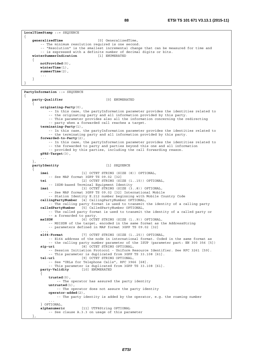```
LocalTimeStamp ::= SEQUENCE 
{ 
    generalizedTime [0] GeneralizedTime, 
         -- The minimum resolution required is one second. 
         -- "Resolution" is the smallest incremental change that can be measured for time and 
         -- is expressed with a definite number of decimal digits or bits. 
    winterSummerIndication [1] ENUMERATED 
     { 
        notProvided(0), 
         winterTime(1), 
         summerTime(2), 
         ... 
     }
```
}

```
PartyInformation ::= SEQUENCE 
{ 
   party-Qualifier [0] ENUMERATED 
 { 
         originating-Party(0), 
              -- In this case, the partyInformation parameter provides the identities related to 
             -- the originating party and all information provided by this party. 
             -- This parameter provides also all the information concerning the redirecting 
             -- party when a forwarded call reaches a target. 
         terminating-Party(1), 
             -- In this case, the partyInformation parameter provides the identities related to 
             -- the terminating party and all information provided by this party. 
         forwarded-to-Party(2), 
             -- In this case, the partyInformation parameter provides the identities related to 
             -- the forwarded to party and parties beyond this one and all information 
             -- provided by this parties, including the call forwarding reason. 
         gPRS-Target(3), 
 ... 
     }, 
   partyIdentity [1] SEQUENCE 
 { 
         imei [1] OCTET STRING (SIZE (8)) OPTIONAL, 
        -- See MAP format 3GPP TS 09.02 [32]<br>tei [2] OCTET STRING (SI
                            tei [2] OCTET STRING (SIZE (1..15)) OPTIONAL, 
             -- ISDN-based Terminal Equipment Identity 
         imsi [3] OCTET STRING (SIZE (3..8)) OPTIONAL, 
             -- See MAP format 3GPP TS 09.02 [32] International Mobile 
              -- Station Identity E.212 number beginning with Mobile Country Code 
         callingPartyNumber [4] CallingPartyNumber OPTIONAL, 
             -- The calling party format is used to transmit the identity of a calling party 
         calledPartyNumber [5] CalledPartyNumber OPTIONAL, 
            -- The called party format is used to transmit the identity of a called party or 
             -- a forwarded to party. 
         msISDN [6] OCTET STRING (SIZE (1..9)) OPTIONAL, 
             -- MSISDN of the target, encoded in the same format as the AddressString 
             -- parameters defined in MAP format 3GPP TS 09.02 [32] 
 ..., 
         e164-Format [7] OCTET STRING (SIZE (1..25)) OPTIONAL, 
             -- E164 address of the node in international format. Coded in the same format as 
             -- the calling party number parameter of the ISUP (parameter part: EN 300 356 [5]) 
         sip-uri [8] OCTET STRING OPTIONAL, 
             -- Session Initiation Protocol - Uniform Resource Identifier. See RFC 3261 [59]. 
             -- This parameter is duplicated from 3GPP TS 33.108 [61]. 
         tel-url [9] OCTET STRING OPTIONAL, 
             -- See "URLs for Telephone Calls", RFC 3966 [68]. 
            -- This parameter is duplicated from 3GPP TS 33.108 [61].<br>v-Validity [10] ENIMERATED
        party-Validity
\{ trusted(0), 
                -- The operator has assured the party identity 
             untrusted(1), 
                -- The operator does not assure the party identity 
             operator-added(2), 
                -- The party identity is added by the operator, e.g. the roaming number 
 ... 
         } OPTIONAL, 
         alphanumeric [11] UTF8String OPTIONAL 
             -- See clause A.3.3 on usage of this parameter 
 },
```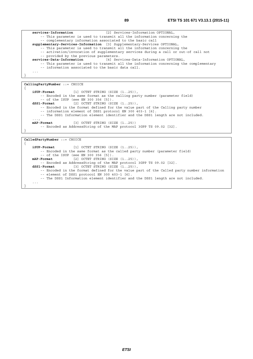```
services-Information [2] Services-Information OPTIONAL, 
         -- This parameter is used to transmit all the information concerning the 
         -- complementary information associated to the basic call 
    supplementary-Services-Information [3] Supplementary-Services OPTIONAL, 
         -- This parameter is used to transmit all the information concerning the 
         -- activation/invocation of supplementary services during a call or out-of call not 
    -- provided by the previous parameters.<br>services-Data-Information [4] Ser
                                           services-Data-Information [4] Services-Data-Information OPTIONAL, 
         -- This parameter is used to transmit all the information concerning the complementary 
         -- information associated to the basic data call. 
 ... 
}
```

```
CallingPartyNumber ::= CHOICE 
{ 
   iSUP-Format [1] OCTET STRING (SIZE (1..25)), 
        -- Encoded in the same format as the calling party number (parameter field) 
         -- of the ISUP (see EN 300 356 [5]). 
   dSS1-Format [2] OCTET STRING (SIZE (1..25)), 
         -- Encoded in the format defined for the value part of the Calling party number 
         -- information element of DSS1 protocol EN 300 403-1 [6]. 
         -- The DSS1 Information element identifier and the DSS1 length are not included. 
 ..., 
   mAP-Format [3] OCTET STRING (SIZE (1..25)) 
         -- Encoded as AddressString of the MAP protocol 3GPP TS 09.02 [32]. 
}
```
**CalledPartyNumber** ::= CHOICE

```
{ 
   iSUP-Format [1] OCTET STRING (SIZE (1..25)), 
        -- Encoded in the same format as the called party number (parameter field) 
        -- of the ISUP (see EN 300 356 [5]). 
   mAP-Format [2] OCTET STRING (SIZE (1..25)), 
 -- Encoded as AddressString of the MAP protocol 3GPP TS 09.02 [32]. 
   dSS1-Format [3] OCTET STRING (SIZE (1..25)), 
        -- Encoded in the format defined for the value part of the Called party number information 
        -- element of DSS1 protocol EN 300 403-1 [6]. 
        -- The DSS1 Information element identifier and the DSS1 length are not included. 
    ... 
}
```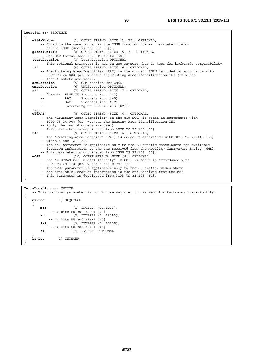```
Location ::= SEQUENCE 
{ 
    e164-Number [1] OCTET STRING (SIZE (1..25)) OPTIONAL, 
         -- Coded in the same format as the ISUP location number (parameter field) 
    -- of the ISUP (see EN 300 356 [5]).<br>globalCellID [2] OCTET STRING (ST
                       [2] OCTET STRING (SIZE (5..7)) OPTIONAL,
         -- See MAP format (see 3GPP TS 09.02 [32]). 
    tetraLocation [3] TetraLocation OPTIONAL, 
        -- This optional parameter is not in use anymore, but is kept for backwards compatibility. 
    rAI [4] OCTET STRING (SIZE (6)) OPTIONAL, 
         -- The Routeing Area Identifier (RAI) in the current SGSN is coded in accordance with 
         -- 3GPP TS 24.008 [41] without the Routing Area Identification IEI (only the 
         -- last 6 octets are used). 
    gsmLocation [5] GSMLocation OPTIONAL, 
     umtsLocation [6] UMTSLocation OPTIONAL, 
    sAI [7] OCTET STRING (SIZE (7)) OPTIONAL, 
        -- format: PLMN-ID 3 octets (no. 1-3),<br>-- LAC 2 octets (no. 4-5),
-- LAC 2 octets (no. 4-5),
 -- SAC 2 octets (no. 6-7) 
         -- (according to 3GPP 25.413 [82]). 
 ..., 
    oldRAI [8] OCTET STRING (SIZE (6)) OPTIONAL, 
         -- the "Routeing Area Identifier" in the old SGSN is coded in accordance with 
         -- 3GPP TS 24.008 [41] without the Routing Area Identification IEI 
         -- (only the last 6 octets are used). 
         -- This parameter is duplicated from 3GPP TS 33.108 [61]. 
    tAI [9] OCTET STRING (SIZE (6)) OPTIONAL, 
         -- The "Tracking Area Identity" (TAI) is coded in accordance with 3GPP TS 29.118 [83] 
         -- without the TAI IEI. 
         -- The tAI parameter is applicable only to the CS traffic cases where the available 
         -- location information is the one received from the Mobility Management Entity (MME). 
    -- This parameter is duplicated from 3GPP TS 33.108 [61].<br>
\bulletCGT [10] OCTET STRING (SIZE (8)) OPTIONAL
                        eCGI [10] OCTET STRING (SIZE (8)) OPTIONAL 
         -- the "E-UTRAN Cell Global Identity" (E-CGI) is coded in accordance with 
         -- 3GPP TS 29.118 [83] without the E-CGI IEI. 
         -- The eCGI parameter is applicable only to the CS traffic cases where 
         -- the available location information is the one received from the MME. 
         -- This parameter is duplicated from 3GPP TS 33.108 [61]. 
}
```
**TetraLocation** ::= CHOICE -- This optional parameter is not in use anymore, but is kept for backwards compatibility. { **ms-Loc** [1] SEQUENCE { **mcc** [1] INTEGER (0..1023), -- 10 bits EN 300 392-1 [40] **mnc** [2] **INTEGER** (0..16383), -- 14 bits EN 300 392-1 [40] **lai** [3] INTEGER (0..65535), -- 14 bits EN 300 392-1 [40]<br>ci [4] INTEGER OPTI **ci** [4] INTEGER OPTIONAL }, **ls-Loc** [2] INTEGER }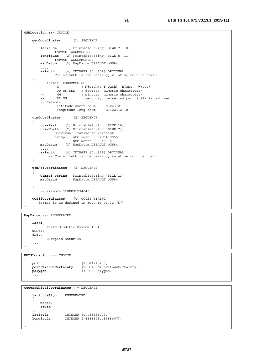```
GSMLocation ::= CHOICE 
{ 
   geoCoordinates [1] SEQUENCE 
 { 
        latitude [1] PrintableString (SIZE(7..10)), 
            -- format: XDDMMSS.SS 
        longitude [2] PrintableString (SIZE(8..11)), 
            -- format: XDDDMMSS.SS 
        mapDatum [3] MapDatum DEFAULT wGS84, 
 ..., 
        azimuth [4] INTEGER (0..359) OPTIONAL 
           -- The azimuth is the bearing, relative to true north 
    }, 
        -- format: XDDDMMSS.SS 
        -- X : N(orth), S(outh), E(ast), W(est) 
       -- DD or DDD : degrees (numeric characters)
 -- MM : minutes (numeric characters) 
-- SS.SS : seconds, the second part (.SS) is optional
        -- Example: 
       -- <sup>1</sup> latitude short form 19502312<br>-- 1 longitude long form 1951122312.18
               longitude long form
   utmCoordinates [2] SEQUENCE 
    { 
 utm-East [1] PrintableString (SIZE(10)), 
 utm-North [2] PrintableString (SIZE(7)), 
           -- Universal Transverse Mercator 
 -- example utm-East 32U0439955 
 -- utm-North 5540736 
        mapDatum [3] MapDatum DEFAULT wGS84, 
 ..., 
        azimuth [4] INTEGER (0..359) OPTIONAL 
            -- The azimuth is the bearing, relative to true north 
    }, 
   utmRefCoordinates [3] SEQUENCE 
    { 
        utmref-string PrintableString (SIZE(13)), 
        mapDatum MapDatum DEFAULT wGS84, 
        ... 
    }, 
        -- example 32UPU91294045 
   wGS84Coordinates [4] OCTET STRING 
    -- format is as defined in 3GPP TS 03.32 [57] 
}
```
**MapDatum** ::= ENUMERATED

```
{ 
    wGS84, 
         -- World Geodetic System 1984 
    wGS72, 
    eD50, 
        -- European Datum 50 
 ... 
}
```

```
UMTSLocation ::= CHOICE 
{ 
   point [1] GA-Point,<br>pointWithUnCertainty [2] GA-PointW
                             [2] GA-PointWithUnCertainty,
   polygon [3] GA-Polygon, 
 ... 
}
```
**GeographicalCoordinates** ::= SEQUENCE

```
{ 
   latitudeSign ENUMERATED 
   \{ north, 
        south
 }, 
   latitude INTEGER (0..8388607), 
   longitude INTEGER (-8388608..8388607), 
    ... 
}
```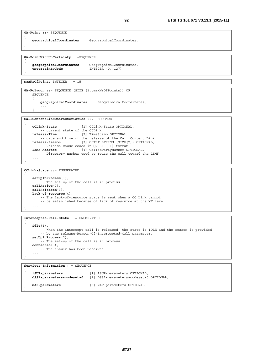```
GA-Point ::= SEQUENCE 
{ 
    geographicalCoordinates GeographicalCoordinates, 
     ... 
}
```

```
GA-PointWithUnCertainty ::=SEQUENCE
```

```
geographicalCoordinates GeographicalCoordinates, 
   uncertaintyCode INTEGER (0..127) 
}
```
**maxNrOfPoints** INTEGER ::= 15

{

{

}

```
GA-Polygon ::= SEQUENCE (SIZE (1..maxNrOfPoints)) OF 
    SEQUENCE 
    \{ geographicalCoordinates GeographicalCoordinates, 
         ... 
 }
```
**CallContentLinkCharacteristics** ::= SEQUENCE

```
cCLink-State [1] CCLink-State OPTIONAL, 
          -- current state of the CCLink 
    release-Time [2] TimeStamp OPTIONAL, 
    -- date and time of the release of the Call Content Link.<br>release-Reason [3] OCTET STRING (SIZE(2)) OPTIONAL,
                                  release-Reason [3] OCTET STRING (SIZE(2)) OPTIONAL, 
    -- Release cause coded in Q.850 [31] format<br>IEMF-Address [4] CalledPartyNumber O
                               lEMF-Address [4] CalledPartyNumber OPTIONAL, 
          -- Directory number used to route the call toward the LEMF 
 ... 
}
```

```
CCLink-State ::= ENUMERATED
```

```
{ 
   setUpInProcess(1), 
         -- The set-up of the call is in process 
   callActive(2), 
    callReleased(3), 
    lack-of-resource(4), 
        -- The lack-of-resource state is sent when a CC Link cannot 
         -- be established because of lack of resource at the MF level. 
     ...
```
**Intercepted-Call-State** ::= ENUMERATED { **idle**(1), -- When the intercept call is released, the state is IDLE and the reason is provided -- by the release-Reason-Of-Intercepted-Call parameter. **setUpInProcess**(2), -- The set-up of the call is in process **connected**(3), -- The answer has been received ... }

**Services-Information** ::= SEQUENCE { **iSUP-parameters** [1] ISUP-parameters OPTIONAL, **dSS1-parameters-codeset-0** [2] DSS1-parameters-codeset-0 OPTIONAL, ..., **mAP-parameters** [3] MAP-parameters OPTIONAL }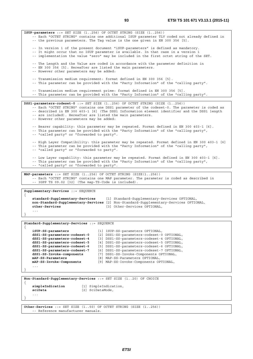**ISUP-parameters** ::= SET SIZE (1..256) OF OCTET STRING (SIZE (1..256)) -- Each "OCTET STRING" contains one additional ISUP parameter TLV coded not already defined in -- the previous parameters. The Tag value is the one given in EN 300 356 [5]. -- In version 1 of the present document "iSUP-parameters" is defined as mandatory. -- It might occur that no ISUP parameter is available. In that case in a version 1 -- implementation the value "zero" may be included in the first octet string of the SET. -- The Length and the Value are coded in accordance with the parameter definition in -- EN 300 356 [5]. Hereafter are listed the main parameters. -- However other parameters may be added: -- Transmission medium requirement: format defined in EN 300 356 [5]. -- This parameter can be provided with the "Party Information" of the "calling party". -- Transmission medium requirement prime: format defined in EN 300 356 [5]. -- This parameter can be provided with the "Party Information" of the "calling party". **DSS1-parameters-codeset-0** ::= SET SIZE (1..256) OF OCTET STRING (SIZE (1..256)) -- Each "OCTET STRING" contains one DSS1 parameter of the codeset-0. The parameter is coded as -- described in EN 300 403-1 [6] (The DSS1 Information element identifier and the DSS1 length -- are included). Hereafter are listed the main parameters. -- However other parameters may be added: -- Bearer capability: this parameter may be repeated. Format defined in EN 300 403-1 [6]. -- This parameter can be provided with the "Party Information" of the "calling party", -- "called party" or "forwarded to party". -- High Layer Compatibility: this parameter may be repeated. Format defined in EN 300 403-1 [6] -- This parameter can be provided with the "Party Information" of the "calling party", -- "called party" or "forwarded to party". -- Low Layer capability: this parameter may be repeated. Format defined in EN 300 403-1 [6]. -- This parameter can be provided with the "Party Information" of the "calling party", -- "called party" or "forwarded to party". **MAP-parameters** ::= SET SIZE (1..256) OF OCTET STRING (SIZE(1..256)) -- Each "OCTET STRING" contains one MAP parameter. The parameter is coded as described in -- 3GPP TS 09.02 [32] (The map-TS-Code is included). **Supplementary-Services** ::= SEQUENCE { **standard-Supplementary-Services** [1] Standard-Supplementary-Services OPTIONAL, **non-Standard-Supplementary-Services** [2] Non-Standard-Supplementary-Services OPTIONAL, **other-Services** [3] Other-Services OPTIONAL, ... } **Standard-Supplementary-Services** ::= SEQUENCE { **iSUP-SS-parameters** [1] ISUP-SS-parameters OPTIONAL, **dSS1-SS-parameters-codeset-0** [2] DSS1-SS-parameters-codeset-0 OPTIONAL, **dSS1-SS-parameters-codeset-4** [3] DSS1-SS-parameters-codeset-4 OPTIONAL, **dSS1-SS-parameters-codeset-5** [4] DSS1-SS-parameters-codeset-5 OPTIONAL, **dSS1-SS-parameters-codeset-6** [5] DSS1-SS-parameters-codeset-6 OPTIONAL, **dSS1-SS-parameters-codeset-7** [6] DSS1-SS-parameters-codeset-7 OPTIONAL, **dSS1-SS-Invoke-components** [7] DSS1-SS-Invoke-Components OPTIONAL, **mAP-SS-Parameters** [8] MAP-SS-Parameters OPTIONAL, **mAP-SS-Invoke-Components** [9] MAP-SS-Invoke-Components OPTIONAL, ... } **Non-Standard-Supplementary-Services** ::= SET SIZE (1..20) OF CHOICE { **simpleIndication** [1] SimpleIndication, **sciData** [2] SciDataMode, ... }

**Other-Services** ::= SET SIZE (1..50) OF OCTET STRING (SIZE (1..256)) -- Reference manufacturer manuals.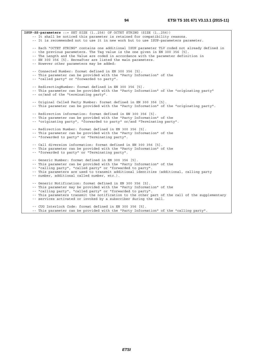**ISUP-SS-parameters** ::= SET SIZE (1..256) OF OCTET STRING (SIZE (1..256)) -- It shall be noticed this parameter is retained for compatibility reasons. -- It is recommended not to use it in new work but to use ISUP-parameters parameter. -- Each "OCTET STRING" contains one additional ISUP parameter TLV coded not already defined in -- the previous parameters. The Tag value is the one given in EN 300 356 [5]. -- The Length and the Value are coded in accordance with the parameter definition in -- EN 300 356 [5]. Hereafter are listed the main parameters. -- However other parameters may be added: -- Connected Number: format defined in EN 300 356 [5]. -- This parameter can be provided with the "Party Information" of the -- "called party" or "forwarded to party". -- RedirectingNumber: format defined in EN 300 356 [5]. -- This parameter can be provided with the "Party Information" of the "originating party" -- or/and of the "terminating party". -- Original Called Party Number: format defined in EN 300 356 [5]. -- This parameter can be provided with the "Party Information" of the "originating party". -- Redirection information: format defined in EN 300 356 [5]. -- This parameter can be provided with the "Party Information" of the -- "originating party", "forwarded to party" or/and "Terminating party". -- Redirection Number: format defined in EN 300 356 [5]. -- This parameter can be provided with the "Party Information" of the -- "forwarded to party" or "Terminating party". -- Call diversion information: format defined in EN 300 356 [5]. -- This parameter can be provided with the "Party Information" of the -- "forwarded to party" or "Terminating party". -- Generic Number: format defined in EN 300 356 [5]. -- This parameter can be provided with the "Party Information" of the -- "calling party", "called party" or "forwarded to party". -- This parameters are used to transmit additional identities (additional, calling party -- number, additional called number, etc.). -- Generic Notification: format defined in EN 300 356 [5]. -- This parameter may be provided with the "Party Information" of the -- "calling party", "called party" or "forwarded to party". -- This parameters transmit the notification to the other part of the call of the supplementary -- services activated or invoked by a subscriber during the call.

-- CUG Interlock Code: format defined in EN 300 356 [5].

-- This parameter can be provided with the "Party Information" of the "calling party".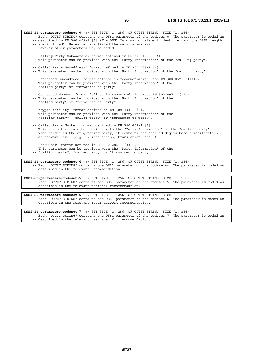**DSS1-SS-parameters-codeset-0** ::= SET SIZE (1..256) OF OCTET STRING (SIZE (1..256)) -- Each "OCTET STRING" contains one DSS1 parameter of the codeset-0. The parameter is coded as -- described in EN 300 403-1 [6] (The DSS1 Information element identifier and the DSS1 length -- are included). Hereafter are listed the main parameters. -- However other parameters may be added: -- Calling Party Subaddress: format defined in EN 300 403-1 [6]. -- This parameter can be provided with the "Party Information" of the "calling party". -- Called Party Subaddress: format defined in EN 300 403-1 [6]. -- This parameter can be provided with the "Party Information" of the "calling party". -- Connected Subaddress: format defined in recommendation (see EN 300 097-1 [14]). -- This parameter can be provided with the "Party Information" of the -- "called party" or "forwarded to party". -- Connected Number: format defined in recommendation (see EN 300 097-1 [14]). -- This parameter can be provided with the "Party Information" of the -- "called party" or "forwarded to party". -- Keypad facility: format defined in EN 300 403-1 [6]. -- This parameter can be provided with the "Party Information" of the -- "calling party", "called party" or "forwarded to party". -- Called Party Number: format defined in EN 300 403-1 [6]. -- This parameter could be provided with the "Party Information" of the "calling party" -- when target is the originating party; it contains the dialled digits before modification -- at network level (e.g. IN interaction, translation, etc …). -- User-user: format defined in EN 300 286-1 [23]). -- This parameter can be provided with the "Party Information" of the -- "calling party", "called party" or "forwarded to party". **DSS1-SS-parameters-codeset-4** ::= SET SIZE (1..256) OF OCTET STRING (SIZE (1..256)) -- Each "OCTET STRING" contains one DSS1 parameter of the codeset-4. The parameter is coded as

-- described in the relevant recommendation.

**DSS1-SS-parameters-codeset-5** ::= SET SIZE (1..256) OF OCTET STRING (SIZE (1..256)) -- Each "OCTET STRING" contains one DSS1 parameter of the codeset-5. The parameter is coded as -- described in the relevant national recommendation.

**DSS1-SS-parameters-codeset-6** ::= SET SIZE (1..256) OF OCTET STRING (SIZE (1..256)) -- Each "OCTET STRING" contains one DSS1 parameter of the codeset-6. The parameter is coded as -- described in the relevant local network recommendation.

**DSS1-SS-parameters-codeset-7** ::= SET SIZE (1..256) OF OCTET STRING (SIZE (1..256)) -- Each "octet string" contains one DSS1 parameter of the codeset-7. The parameter is coded as -- described in the relevant user specific recommendation.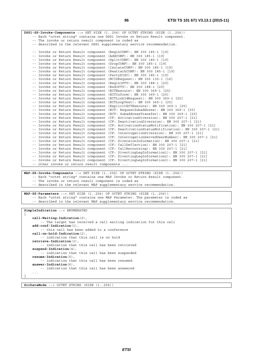**DSS1-SS-Invoke-Components** ::= SET SIZE (1..256) OF OCTET STRING (SIZE (1..256)) -- Each "octet string" contains one DSS1 Invoke or Return Result component. -- The invoke or return result component is coded as -- described in the relevant DSS1 supplementary service recommendation. -- Invoke or Return Result component (BeginCONF): EN 300 185-1 [19] -- Invoke or Return Result component (AddCONF): EN 300 185-1 [19] -- Invoke or Return Result component (SplitCONF): EN 300 185-1 [19] -- Invoke or Return Result component (DropCONF): EN 300 185-1 [19] -- Invoke or Return Result component (IsolateCONF): EN 300 185-1 [19] -- Invoke or Return Result component (ReattachCONF): EN 300 185-1 [19] -- Invoke or Return Result component (PartyDISC): EN 300 185-1 [19] -- Invoke or Return Result component (MCIDRequest): EN 300 130-1 [16] -- Invoke or Return Result component (Begin3PTY): EN 300 188-1 [20] -- Invoke or Return Result component (End3PTY): EN 300 188-1 [20] -- Invoke or Return Result component (ECTExecute): EN 300 369-1 [25] -- Invoke or Return Result component (ECTInform): EN 300 369-1 [25] -- Invoke or Return Result component (ECTLinkIdRequest): EN 300 369-1 [25] -- Invoke or Return Result component (ECTLoopTest): EN 300 369-1 [25] -- Invoke or Return Result component (ExplicitECTExecute): EN 300 369-1 [25] -- Invoke or Return Result component (ECT: RequestSubaddress): EN 300 369-1 [25] -- Invoke or Return Result component (ECT: SubaddressTransfer): EN 300 369-1 [25] -- Invoke or Return Result component (CF: ActivationDiversion): EN 300 207-1 [21] -- Invoke or Return Result component (CF: DeactivationDiversion): EN 300 207-1 [21] -- Invoke or Return Result component (CF: ActivationStatusNotification): EN 300 207-1 [21] -- Invoke or Return Result component (CF: DeactivationStatusNotification): EN 300 207-1 [21] -- Invoke or Return Result component (CF: InterrogationDiversion): EN 300 207-1 [21] -- Invoke or Return Result component (CF: InterrogationServedUserNumber): EN 300 207-1 [21] -- Invoke or Return Result component (CF: DiversionInformation): EN 300 207-1 [21] -- Invoke or Return Result component (CF: CallDeflection): EN 300 207-1 [21] -- Invoke or Return Result component (CF: CallRerouteing): EN 300 207-1 [21] -- Invoke or Return Result component (CF: DivertingLegInformation1): EN 300 207-1 [21] -- Invoke or Return Result component (CF: DivertingLegInformation2): EN 300 207-1 [21] -- Invoke or Return Result component (CF: DivertingLegInformation3): EN 300 207-1 [21] -- other invoke or return result components ... **MAP-SS-Invoke-Components** ::= SET SIZE (1..256) OF OCTET STRING (SIZE (1..256)) -- Each "octet string" contains one MAP Invoke or Return Result component. -- The invoke or return result component is coded as -- described in the relevant MAP supplementary service recommendation. **MAP-SS-Parameters** ::= SET SIZE (1..256) OF OCTET STRING (SIZE (1..256)) -- Each "octet string" contains one MAP Parameter. The parameter is coded as -- described in the relevant MAP supplementary service recommendation. **SimpleIndication** ::= ENUMERATED { **call-Waiting-Indication**(0), -- The target has received a call waiting indication for this call **add-conf-Indication**(1), -- this call has been added to a conference **call-on-hold-Indication**(2), -- indication that this call is on hold **retrieve-Indication**(3), -- indication that this call has been retrieved **suspend-Indication**(4), -- indication that this call has been suspended **resume-Indication**(5), -- indication that this call has been resumed **answer-Indication**(6), -- indication that this call has been answered

**SciDataMode** ::= OCTET STRING (SIZE (1..256))

 ... }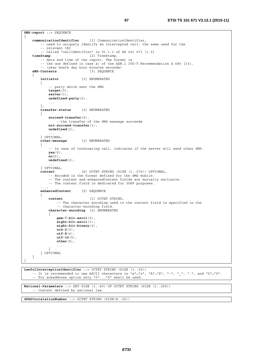```
SMS-report ::= SEQUENCE 
{ 
    communicationIdentifier [1] CommunicationIdentifier, 
        -- used to uniquely identify an intercepted call: the same used for the 
         -- relevant IRI 
         -- Called "callIdentifier" in V1.1.1 of ES 201 671 [i.5] 
    timeStamp [2] TimeStamp, 
         -- date and time of the report. The format is 
         -- the one defined in case a) of the ASN.1 ITU-T Recommendation X.680 [33]. 
         -- (year month day hour minutes seconds) 
    sMS-Contents [3] SEQUENCE 
     { 
         initiator [1] ENUMERATED 
         { 
             -- party which sent the SMS 
             target(0), 
             server(1), 
             undefined-party(2), 
             ... 
         }, 
         transfer-status [2] ENUMERATED 
         { 
             succeed-transfer(0), 
                 --the transfer of the SMS message succeeds 
             not-succeed-transfer(1), 
             undefined(2), 
 ... 
         } OPTIONAL, 
         other-message [3] ENUMERATED 
\{ -- In case of terminating call, indicates if the server will send other SMS. 
             yes(0), 
             no(1), 
             undefined(2), 
             ... 
         } OPTIONAL, 
         content [4] OCTET STRING (SIZE (1..270)) OPTIONAL, 
             -- Encoded in the format defined for the SMS mobile. 
             -- The content and enhancedContent fields are mutually exclusive. 
             -- The content field is dedicated for 3GPP purposes. 
 ..., 
         enhancedContent [5] SEQUENCE 
\left\{\begin{array}{ccc} & & \\ & & \end{array}\right\} content [1] OCTET STRING, 
                 -- The character encoding used in the content field is specified in the 
                 -- character-encoding field. 
             character-encoding [2] ENUMERATED 
\{ gsm-7-bit-ascii(0), 
                 eight-bit-ascii(1), 
                 eight-bit-binary(2), 
                 ucs-2(3), 
                 utf-8(4), 
                 utf-16(5), 
                 other(6), 
                 ... 
 } 
        } OPTIONAL 
    } 
}
```

```
LawfulInterceptionIdentifier ::= OCTET STRING (SIZE (1..25)) 
    -- It is recommended to use ASCII characters in "a"..."z", "A"..."Z", "-", ".", ".", and "0"..."9".
     -- For subaddress option only "0"..."9" shall be used.
```

```
National-Parameters ::= SET SIZE (1..40) OF OCTET STRING (SIZE (1..256)) 
     -- Content defined by national law.
```
**GPRSCorrelationNumber** ::= OCTET STRING (SIZE(8..20))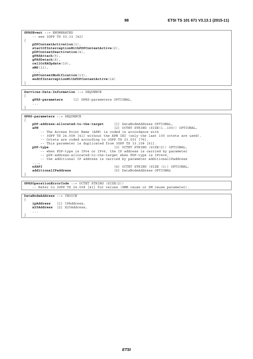```
GPRSEvent ::= ENUMERATED 
     -- see 3GPP TS 03.33 [42] 
{ 
   pDPContextActivation(1), 
    startOfInterceptionWithPDPContextActive(2), 
    pDPContextDeactivation(4), 
   gPRSAttach(5), 
    gPRSDetach(6), 
    cellOrRAUpdate(10), 
    sMS(11), 
 ..., 
    pDPContextModification(13), 
     endOfInterceptionWithPDPContextActive(14) 
}
```

```
Services-Data-Information ::= SEQUENCE 
{ 
    gPRS-parameters [1] GPRS-parameters OPTIONAL, 
 ... 
}
```
**GPRS-parameters** ::= SEQUENCE

...

}

```
{ 
    pDP-address-allocated-to-the-target [1] DataNodeAddress OPTIONAL, 
                                               aPN [2] OCTET STRING (SIZE(1..100)) OPTIONAL, 
          -- The Access Point Name (APN) is coded in accordance with 
        -- 3GPP TS 24.008 [41] without the APN IEI (only the last 100 octets are used).
         -- Octets are coded according to 3GPP TS 23.003 [76]. 
    -- This parameter is duplicated from 3GPP TS 33.108 [61].<br>pDP-type [3] OCTET STRING (SIZ
                                               [3] OCTET STRING (SIZE(2)) OPTIONAL,
 -- when PDP-type is IPv4 or IPv6, the IP address is carried by parameter 
 -- pDP-address-allocated-to-the-target when PDP-type is IPv4v6, 
         -- the additional IP address is carried by parameter additionalIPaddress 
 ..., 
    nSAPI [4] OCTET STRING (SIZE (1)) OPTIONAL,<br>
additionalIPaddress [5] DataNodeAddress OPTIONAL,
                                               additional<br>
ISI DataNodeAddress OPTIONAL
} 
GPRSOperationErrorCode ::= OCTET STRING (SIZE(2)) 
     -- Refer to 3GPP TS 24.008 [41] for values (GMM cause or SM cause parameter). 
DataNodeAddress ::= CHOICE 
{ 
    ipAddress [1] IPAddress, 
    x25Address [2] X25Address,
```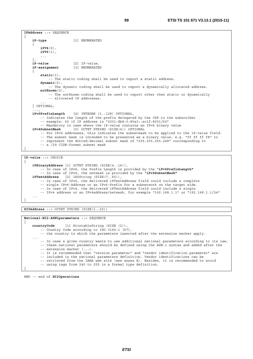```
IPAddress ::= SEQUENCE 
{ 
   iP-type [1] ENUMERATED 
    { 
         iPV4(0), 
        iPV6(1), 
 ... 
 }, 
   iP-value [2] IP-value, 
                        iP-assignment [3] ENUMERATED 
 { 
         static(1), 
            -- The static coding shall be used to report a static address. 
        dynamic(2), 
             -- The dynamic coding shall be used to report a dynamically allocated address. 
         notKnown(3), 
            -- The notKnown coding shall be used to report other then static or dynamically 
             -- allocated IP addresses. 
 ... 
    } OPTIONAL, 
 ..., 
    iPv6PrefixLength [4] INTEGER (1..128) OPTIONAL, 
         -- Indicates the length of the prefix delegated by the CSP to the subscriber 
         -- example: 60 if IP address is "2001:db8:0:85a3::ac1f:8001/60" 
         -- Mandatory in case where the iP-value contains an IPv6 binary value 
   iPv4SubnetMask [5] OCTET STRING (SIZE(4)) OPTIONAL 
         -- For IPv4 addresses, this indicates the subnetmask to be applied to the iP-value field. 
         -- The subnet mask is intended to be presented as a binary value, e.g. "ff ff ff f8" to 
         -- represent the dotted-decimal subnet mask of "255.255.255.248" corresponding to 
         -- a /29 CIDR-format subnet mask 
}
```
**IP-value** ::= CHOICE { **iPBinaryAddress** [1] OCTET STRING (SIZE(4..16)), -- In case of IPv6, the Prefix Length is provided by the "**iPv6PrefixLength"** -- In case of IPv4, the netmask is provided by the "**iPv4SubnetMask" iPTextAddress** [2] IA5String (SIZE(7..45)), -- In case of IPv6, the delivered iPTextAddress field could include a complete -- single IPv6-Address or an IPv6-Prefix for a subnetwork on the target side. -- In case of IPv4, the delivered iPTextAddress field could include a single -- IPv4 address or an IPv4address/netmask, for example "192.168.1.1" or "192.168.1.1/24" ... }

**X25Address** ::= OCTET STRING (SIZE(1..25))

**National-HI2-ASN1parameters** ::= SEQUENCE { **countryCode** [1] PrintableString (SIZE (2)), -- Country Code according to ISO 3166-1 [67], -- the country to which the parameters inserted after the extension marker apply. ... -- In case a given country wants to use additional national parameters according to its law, -- these national parameters should be defined using the ASN.1 syntax and added after the -- extension marker (...). -- It is recommended that "version parameter" and "vendor identification parameter" are -- included in the national parameters definition. Vendor identifications can be -- retrieved from the IANA web site (see annex K). Besides, it is recommended to avoid -- using tags from 240 to 255 in a formal type definition. }

END -– end of **HI2Operations**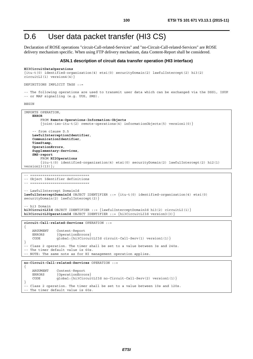## D.6 User data packet transfer (HI3 CS)

Declaration of ROSE operations "circuit-Call-related-Services" and "no-Circuit-Call-related-Services" are ROSE delivery mechanism specific. When using FTP delivery mechanism, data Content-Report shall be considered.

#### **ASN.1 description of circuit data transfer operation (HI3 interface)**

#### **HI3CircuitDataOperations**

```
{itu-t(0) identified-organization(4) etsi(0) securityDomain(2) lawfulIntercept(2) hi3(2) 
circuitLI(1) version4(4)}
```

```
DEFINITIONS IMPLICIT TAGS ::=
```
-- The following operations are used to transmit user data which can be exchanged via the DSS1, ISUP -- or MAP signalling (e.g. UUS, SMS).

BEGIN

```
IMPORTS OPERATION, 
    ERROR 
         FROM Remote-Operations-Information-Objects
         {joint-iso-itu-t(2) remote-operations(4) informationObjects(5) version1(0)} 
     - from clause D.5
   LawfulInterceptionIdentifier, 
    CommunicationIdentifier, 
    TimeStamp, 
    OperationErrors, 
    Supplementary-Services, 
    SMS-report 
         FROM HI2Operations
        \{itu-t(0)\} identified-organization(4) etsi(0) securityDomain(2) lawfulIntercept(2) hi2(1)
version13(13);
-- =============================
-- Object Identifier definitions 
 -- ============================= 
 -- LawfulIntercept DomainId 
lawfulInterceptDomainId OBJECT IDENTIFIER ::= {itu-t(0) identified-organization(4) etsi(0) 
securityDomain(2) lawfulIntercept(2) }
 -- hi3 Domain 
hi3CircuitLIId OBJECT IDENTIFIER ::= {lawfulInterceptDomainId hi3(2) circuitLI(1)}
hi3CircuitLIOperationId OBJECT IDENTIFIER ::= {hi3CircuitLIId version3(3)} 
circuit-Call-related-Services OPERATION ::= 
{ 
     ARGUMENT Content-Report 
    ERRORS { OperationErrors }
     CODE global:{hi3CircuitLIId circuit-Call-Serv(1) version1(1)} 
} 
-- Class 2 operation. The timer shall be set to a value between 3s and 240s. 
-- The timer default value is 60s. 
-- NOTE: The same note as for HI management operation applies. 
no-Circuit-Call-related-Services OPERATION ::=
```

```
{ 
    ARGUMENT Content-Report 
   ERRORS {OperationErrors}
    CODE global:{hi3CircuitLIId no-Circuit-Call-Serv(2) version1(1)} 
} 
-- Class 2 operation. The timer shall be set to a value between 10s and 120s. 
-- The timer default value is 60s.
```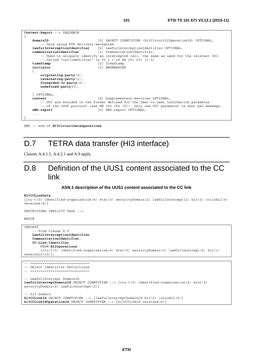```
Content-Report ::= SEQUENCE 
{ 
    domainID [0] OBJECT IDENTIFIER (hi3CircuitLIOperationId) OPTIONAL, 
         -- Once using FTP delivery mechanism 
    lawfulInterceptionIdentifier [6] LawfulInterceptionIdentifier OPTIONAL, 
    communicationIdentifier [1] CommunicationIdentifier, 
         -- Used to uniquely identify an intercepted call: the same as used for the relevant IRI. 
    -- Called "callIdentifier" in V1.1.1 of ES 201 671 [i.5]<br>timeStamp [2] TimeStamp.
    timeStamp [2] TimeStamp,<br>
initiator [3] ENUMERATED
                                     initiator [3] ENUMERATED 
 { 
         originating-party(0), 
         terminating-party(1), 
         forwarded-to-party(2), 
         undefined-party(3), 
 ... 
     } OPTIONAL, 
    content [4] Supplementary-Services OPTIONAL, 
         -- UUI are encoded in the format defined for the User-to-user information parameter 
    -- of the ISUP protocol (see EN 300 356 [5]). Only one UUI parameter is sent per message.<br>
5 SMS-report OPTIONAL,
                                     [5] SMS-report OPTIONAL,
     ... 
}
```
END -– end of **HI3CircuitDataOperations**

## D.7 TETRA data transfer (HI3 interface)

Clauses A.4.1.1, A.4.2.1 and A.9 apply.

### D.8 Definition of the UUS1 content associated to the CC link

#### **ASN.1 description of the UUS1 content associated to the CC link**

#### **HI3CCLinkData**

```
{itu-t(0) identified-organization(4) etsi(0) securityDomain(2) lawfulIntercept(2) hi3(2) cclinkLI(4) 
version4(4)}
```
DEFINITIONS IMPLICIT TAGS ::=

BEGIN

```
IMPORTS 
     -- from clause D.5 
    LawfulInterceptionIdentifier, 
    CommunicationIdentifier, 
    CC-Link-Identifier 
         FROM HI2Operations
         {itu-t(0) identified-organization(4) etsi(0) securityDomain(2) lawfulIntercept(2) hi2(1) 
version10(10)};
```

```
-- ============================= 
-- Object Identifier Definitions 
-- ============================= 
 -- LawfulIntercept DomainId 
lawfulInterceptDomainId OBJECT IDENTIFIER ::= {itu-t(0) identified-organization(4) etsi(0) 
securityDomain(2) lawfulIntercept(2)} 
  hi3 Domain
hi3CCLinkId OBJECT IDENTIFIER ::= {lawfulInterceptDomainId hi3(2) ccLinkLI(4)}
hi3CCLinkIdOperationId OBJECT IDENTIFIER ::= {hi3CCLinkId version4(4)}
```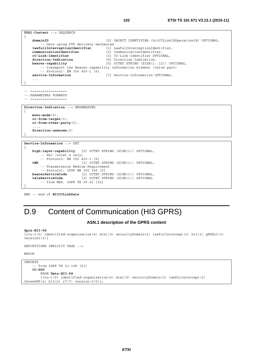```
UUS1-Content ::= SEQUENCE 
{ 
    domainID [0] OBJECT IDENTIFIER (hi3CCLinkIdOperationId) OPTIONAL, 
          -- Once using FTP delivery mechanism 
    lawfullInterceptionIdentifier [1] LawfulInterceptionIdentifier, 
    communicationIdentifier [2] CommunicationIdentifier, 
    cC-Link-Identifier [3] CC-Link-Identifier OPTIONAL,<br>
direction-Indication [4] Direction-Indication,
    direction-Indication \begin{array}{ccc} 4 & \text{Direction-Indication}, \\ \text{bearer-capability} & \text{[5]} & \text{OCTET STRING} & \text{SIZE}(1. \end{array}bearer-capability [5] OCTET STRING (SIZE(1..12)) OPTIONAL, 
          -- transport the Bearer capability information element (value part) 
          -- Protocol: EN 300 403-1 [6] 
     service-Information [7] Service-Information OPTIONAL,
 ... 
} 
-- ================== 
-- PARAMETERS FORMATS
-- ================== 
Direction-Indication ::= ENUMERATED 
\left\{ \right.mono-mode(0), 
    cc-from-target(1), 
    cc-from-other-party(2), 
 ..., 
    direction-unknown(3) 
} 
Service-Information ::= SET 
{ 
    high-layer-capability [0] OCTET STRING (SIZE(1)) OPTIONAL, 
          -- HLC (octet 4 only) 
    -- Protocol: EN 300 403-1 [6]<br>
tMR [1] OCTET
                                [1] OCTET STRING (SIZE(1)) OPTIONAL,
```

```
 -- Transmission Medium Requirement 
        -- Protocol: ISUP EN 300 356 [5] 
   bearerServiceCode [2] OCTET STRING (SIZE(1)) OPTIONAL, 
   teleServiceCode [3] OCTET STRING (SIZE(1)) OPTIONAL 
        -- from MAP, 3GPP TS 09.02 [32] 
}
```
END -– end of **HI3CCLinkData**

## D.9 Content of Communication (HI3 GPRS)

#### **ASN.1 description of the GPRS content**

#### **Gprs-HI3-PS**

```
{itu-t(0) identified-organization(4) etsi(0) securityDomain(2) lawfulIntercept(2) hi3(2) gPRSLI(3) 
version3(3)}
```

```
DEFINITIONS IMPLICIT TAGS ::=
```
BEGIN

```
IMPORTS 
     -- from 3GPP TS 33.108 [61] 
    CC-PDU 
         FROM Umts-HI3-PS
         {itu-t(0) identified-organization(4) etsi(0) securityDomain(2) lawfulintercept(2) 
threeGPP(4) hi3(2) r7(7) version-0(0) };
```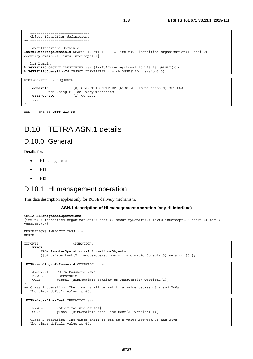```
-- ===============================
-- Object Identifier definitions 
-- ============================= 
 -- LawfulIntercept DomainId 
lawfulInterceptDomainId OBJECT IDENTIFIER ::= {itu-t(0) identified-organization(4) etsi(0) 
securityDomain(2) lawfulIntercept(2) }
 -- hi3 Domain 
hi3GPRSLIId OBJECT IDENTIFIER ::= {lawfulInterceptDomainId hi3(2) gPRSLI(3)} 
hi3GPRSLIIdOperationId OBJECT IDENTIFIER ::= {hi3GPRSLIId version3(3)}
```

```
{ 
    domainID [0] OBJECT IDENTIFIER (hi3GPRSLIIdOperationId) OPTIONAL, 
          -- Once using FTP delivery mechanism<br>-CC-PDU [1] CC-PDU,
    eTSI-CC-PDU [1] CC-PDU, 
     ... 
}
```
END -– end of **Gprs-HI3-PS**

**ETSI-CC-PDU** ::= SEQUENCE

# D.10 TETRA ASN.1 details

### D.10.0 General

Details for:

- HI management.
- $\bullet$  HI1.
- HI2.

### D.10.1 HI management operation

This data description applies only for ROSE delivery mechanism.

#### **ASN.1 description of HI management operation (any HI interface)**

```
TETRA-HIManagementOperations 
{itu-t(0) identified-organization(4) etsi(0) securityDomain(2) lawfulintercept(2) tetra(6) him(3) 
version0(0)} 
DEFINITIONS IMPLICIT TAGS ::= 
BEGIN
```

```
IMPORTS OPERATION, 
   ERROR 
        FROM Remote-Operations-Information-Objects
        {joint-iso-itu-t(2) remote-operations(4) informationObjects(5) version1(0)};
```

```
tETRA-sending-of-Password OPERATION ::=
```

```
{ 
    ARGUMENT TETRA-Password-Name 
    ERRORS {ErrorsHim} 
    CODE global:{himDomainId sending-of-Password(1) version1(1)} 
} 
-- Class 2 operation. The timer shall be set to a value between 3 s and 240s 
-- The timer default value is 60s
```

```
tETRA-data-Link-Test OPERATION ::=
```

```
{ 
    ERRORS {other-failure-causes} 
    CODE global:{himDomainId data-link-test(2) version1(1)} 
} 
-- Class 2 operation. The timer shall be set to a value between 3s and 240s 
-- The timer default value is 60s
```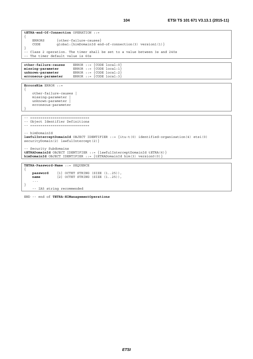```
tETRA-end-Of-Connection OPERATION ::= 
{ 
     ERRORS {other-failure-causes} 
     CODE global:{himDomainId end-of-connection(3) version1(1)} 
} 
-- Class 2 operation. The timer shall be set to a value between 3s and 240s 
-- The timer default value is 60s 
other-failure-causes ERROR ::= {CODE local:0} 
missing-parameter ERROR ::= {CODE local:1} 
unknown-parameter ERROR ::= {CODE local:2}
erroneous-parameter ERROR ::= {CODE local:3} 
ErrorsHim ERROR ::= 
{ 
     other-failure-causes | 
    missing-parameter | 
   unknown-parameter
     erroneous-parameter 
} 
-- ============================= 
-- Object Identifier Definitions 
-- ============================
-- himDomainId 
lawfulInterceptDomainId OBJECT IDENTIFIER ::= {itu-t(0) identified-organization(4) etsi(0) 
securityDomain(2) lawfulIntercept(2) }
 -- Security Subdomains 
tETRADomainId OBJECT IDENTIFIER ::= {lawfulInterceptDomainId tETRA(6)} 
himDomainId OBJECT IDENTIFIER ::= {tETRADomainId him(3) version0(0)} 
TETRA-Password-Name ::= SEQUENCE 
{ 
    password [1] OCTET STRING (SIZE (1..25)), 
   name [2] OCTET STRING (SIZE (1..25)),
```
END -- end of **TETRA-HIManagementOperations** 

-- IA5 string recommended

...

}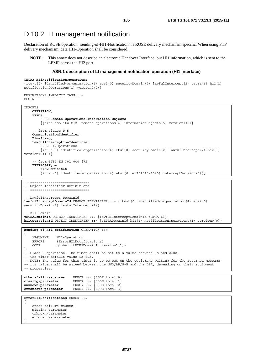### D.10.2 LI management notification

Declaration of ROSE operation "sending-of-HI1-Notification" is ROSE delivery mechanism specific. When using FTP delivery mechanism, data HI1-Operation shall be considered.

NOTE: This annex does not describe an electronic Handover Interface, but HI1 information, which is sent to the LEMF across the HI2 port.

#### **ASN.1 description of LI management notification operation (HI1 interface)**

```
TETRA-HI1NotificationOperations
```

```
{itu-t(0) identified-organization(4) etsi(0) securityDomain(2) lawfulIntercept(2) tetra(6) hi1(1) 
notificationOperations(1) version0(0)}
```

```
DEFINITIONS IMPLICIT TAGS ::= 
BEGIN
```
 unknown-parameter | erroneous-parameter

}

```
IMPORTS 
    OPERATION, 
    ERROR 
         FROM Remote-Operations-Information-Objects
          {joint-iso-itu-t(2) remote-operations(4) informationObjects(5) version1(0)} 
     -- from clause D.5 
    CommunicationIdentifier, 
    TimeStamp, 
    LawfulInterceptionIdentifier 
         FROM HI2Operations 
         {itu-t(0) identified-organization(4) etsi(0) securityDomain(2) lawfulIntercept(2) hi2(1) 
version10(10)} 
      -- from ETSI EN 301 040 [72] 
    TETRACGIType 
         FROM EN301040
         \{itu-t(0) \text{ identified-organization}(4) \text{etsi}(0) \text{ en}301040(1040) \text{ interceptVersion}(0) \};-- ============================= 
-- Object Identifier Definitions 
-- ============================= 
 -- LawfulIntercept DomainId 
lawfulInterceptDomainId OBJECT IDENTIFIER ::= {itu-t(0) identified-organization(4) etsi(0) 
securityDomain(2) lawfulIntercept(2)} 
 -- hi1 Domain 
tETRADomainId OBJECT IDENTIFIER ::= {lawfulInterceptDomainId tETRA(6)} 
hi1OperationId OBJECT IDENTIFIER ::= {tETRADomainId hi1(1) notificationOperations(1) version0(0)} 
sending-of-HI1-Notification OPERATION ::= 
{ 
     ARGUMENT HI1-Operation 
    ERRORS {ErrorHI1Notifications}
    CODE global: {tETRADomainId version1(1) }
} 
-- Class 2 operation. The timer shall be set to a value between 3s and 240s. 
-- The timer default value is 60s. 
-- NOTE: The value for this timer is to be set on the equipment waiting for the returned message;
-- its value shall be agreed between the NWO/AP/SvP and the LEA, depending on their equipment 
-- properties. 
other-failure-causes ERROR ::= {CODE local:0}<br>missing-parameter ERROR ::= {CODE local:1}
                          \texttt{ERROR} :: = \{\texttt{CODE local}: 1\}unknown-parameter ERROR ::= {CODE local:2} 
erroneous-parameter ERROR ::= {CODE local:3} 
ErrorHI1Notifications ERROR ::= 
{ 
     other-failure-causes | 
     missing-parameter |
```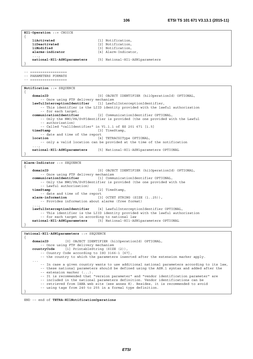```
HI1-Operation ::= CHOICE 
{
```

```
liActivated [1] Notification, 
liDeactivated [2] Notification, 
liModified [3] Notification, 
alarms-indicator [4] Alarm-Indicator,
```

```
 national-HI1-ASN1parameters [5] National-HI1-ASN1parameters
```
-- ================== -- PARAMETERS FORMATS

...,

}

{

```
-- ==================
```
**Notification** ::= SEQUENCE

```
\left\{ \right.domainID [0] OBJECT IDENTIFIER (hi1OperationId) OPTIONAL, 
        -- Once using FTP delivery mechanism 
   lawfulInterceptionIdentifier [1] LawfulInterceptionIdentifier, 
         -- This identifier is the LIID identity provided with the lawful authorization 
   -- for each target.<br>communicationIdentifier
                                   communicationIdentifier [2] CommunicationIdentifier OPTIONAL, 
        -- Only the NWO/PA/SvPIdentifier is provided (the one provided with the Lawful 
         -- authorization) 
         -- Called "callIdentifier" in V1.1.1 of ES 201 671 [i.5] 
   timeStamp [3] TimeStamp, 
         -- date and time of the report 
   location [4] TETRACGIType OPTIONAL,
         -- only a valid location can be provided at the time of the notification 
 ..., 
    national-HI1-ASN1parameters [5] National-HI1-ASN1parameters OPTIONAL 
}
```
Alarm-Indicator ::= SEOUENCE

```
{ 
   domainID [0] OBJECT IDENTIFIER (hi1OperationId) OPTIONAL, 
         -- Once using FTP delivery mechanism 
   communicationIdentifier [1] CommunicationIdentifier OPTIONAL, 
         -- Only the NWO/PA/SvPIdentifier is provided (the one provided with the 
   -- Lawful authorization)<br>timeStamp
                                      timeStamp [2] TimeStamp, 
   -- date and time of the report<br>alarm-information [3]
                                    alarm-information [3] OCTET STRING (SIZE (1..25)), 
         -- Provides information about alarms (free format) 
 ..., 
   lawfulInterceptionIdentifier [4] LawfulInterceptionIdentifier OPTIONAL, 
         -- This identifier is the LIID identity provided with the lawful authorization 
         -- for each target in according to national law 
    national-HI1-ASN1parameters [5] National-HI1-ASN1parameters OPTIONAL 
}
```

```
National-HI1-ASN1parameters ::= SEQUENCE
```

```
domainID [0] OBJECT IDENTIFIER (hi1OperationId) OPTIONAL, 
        -- Once using FTP delivery mechanism 
   countryCode [1] PrintableString (SIZE (2)), 
        -- Country Code according to ISO 3166-1 [67], 
         -- the country to which the parameters inserted after the extension marker apply. 
    ... 
        -- In case a given country wants to use additional national parameters according to its law, 
         -- these national parameters should be defined using the ASN.1 syntax and added after the 
        -- extension marker (...). 
         -- It is recommended that "version parameter" and "vendor identification parameter" are 
         -- included in the national parameters definition. Vendor identifications can be 
         -- retrieved from IANA web site (see annex K). Besides, it is recommended to avoid 
         -- using tags from 240 to 255 in a formal type definition. 
}
```
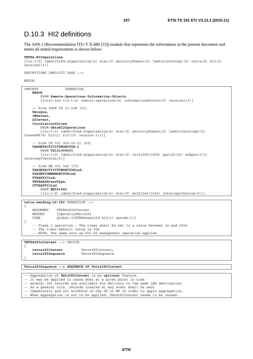### D.10.3 HI2 definitions

The ASN.1 (Recommendation ITU-T X.680 [\[33](#page-11-0)]) module that represents the information in the present document and meets all stated requirements is shown below:

#### **TETRA-HI2Operations**

```
{itu-t(0) identified-organization(4) etsi(0) securityDomain(2) lawfulIntercept(2) tetra(6) hi2(2) 
version3(3)}
```
DEFINITIONS IMPLICIT TAGS ::=

BEGIN

| <b>ERROR</b><br>FROM Remote-Operations-Information-Objects<br>$\{joint\text{-}iso\text{-}itu-t(2)$ remote-operations (4) information Objects (5) version 1 (0) $\}$<br>$-$ from 3GPP TS 33.108 [61]<br>UmtsQos,<br>IMSevent,<br>LDIevent,<br>CorrelationValues<br>FROM UmtsHI2Operations<br>$\{itu-t(0) \; identified-organization(4) \;etsi(0) \; securityDomain(2) \; lawfulintercept(2) \}$<br>threeGPP $(4)$ hi2 $(1)$ r10 $(10)$ version-1 $(1)$ }<br>$--$ from TS 101 909-20-01 [69]<br>TARGETACTIVITYMONITOR-1<br>FROM TS101909201<br>$\{itu-t(0) \}$ identified-organization(4) etsi(0) ts101909(1909) part20(20) subpart1(1)<br>$interceptVersion(0)$ }<br>$--$ from EN 301 040 [72]<br>TARGETACTIVITYMONITORind,<br>TARGETCOMMSMONITORind,<br>TTRAFFICind,<br>TETRAAddressType,<br>CTTRAFFICind<br>FROM EN301040<br>$\{\text{itu-t}(0) \text{ identified-organization}(4) \text{ets}(0) \text{ en}301040(1040) \text{ interchange}(\theta)\}.$ | IMPORTS | OPERATION, |
|----------------------------------------------------------------------------------------------------------------------------------------------------------------------------------------------------------------------------------------------------------------------------------------------------------------------------------------------------------------------------------------------------------------------------------------------------------------------------------------------------------------------------------------------------------------------------------------------------------------------------------------------------------------------------------------------------------------------------------------------------------------------------------------------------------------------------------------------------------------------------------------------------------------------------------------------------------|---------|------------|
|                                                                                                                                                                                                                                                                                                                                                                                                                                                                                                                                                                                                                                                                                                                                                                                                                                                                                                                                                          |         |            |
|                                                                                                                                                                                                                                                                                                                                                                                                                                                                                                                                                                                                                                                                                                                                                                                                                                                                                                                                                          |         |            |
|                                                                                                                                                                                                                                                                                                                                                                                                                                                                                                                                                                                                                                                                                                                                                                                                                                                                                                                                                          |         |            |
|                                                                                                                                                                                                                                                                                                                                                                                                                                                                                                                                                                                                                                                                                                                                                                                                                                                                                                                                                          |         |            |
|                                                                                                                                                                                                                                                                                                                                                                                                                                                                                                                                                                                                                                                                                                                                                                                                                                                                                                                                                          |         |            |
|                                                                                                                                                                                                                                                                                                                                                                                                                                                                                                                                                                                                                                                                                                                                                                                                                                                                                                                                                          |         |            |
|                                                                                                                                                                                                                                                                                                                                                                                                                                                                                                                                                                                                                                                                                                                                                                                                                                                                                                                                                          |         |            |
|                                                                                                                                                                                                                                                                                                                                                                                                                                                                                                                                                                                                                                                                                                                                                                                                                                                                                                                                                          |         |            |
|                                                                                                                                                                                                                                                                                                                                                                                                                                                                                                                                                                                                                                                                                                                                                                                                                                                                                                                                                          |         |            |
|                                                                                                                                                                                                                                                                                                                                                                                                                                                                                                                                                                                                                                                                                                                                                                                                                                                                                                                                                          |         |            |
|                                                                                                                                                                                                                                                                                                                                                                                                                                                                                                                                                                                                                                                                                                                                                                                                                                                                                                                                                          |         |            |
|                                                                                                                                                                                                                                                                                                                                                                                                                                                                                                                                                                                                                                                                                                                                                                                                                                                                                                                                                          |         |            |
|                                                                                                                                                                                                                                                                                                                                                                                                                                                                                                                                                                                                                                                                                                                                                                                                                                                                                                                                                          |         |            |
|                                                                                                                                                                                                                                                                                                                                                                                                                                                                                                                                                                                                                                                                                                                                                                                                                                                                                                                                                          |         |            |
|                                                                                                                                                                                                                                                                                                                                                                                                                                                                                                                                                                                                                                                                                                                                                                                                                                                                                                                                                          |         |            |
|                                                                                                                                                                                                                                                                                                                                                                                                                                                                                                                                                                                                                                                                                                                                                                                                                                                                                                                                                          |         |            |
|                                                                                                                                                                                                                                                                                                                                                                                                                                                                                                                                                                                                                                                                                                                                                                                                                                                                                                                                                          |         |            |
|                                                                                                                                                                                                                                                                                                                                                                                                                                                                                                                                                                                                                                                                                                                                                                                                                                                                                                                                                          |         |            |
|                                                                                                                                                                                                                                                                                                                                                                                                                                                                                                                                                                                                                                                                                                                                                                                                                                                                                                                                                          |         |            |
|                                                                                                                                                                                                                                                                                                                                                                                                                                                                                                                                                                                                                                                                                                                                                                                                                                                                                                                                                          |         |            |
|                                                                                                                                                                                                                                                                                                                                                                                                                                                                                                                                                                                                                                                                                                                                                                                                                                                                                                                                                          |         |            |
|                                                                                                                                                                                                                                                                                                                                                                                                                                                                                                                                                                                                                                                                                                                                                                                                                                                                                                                                                          |         |            |
|                                                                                                                                                                                                                                                                                                                                                                                                                                                                                                                                                                                                                                                                                                                                                                                                                                                                                                                                                          |         |            |
|                                                                                                                                                                                                                                                                                                                                                                                                                                                                                                                                                                                                                                                                                                                                                                                                                                                                                                                                                          |         |            |
|                                                                                                                                                                                                                                                                                                                                                                                                                                                                                                                                                                                                                                                                                                                                                                                                                                                                                                                                                          |         |            |
|                                                                                                                                                                                                                                                                                                                                                                                                                                                                                                                                                                                                                                                                                                                                                                                                                                                                                                                                                          |         |            |

**tetra-sending-of-IRI** OPERATION ::= { ARGUMENT TETRAIRIsContent ERRORS { OperationErrors }<br>CODE alobal: { tETRADoma qlobal: $\{tETRADomainId hi2(1) opcode(1)\}$ } -- Class 2 operation . The timer shall be set to a value between 3s and 240s -- The timer.default value is 60s

-- NOTE: The same note as for HI management operation applies

**TETRAIRIsContent** ::= CHOICE

{

}

**tetraiRIContent** TetraIRIContent**, tetraIRISequence** TetraIRISequence

**TetraIRISequence ::= SEQUENCE OF TetraIRIContent** 

-- Aggregation of **UmtsIRIContent** is an **optional** feature. -- It may be applied in cases when at a given point in time -- several IRI records are available for delivery to the same LEA destination. -- As a general rule, records created at any event shall be sent -- immediately and not withheld in the DF or MF in order to apply aggregation. -- When aggregation is not to be applied, UmtsIRIContent needs to be chosen.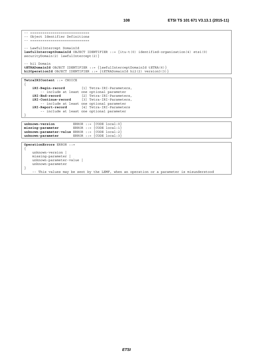```
TetraIRIContent ::= CHOICE 
{ 
   iRI-Begin-record [1] Tetra-IRI-Parameters, 
        -- include at least one optional parameter 
   iRI-End-record [2] Tetra-IRI-Parameters, 
   iRI-Continue-record [3] Tetra-IRI-Parameters, 
 -- include at least one optional parameter 
   iRI-Report-record [4] Tetra-IRI-Parameters
```
}

-- include at least one optional parameter

```
unknown-version ERROR ::= {CODE local:0} 
missing-parameter ERROR ::= {CODE local:1} 
unknown-parameter-value ERROR ::= {CODE local:2} 
unknown-parameter ERROR ::= {CODE local:3}
```

```
OperationErrors ERROR ::= 
{
     unknown-version | 
     missing-parameter | 
     unknown-parameter-value | 
     unknown-parameter 
} 
     -- This values may be sent by the LEMF, when an operation or a parameter is misunderstood
```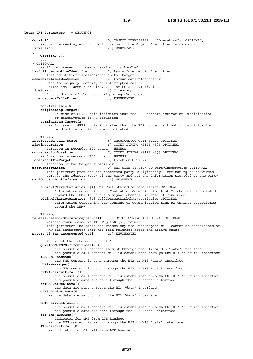**Tetra-IRI-Parameters** ::= SEQUENCE { **domainID** [0] OBJECT IDENTIFIER (hi2OperationId) OPTIONAL, -- for the sending entity the inclusion of the Object Identifier is mandatory **iRIversion** [23] ENUMERATED { **version0**(0), ... } OPTIONAL, -- if not present, it means version 1 is handled **lawfulInterceptionIdentifier** [1] LawfulInterceptionIdentifier, -- This identifier is associated to the target **communicationIdentifier** [2] CommunicationIdentifier, -- used to uniquely identify an intercepted call -- Called "callIdentifier" in V1.1.1 of ES 201 671 [i.5] **timeStamp** [3] TimeStamp, -- date and time of the event triggering the report<br>propted-Call-Direct [4] ENUMERATED  $intercepted-Call-Direct$  { **not-Available**(0), **originating-Target**(1), -- In case of GPRS, this indicates that the PDP context activation, modification -- or deactivation is MS requested **terminating-Target**(2), -- In case of GPRS, this indicates that the PDP context activation, modification -- or deactivation is network initiated ... } OPTIONAL, **intercepted-Call-State** [5] Intercepted-Call-State OPTIONAL, **ringingDuration** [6] OCTET STRING (SIZE (3)) OPTIONAL, -- Duration in seconds. BCD coded : HHMMSS **conversationDuration** [7] OCTET STRING (SIZE (3)) OPTIONAL, -- Duration in seconds. BCD coded : HHMMSS **locationOfTheTarget** [8] Location OPTIONAL, -- location of the target subscriber **partyInformation** [9] SET SIZE (1..10) OF PartyInformation OPTIONAL, -- This parameter provides the concerned party (Originating, Terminating or forwarded -- party), the identity(ies) of the party and all the information provided by the party **callContentLinkInformation** [10] SEQUENCE { **cCLink1Characteristics** [1] CallContentLinkCharacteristics OPTIONAL, -- Information concerning the Content of Communication Link Tx channel established -- toward the LEMF (or the sum signal channel, in case of mono mode) **cCLink2Characteristics** [2] CallContentLinkCharacteristics OPTIONAL, -- Information concerning the Content of Communication Link Rx channel established -- toward the LEMF ... } OPTIONAL, **release-Reason-Of-Intercepted-Call** [11] OCTET STRING (SIZE (2)) OPTIONAL, -- Release cause coded in ITU-T Q.850 [31] format. -- This parameter indicates the reason why the intercepted call cannot be established or -- why the intercepted call has been released after the active phase.<br>re-Of-The-intercepted-call [12] ENUMERATED nature-Of-The-intercepted-call { -- Nature of the intercepted "call": **gSM-ISDN-PSTN-circuit-call**(0), -- the possible UUS content is sent through the HI2 or HI3 "data" interface -- the possible call content call is established through the HI3 "circuit" interface **gSM-SMS-Message**(1), -- the SMS content is sent through the HI2 or HI3 "data" interface **uUS4-Messages**(2), -- the UUS content is sent through the HI2 or HI3 "data" interface **tETRA-circuit-call**(3), -- the possible call content call is established through the HI3 "circuit" interface -- the possible data are sent through the HI3 "data" interface **teTRA-Packet-Data**(4), -- the data are sent through the HI3 "data" interface **gPRS-Packet-Data**(5), -- the data are sent through the HI3 "data" interface ..., **uMTS-circuit-call**(6), -- the possible call content call is established through the HI3 "circuit" interface -- the possible data are sent through the HI3 "data" interface **lTE-SMS-Message**(7), -- indicator for SMS from LTE handset -- the SMS content is sent through the HI2 or HI3 "data" interface **lTE-circuit-call**(8) -- indicator for CS call from LTE handset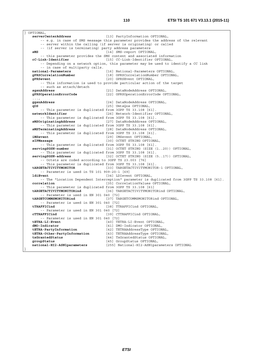OPTIONAL, **serverCenterAddress** [13] PartyInformation OPTIONAL, -- e.g. in case of SMS message this parameter provides the address of the relevant -- server within the calling (if server is originating) or called -- (if server is terminating) party address parameters **sMS** [14] SMS-report OPTIONAL, -- this parameter provides the SMS content and associated information **cC-Link-Identifier** (15) CC-Link-Identifier OPTIONAL, **cC-Link-Identifier** [15] CC-Link-Identifier OPTIONAL, -- Depending on a network option, this parameter may be used to identify a CC link -- in case of multiparty calls. **national-Parameters** [16] National-Parameters OPTIONAL, **gPRSCorrelationNumber** [18] GPRSCorrelationNumber OPTIONAL, **gPRSevent** [20] GPRSEvent OPTIONAL, -- This information is used to provide particular action of the target -- such as attach/detach **sgsnAddress** [21] DataNodeAddress OPTIONAL, **gPRSOperationErrorCode** [22] GPRSOperationErrorCode OPTIONAL, ...,<br>ggsnAddress **ggsnAddress** [24] DataNodeAddress OPTIONAL, **qOS** [25] UmtsQos OPTIONAL, -- This parameter is duplicated from 3GPP TS 33.108 [61]<br>networkIdentifier [26] Network-Identifier [26] Network-Identifier OPTIONAL, -- This parameter is duplicated from 3GPP TS 33.108 [61]<br>sMSOriginatingAddress [27] DataNodeAddress OPT **sMSOriginatingAddress** [27] DataNodeAddress OPTIONAL, -- This parameter is duplicated from 3GPP TS 33.108 [61]. **sMSTerminatingAddress** [28] DataNodeAddress OPTIONAL, -- This parameter is duplicated from 3GPP TS 33.108 [61]. **iMSevent** [29] IMSevent OPTIONAL, **sIPMessage** [30] OCTET STRING OPTIONAL, -- This parameter is duplicated from 3GPP TS 33.108 [61].<br>| servingSGSN-number [31] OCTET STRING (SIZE [31] OCTET STRING (SIZE (1..20)) OPTIONAL, -- This parameter is duplicated from 3GPP TS 33.108 [61]. **servingSGSN-address** [32] OCTET STRING (SIZE (5..17)) OPTIONAL, -- Octets are coded according to 3GPP TS 23.003 [76] -- This parameter is duplicated from 3GPP TS 33.108 [61].<br>targetaCTIVITYMONITOR [33] TARGETACTIVITYMONITO [33] TARGETACTIVITYMONITOR-1 OPTIONAL, -- Parameter is used in TS 101 909-20-1 [69] **ldiEvent** [34] LDIevent OPTIONAL, -- The "Location Dependent Interception" parameter is duplicated from 3GPP TS 33.108 [61]. **correlation correlation [35]** CorrelationValues OPTIONAL, -- This parameter is duplicated from 3GPP TS 33.108 [61] **tARGETACTIVITYMONITORind** [36] TARGETACTIVITYMONITORind OPTIONAL, -- Parameter is used in EN 301 040 [72]<br>targetcommsmonitorind [37] TA [37] TARGETCOMMSMONITORind OPTIONAL, -- Parameter is used in EN 301 040 [72] **tTRAFFICind** [38] TTRAFFICind OPTIONAL, -- Parameter is used in EN 301 040 [72] **cTTRAFFICind** [39] CTTRAFFICind OPTIONAL, -- Parameter is used in EN 301 040 [72] **tETRA-LI-Event** [40] TETRA-LI-Event OPTIONAL, **dMO-Indicator** [41] DMO-Indicator OPTIONAL, **tETRA-PartyInformation** [42] TETRAAddressType OPTIONAL, **tETRA-Other-PartyInformation** [43] TETRAAddressType OPTIONAL,<br> **txGrantedStatus** [44] TxGrantedStatus OPTIONAL. **txGrantedStatus** [44] TxGrantedStatus OPTIONAL,<br> **groupStatus** [45] GroupStatus OPTIONAL. **groupStatus** [45] GroupStatus OPTIONAL, **national-HI2-ASN1parameters** [255] National-HI2-ASN1parameters OPTIONAL }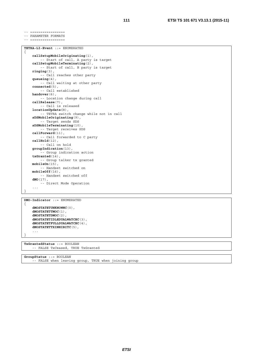-- ================= -- PARAMETER FORMATS -- =================

```
TETRA-LI-Event ::= ENUMERATED 
{
```

```
callSetupMobileOriginating(1), 
     -- Start of call, A party is target 
callSetupMobileTerminating(2), 
     -- Start of call, B party is target 
ringing(3), 
     -- Call reaches other party 
queueing(4), 
    -- Call waiting at other party 
connected(5), 
      -- Call established 
handover(6), 
     -- Location change during call 
callRelease(7), 
     -- Call is released 
locationUpdate(8), 
     -- TETRA switch change while not in call 
sDSMobileOriginating(9), 
     -- Target sends SDS 
sDSMobileTerminating(10), 
     -- Target receives SDS 
callForward(11), 
     -- Call forwarded to C party 
callHold(12), 
     -- Call on hold 
groupIndication(13), 
     -- Group indication action 
txGranted(14), 
     -- Group talker tx granted 
mobileOn(15), 
     -- Handset switched on 
mobileOff(16), 
     -- Handset switched off 
dMO(17), 
     -- Direct Mode Operation 
 ...
```

```
DMO-Indicator ::= ENUMERATED 
{ 
    dMOSTATETUNKNOWNC(0), 
    dMOSTATETTMOC(1), 
    dMOSTATETDMOC(2), 
    dMOSTATETIDLEDUALWATCHC(3), 
    dMOSTATETFULLDUALWATCHC(4), 
    dMOSTATETTXINHIBITC(5), 
     ... 
}
```
}

**TxGrantedStatus** ::= BOOLEAN -- FALSE TxCeased, TRUE TxGranted

**GroupStatus** ::= BOOLEAN -- FALSE when leaving group, TRUE when joining group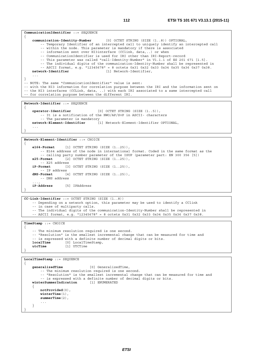```
CommunicationIdentifier ::= SEQUENCE
{ 
     communication-Identity-Number [0] OCTET STRING (SIZE (1..8)) OPTIONAL, 
        -- Temporary Identifier of an intercepted call to uniquely identify an intercepted call 
         -- within the node. This parameter is mandatory if there is associated 
         -- information sent over HI3interface (CClink, data,..) or when 
         -- CommunicationIdentifier is used for IRI other than IRI-Report-record 
         -- This parameter was called "call-Identity-Number" in V1.1.1 of ES 201 671 [i.5]. 
         -- The individual digits of the communication-Identity-Number shall be represented in 
         -- ASCII format, e.g. "12345678" = 8 octets 0x31 0x32 0x33 0x34 0x35 0x36 0x37 0x38. 
     network-Identifier [1] Network-Identifier, 
    ... 
} 
-- NOTE: The same "CommunicationIdentifier" value is sent: 
-- with the HI3 information for correlation purpose between the IRI and the information sent on 
-- the HI3 interfaces (CCLink, data, ..) with each IRI associated to a same intercepted call 
-- for correlation purpose between the different IRI. 
Network-Identifier ::= SEQUENCE 
{ 
     operator-Identifier [0] OCTET STRING (SIZE (1..5)),
```

```
 -- It is a notification of the NWO/AP/SvP in ASCII- characters 
     -- The parameter is mandatory 
 network-Element-Identifier [1] Network-Element-Identifier OPTIONAL, 
...
```

```
Network-Element-Identifier ::= CHOICE
```
}

{

{

```
 e164-Format [1] OCTET STRING (SIZE (1..25)), 
         -- E164 address of the node in international format. Coded in the same format as the 
        -- calling party number parameter of the ISUP (parameter part: EN 300 356 [5]) 
    x25-Format [2] OCTET STRING (SIZE (1..25)), 
   1P-Format 19
                   iP-Format [3] OCTET STRING (SIZE (1..25)), 
        -- IP address 
    dNS-Format [4] OCTET STRING (SIZE (1..25)), 
        -- DNS address 
    ..., 
    iP-Address [5] IPAddress 
}
```
**CC-Link-Identifier** ::= OCTET STRING (SIZE (1..8))

```
-- Depending on a network option, this parameter may be used to identify a CClink
```
-- in case of multiparty calls.

-- The individual digits of the communication-Identity-Number shall be represented in

-- ASCII format, e.g. "12345678" = 8 octets 0x31 0x32 0x33 0x34 0x35 0x36 0x37 0x38.

**TimeStamp** ::= CHOICE

```
-- The minimum resolution required is one second. 
    -- "Resolution" is the smallest incremental change that can be measured for time and 
    -- is expressed with a definite number of decimal digits or bits.<br>localTime [0] LocalTimeStamp.
                      localTime [0] LocalTimeStamp, 
     utcTime [1] UTCTime 
}
```

```
LocalTimeStamp ::= SEQUENCE 
{
```

```
 generalizedTime [0] GeneralizedTime, 
         -- The minimum resolution required is one second. 
         -- "Resolution" is the smallest incremental change that can be measured for time and 
        -- is expressed with a definite number of decimal digits or bits.<br>
erSummerIndication [1] ENUMERATED
    winterSummerIndication{ 
         notProvided(0), 
         winterTime(1), 
         summerTime(2), 
    } 
}
```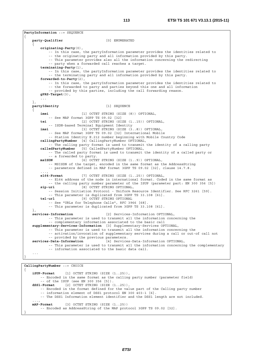**PartyInformation ::= SEQUENCE** {  **party-Qualifier** [0] ENUMERATED {  **originating-Party**(0), -- In this case, the partyInformation parameter provides the identities related to -- the originating party and all information provided by this party. -- This parameter provides also all the information concerning the redirecting -- party when a forwarded call reaches a target.  **terminating-Party**(1), -- In this case, the partyInformation parameter provides the identities related to -- the terminating party and all information provided by this party.  **forwarded-to-Party**(2), -- In this case, the partyInformation parameter provides the identities related to -- the forwarded to party and parties beyond this one and all information -- provided by this parties, including the call forwarding reason.  **gPRS-Target**(3), ... },  **partyIdentity** [1] SEQUENCE {  **imei** [1] OCTET STRING (SIZE (8)) OPTIONAL, -- See MAP format 3GPP TS 09.02 [32]  **tei** [2] OCTET STRING (SIZE (1..15)) OPTIONAL, -- ISDN-based Terminal Equipment Identity  **imsi** [3] OCTET STRING (SIZE (3..8)) OPTIONAL, -- See MAP format 3GPP TS 09.02 [32] International Mobile -- Station Identity E.212 number beginning with Mobile Country Code  **callingPartyNumber** [4] CallingPartyNumber OPTIONAL, - The calling party format is used to transmit the identity of a calling party  **calledPartyNumber** [5] CalledPartyNumber OPTIONAL, -- The called party format is used to transmit the identity of a called party or -- a forwarded to party.<br> **msISDN** [6] OCTE [6] OCTET STRING (SIZE (1..9)) OPTIONAL, -- MSISDN of the target, encoded in the same format as the AddressString -- parameters defined in MAP format 3GPP TS 09.02 [32], clause 14.7.8. ...,  **e164-Format** [7] OCTET STRING (SIZE (1..25)) OPTIONAL, -- E164 address of the node in international format. Coded in the same format as -- the calling party number parameter of the ISUP (parameter part: EN 300 356 [5])  **sip-uri** [8] OCTET STRING OPTIONAL, -- Session Initiation Protocol - Uniform Resource Identifier. See RFC 3261 [59]. -- This parameter is duplicated from 3GPP TS 33.108 [61].  **tel-url** [9] OCTET STRING OPTIONAL -- See "URLs for Telephone Calls", RFC 3966 [68]. -- This parameter is duplicated from 3GPP TS 33.108 [61]. },  **services-Information** [2] Services-Information OPTIONAL, -- This parameter is used to transmit all the information concerning the -- complementary information associated to the basic call  **supplementary-Services-Information** [3] Supplementary-Services OPTIONAL, -- This parameter is used to transmit all the information concerning the -- activation/invocation of supplementary services during a call or out-of call not -- provided by the previous parameters.  **services-Data-Information** [4] Services-Data-Information OPTIONAL, -- This parameter is used to transmit all the information concerning the complementary -- information associated to the basic data call. ... }

**CallingPartyNumber** ::= CHOICE {  **iSUP-Format** [1] OCTET STRING (SIZE (1..25)), -- Encoded in the same format as the calling party number (parameter field) -- of the ISUP (see EN 300 356 [5]).  **dSS1-Format** [2] OCTET STRING (SIZE (1..25)), -- Encoded in the format defined for the value part of the Calling party number -- information element of DSS1 protocol EN 300 403-1 [6]. -- The DSS1 Information element identifier and the DSS1 length are not included. ...,  **mAP-Format** [3] OCTET STRING (SIZE (1..25)) -- Encoded as AddressString of the MAP protocol 3GPP TS 09.02 [32]. }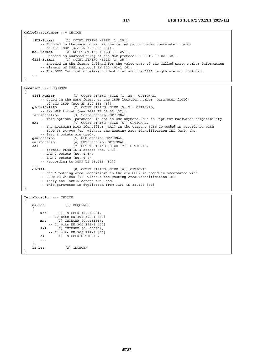```
CalledPartyNumber ::= CHOICE 
{ 
     iSUP-Format [1] OCTET STRING (SIZE (1..25)), 
         -- Encoded in the same format as the called party number (parameter field) 
         -- of the ISUP (see EN 300 356 [5]). 
    mAP-Format [2] OCTET STRING (SIZE (1..25)), 
         -- Encoded as AddressString of the MAP protocol 3GPP TS 09.02 [32]. 
     dSS1-Format [3] OCTET STRING (SIZE (1..25)), 
        -- Encoded in the format defined for the value part of the Called party number information 
         -- element of DSS1 protocol EN 300 403-1 [6]. 
         -- The DSS1 Information element identifier and the DSS1 length are not included. 
    ... 
}
```

```
Location ::= SEQUENCE 
{ 
     e164-Number [1] OCTET STRING (SIZE (1..25)) OPTIONAL, 
         -- Coded in the same format as the ISUP location number (parameter field) 
     -- of the ISUP (see EN 300 356 [5]). 
                         [2] OCTET STRING (SIZE (5..7)) OPTIONAL,
    -- See MAP format (see 3GPP TS 09.02 [32]).<br>tetraLocation [3] TetraLocation OPTIONAL,
                      tetraLocation [3] TetraLocation OPTIONAL, 
         -- This optional parameter is not in use anymore, but is kept for backwards compatibility. 
     rAI [4] OCTET STRING (SIZE (6)) OPTIONAL, 
         -- The Routeing Area Identifier (RAI) in the current SGSN is coded in accordance with 
         -- 3GPP TS 24.008 [41] without the Routing Area Identification IEI (only the 
    -- last 6 octets are used).<br>gsmLocation [5] GSMLoca
                          gsmLocation [5] GSMLocation OPTIONAL, 
     umtsLocation [6] UMTSLocation OPTIONAL, 
     sAI [7] OCTET STRING (SIZE (7)) OPTIONAL, 
         -- format: PLMN-ID 3 octets (no. 1-3), 
         -- LAC 2 octets (no. 4-5), 
         -- SAC 2 octets (no. 6-7) 
         -- (according to 3GPP TS 25.413 [82]) 
    ..., 
     oldRAI [8] OCTET STRING (SIZE (6)) OPTIONAL 
         -- the "Routeing Area Identifier" in the old SGSN is coded in accordance with 
         -- 3GPP TS 24.008 [41] without the Routing Area Identification IEI 
         -- (only the last 6 octets are used). 
         -- This parameter is duplicated from 3GPP TS 33.108 [61] 
}
```
**TetraLocation** ::= CHOICE {  **ms-Loc** [1] SEQUENCE {  **mcc** [1] INTEGER (0..1023), -- 10 bits EN 300 392-1 [40]  **mnc** [2] INTEGER (0..16383), -- 14 bits EN 300 392-1 [40]  **lai** [3] INTEGER (0..65535), -- 14 bits EN 300 392-1 [40]  **ci** [4] INTEGER OPTIONAL, ... },  **ls-Loc** [2] INTEGER }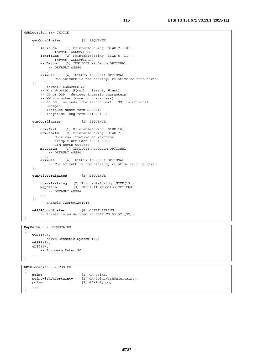```
GSMLocation ::= CHOICE 
{ 
    geoCoordinates [1] SEQUENCE 
    { 
        latitude [1] PrintableString (SIZE(7..10)), 
             -- format: XDDMMSS.SS 
         longitude [2] PrintableString (SIZE(8..11)), 
             -- format: XDDDMMSS.SS 
        mapDatum [3] IMPLICIT MapDatum OPTIONAL, 
            -- DEFAULT wGS84 
 ..., 
         azimuth [4] INTEGER (0..359) OPTIONAL 
            -- The azimuth is the bearing, relative to true north. 
    }, 
         -- format: XDDDMMSS.SS 
         -- X : N(orth), S(outh), E(ast), W(est) 
         -- DD or DDD : degrees (numeric characters) 
         -- MM : minutes (numeric characters) 
         -- SS.SS : seconds, the second part (.SS) is optional 
         -- Example: 
         -- latitude short form N502312 
         -- longitude long form E1122312.18 
   utmCoordinates [2] SEQUENCE
   { 
        utm-East [1] PrintableString (SIZE(10)), 
       utm-North [2] PrintableString (SIZE(7)),
            -- Universal Transverse Mercator 
            -- example utm-East 32U0439955 
            -- utm-North 5540736 
        mapDatum [3] IMPLICIT MapDatum OPTIONAL, 
            -- DEFAULT wGS84 
 ..., 
         azimuth [4] INTEGER (0..359) OPTIONAL 
            -- The azimuth is the bearing, relative to true north. 
   }, 
    utmRefCoordinates [3] SEQUENCE 
   \left\{ \right. utmref-string [2] PrintableString (SIZE(13)), 
        mapDatum [3] IMPLICIT MapDatum OPTIONAL, 
          -- DEFAULT wGS84
 ... 
    }, 
         -- example 32UPU91294045 
    wGS84Coordinates [4] OCTET STRING 
        -- format is as defined in 3GPP TS 03.32 [57]. 
}
```

```
MapDatum ::= ENUMERATED 
{ 
     wGS84(0), 
         -- World Geodetic System 1984 
     wGS72(1), 
     eD50(2), 
       -- European Datum 50 
    ... 
}
```

```
UMTSLocation ::= CHOICE 
{
```
}

```
 point [1] GA-Point, 
pointWithUnCertainty [2] GA-PointWithUnCertainty,<br>
polygon [3] GA-Polygon,
                             polygon [3] GA-Polygon, 
...
```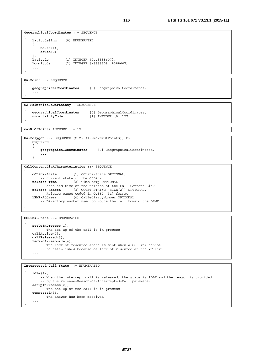```
GeographicalCoordinates ::= SEQUENCE 
{ 
    latitudeSign [0] ENUMERATED 
   { 
        north(1), 
        south(2)
   },<br>latitude
 latitude [1] INTEGER (0..8388607), 
 longitude [2] INTEGER (-8388608..8388607), 
    ... 
}
```
**GA**-**Point** ::= SEQUENCE

```
{ 
    geographicalCoordinates [0] GeographicalCoordinates, 
   ... 
}
```
**GA-PointWithUnCertainty** ::=SEQUENCE {

```
geographicalCoordinates [0] GeographicalCoordinates,<br>
uncertaintyCode [1] INTEGER (0..127)
                                       [1] INTEGER (0..127)
```
**maxNrOfPoints** INTEGER ::= 15

}

```
GA-Polygon ::= SEQUENCE (SIZE (1..maxNrOfPoints)) OF 
   SEQUENCE 
    { 
        geographicalCoordinates [0] GeographicalCoordinates, 
 ... 
    }
```

```
CallContentLinkCharacteristics ::= SEQUENCE
```

```
{ 
    cCLink-State [1] CCLink-State OPTIONAL, 
   -- current state of the CCLink<br>release-Time [2] TimeStamp
                        [2] TimeStamp OPTIONAL,
         -- date and time of the release of the Call Content Link 
     release-Reason [3] OCTET STRING (SIZE(2)) OPTIONAL, 
     -- Release cause coded in Q.850 [31] format 
                      lEMF-Address [4] CalledPartyNumber OPTIONAL, 
         -- Directory number used to route the call toward the LEMF 
    ... 
}
```
**CCLink-State** ::= ENUMERATED {  **setUpInProcess**(1), -- The set-up of the call is in process.  **callActive**(2),  **callReleased**(3),  **lack-of-resource**(4), -- The lack-of-resource state is sent when a CC Link cannot -- be established because of lack of resource at the MF level ... }

```
Intercepted-Call-State ::= ENUMERATED 
{ 
     idle(1), 
         -- When the intercept call is released, the state is IDLE and the reason is provided 
         -- by the release-Reason-Of-Intercepted-Call parameter 
     setUpInProcess(2), 
         -- The set-up of the call is in process 
     connected(3), 
          -- The answer has been received 
    ... 
}
```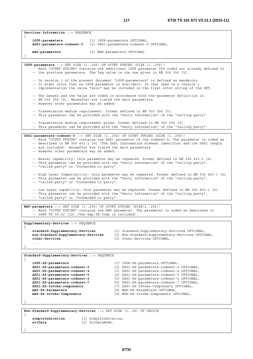**Services-Information** ::= SEQUENCE

 **iSUP-parameters** [1] ISUP-parameters OPTIONAL,

{

| dSS1-parameters-codeset-0                                                                               | [2] DSS1-parameters-codeset-0 OPTIONAL,                                                                                                                                                                                                                                        |  |  |  |  |  |  |  |  |
|---------------------------------------------------------------------------------------------------------|--------------------------------------------------------------------------------------------------------------------------------------------------------------------------------------------------------------------------------------------------------------------------------|--|--|--|--|--|--|--|--|
| $\cdot$ $\cdot$ $\cdot$<br>mAP-parameters<br>[3] MAP-parameters OPTIONAL                                |                                                                                                                                                                                                                                                                                |  |  |  |  |  |  |  |  |
|                                                                                                         |                                                                                                                                                                                                                                                                                |  |  |  |  |  |  |  |  |
|                                                                                                         | ISUP-parameters ::= SET SIZE $(1256)$ OF OCTET STRING $(SIZE (1256))$<br>-- Each "OCTET STRING" contains one additional ISUP parameter TLV coded not already defined in<br>-- the previous parameters. The Taq value is the one qiven in EN 300 356 [5].                       |  |  |  |  |  |  |  |  |
|                                                                                                         | -- In version 1 of the present document "iSUP-parameters" is defined as mandatory.<br>-- It might occur that no ISUP parameter is available. In that case in a version 1<br>-- implementation the value "zero" may be included in the first octet string of the SET.           |  |  |  |  |  |  |  |  |
| -- However other parameters may be added:                                                               | -- The Length and the Value are coded in accordance with the parameter definition in<br>-- EN 300 356 [5]. Hereafter are listed the main parameters.                                                                                                                           |  |  |  |  |  |  |  |  |
|                                                                                                         | -- Transmission medium requirement: format defined in EN 300 356 [5].<br>-- This parameter can be provided with the "Party Information" of the "calling party".                                                                                                                |  |  |  |  |  |  |  |  |
|                                                                                                         | -- Transmission medium requirement prime: format defined in EN 300 356 [5].<br>-- This parameter can be provided with the "Party Information" of the "calling party".                                                                                                          |  |  |  |  |  |  |  |  |
|                                                                                                         |                                                                                                                                                                                                                                                                                |  |  |  |  |  |  |  |  |
| -- are included). Hereafter are listed the main parameters<br>-- However other parameters may be added: | DSS1-parameters-codeset-0 ::= SET SIZE (1256) OF OCTET STRING (SIZE (1256))<br>-- Each "OCTET STRING" contains one DSS1 parameter of the codeset-0. The parameter is coded as<br>-- described in EN 300 403-1 [6] (The DSS1 Information element identifier and the DSS1 length |  |  |  |  |  |  |  |  |
| -- "called party" or "forwarded to party".                                                              | -- Bearer capability: this parameter may be repeated. Format defined in EN 300 403-1 [6].<br>-- This parameter can be provided with the "Party Information" of the "calling party",                                                                                            |  |  |  |  |  |  |  |  |
| -- "called party" or "forwarded to party".                                                              | -- High Layer Compatibility: this parameter may be repeated. Format defined in EN 300 403-1 [6]<br>-- This parameter can be provided with the "Party Information" of the "calling party",                                                                                      |  |  |  |  |  |  |  |  |
| -- "called party" or "forwarded to party".                                                              | -- Low Layer capability: this parameter may be repeated. Format defined in EN 300 403-1 [6].<br>-- This parameter can be provided with the "Party Information" of the "calling party",                                                                                         |  |  |  |  |  |  |  |  |
|                                                                                                         |                                                                                                                                                                                                                                                                                |  |  |  |  |  |  |  |  |
| -- 3GPP TS 09.02 [32] (The map-TS-Code is included).                                                    | MAP-parameters ::= SET SIZE (1256) OF OCTET STRING (SIZE(1256))<br>-- Each "OCTET STRING" contains one MAP parameter. The parameter is coded as described in                                                                                                                   |  |  |  |  |  |  |  |  |
| Supplementary-Services ::= SEQUENCE                                                                     |                                                                                                                                                                                                                                                                                |  |  |  |  |  |  |  |  |
| standard-Supplementary-Services<br>non-Standard-Supplementary-Services<br>other-Services<br>.           | [1] Standard-Supplementary-Services OPTIONAL,<br>[2] Non-Standard-Supplementary-Services OPTIONAL,<br>[3] Other-Services OPTIONAL,                                                                                                                                             |  |  |  |  |  |  |  |  |
|                                                                                                         |                                                                                                                                                                                                                                                                                |  |  |  |  |  |  |  |  |
|                                                                                                         |                                                                                                                                                                                                                                                                                |  |  |  |  |  |  |  |  |
| Standard-Supplementary-Services ::= SEQUENCE                                                            |                                                                                                                                                                                                                                                                                |  |  |  |  |  |  |  |  |
| $\mathcal{L}_{\mathcal{L}}$<br>iSUP-SS-parameters                                                       | [1] ISUP-SS-parameters OPTIONAL,                                                                                                                                                                                                                                               |  |  |  |  |  |  |  |  |
| dSS1-SS-parameters-codeset-0                                                                            | [2] DSS1-SS-parameters-codeset-0 OPTIONAL,                                                                                                                                                                                                                                     |  |  |  |  |  |  |  |  |
| dSS1-SS-parameters-codeset-4<br>[3] DSS1-SS-parameters-codeset-4 OPTIONAL,                              |                                                                                                                                                                                                                                                                                |  |  |  |  |  |  |  |  |
| dSS1-SS-parameters-codeset-5<br>[4] DSS1-SS-parameters-codeset-5 OPTIONAL,                              |                                                                                                                                                                                                                                                                                |  |  |  |  |  |  |  |  |
| dSS1-SS-parameters-codeset-6<br>[5] DSS1-SS-parameters-codeset-6 OPTIONAL,                              |                                                                                                                                                                                                                                                                                |  |  |  |  |  |  |  |  |
| dSS1-SS-parameters-codeset-7<br>[6] DSS1-SS-parameters-codeset-7 OPTIONAL,                              |                                                                                                                                                                                                                                                                                |  |  |  |  |  |  |  |  |
| mAP-SS-Parameters                                                                                       | dSS1-SS-Invoke-components<br>[7] DSS1-SS-Invoke-Components OPTIONAL,<br>[8] MAP-SS-Parameters OPTIONAL,                                                                                                                                                                        |  |  |  |  |  |  |  |  |
| mAP-SS-Invoke-Components                                                                                | [9] MAP-SS-Invoke-Components OPTIONAL,                                                                                                                                                                                                                                         |  |  |  |  |  |  |  |  |
| $\ddots$                                                                                                |                                                                                                                                                                                                                                                                                |  |  |  |  |  |  |  |  |
|                                                                                                         |                                                                                                                                                                                                                                                                                |  |  |  |  |  |  |  |  |
|                                                                                                         |                                                                                                                                                                                                                                                                                |  |  |  |  |  |  |  |  |
| Non-Standard-Supplementary-Services ::= SET SIZE (120) OF CHOICE                                        |                                                                                                                                                                                                                                                                                |  |  |  |  |  |  |  |  |
| simpleIndication                                                                                        | [1] SimpleIndication,                                                                                                                                                                                                                                                          |  |  |  |  |  |  |  |  |
|                                                                                                         |                                                                                                                                                                                                                                                                                |  |  |  |  |  |  |  |  |

**sciData** [2] SciDataMode, ...

}

*ETSI*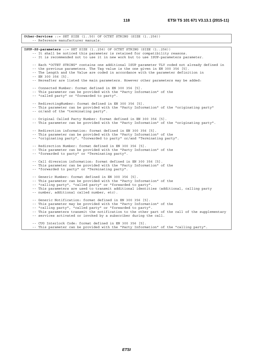**Other-Services** ::= SET SIZE (1..50) OF OCTET STRING (SIZE (1..256)) -- Reference manufacturer manuals. **ISUP-SS-parameters** ::= SET SIZE (1..256) OF OCTET STRING (SIZE (1..256)) -- It shall be noticed this parameter is retained for compatibility reasons. -- It is recommended not to use it in new work but to use ISUP-parameters parameter. -- Each "OCTET STRING" contains one additional ISUP parameter TLV coded not already defined in -- the previous parameters. The Tag value is the one given in EN 300 356 [5]. -- The Length and the Value are coded in accordance with the parameter definition in -- EN 300 356 [5]. -- Hereafter are listed the main parameters. However other parameters may be added: -- Connected Number: format defined in EN 300 356 [5]. -- This parameter can be provided with the "Party Information" of the -- "called party" or "forwarded to party". -- RedirectingNumber: format defined in EN 300 356 [5]. -- This parameter can be provided with the "Party Information" of the "originating party" -- or/and of the "terminating party". -- Original Called Party Number: format defined in EN 300 356 [5]. -- This parameter can be provided with the "Party Information" of the "originating party". -- Redirection information: format defined in EN 300 356 [5]. -- This parameter can be provided with the "Party Information" of the -- "originating party", "forwarded to party" or/and "Terminating party". -- Redirection Number: format defined in EN 300 356 [5]. -- This parameter can be provided with the "Party Information" of the -- "forwarded to party" or "Terminating party". -- Call diversion information: format defined in EN 300 356 [5]. -- This parameter can be provided with the "Party Information" of the -- "forwarded to party" or "Terminating party". -- Generic Number: format defined in EN 300 356 [5]. -- This parameter can be provided with the "Party Information" of the -- "calling party", "called party" or "forwarded to party". -- This parameters are used to transmit additional identities (additional, calling party -- number, additional called number, etc). -- Generic Notification: format defined in EN 300 356 [5]. -- This parameter may be provided with the "Party Information" of the -- "calling party", "called party" or "forwarded to party". -- This parameters transmit the notification to the other part of the call of the supplementary -- services activated or invoked by a subscriber during the call. -- CUG Interlock Code: format defined in EN 300 356 [5]. -- This parameter can be provided with the "Party Information" of the "calling party".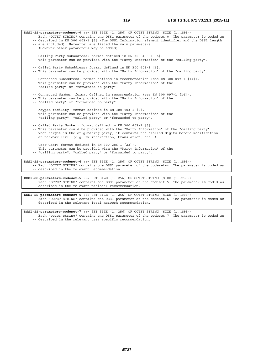**DSS1-SS-parameters-codeset-0** ::= SET SIZE (1..256) OF OCTET STRING (SIZE (1..256)) -- Each "OCTET STRING" contains one DSS1 parameter of the codeset-0. The parameter is coded as -- described in EN 300 403-1 [6] (The DSS1 Information element identifier and the DSS1 length -- are included). Hereafter are listed the main parameters -- (However other parameters may be added): -- Calling Party Subaddress: format defined in EN 300 403-1 [6]. -- This parameter can be provided with the "Party Information" of the "calling party". -- Called Party Subaddress: format defined in EN 300 403-1 [6]. -- This parameter can be provided with the "Party Information" of the "calling party". -- Connected Subaddress: format defined in recommendation (see EN 300 097-1 [14]). -- This parameter can be provided with the "Party Information" of the -- "called party" or "forwarded to party". -- Connected Number: format defined in recommendation (see EN 300 097-1 [14]). -- This parameter can be provided with the "Party Information" of the -- "called party" or "forwarded to party". -- Keypad facility: format defined in EN 300 403-1 [6]. -- This parameter can be provided with the "Party Information" of the -- "calling party", "called party" or "forwarded to party". -- Called Party Number: format defined in EN 300 403-1 [6]. -- This parameter could be provided with the "Party Information" of the "calling party" -- when target is the originating party; it contains the dialled digits before modification -- at network level (e.g. IN interaction, translation, etc …). -- User-user: format defined in EN 300 286-1 [23]). -- This parameter can be provided with the "Party Information" of the -- "calling party", "called party" or "forwarded to party". **DSS1-SS-parameters-codeset-4** ::= SET SIZE (1..256) OF OCTET STRING (SIZE (1..256)) -- Each "OCTET STRING" contains one DSS1 parameter of the codeset-4. The parameter is coded as

-- described in the relevant recommendation.

**DSS1-SS-parameters-codeset-5** ::= SET SIZE (1..256) OF OCTET STRING (SIZE (1..256)) -- Each "OCTET STRING" contains one DSS1 parameter of the codeset-5. The parameter is coded as -- described in the relevant national recommendation.

**DSS1-SS-parameters-codeset-6** ::= SET SIZE (1..256) OF OCTET STRING (SIZE (1..256)) -- Each "OCTET STRING" contains one DSS1 parameter of the codeset-6. The parameter is coded as -- described in the relevant local network recommendation.

**DSS1-SS-parameters-codeset-7** ::= SET SIZE (1..256) OF OCTET STRING (SIZE (1..256)) -- Each "octet string" contains one DSS1 parameter of the codeset-7. The parameter is coded as -- described in the relevant user specific recommendation.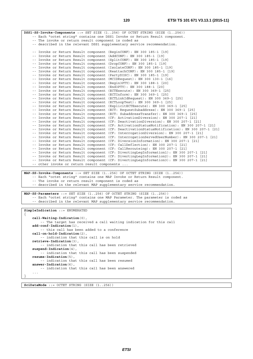**DSS1-SS-Invoke-Components** ::= SET SIZE (1..256) OF OCTET STRING (SIZE (1..256)) -- Each "octet string" contains one DSS1 Invoke or Return Result component. -- The invoke or return result component is coded as -- described in the relevant DSS1 supplementary service recommendation. -- Invoke or Return Result component (BeginCONF): EN 300 185-1 [19] -- Invoke or Return Result component (AddCONF): EN 300 185-1 [19] -- Invoke or Return Result component (SplitCONF): EN 300 185-1 [19] -- Invoke or Return Result component (DropCONF): EN 300 185-1 [19] -- Invoke or Return Result component (IsolateCONF): EN 300 185-1 [19] -- Invoke or Return Result component (ReattachCONF): EN 300 185-1 [19] -- Invoke or Return Result component (PartyDISC): EN 300 185-1 [19] -- Invoke or Return Result component (MCIDRequest): EN 300 130-1 [16] -- Invoke or Return Result component (Begin3PTY): EN 300 188-1 [20] -- Invoke or Return Result component (End3PTY): EN 300 188-1 [20] -- Invoke or Return Result component (ECTExecute): EN 300 369-1 [25] -- Invoke or Return Result component (ECTInform): EN 300 369-1 [25] -- Invoke or Return Result component (ECTLinkIdRequest): EN 300 369-1 [25] -- Invoke or Return Result component (ECTLoopTest): EN 300 369-1 [25] -- Invoke or Return Result component (ExplicitECTExecute): EN 300 369-1 [25] -- Invoke or Return Result component (ECT: RequestSubaddress): EN 300 369-1 [25] -- Invoke or Return Result component (ECT: SubaddressTransfer): EN 300 369-1 [25] -- Invoke or Return Result component (CF: ActivationDiversion): EN 300 207-1 [21] -- Invoke or Return Result component (CF: DeactivationDiversion): EN 300 207-1 [21] -- Invoke or Return Result component (CF: ActivationStatusNotification): EN 300 207-1 [21] -- Invoke or Return Result component (CF: DeactivationStatusNotification): EN 300 207-1 [21] -- Invoke or Return Result component (CF: InterrogationDiversion): EN 300 207-1 [21] -- Invoke or Return Result component (CF: InterrogationServedUserNumber): EN 300 207-1 [21] -- Invoke or Return Result component (CF: DiversionInformation): EN 300 207-1 [21] -- Invoke or Return Result component (CF: CallDeflection): EN 300 207-1 [21] -- Invoke or Return Result component (CF: CallRerouteing): EN 300 207-1 [21] -- Invoke or Return Result component (CF: DivertingLegInformation1): EN 300 207-1 [21] -- Invoke or Return Result component (CF: DivertingLegInformation2): EN 300 207-1 [21] -- Invoke or Return Result component (CF: DivertingLegInformation3): EN 300 207-1 [21] -- other invoke or return result components ... **MAP-SS-Invoke-Components** ::= SET SIZE (1..256) OF OCTET STRING (SIZE (1..256)) -- Each "octet string" contains one MAP Invoke or Return Result component. -- The invoke or return result component is coded as -- described in the relevant MAP supplementary service recommendation. **MAP-SS-Parameters** ::= SET SIZE (1..256) OF OCTET STRING (SIZE (1..256)) -- Each "octet string" contains one MAP Parameter. The parameter is coded as -- described in the relevant MAP supplementary service recommendation. **SimpleIndication** ::= ENUMERATED {  **call-Waiting-Indication**(0), -- The target has received a call waiting indication for this call  **add-conf-Indication**(1), -- this call has been added to a conference  **call-on-hold-Indication**(2), -- indication that this call is on hold  **retrieve-Indication**(3), -- indication that this call has been retrieved  **suspend-Indication**(4), -- indication that this call has been suspended  **resume-Indication**(5), -- indication that this call has been resumed  **answer-Indication**(6), -- indication that this call has been answered ... }

**SciDataMode** ::= OCTET STRING (SIZE (1..256))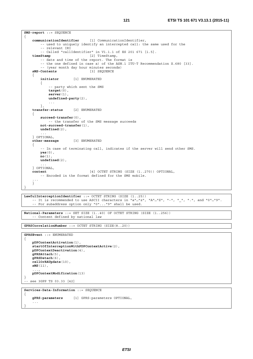```
SMS-report ::= SEQUENCE 
{ 
     communicationIdentifier [1] CommunicationIdentifier, 
        -- used to uniquely identify an intercepted call: the same used for the 
         -- relevant IRI 
         -- Called "callIdentifier" in V1.1.1 of ES 201 671 [i.5]. 
     timeStamp [2] TimeStamp, 
         -- date and time of the report. The format is 
         -- the one defined in case a) of the ASN.1 ITU-T Recommendation X.680 [33]. 
         -- (year month day hour minutes seconds) 
     sMS-Contents [3] SEQUENCE 
    { 
         initiator [1] ENUMERATED 
         { 
             -- party which sent the SMS 
             target(0), 
             server(1), 
             undefined-party(2), 
             ... 
         }, 
     transfer-status [2] ENUMERATED 
    { 
         succeed-transfer(0), 
             -- the transfer of the SMS message succeeds 
        not-succeed-transfer(1), 
        undefined(2), 
 ... 
     } OPTIONAL, 
     other-message [3] ENUMERATED 
    { 
          -- In case of terminating call, indicates if the server will send other SMS. 
        yes(0), 
       \overline{\textbf{n}}o(1),
        undefined(2), 
         ... 
    } OPTIONAL, 
     content [4] OCTET STRING (SIZE (1..270)) OPTIONAL, 
         -- Encoded in the format defined for the SMS mobile. 
    ... 
    } 
}
```

```
LawfulInterceptionIdentifier ::= OCTET STRING (SIZE (1..25)) 
    -- It is recommended to use ASCII characters in "a"…"z", "A"…"Z", "-", "_", ".", and "0"…"9". 
    -- For subaddress option only "0"..."9" shall be used.
```

```
National-Parameters ::= SET SIZE (1..40) OF OCTET STRING (SIZE (1..256)) 
    -- Content defined by national law
```
**GPRSCorrelationNumber** ::= OCTET STRING (SIZE(8..20))

```
GPRSEvent ::= ENUMERATED 
{ 
     pDPContextActivation(1), 
     startOfInterceptionWithPDPContextActive(2), 
    pDPContextDeactivation(4), 
     gPRSAttach(5), 
     gPRSDetach(6), 
     cellOrRAUpdate(10), 
     sMS(11), 
    ..., 
     pDPContextModification(13) 
} 
.<br>-- see 3GPP TS 03.33 [42]
```

```
Services-Data-Information ::= SEQUENCE
```
{

```
 gPRS-parameters [1] GPRS-parameters OPTIONAL, 
   ... 
}
```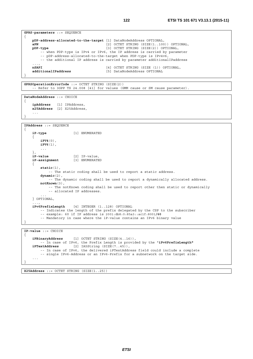```
 ..., 
  nSAPI [4] OCTET STRING (SIZE (1)) OPTIONAL, 
  additionalIPaddress [5] DataNodeAddress OPTIONAL
```
**GPRSOperationErrorCode** ::= OCTET STRING (SIZE(2)) -- Refer to 3GPP TS 24.008 [41] for values (GMM cause or SM cause parameter).

**DataNodeAddress** ::= CHOICE {  **ipAddress** [1] IPAddress,  **x25Address** [2] X25Address, ... }

```
IPAddress ::= SEQUENCE
```
{

}

```
{ 
     iP-type [1] ENUMERATED 
    { 
         iPV4(0), 
         iPV6(1), 
         ... 
    }, 
    iP-value [2] IP-value,<br>iP-assignment [3] ENUMERATE
                          iP-assignment [3] ENUMERATED 
    { 
         static(1), 
             -- The static coding shall be used to report a static address. 
         dynamic(2), 
             -- The dynamic coding shall be used to report a dynamically allocated address. 
         notKnown(3), 
             -- The notKnown coding shall be used to report other then static or dynamically 
             -- allocated IP addresses. 
 ... 
    } OPTIONAL, 
    ..., 
     iPv6PrefixLength [4] INTEGER (1..128) OPTIONAL 
         -- Indicates the length of the prefix delegated by the CSP to the subscriber 
         -- example: 60 if IP address is 2001:db8:0:85a3::ac1f:8001/60
         -- Mandatory in case where the iP-value contains an IPv6 binary value 
} 
IP-value ::= CHOICE
```

```
{ 
    iPBinaryAddress [1] OCTET STRING (SIZE(4..16)), 
    -- In case of IPv6, the Prefix Length is provided by the "iPv6PrefixLength"
                        [2] IA5String (SIZE(7..45)),
        -- In case of IPv6, the delivered iPTextAddress field could include a complete 
        -- single IPv6-Address or an IPv6-Prefix for a subnetwork on the target side. 
    ... 
}
```
**X25Address** ::= OCTET STRING (SIZE(1..25))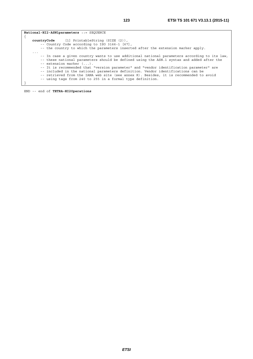**National-HI2-ASN1parameters** ::= SEQUENCE {  **countryCode** [1] PrintableString (SIZE (2)), -- Country Code according to ISO 3166-1 [67], -- the country to which the parameters inserted after the extension marker apply. ... -- In case a given country wants to use additional national parameters according to its law, -- these national parameters should be defined using the ASN.1 syntax and added after the -- extension marker (...). -- It is recommended that "version parameter" and "vendor identification parameter" are -- included in the national parameters definition. Vendor identifications can be -- retrieved from the IANA web site (see annex K). Besides, it is recommended to avoid -- using tags from 240 to 255 in a formal type definition. }

END -- end of **TETRA-HI2Operations**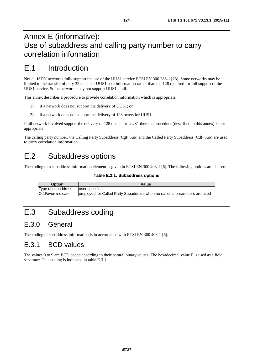# Annex E (informative): Use of subaddress and calling party number to carry correlation information

# E.1 Introduction

Not all ISDN networks fully support the use of the UUS1 service ETSI EN 300 286-1 [\[23](#page-10-0)]. Some networks may be limited to the transfer of only 32 octets of UUS1 user information rather than the 128 required for full support of the UUS1 service. Some networks may not support UUS1 at all.

This annex describes a procedure to provide correlation information which is appropriate:

- 1) if a network does not support the delivery of UUS1; or
- 2) if a network does not support the delivery of 128 octets for UUS1.

If all network involved support the delivery of 128 octets for UUS1 then the procedure (described in this annex) is not appropriate.

The calling party number, the Calling Party Subaddress (CgP Sub) and the Called Party Subaddress (CdP Sub) are used to carry correlation information.

# E.2 Subaddress options

The coding of a subaddress information element is given in ETSI EN 300 403-1 [\[6](#page-9-0)]. The following options are chosen:

#### **Table E.2.1: Subaddress options**

| <b>Option</b>             | Value                                                                      |
|---------------------------|----------------------------------------------------------------------------|
| Type of subaddress        | luser specified                                                            |
| <b>Odd/even indicator</b> | lemployed for Called Party Subaddress when no national parameters are used |

# E.3 Subaddress coding

## E.3.0 General

The coding of subaddress information is in accordance with ETSI EN 300 403-1 [\[6](#page-9-0)].

## E.3.1 BCD values

The values 0 to 9 are BCD coded according to their natural binary values. The hexadecimal value F is used as a field separator. This coding is indicated in table E.3.1.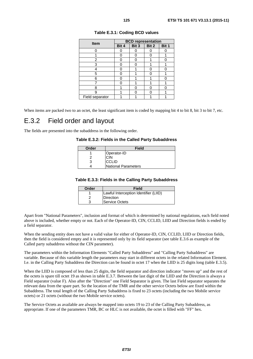| <b>Item</b>     | <b>BCD</b> representation |       |       |       |  |  |  |  |  |
|-----------------|---------------------------|-------|-------|-------|--|--|--|--|--|
|                 | Bit 4                     | Bit 3 | Bit 2 | Bit 1 |  |  |  |  |  |
|                 |                           |       |       |       |  |  |  |  |  |
|                 |                           |       |       |       |  |  |  |  |  |
| 2               |                           |       |       | Π     |  |  |  |  |  |
| 3               |                           |       |       |       |  |  |  |  |  |
|                 |                           | 4     |       |       |  |  |  |  |  |
| 5               |                           |       |       |       |  |  |  |  |  |
| 6               |                           |       |       |       |  |  |  |  |  |
|                 |                           |       |       |       |  |  |  |  |  |
| 8               |                           |       |       |       |  |  |  |  |  |
| 9               |                           |       |       |       |  |  |  |  |  |
| Field separator |                           |       |       |       |  |  |  |  |  |

|  |  | Table E.3.1: Coding BCD values |  |  |
|--|--|--------------------------------|--|--|
|--|--|--------------------------------|--|--|

When items are packed two to an octet, the least significant item is coded by mapping bit 4 to bit 8, bit 3 to bit 7, etc.

## E.3.2 Field order and layout

The fields are presented into the subaddress in the following order.

#### **Table E.3.2: Fields in the Called Party Subaddress**

| Order | <b>Field</b>        |
|-------|---------------------|
|       | Operator-ID         |
|       | CIN                 |
|       | <b>CCLID</b>        |
|       | National Parameters |

#### **Table E.3.3: Fields in the Calling Party Subaddress**

| Order | Field                                 |
|-------|---------------------------------------|
|       | Lawful Interception Identifier (LIID) |
|       | Direction                             |
|       | Service Octets                        |

Apart from "National Parameters", inclusion and format of which is determined by national regulations, each field noted above is included, whether empty or not. Each of the Operator-ID, CIN, CCLID, LIID and Direction fields is ended by a field separator.

When the sending entity does not have a valid value for either of Operator-ID, CIN, CCLID, LIID or Direction fields, then the field is considered empty and it is represented only by its field separator (see table E.3.6 as example of the Called party subaddress without the CIN parameter).

The parameters within the Information Elements "Called Party Subaddress" and "Calling Party Subaddress" are variable. Because of this variable length the parameters may start in different octets in the related Information Element. I.e. in the Calling Party Subaddress the Direction can be found in octet 17 when the LIID is 25 digits long (table E.3.5).

When the LIID is composed of less than 25 digits, the field separator and direction indicator "moves up" and the rest of the octets is spare till octet 19 as shown in table E.3.7. Between the last digit of the LIID and the Direction is always a Field separator (value F). Also after the "Direction" one Field Separator is given. The last Field separator separates the relevant data from the spare part. So the location of the TMR and the other service Octets below are fixed within the Subaddress. The total length of the Calling Party Subaddress is fixed to 23 octets (including the two Mobile service octets) or 21 octets (without the two Mobile service octets).

The Service Octets as available are always be mapped into octets 19 to 23 of the Calling Party Subaddress, as appropriate. If one of the parameters TMR, BC or HLC is not available, the octet is filled with "FF" hex.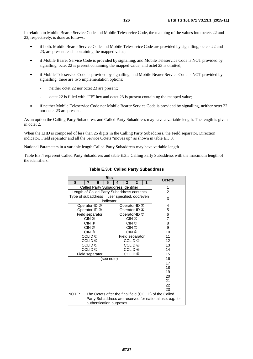In relation to Mobile Bearer Service Code and Mobile Teleservice Code, the mapping of the values into octets 22 and 23, respectively, is done as follows:

- if both, Mobile Bearer Service Code and Mobile Teleservice Code are provided by signalling, octets 22 and 23, are present, each containing the mapped value;
- if Mobile Bearer Service Code is provided by signalling, and Mobile Teleservice Code is NOT provided by signalling, octet 22 is present containing the mapped value, and octet 23 is omitted;
- if Mobile Teleservice Code is provided by signalling, and Mobile Bearer Service Code is NOT provided by signalling, there are two implementation options:
	- neither octet 22 nor octet 23 are present;
	- octet 22 is filled with "FF" hex and octet 23 is present containing the mapped value;
- if neither Mobile Teleservice Code nor Mobile Bearer Service Code is provided by signalling, neither octet 22 nor octet 23 are present.

As an option the Calling Party Subaddress and Called Party Subaddress may have a variable length. The length is given in octet 2.

When the LIID is composed of less than 25 digits in the Calling Party Subaddress, the Field separator, Direction indicator, Field separator and all the Service Octets "moves up" as shown in table E.3.8.

National Parameters in a variable length Called Party Subaddress may have variable length.

Table E.3.4 represent Called Party Subaddress and table E.3.5 Calling Party Subaddress with the maximum length of the identifiers.

| <b>Bits</b>                                   |                                    |   |                          |   |                    |                            |   |  |                                                          |
|-----------------------------------------------|------------------------------------|---|--------------------------|---|--------------------|----------------------------|---|--|----------------------------------------------------------|
| 8                                             | 7                                  | 6 | 5                        | 4 | 3                  | $\overline{2}$             | 1 |  | <b>Octets</b>                                            |
|                                               | Called Party Subaddress identifier |   | 1                        |   |                    |                            |   |  |                                                          |
| Length of Called Party Subaddress contents    |                                    |   |                          |   |                    |                            |   |  | 2                                                        |
| Type of subaddress = user specified, odd/even |                                    |   |                          |   |                    |                            |   |  | 3                                                        |
|                                               |                                    |   | indicator                |   |                    |                            |   |  |                                                          |
|                                               | Operator-ID 2                      |   |                          |   |                    | Operator-ID <sup>1</sup>   |   |  | 4                                                        |
|                                               | Operator-ID 4                      |   |                          |   |                    | Operator-ID 3              |   |  | 5                                                        |
|                                               | Field separator                    |   |                          |   |                    | Operator-ID <sup>(6)</sup> |   |  | 6                                                        |
|                                               | $CIN$ $@$                          |   |                          |   | $CIN$ $\odot$      |                            |   |  | $\overline{7}$                                           |
|                                               | $CIN$ $@$                          |   |                          |   | $CIN$ $\odot$      |                            |   |  | 8                                                        |
|                                               | $CIN$ $@$                          |   |                          |   | CIN ⑤              |                            |   |  | 9                                                        |
|                                               | $CIN$ $@$                          |   |                          |   | $CIN$ $\odot$      |                            |   |  | 10                                                       |
|                                               | CCLID <sup>1</sup>                 |   |                          |   |                    | Field separator            |   |  | 11                                                       |
|                                               | CCLID <sup>3</sup>                 |   |                          |   | CCLID <sup>®</sup> |                            |   |  | 12                                                       |
|                                               | CCLID <sup>®</sup>                 |   |                          |   | CCLID <sup>®</sup> |                            |   |  | 13                                                       |
|                                               | CCLID ⑦                            |   |                          |   | CCLID <sup>6</sup> |                            |   |  | 14                                                       |
|                                               | Field separator                    |   |                          |   | CCLID ®            |                            |   |  | 15                                                       |
|                                               |                                    |   | (see note)               |   |                    |                            |   |  | 16                                                       |
|                                               |                                    |   |                          |   |                    |                            |   |  | 17                                                       |
|                                               |                                    |   |                          |   |                    |                            |   |  | 18                                                       |
|                                               |                                    |   |                          |   |                    |                            |   |  | 19                                                       |
|                                               |                                    |   |                          |   |                    |                            |   |  | 20                                                       |
|                                               |                                    |   |                          |   |                    |                            |   |  | 21                                                       |
|                                               |                                    |   |                          |   |                    |                            |   |  | 22                                                       |
|                                               |                                    |   |                          |   |                    |                            |   |  | 23                                                       |
| NOTE:                                         |                                    |   |                          |   |                    |                            |   |  | The Octets after the final field (CCLID) of the Called   |
|                                               |                                    |   |                          |   |                    |                            |   |  | Party Subaddress are reserved for national use, e.g. for |
|                                               |                                    |   | authentication purposes. |   |                    |                            |   |  |                                                          |

#### **Table E.3.4: Called Party Subaddress**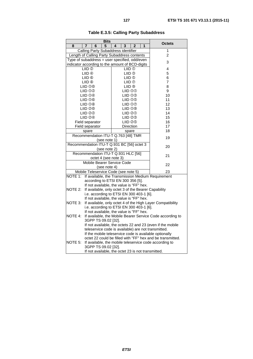|                                                                                  | <b>Bits</b>                                                                                     |                |  |  |  |  |  |  |
|----------------------------------------------------------------------------------|-------------------------------------------------------------------------------------------------|----------------|--|--|--|--|--|--|
| 8<br>7<br>6                                                                      | 1<br>5<br>4<br>3<br>$\overline{2}$                                                              | <b>Octets</b>  |  |  |  |  |  |  |
|                                                                                  | Calling Party Subaddress identifier                                                             | 1              |  |  |  |  |  |  |
|                                                                                  | Length of Calling Party Subaddress contents                                                     | $\overline{2}$ |  |  |  |  |  |  |
| Type of subaddress = user specified, odd/even                                    | 3                                                                                               |                |  |  |  |  |  |  |
| indicator according to the amount of BCD-digits                                  |                                                                                                 |                |  |  |  |  |  |  |
| LIID <sub>(2)</sub>                                                              | LIID <sub>(1)</sub>                                                                             |                |  |  |  |  |  |  |
|                                                                                  | LIID <sup>4</sup><br>LIID <sup>3</sup>                                                          |                |  |  |  |  |  |  |
| LIID ®                                                                           | LIID ®                                                                                          | 6              |  |  |  |  |  |  |
| LIID <sup>®</sup>                                                                | LIID <sub>0</sub>                                                                               | $\overline{7}$ |  |  |  |  |  |  |
| LIID <sub>0</sub> 0                                                              | LIID <sup>®</sup>                                                                               | 8              |  |  |  |  |  |  |
| LIID <sub>0</sub> <sup>0</sup>                                                   | LIID 00                                                                                         | 9              |  |  |  |  |  |  |
| LIID <b>O</b> <sup>4</sup>                                                       | LIID <sub>0</sub> 3                                                                             | 10             |  |  |  |  |  |  |
| <b>LIID 00</b>                                                                   | LIID <sub>00</sub>                                                                              | 11             |  |  |  |  |  |  |
| LIID <sub>0</sub> <sup>®</sup>                                                   | LIID <sub>00</sub>                                                                              | 12             |  |  |  |  |  |  |
| LIID 20                                                                          | LIID <sub>0</sub> <sup>®</sup>                                                                  | 13             |  |  |  |  |  |  |
| LIID ②②                                                                          | LIID 20                                                                                         | 14             |  |  |  |  |  |  |
| LIID 2 <sup>4</sup>                                                              | LIID 23                                                                                         | 15             |  |  |  |  |  |  |
| Field separator                                                                  | LIID 29                                                                                         | 16             |  |  |  |  |  |  |
| Field separator                                                                  | Direction                                                                                       | 17             |  |  |  |  |  |  |
| spare                                                                            | spare                                                                                           | 18             |  |  |  |  |  |  |
|                                                                                  | Recommendation ITU-T Q.763 [48] TMR                                                             | 19             |  |  |  |  |  |  |
|                                                                                  | (see note 1)                                                                                    |                |  |  |  |  |  |  |
|                                                                                  | Recommendation ITU-T Q.931 BC [56] octet 3                                                      | 20             |  |  |  |  |  |  |
|                                                                                  | (see note 2)                                                                                    |                |  |  |  |  |  |  |
|                                                                                  | Recommendation ITU-T Q.931 HLC [56]                                                             | 21             |  |  |  |  |  |  |
|                                                                                  | octet 4 (see note 3)                                                                            |                |  |  |  |  |  |  |
|                                                                                  | Mobile Bearer Service Code                                                                      | 22             |  |  |  |  |  |  |
|                                                                                  | (see note 4)                                                                                    |                |  |  |  |  |  |  |
|                                                                                  | Mobile Teleservice Code (see note 5)                                                            | 23             |  |  |  |  |  |  |
| NOTE 1:                                                                          | If available, the Transmission Medium Requirement                                               |                |  |  |  |  |  |  |
|                                                                                  | according to ETSI EN 300 356 [5].                                                               |                |  |  |  |  |  |  |
| NOTE 2:                                                                          | If not available, the value is "FF" hex.                                                        |                |  |  |  |  |  |  |
|                                                                                  | If available, only octet 3 of the Bearer Capability<br>i.e. according to ETSI EN 300 403-1 [6]. |                |  |  |  |  |  |  |
|                                                                                  | If not available, the value is "FF" hex.                                                        |                |  |  |  |  |  |  |
| NOTE 3:                                                                          | If available, only octet 4 of the High Layer Compatibility                                      |                |  |  |  |  |  |  |
|                                                                                  | i.e. according to ETSI EN 300 403-1 [6].                                                        |                |  |  |  |  |  |  |
|                                                                                  |                                                                                                 |                |  |  |  |  |  |  |
| If not available, the value is "FF" hex.<br>NOTE 4:                              |                                                                                                 |                |  |  |  |  |  |  |
| If available, the Mobile Bearer Service Code according to<br>3GPP TS 09.02 [32]. |                                                                                                 |                |  |  |  |  |  |  |
| If not available, the octets 22 and 23 (even if the mobile                       |                                                                                                 |                |  |  |  |  |  |  |
| teleservice code is available) are not transmitted.                              |                                                                                                 |                |  |  |  |  |  |  |
|                                                                                  | If the mobile teleservice code is available optionally                                          |                |  |  |  |  |  |  |
|                                                                                  | octet 22 could be filled with "FF" hex and be transmitted.                                      |                |  |  |  |  |  |  |
| NOTE 5:                                                                          | If available, the mobile teleservice code according to                                          |                |  |  |  |  |  |  |
| 3GPP TS 09.02 [32].                                                              |                                                                                                 |                |  |  |  |  |  |  |
|                                                                                  | If not available, the octet 23 is not transmitted.                                              |                |  |  |  |  |  |  |

### **Table E.3.5: Calling Party Subaddress**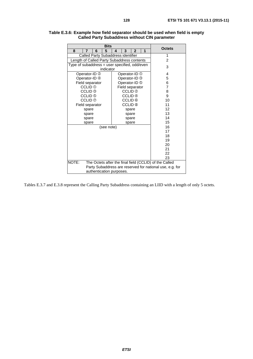|                                               |                                    |   | <b>Bits</b> |   |                    |                          |   |                                                        | <b>Octets</b> |
|-----------------------------------------------|------------------------------------|---|-------------|---|--------------------|--------------------------|---|--------------------------------------------------------|---------------|
| 8                                             | 7                                  | 6 | 5           | 4 | 3                  | $\overline{2}$           | 1 |                                                        |               |
|                                               | Called Party Subaddress identifier |   | 1           |   |                    |                          |   |                                                        |               |
| Length of Called Party Subaddress contents    |                                    |   |             |   |                    |                          |   |                                                        | 2             |
| Type of subaddress = user specified, odd/even |                                    |   |             |   |                    |                          |   |                                                        | 3             |
|                                               |                                    |   | indicator   |   |                    |                          |   |                                                        |               |
|                                               | Operator-ID 2                      |   |             |   |                    | Operator-ID <sup>1</sup> |   |                                                        | 4             |
|                                               | Operator-ID 4                      |   |             |   |                    | Operator-ID 3            |   |                                                        | 5             |
|                                               | Field separator                    |   |             |   |                    | Operator-ID <sup>®</sup> |   |                                                        | 6             |
|                                               | CCLID <sup>1</sup>                 |   |             |   |                    | Field separator          |   |                                                        | 7             |
|                                               | CCLID <sup>3</sup>                 |   |             |   | CCLID <sup>®</sup> |                          |   |                                                        | 8             |
|                                               | CCLID <sup>®</sup>                 |   |             |   | CCLID 4            |                          |   |                                                        | 9             |
|                                               | CCLID ⑦                            |   |             |   | CCLID ©            |                          |   |                                                        | 10            |
|                                               | Field separator                    |   |             |   | CCLID <sup>®</sup> |                          |   |                                                        | 11            |
|                                               | spare                              |   |             |   | spare              |                          |   |                                                        | 12            |
|                                               | spare                              |   |             |   | spare              |                          |   |                                                        | 13            |
|                                               | spare                              |   |             |   | spare              |                          |   |                                                        | 14            |
|                                               | spare                              |   |             |   | spare              |                          |   |                                                        | 15            |
|                                               |                                    |   | (see note)  |   |                    |                          |   |                                                        | 16            |
|                                               |                                    |   |             |   |                    |                          |   |                                                        | 17            |
|                                               |                                    |   |             |   |                    |                          |   |                                                        | 18            |
|                                               |                                    |   |             |   |                    |                          |   |                                                        | 19            |
|                                               |                                    |   |             |   |                    |                          |   |                                                        | 20            |
|                                               |                                    |   |             |   |                    |                          |   |                                                        | 21            |
|                                               |                                    |   |             |   |                    |                          |   |                                                        | 22            |
|                                               |                                    |   |             |   |                    |                          |   |                                                        | 23            |
| NOTE:                                         |                                    |   |             |   |                    |                          |   | The Octets after the final field (CCLID) of the Called |               |

#### **Table E.3.6: Example how field separator should be used when field is empty Called Party Subaddress without CIN parameter**

Tables E.3.7 and E.3.8 represent the Calling Party Subaddress containing an LIID with a length of only 5 octets.

authentication purposes.

Party Subaddress are reserved for national use, e.g. for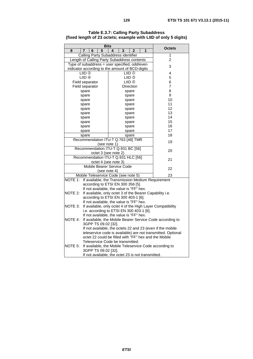| <b>Bits</b>                                                          |                                                            |                                |                   |   |                                                              |  |  |
|----------------------------------------------------------------------|------------------------------------------------------------|--------------------------------|-------------------|---|--------------------------------------------------------------|--|--|
| 8                                                                    | 5<br>6<br>7                                                | $\mathbf{3}$<br>$\overline{4}$ | $\mathbf{2}$      | 1 | <b>Octets</b>                                                |  |  |
|                                                                      | Calling Party Subaddress identifier                        |                                |                   |   | 1                                                            |  |  |
|                                                                      | Length of Calling Party Subaddress contents                |                                |                   |   | $\overline{2}$                                               |  |  |
|                                                                      | Type of subaddress = user specified, odd/even              |                                |                   |   | 3                                                            |  |  |
|                                                                      | indicator according to the amount of BCD-digits            |                                |                   |   |                                                              |  |  |
|                                                                      | LIID <sub>2</sub>                                          | 4                              |                   |   |                                                              |  |  |
|                                                                      | LIID 4                                                     | 5                              |                   |   |                                                              |  |  |
|                                                                      | Field separator                                            |                                | LIID <sub>®</sub> |   | 6                                                            |  |  |
|                                                                      | Field separator                                            |                                | <b>Direction</b>  |   | 7                                                            |  |  |
|                                                                      | spare                                                      |                                | spare             |   | 8                                                            |  |  |
|                                                                      | spare                                                      |                                | spare             |   | 9                                                            |  |  |
|                                                                      | spare                                                      |                                | spare             |   | 10                                                           |  |  |
|                                                                      | spare                                                      |                                | spare             |   | 11                                                           |  |  |
|                                                                      | spare                                                      |                                | spare             |   | 12                                                           |  |  |
|                                                                      | spare                                                      |                                | spare             |   | 13                                                           |  |  |
|                                                                      | spare                                                      |                                | spare             |   | 14                                                           |  |  |
|                                                                      | spare                                                      |                                | spare             |   | 15                                                           |  |  |
|                                                                      | spare                                                      |                                | spare             |   | 16                                                           |  |  |
|                                                                      | spare                                                      |                                | spare             |   | 17                                                           |  |  |
|                                                                      | spare                                                      |                                | spare             |   | 18                                                           |  |  |
|                                                                      | Recommendation ITU-T Q.763 [48] TMR                        |                                |                   |   | 19                                                           |  |  |
|                                                                      | (see note 1)                                               |                                |                   |   |                                                              |  |  |
|                                                                      | Recommendation ITU-T Q.931 BC [56]                         |                                |                   |   | 20                                                           |  |  |
|                                                                      | octet 3 (see note 2)                                       |                                |                   |   |                                                              |  |  |
|                                                                      | Recommendation ITU-T Q.931 HLC [56]                        |                                |                   |   | 21                                                           |  |  |
|                                                                      | octet 4 (see note 3)                                       |                                |                   |   |                                                              |  |  |
|                                                                      | Mobile Bearer Service Code                                 |                                |                   |   | 22                                                           |  |  |
|                                                                      | (see note 4)                                               |                                |                   |   |                                                              |  |  |
|                                                                      | Mobile Teleservice Code (see note 5)                       |                                |                   |   | 23                                                           |  |  |
| NOTE 1:                                                              | If available, the Transmission Medium Requirement          |                                |                   |   |                                                              |  |  |
|                                                                      | according to ETSI EN 300 356 [5].                          |                                |                   |   |                                                              |  |  |
|                                                                      | If not available, the value is "FF" hex.                   |                                |                   |   |                                                              |  |  |
| NOTE 2:                                                              | If available, only octet 3 of the Bearer Capability i.e.   |                                |                   |   |                                                              |  |  |
|                                                                      | according to ETSI EN 300 403-1 [6].                        |                                |                   |   |                                                              |  |  |
|                                                                      | If not available, the value is "FF" hex.                   |                                |                   |   |                                                              |  |  |
| NOTE 3:                                                              | If available, only octet 4 of the High Layer Compatibility |                                |                   |   |                                                              |  |  |
|                                                                      | i.e. according to ETSI EN 300 403-1 [6].                   |                                |                   |   |                                                              |  |  |
| If not available, the value is "FF" hex.                             |                                                            |                                |                   |   |                                                              |  |  |
| If available, the Mobile Bearer Service Code according to<br>NOTE 4: |                                                            |                                |                   |   |                                                              |  |  |
| 3GPP TS 09.02 [32].                                                  |                                                            |                                |                   |   |                                                              |  |  |
|                                                                      | If not available, the octets 22 and 23 (even if the mobile |                                |                   |   |                                                              |  |  |
|                                                                      |                                                            |                                |                   |   | teleservice code is available) are not transmitted. Optional |  |  |
|                                                                      | octet 22 could be filled with "FF" hex and the Mobile      |                                |                   |   |                                                              |  |  |
|                                                                      | Teleservice Code be transmitted.                           |                                |                   |   |                                                              |  |  |
| NOTE 5:                                                              | If available, the Mobile Teleservice Code according to     |                                |                   |   |                                                              |  |  |
|                                                                      | 3GPP TS 09.02 [32].                                        |                                |                   |   |                                                              |  |  |
| If not available, the octet 23 is not transmitted.                   |                                                            |                                |                   |   |                                                              |  |  |

**Table E.3.7: Calling Party Subaddress (fixed length of 23 octets; example with LIID of only 5 digits)**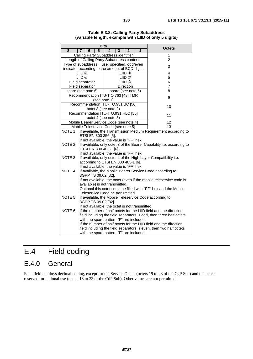|                                                                           |                                                                                                                 | <b>Bits</b>  |                      |   |                             |   |                                                                       |  |
|---------------------------------------------------------------------------|-----------------------------------------------------------------------------------------------------------------|--------------|----------------------|---|-----------------------------|---|-----------------------------------------------------------------------|--|
| 8                                                                         | 6<br>7                                                                                                          | 5            | 4                    | 3 | $\mathbf{2}$                | 1 | <b>Octets</b>                                                         |  |
|                                                                           | Calling Party Subaddress identifier                                                                             |              |                      | 1 |                             |   |                                                                       |  |
|                                                                           | Length of Calling Party Subaddress contents                                                                     |              |                      |   |                             |   | $\overline{2}$                                                        |  |
|                                                                           | Type of subaddress = user specified, odd/even                                                                   |              |                      | 3 |                             |   |                                                                       |  |
|                                                                           | indicator according to the amount of BCD-digits                                                                 |              |                      |   |                             |   |                                                                       |  |
|                                                                           | LIID <sub>®</sub><br>LIID <sup>4</sup>                                                                          |              |                      |   | LIID <sub>0</sub><br>LIID 3 |   | 4<br>5                                                                |  |
|                                                                           | Field separator                                                                                                 |              |                      |   | LIID <sup>®</sup>           |   | 6                                                                     |  |
|                                                                           | Field separator                                                                                                 |              |                      |   | Direction                   |   | 7                                                                     |  |
|                                                                           | spare (see note 6)                                                                                              |              |                      |   | spare (see note 6)          |   | 8                                                                     |  |
|                                                                           | Recommendation ITU-T Q.763 [48] TMR                                                                             |              |                      |   |                             |   |                                                                       |  |
|                                                                           |                                                                                                                 | (see note 1) |                      |   |                             |   | 9                                                                     |  |
|                                                                           | Recommendation ITU-T Q.931 BC [56]                                                                              |              |                      |   |                             |   |                                                                       |  |
|                                                                           |                                                                                                                 |              | octet 3 (see note 2) |   |                             |   | 10                                                                    |  |
|                                                                           | Recommendation ITU-T Q.931 HLC [56]                                                                             |              |                      |   |                             |   |                                                                       |  |
|                                                                           |                                                                                                                 |              | octet 4 (see note 3) |   |                             |   | 11                                                                    |  |
|                                                                           | Mobile Bearer Service Code (see note 4)                                                                         |              |                      |   |                             |   | 12                                                                    |  |
|                                                                           | Mobile Teleservice Code (see note 5)                                                                            |              |                      |   |                             |   | 13                                                                    |  |
| If available, the Transmission Medium Requirement according to<br>NOTE 1: |                                                                                                                 |              |                      |   |                             |   |                                                                       |  |
|                                                                           | ETSI EN 300 356 [5].                                                                                            |              |                      |   |                             |   |                                                                       |  |
|                                                                           | If not available, the value is "FF" hex.                                                                        |              |                      |   |                             |   |                                                                       |  |
| NOTE 2:                                                                   |                                                                                                                 |              |                      |   |                             |   | If available, only octet 3 of the Bearer Capability i.e. according to |  |
|                                                                           | ETSI EN 300 403-1 [6].<br>If not available, the value is "FF" hex.                                              |              |                      |   |                             |   |                                                                       |  |
| NOTE 3:                                                                   |                                                                                                                 |              |                      |   |                             |   | If available, only octet 4 of the High Layer Compatibility i.e.       |  |
|                                                                           | according to ETSI EN 300 403-1 [6].                                                                             |              |                      |   |                             |   |                                                                       |  |
|                                                                           |                                                                                                                 |              |                      |   |                             |   |                                                                       |  |
| NOTE 4:                                                                   | If not available, the value is "FF" hex.<br>If available, the Mobile Bearer Service Code according to           |              |                      |   |                             |   |                                                                       |  |
|                                                                           | 3GPP TS 09.02 [32].                                                                                             |              |                      |   |                             |   |                                                                       |  |
|                                                                           | If not available, the octet (even if the mobile teleservice code is                                             |              |                      |   |                             |   |                                                                       |  |
| available) is not transmitted.                                            |                                                                                                                 |              |                      |   |                             |   |                                                                       |  |
|                                                                           |                                                                                                                 |              |                      |   |                             |   | Optional this octet could be filled with "FF" hex and the Mobile      |  |
|                                                                           | Teleservice Code be transmitted.                                                                                |              |                      |   |                             |   |                                                                       |  |
|                                                                           | NOTE 5:<br>If available, the Mobile Teleservice Code according to                                               |              |                      |   |                             |   |                                                                       |  |
|                                                                           | 3GPP TS 09.02 [32].                                                                                             |              |                      |   |                             |   |                                                                       |  |
|                                                                           | If not available, the octet is not transmitted.                                                                 |              |                      |   |                             |   |                                                                       |  |
| NOTE 6:                                                                   | If the number of half octets for the LIID field and the direction                                               |              |                      |   |                             |   |                                                                       |  |
|                                                                           | field including the field separators is odd, then three half octets<br>with the spare pattern "F" are included. |              |                      |   |                             |   |                                                                       |  |
|                                                                           |                                                                                                                 |              |                      |   |                             |   | If the number of half octets for the LIID field and the direction     |  |
|                                                                           |                                                                                                                 |              |                      |   |                             |   | field including the field separators is even, then two half octets    |  |
|                                                                           |                                                                                                                 |              |                      |   |                             |   |                                                                       |  |
| with the spare pattern "F" are included.                                  |                                                                                                                 |              |                      |   |                             |   |                                                                       |  |

**Table E.3.8: Calling Party Subaddress (variable length; example with LIID of only 5 digits)** 

# E.4 Field coding

## E.4.0 General

Each field employs decimal coding, except for the Service Octets (octets 19 to 23 of the CgP Sub) and the octets reserved for national use (octets 16 to 23 of the CdP Sub). Other values are not permitted.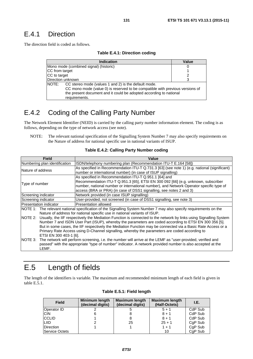## E.4.1 Direction

The direction field is coded as follows.

| Table E.4.1: Direction coding |  |
|-------------------------------|--|
|-------------------------------|--|

|                   | Indication                                                                                                                                                                                                                   | Value |
|-------------------|------------------------------------------------------------------------------------------------------------------------------------------------------------------------------------------------------------------------------|-------|
|                   | Mono mode (combined signal) (historic)                                                                                                                                                                                       |       |
| CC from target    |                                                                                                                                                                                                                              |       |
| CC to target      |                                                                                                                                                                                                                              |       |
| Direction unknown | З                                                                                                                                                                                                                            |       |
| <b>INOTE:</b>     | CC stereo mode (values 1 and 2) is the default mode.<br>CC mono mode (value 0) is reserved to be compatible with previous versions of<br>the present document and it could be adopted according to national<br>requirements. |       |

## E.4.2 Coding of the Calling Party Number

The Network Element Identifier (NEID) is carried by the calling party number information element. The coding is as follows, depending on the type of network access (see note).

NOTE: The relevant national specification of the Signalling System Number 7 may also specify requirements on the Nature of address for national specific use in national variants of ISUP.

| <b>Field</b>                      | Value                                                                                                                                                                                                                                                                                                                                                                                                                                        |
|-----------------------------------|----------------------------------------------------------------------------------------------------------------------------------------------------------------------------------------------------------------------------------------------------------------------------------------------------------------------------------------------------------------------------------------------------------------------------------------------|
| Numbering plan identification     | ISDN/telephony numbering plan (Recommendation ITU-T E.164 [58])                                                                                                                                                                                                                                                                                                                                                                              |
| Nature of address                 | As specified in Recommendation ITU-T Q.731.3 [63] (see note 1) (e.g. national (significant)<br>number or international number) (in case of ISUP signalling)                                                                                                                                                                                                                                                                                  |
| Type of number                    | As specified in Recommendation ITU-T Q.951.1 [64] and<br>Recommendation ITU-T Q.951.3 [65], ETSI EN 300 092 [66] (e.g. unknown, subscriber<br>number, national number or international number), and Network Operator specific type of<br>access (BRA or PRA) (in case of DSS1 signalling, see notes 2 and 3)                                                                                                                                 |
| Screening indicator               | Network provided (in case ISUP signalling)                                                                                                                                                                                                                                                                                                                                                                                                   |
| Screening indicator               | User-provided, not screened (in case of DSS1 signalling, see note 3)                                                                                                                                                                                                                                                                                                                                                                         |
| <b>IPresentation indicator</b>    | Presentation allowed                                                                                                                                                                                                                                                                                                                                                                                                                         |
|                                   | NOTE 1: The relevant national specification of the Signalling System Number 7 may also specify requirements on the<br>Nature of address for national specific use in national variants of ISUP.                                                                                                                                                                                                                                              |
| NOTE 2:<br>ETSI EN 300 403-1 [6]. | Usually, the IIF respectively the Mediation Function is connected to the network by links using Signalling System<br>Number 7 and ISDN User Part (ISUP), whereby the parameters are coded according to ETSI EN 300 356 [5].<br>But in some cases, the IIF respectively the Mediation Function may be connected via a Basic Rate Access or a<br>Primary Rate Access using D-Channel signalling, whereby the parameters are coded according to |
| NOTE 3:<br>LEMF.                  | The network will perform screening, i.e. the number will arrive at the LEMF as "user-provided, verified and<br>passed" with the appropriate "type of number" indicator. A network provided number is also accepted at the                                                                                                                                                                                                                    |

#### **Table E.4.2: Calling Party Number coding**

# E.5 Length of fields

The length of the identifiers is variable. The maximum and recommended minimum length of each field is given in table E.5.1.

| <b>Field</b>          | Minimum length<br>(decimal digits) | <b>Maximum length</b><br>(decimal digits) | <b>Maximum length</b><br>(Half-Octets) | I.E.    |
|-----------------------|------------------------------------|-------------------------------------------|----------------------------------------|---------|
| Operator ID           |                                    |                                           | $5 + 1$                                | CdP Sub |
| <b>CIN</b>            |                                    |                                           | $8 + 1$                                | CdP Sub |
| <b>CCLID</b>          |                                    |                                           | $8 + 1$                                | CdP Sub |
| LIID                  |                                    | 25                                        | $25 + 1$                               | CgP Sub |
| <b>Direction</b>      |                                    |                                           | $1 + 1$                                | CgP Sub |
| <b>Service Octets</b> |                                    |                                           | 10                                     | CgP Sub |

|  |  |  | Table E.5.1: Field length |
|--|--|--|---------------------------|
|--|--|--|---------------------------|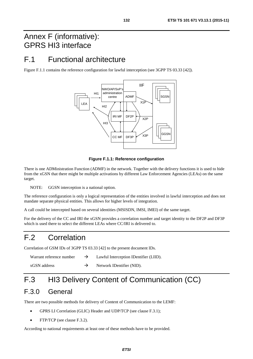# Annex F (informative): GPRS HI3 interface

## F.1 Functional architecture

Figure F.1.1 contains the reference configuration for lawful interception (see 3GPP TS 03.33 [\[42](#page-11-0)]).



### **Figure F.1.1: Reference configuration**

There is one ADMinistration Function (ADMF) in the network. Together with the delivery functions it is used to hide from the xGSN that there might be multiple activations by different Law Enforcement Agencies (LEAs) on the same target.

NOTE: GGSN interception is a national option.

The reference configuration is only a logical representation of the entities involved in lawful interception and does not mandate separate physical entities. This allows for higher levels of integration.

A call could be intercepted based on several identities (MSISDN, IMSI, IMEI) of the same target.

For the delivery of the CC and IRI the xGSN provides a correlation number and target identity to the DF2P and DF3P which is used there to select the different LEAs where CC/IRI is delivered to.

# F.2 Correlation

Correlation of GSM IDs of 3GPP TS 03.33 [\[42](#page-11-0)] to the present document IDs.

| Warrant reference number | $\rightarrow$ | Lawful Interception IDentifier (LIID). |
|--------------------------|---------------|----------------------------------------|
| xGSN address             |               | Network IDentifier (NID).              |

# F.3 HI3 Delivery Content of Communication (CC)

## F.3.0 General

There are two possible methods for delivery of Content of Communication to the LEMF:

- GPRS LI Correlation (GLIC) Header and UDP/TCP (see clause F.3.1);
- FTP/TCP (see clause F.3.2).

According to national requirements at least one of these methods have to be provided.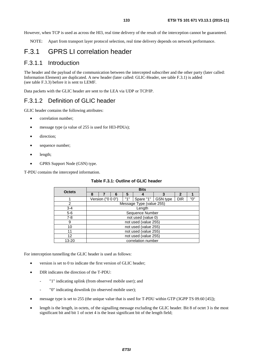However, when TCP is used as across the HI3, real time delivery of the result of the interception cannot be guaranteed.

NOTE: Apart from transport layer protocol selection, real time delivery depends on network performance.

## F.3.1 GPRS LI correlation header

### F.3.1.1 Introduction

The header and the payload of the communication between the intercepted subscriber and the other party (later called: Information Element) are duplicated. A new header (later called: GLIC-Header, see table F.3.1) is added (see table F.3.3) before it is sent to LEMF.

Data packets with the GLIC header are sent to the LEA via UDP or TCP/IP.

### F.3.1.2 Definition of GLIC header

GLIC header contains the following attributes:

- correlation number:
- message type (a value of 255 is used for HI3-PDUs);
- direction;
- sequence number;
- length;
- GPRS Support Node (GSN) type.

T-PDU contains the intercepted information.

| <b>Octets</b> |                      |                   |  |     | <b>Bits</b>              |          |            |     |  |
|---------------|----------------------|-------------------|--|-----|--------------------------|----------|------------|-----|--|
|               | 8                    | 2                 |  |     |                          |          |            |     |  |
|               |                      | Version ("0 0 0") |  | "1" | Spare "1"                | GSN type | <b>DIR</b> | "0" |  |
| 2             |                      |                   |  |     | Message Type (value 255) |          |            |     |  |
| $3 - 4$       |                      |                   |  |     | Length                   |          |            |     |  |
| $5-6$         |                      |                   |  |     | Sequence Number          |          |            |     |  |
| $7 - 8$       |                      |                   |  |     | not used (value 0)       |          |            |     |  |
| 9             |                      |                   |  |     | not used (value 255)     |          |            |     |  |
| 10            |                      |                   |  |     | not used (value 255)     |          |            |     |  |
| 11            | not used (value 255) |                   |  |     |                          |          |            |     |  |
| 12            |                      |                   |  |     | not used (value 255)     |          |            |     |  |
| 13-20         |                      |                   |  |     | correlation number       |          |            |     |  |

#### **Table F.3.1: Outline of GLIC header**

For interception tunnelling the GLIC header is used as follows:

- version is set to 0 to indicate the first version of GLIC header;
- DIR indicates the direction of the T-PDU:
	- "1" indicating uplink (from observed mobile user); and
	- "0" indicating downlink (to observed mobile user);
- message type is set to 255 (the unique value that is used for T-PDU within GTP (3GPP TS 09.60 [\[45](#page-11-0)]);
- length is the length, in octets, of the signalling message excluding the GLIC header. Bit 8 of octet 3 is the most significant bit and bit 1 of octet 4 is the least significant bit of the length field;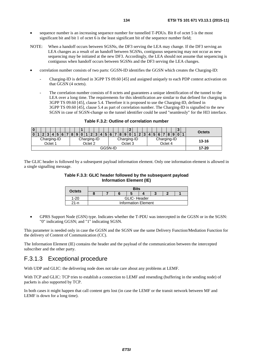- sequence number is an increasing sequence number for tunnelled T-PDUs. Bit 8 of octet 5 is the most significant bit and bit 1 of octet 6 is the least significant bit of the sequence number field;
- NOTE: When a handoff occurs between SGSNs, the DF3 serving the LEA may change. If the DF3 serving an LEA changes as a result of an handoff between SGSNs, contiguous sequencing may not occur as new sequencing may be initiated at the new DF3. Accordingly, the LEA should not assume that sequencing is contiguous when handoff occurs between SGSNs and the DF3 serving the LEA changes.
- correlation number consists of two parts: GGSN-ID identifies the GGSN which creates the Charging-ID:
	- Charging-ID is defined in 3GPP TS 09.60 [\[45\]](#page-11-0) and assigned uniquely to each PDP context activation on that GGSN (4 octets).
	- The correlation number consists of 8 octets and guarantees a unique identification of the tunnel to the LEA over a long time. The requirements for this identification are similar to that defined for charging in 3GPP TS 09.60 [\[45](#page-11-0)], clause 5.4. Therefore it is proposed to use the Charging-ID, defined in 3GPP TS 09.60 [\[45](#page-11-0)], clause 5.4 as part of correlation number. The Charging-ID is signalled to the new SGSN in case of SGSN-change so the tunnel identifier could be used "seamlessly" for the HI3 interface.

| Table F.3.2: Outline of correlation number |  |  |  |
|--------------------------------------------|--|--|--|
|--------------------------------------------|--|--|--|

|                                                                                                      |  |    |  |   |  |  |  |           |  |  |         |  |         | -1 |  |                   |  |  |     |  | <b>Octets</b> |
|------------------------------------------------------------------------------------------------------|--|----|--|---|--|--|--|-----------|--|--|---------|--|---------|----|--|-------------------|--|--|-----|--|---------------|
|                                                                                                      |  | п. |  | Ð |  |  |  |           |  |  |         |  | $8 9 0$ |    |  | $\mathbf{\Omega}$ |  |  | 891 |  |               |
| Charging-ID<br>Charging-ID<br>Charging-ID<br>Charging-ID<br>Octet 1<br>Octet 3<br>Octet 2<br>Octet 4 |  |    |  |   |  |  |  | $13 - 16$ |  |  |         |  |         |    |  |                   |  |  |     |  |               |
|                                                                                                      |  |    |  |   |  |  |  |           |  |  | GGSN-ID |  |         |    |  |                   |  |  |     |  | $17 - 20$     |

The GLIC header is followed by a subsequent payload information element. Only one information element is allowed in a single signalling message.

#### **Table F.3.3: GLIC header followed by the subsequent payload Information Element (IE)**

| <b>Octets</b> |                            |  |  | Bits               |  |  |  |  |
|---------------|----------------------------|--|--|--------------------|--|--|--|--|
|               |                            |  |  |                    |  |  |  |  |
| 1-20          |                            |  |  | <b>GLIC-Header</b> |  |  |  |  |
| <u>າ1-</u> ກ  | <b>Information Element</b> |  |  |                    |  |  |  |  |

• GPRS Support Node (GSN) type. Indicates whether the T-PDU was intercepted in the GGSN or in the SGSN: "0" indicating GGSN; and "1" indicating SGSN.

This parameter is needed only in case the GGSN and the SGSN use the same Delivery Function/Mediation Function for the delivery of Content of Communication (CC).

The Information Element (IE) contains the header and the payload of the communication between the intercepted subscriber and the other party.

### F.3.1.3 Exceptional procedure

With UDP and GLIC: the delivering node does not take care about any problems at LEMF.

With TCP and GLIC: TCP tries to establish a connection to LEMF and resending (buffering in the sending node) of packets is also supported by TCP.

In both cases it might happen that call content gets lost (in case the LEMF or the transit network between MF and LEMF is down for a long time).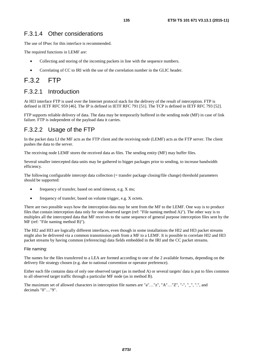### F.3.1.4 Other considerations

The use of IPsec for this interface is recommended.

The required functions in LEMF are:

- Collecting and storing of the incoming packets in line with the sequence numbers.
- Correlating of CC to IRI with the use of the correlation number in the GLIC header.

## F.3.2 FTP

## F.3.2.1 Introduction

At HI3 interface FTP is used over the Internet protocol stack for the delivery of the result of interception. FTP is defined in IETF RFC 959 [\[46](#page-11-0)]. The IP is defined in IETF RFC 791 [\[51](#page-12-0)]. The TCP is defined in IETF RFC 793 [\[52](#page-12-0)].

FTP supports reliable delivery of data. The data may be temporarily buffered in the sending node (MF) in case of link failure. FTP is independent of the payload data it carries.

## F.3.2.2 Usage of the FTP

In the packet data LI the MF acts as the FTP client and the receiving node (LEMF) acts as the FTP server. The client pushes the data to the server.

The receiving node LEMF stores the received data as files. The sending entity (MF) may buffer files.

Several smaller intercepted data units may be gathered to bigger packages prior to sending, to increase bandwidth efficiency.

The following configurable intercept data collection (= transfer package closing/file change) threshold parameters should be supported:

- frequency of transfer, based on send timeout, e.g. X ms;
- frequency of transfer, based on volume trigger, e.g. X octets.

There are two possible ways how the interception data may be sent from the MF to the LEMF. One way is to produce files that contain interception data only for one observed target (ref: "File naming method A)"). The other way is to multiplex all the intercepted data that MF receives to the same sequence of general purpose interception files sent by the MF (ref: "File naming method B)").

The HI2 and HI3 are logically different interfaces, even though in some installations the HI2 and HI3 packet streams might also be delivered via a common transmission path from a MF to a LEMF. It is possible to correlate HI2 and HI3 packet streams by having common (referencing) data fields embedded in the IRI and the CC packet streams.

#### File naming:

The names for the files transferred to a LEA are formed according to one of the 2 available formats, depending on the delivery file strategy chosen (e.g. due to national convention or operator preference).

Either each file contains data of only one observed target (as in method A) or several targets' data is put to files common to all observed target traffic through a particular MF node (as in method B).

The maximum set of allowed characters in interception file names are "a"…"z", "A"…"Z", "-", "\_", ".", and decimals "0"…"9".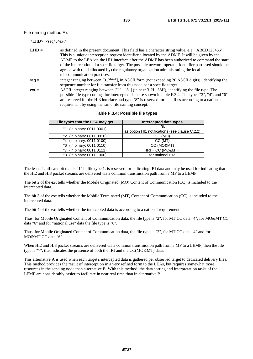File naming method A):

| $\langle \text{LIID}\rangle$ $\langle \text{seq}\rangle$ . $\langle \text{ext}\rangle$ |                                                                                                                                                                                                                                                                                                                                                                                                                                                                                                                                      |
|----------------------------------------------------------------------------------------|--------------------------------------------------------------------------------------------------------------------------------------------------------------------------------------------------------------------------------------------------------------------------------------------------------------------------------------------------------------------------------------------------------------------------------------------------------------------------------------------------------------------------------------|
| $LHD =$                                                                                | as defined in the present document. This field has a character string value, e.g. "ABCD123456".<br>This is a unique interception request identifier allocated by the ADMF. It will be given by the<br>ADMF to the LEA via the HI1 interface after the ADMF has been authorized to command the start<br>of the interception of a specific target. The possible network operator identifier part used should be<br>agreed with (and allocated by) the regulatory organization administrating the local<br>telecommunication practises. |
| $\text{seq} =$                                                                         | integer ranging between $[02^{64-1}]$ , in ASCII form (not exceeding 20 ASCII digits), identifying the<br>sequence number for file transfer from this node per a specific target.                                                                                                                                                                                                                                                                                                                                                    |
| $ext =$                                                                                | ASCII integer ranging between ["1""8"] (in hex: 31H38H), identifying the file type. The                                                                                                                                                                                                                                                                                                                                                                                                                                              |

possible file type codings for intercepted data are shown in table F.3.4. The types "2", "4", and "6" are reserved for the HI3 interface and type "8" is reserved for data files according to a national requirement by using the same file naming concept.

| File types that the LEA may get | Intercepted data types                         |
|---------------------------------|------------------------------------------------|
| "1" (in binary: 0011 0001)      | IRI/                                           |
|                                 | as option HI1 notifications (see clause C.2.2) |
| "2" (in binary: 0011 0010)      | CC (MO)                                        |
| "4" (in binary: 0011 0100)      | CC (MT)                                        |
| "6" (in binary: 0011 0110)      | CC (MO&MT)                                     |
| "7" (in binary: 0011 0111)      | $IRI + CC (MO&MT)$                             |
| "8" (in binary: 0011 1000)      | for national use                               |

**Table F.3.4: Possible file types** 

The least significant bit that is "1" in file type 1, is reserved for indicating IRI data and may be used for indicating that the HI2 and HI3 packet streams are delivered via a common transmission path from a MF to a LEMF.

The bit 2 of the **ext** tells whether the Mobile Originated (MO) Content of Communication (CC) is included to the intercepted data.

The bit 3 of the **ext** tells whether the Mobile Terminated (MT) Content of Communication (CC) is included to the intercepted data.

The bit 4 of the **ext** tells whether the intercepted data is according to a national requirement.

Thus, for Mobile Originated Content of Communication data, the file type is "2", for MT CC data "4", for MO&MT CC data "6" and for "national use" data the file type is "8".

Thus, for Mobile Originated Content of Communication data, the file type is "2", for MT CC data "4" and for MO&MT CC data "6".

When HI2 and HI3 packet streams are delivered via a common transmission path from a MF to a LEMF, then the file type is "7", that indicates the presence of both the IRI and the CC(MO&MT) data.

This alternative A is used when each target's intercepted data is gathered per observed target to dedicated delivery files. This method provides the result of interception in a very refined form to the LEAs, but requires somewhat more resources in the sending node than alternative B. With this method, the data sorting and interpretation tasks of the LEMF are considerably easier to facilitate in near real time than in alternative B.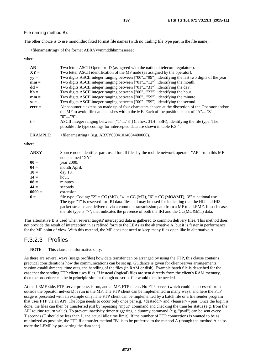File naming method B):

The other choice is to use monolithic fixed format file names (with no trailing file type part in the file name):

<filenamestring> of the format ABXYyymmddhhmmsseeeet

where:

| $AB =$          | Two letter ASCII Operator ID (as agreed with the national telecom regulators).                     |
|-----------------|----------------------------------------------------------------------------------------------------|
| $XY =$          | Two letter ASCII identification of the MF node (as assigned by the operator).                      |
| $yy =$          | Two digits ASCII integer ranging between ["00""99"], identifying the last two digits of the year.  |
| $mm =$          | Two digits ASCII integer ranging between ["01""12"], identifying the month.                        |
| $dd =$          | Two digits ASCII integer ranging between ["01""31"], identifying the day.                          |
| $hh =$          | Two digits ASCII integer ranging between ["00""23"], identifying the hour.                         |
| $mm =$          | Two digits ASCII integer ranging between ["00""59"], identifying the minute.                       |
| $SS =$          | Two digits ASCII integer ranging between ["00""59"], identifying the second.                       |
| $eeee =$        | Alphanumeric extension made up of four characters chosen at the discretion of the Operator and/or  |
|                 | the MF to avoid file name clashes within the MF. Each of the position is out of "A""Z",<br>"0""9". |
| $t =$           | ASCII integer ranging between ["1""8"] (in hex: 31H38H), identifying the file type. The            |
|                 | possible file type codings for intercepted data are shown in table F.3.4.                          |
| <b>EXAMPLE:</b> | $\langle$ filenamestring> (e.g. ABXY00041014084400006).                                            |

where:

| $ABXY =$        | Source node identifier part, used for all files by the mobile network operator "AB" from this MF |
|-----------------|--------------------------------------------------------------------------------------------------|
|                 | node named "XY".                                                                                 |
| $\mathbf{00} =$ | vear 2000.                                                                                       |
| $04 =$          | month April.                                                                                     |
| $10 =$          | day 10.                                                                                          |
| $14 =$          | hour.                                                                                            |
| $08 =$          | minutes.                                                                                         |
| $44 =$          | seconds.                                                                                         |
| $0000 =$        | extension.                                                                                       |
| $6 =$           | file type. Coding: "2" = CC (MO), "4" = CC (MT), "6" = CC (MO&MT), "8" = national use.           |
|                 | The type "1" is reserved for IRI data files and may be used for indicating that the HI2 and HI3  |
|                 | packet streams are delivered via a common transmission path from a MF to a LEMF. In such case,   |
|                 | the file type is "7", that indicates the presence of both the IRI and the $CC(MO\&MT)$ data.     |

This alternative B is used when several targets' intercepted data is gathered to common delivery files. This method does not provide the result of interception in as refined form to the LEAs as the alternative A, but it is faster in performance for the MF point of view. With this method, the MF does not need to keep many files open like in alternative A.

### F.3.2.3 Profiles

NOTE: This clause is informative only.

As there are several ways (usage profiles) how data transfer can be arranged by using the FTP, this clause contains practical considerations how the communications can be set up. Guidance is given for client-server arrangements, session establishments, time outs, the handling of the files (in RAM or disk). Example batch file is described for the case that the sending FTP client uses files. If instead (logical) files are sent directly from the client's RAM memory, then the procedure can be in principle similar though no script file would then be needed.

At the LEMF side, FTP server process is run, and at MF, FTP client. No FTP server (which could be accessed from outside the operator network) is run in the MF. The FTP client can be implemented in many ways, and here the FTP usage is presented with an example only. The FTP client can be implemented by a batch file or a file sender program that uses FTP via an API. The login needs to occur only once per e.g. <destaddr> and <leauser> - pair. Once the login is done, the files can then be transferred just by repeating "mput" command and checking the transfer status (e.g. from the API routine return value). To prevent inactivity timer triggering, a dummy command (e.g. "pwd") can be sent every T seconds (T should be less than L, the actual idle time limit). If the number of FTP connections is wanted to be as minimized as possible, the FTP file transfer method "B" is to be preferred to the method A (though the method A helps more the LEMF by pre-sorting the data sent).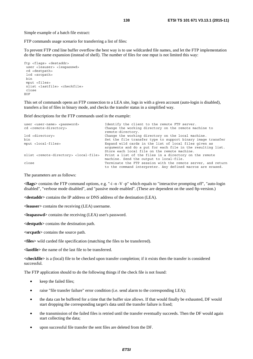Simple example of a batch file extract:

FTP commands usage scenario for transferring a list of files:

To prevent FTP cmd line buffer overflow the best way is to use wildcarded file names, and let the FTP implementation do the file name expansion (instead of shell). The number of files for one mput is not limited this way:

```
ftp <flags> <destaddr> 
 user <leauser> <leapasswd> 
  cd <destpath> 
  lcd <srcpath> 
 bin 
  mput <files> 
 nlist <lastfile> <checkfile> 
 close 
EOF
```
This set of commands opens an FTP connection to a LEA site, logs in with a given account (auto-login is disabled), transfers a list of files in binary mode, and checks the transfer status in a simplified way.

Brief descriptions for the FTP commands used in the example:

```
user <user-name> <password> Identify the client to the remote FTP server.
cd <remote-directory> Change the working directory on the remote machine to 
                                     remote-directory. 
lcd <directory> Change the working directory on the local machine. 
bin<br>
Set the file transfer type to support binary image transfer<br>
Expand wild cards in the list of local files given as
                                     Expand wild cards in the list of local files given as
                                     arguments and do a put for each file in the resulting list. 
                                     Store each local file on the remote machine. 
nlist <remote-directory> <local-file> Print a list of the files in a directory on the remote 
                                     machine. Send the output to local-file. 
close Terminate the FTP session with the remote server, and return 
                                     to the command interpreter. Any defined macros are erased.
```
The parameters are as follows:

**<flags>** contains the FTP command options, e.g. "-i -n -V -p" which equals to "interactive prompting off", "auto-login disabled", "verbose mode disabled", and "passive mode enabled". (These are dependent on the used ftp-version.)

**<destaddr>** contains the IP address or DNS address of the destination (LEA).

**<leauser>** contains the receiving (LEA) username.

**<leapasswd>** contains the receiving (LEA) user's password.

**<destpath>** contains the destination path.

**<srcpath>** contains the source path.

**<files>** wild carded file specification (matching the files to be transferred).

**<lastfile>** the name of the last file to be transferred.

**<checkfile>** is a (local) file to be checked upon transfer completion; if it exists then the transfer is considered successful.

The FTP application should to do the following things if the check file is not found:

- keep the failed files;
- raise "file transfer failure" error condition (i.e. send alarm to the corresponding LEA);
- the data can be buffered for a time that the buffer size allows. If that would finally be exhausted, DF would start dropping the corresponding target's data until the transfer failure is fixed;
- the transmission of the failed files is retried until the transfer eventually succeeds. Then the DF would again start collecting the data;
- upon successful file transfer the sent files are deleted from the DF.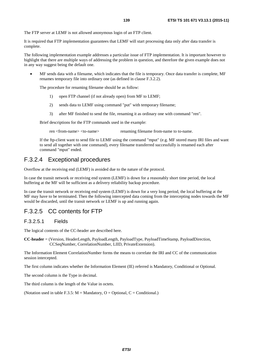The FTP server at LEMF is not allowed anonymous login of an FTP client.

It is required that FTP implementation guarantees that LEMF will start processing data only after data transfer is complete.

The following implementation example addresses a particular issue of FTP implementation. It is important however to highlight that there are multiple ways of addressing the problem in question, and therefore the given example does not in any way suggest being the default one.

• MF sends data with a filename, which indicates that the file is temporary. Once data transfer is complete, MF renames temporary file into ordinary one (as defined in clause F.3.2.2).

The procedure for renaming filename should be as follow:

- 1) open FTP channel (if not already open) from MF to LEMF;
- 2) sends data to LEMF using command "put" with temporary filename;
- 3) after MF finished to send the file, renaming it as ordinary one with command "ren".

Brief descriptions for the FTP commands used in the example:

ren <from-name> <to-name> renaming filename from-name to to-name.

 If the ftp-client want to send file to LEMF using the command "mput" (e.g. MF stored many IRI files and want to send all together with one command), every filename transferred successfully is renamed each after command "mput" ended.

### F.3.2.4 Exceptional procedures

Overflow at the receiving end (LEMF) is avoided due to the nature of the protocol.

In case the transit network or receiving end system (LEMF) is down for a reasonably short time period, the local buffering at the MF will be sufficient as a delivery reliability backup procedure.

In case the transit network or receiving end system (LEMF) is down for a very long period, the local buffering at the MF may have to be terminated. Then the following intercepted data coming from the intercepting nodes towards the MF would be discarded, until the transit network or LEMF is up and running again.

### F.3.2.5 CC contents for FTP

### F.3.2.5.1 Fields

The logical contents of the CC-header are described here.

**CC-header** = (Version, HeaderLength, PayloadLength, PayloadType, PayloadTimeStamp, PayloadDirection, CCSeqNumber, CorrelationNumber, LIID, PrivateExtension).

The Information Element CorrelationNumber forms the means to correlate the IRI and CC of the communication session intercepted.

The first column indicates whether the Information Element (IE) referred is Mandatory, Conditional or Optional.

The second column is the Type in decimal.

The third column is the length of the Value in octets.

(Notation used in table F.3.5:  $M =$  Mandatory, O = Optional, C = Conditional.)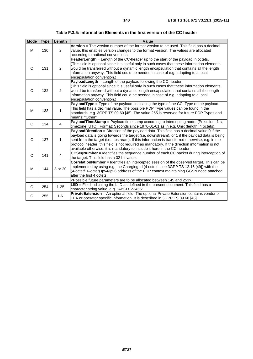| Table F.3.5: Information Elements in the first version of the CC header |  |  |  |
|-------------------------------------------------------------------------|--|--|--|
|-------------------------------------------------------------------------|--|--|--|

| <b>Mode</b> | <b>Type</b> | Length         | Value                                                                                                                                                                                                                                                                                                                                                                                                                                                                       |
|-------------|-------------|----------------|-----------------------------------------------------------------------------------------------------------------------------------------------------------------------------------------------------------------------------------------------------------------------------------------------------------------------------------------------------------------------------------------------------------------------------------------------------------------------------|
| М           | 130         | $\overline{2}$ | <b>Version</b> = The version number of the format version to be used. This field has a decimal<br>value, this enables version changes to the format version. The values are allocated<br>according to national conventions.                                                                                                                                                                                                                                                 |
| O           | 131         | $\overline{2}$ | HeaderLength = Length of the CC-header up to the start of the payload in octets.<br>(This field is optional since it is useful only in such cases that these information elements<br>would be transferred without a dynamic length encapsulation that contains all the length<br>information anyway. This field could be needed in case of e.g. adapting to a local<br>encapsulation convention.)                                                                           |
| O           | 132         | $\overline{2}$ | PayloadLength = Length of the payload following the CC-header.<br>(This field is optional since it is useful only in such cases that these information elements<br>would be transferred without a dynamic length encapsulation that contains all the length<br>information anyway. This field could be needed in case of e.g. adapting to a local<br>encapsulation convention.)                                                                                             |
| м           | 133         | $\mathbf{1}$   | PayloadType = Type of the payload, indicating the type of the CC. Type of the payload.<br>This field has a decimal value. The possible PDP Type values can be found in the<br>standards, e.g. 3GPP TS 09.60 [45]. The value 255 is reserved for future PDP Types and<br>means: "Other".                                                                                                                                                                                     |
| O           | 134         | $\overline{4}$ | PayloadTimeStamp = Payload timestamp according to intercepting node. (Precision: 1 s,<br>timezone: UTC). Format: Seconds since 1970-01-01 as in e.g. Unix (length: 4 octets).                                                                                                                                                                                                                                                                                               |
| C           | 137         | 1              | PayloadDirection = Direction of the payload data. This field has a decimal value 0 if the<br>payload data is going towards the target (i.e. downstream), or 1 if the payload data is being<br>sent from the target (i.e. upstream). If this information is transferred otherwise, e.g. in the<br>protocol header, this field is not required as mandatory. If the direction information is not<br>available otherwise, it is mandatory to include it here in the CC header. |
| O           | 141         | $\overline{4}$ | <b>CCSeqNumber</b> = Identifies the sequence number of each CC packet during interception of<br>the target. This field has a 32-bit value.                                                                                                                                                                                                                                                                                                                                  |
| м           | 144         | 8 or 20        | CorrelationNumber = Identifies an intercepted session of the observed target. This can be<br>implemented by using e.g. the Charging Id (4 octets, see 3GPP TS 12.15 [49]) with the<br>(4-octet/16-octet) lpv4/lpv6 address of the PDP context maintaining GGSN node attached<br>after the first 4 octets.                                                                                                                                                                   |
|             |             |                | <possible 145="" 253="" allocated="" and="" are="" be="" between="" future="" parameters="" to="">.</possible>                                                                                                                                                                                                                                                                                                                                                              |
| O           | 254         | $1 - 25$       | $LID$ = Field indicating the LIID as defined in the present document. This field has a<br>character string value, e.g. "ABCD123456".                                                                                                                                                                                                                                                                                                                                        |
| O           | 255         | $1-N$          | PrivateExtension = An optional field. The optional Private Extension contains vendor or<br>LEA or operator specific information. It is described in 3GPP TS 09.60 [45].                                                                                                                                                                                                                                                                                                     |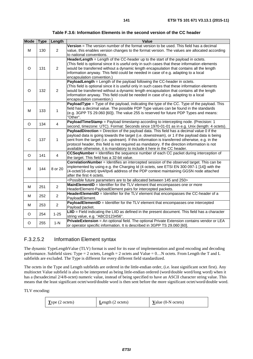| Table F.3.6: Information Elements in the second version of the CC header |  |
|--------------------------------------------------------------------------|--|
|--------------------------------------------------------------------------|--|

| <b>Mode</b> | <b>Type</b> | Length         | Value                                                                                                         |
|-------------|-------------|----------------|---------------------------------------------------------------------------------------------------------------|
|             |             |                | Version = The version number of the format version to be used. This field has a decimal                       |
| M           | 130         | $\overline{2}$ | value, this enables version changes to the format version. The values are allocated according                 |
|             |             |                | to national conventions.                                                                                      |
|             |             |                | HeaderLength = Length of the CC-header up to the start of the payload in octets.                              |
|             |             |                | (This field is optional since it is useful only in such cases that these information elements                 |
| O           | 131         | 2              | would be transferred without a dynamic length encapsulation that contains all the length                      |
|             |             |                | information anyway. This field could be needed in case of e.g. adapting to a local                            |
|             |             |                | encapsulation convention.)                                                                                    |
|             |             |                | PayloadLength = Length of the payload following the CC-header in octets.                                      |
|             |             |                | (This field is optional since it is useful only in such cases that these information elements                 |
| O           | 132         | 2              | would be transferred without a dynamic length encapsulation that contains all the length                      |
|             |             |                | information anyway. This field could be needed in case of e.g. adapting to a local                            |
|             |             |                | encapsulation convention.)                                                                                    |
|             |             |                | PayloadType = Type of the payload, indicating the type of the CC. Type of the payload. This                   |
| M           | 133         | 1              | field has a decimal value. The possible PDP Type values can be found in the standards                         |
|             |             |                | (e.g. 3GPP TS 29.060 [60]). The value 255 is reserved for future PDP Types and means:                         |
|             |             |                | "Other".                                                                                                      |
| $\circ$     | 134         | $\overline{4}$ | PayloadTimeStamp = Payload timestamp according to intercepting node. (Precision: 1                            |
|             |             |                | second, timezone: UTC). Format: Seconds since 1970-01-01 as in e.g. Unix (length: 4 octets).                  |
|             |             |                | PayloadDirection = Direction of the payload data. This field has a decimal value 0 if the                     |
|             |             |                | payload data is going towards the target (i.e. downstream), or 1 if the payload data is being                 |
| С           | 137         | 1              | sent from the target (i.e. upstream). If this information is transferred otherwise, e.g. in the               |
|             |             |                | protocol header, this field is not required as mandatory. If the direction information is not                 |
|             |             |                | available otherwise, it is mandatory to include it here in the CC header.                                     |
| O           | 141         | $\overline{4}$ | CCSeqNumber = Identifies the sequence number of each CC packet during interception of                         |
|             |             |                | the target. This field has a 32-bit value.                                                                    |
|             |             |                | CorrelationNumber = Identifies an intercepted session of the observed target. This can be                     |
| M           | 144         | 8 or 20        | implemented by using e.g. the Charging Id (4 octets, see ETSI EN 300 097-1 [14]) with the                     |
|             |             |                | (4-octet/16-octet) lpv4/lpv6 address of the PDP context maintaining GGSN node attached                        |
|             |             |                | after the first 4 octets.                                                                                     |
|             |             |                | <possible 145="" 250="" allocated="" and="" are="" be="" between="" future="" parameters="" to=""></possible> |
| M           | 251         | $\overline{2}$ | MainElementID = Identifier for the TLV element that encompasses one or more                                   |
|             |             |                | HeaderElement-PayloadElement pairs for intercepted packets.                                                   |
| M           | 252         | $\overline{c}$ | HeaderElementID = Identifier for the TLV element that encompasses the CC-header of a                          |
|             |             |                | PayloadElement.                                                                                               |
| M           | 253         | $\overline{2}$ | PayloadElementID = Identifier for the TLV element that encompasses one intercepted                            |
|             |             |                | Payload packet.                                                                                               |
| O           | 254         | $1 - 25$       | LIID = Field indicating the LIID as defined in the present document. This field has a character               |
|             |             |                | string value, e.g. "ABCD123456".                                                                              |
| O           | 255         | $1-N$          | PrivateExtension = An optional field. The optional Private Extension contains vendor or LEA                   |
|             |             |                | or operator specific information. It is described in 3GPP TS 29.060 [60].                                     |

### F.3.2.5.2 Information Element syntax

The dynamic TypeLengthValue (TLV) format is used for its ease of implementation and good encoding and decoding performance. Subfield sizes: Type = 2 octets, Length = 2 octets and Value = 0…N octets. From Length the T and L subfields are excluded. The Type is different for every different field standardized.

The octets in the Type and Length subfields are ordered in the little-endian order, (i.e. least significant octet first). Any multioctet Value subfield is also to be interpreted as being little-endian ordered (word/double word/long word) when it has a (hexadecimal 2/4/8-octet) numeric value, instead of being specified to have an ASCII character string value. This means that the least significant octet/word/double word is then sent before the more significant octet/word/double word.

TLV encoding:

| Type (2 octets) | <b>L</b> ength $(2 \text{ octets})$ | Value (0-N octets) |
|-----------------|-------------------------------------|--------------------|
|-----------------|-------------------------------------|--------------------|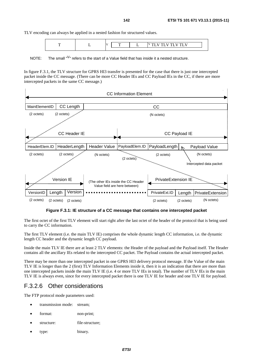TLV encoding can always be applied in a nested fashion for structured values.

|  |  |  | $ -$ |
|--|--|--|------|
|  |  |  |      |

NOTE: The small  $N^{\mathsf{V}}$  refers to the start of a Value field that has inside it a nested structure.

In figure F.3.1, the TLV structure for GPRS HI3 transfer is presented for the case that there is just one intercepted packet inside the CC message. (There can be more CC Header IEs and CC Payload IEs in the CC, if there are more intercepted packets in the same CC message.)



**Figure F.3.1: IE structure of a CC message that contains one intercepted packet** 

The first octet of the first TLV element will start right after the last octet of the header of the protocol that is being used to carry the CC information.

The first TLV element (i.e. the main TLV IE) comprises the whole dynamic length CC information, i.e. the dynamic length CC header and the dynamic length CC payload.

Inside the main TLV IE there are at least 2 TLV elements: the Header of the payload and the Payload itself. The Header contains all the ancillary IEs related to the intercepted CC packet. The Payload contains the actual intercepted packet.

There may be more than one intercepted packet in one GPRS HI3 delivery protocol message. If the Value of the main TLV IE is longer than the 2 (first) TLV Information Elements inside it, then it is an indication that there are more than one intercepted packets inside the main TLV IE (i.e. 4 or more TLV IEs in total). The number of TLV IEs in the main TLV IE is always even, since for every intercepted packet there is one TLV IE for header and one TLV IE for payload.

### F.3.2.6 Other considerations

The FTP protocol mode parameters used:

- transmission mode: stream;
- format: non-print:
- structure: file-structure;
- type: binary.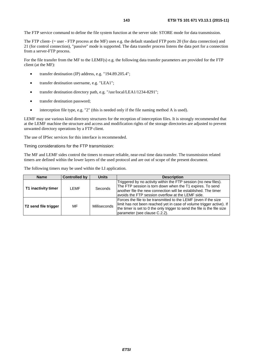The FTP service command to define the file system function at the server side: STORE mode for data transmission.

The FTP client- (= user - FTP process at the MF) uses e.g. the default standard FTP ports 20 (for data connection) and 21 (for control connection), "passive" mode is supported. The data transfer process listens the data port for a connection from a server-FTP process.

For the file transfer from the MF to the LEMF(s) e.g. the following data transfer parameters are provided for the FTP client (at the MF):

- transfer destination (IP) address, e.g. "194.89.205.4";
- transfer destination username, e.g. "LEA1";
- transfer destination directory path, e.g. "/usr/local/LEA1/1234-8291";
- transfer destination password;
- interception file type, e.g. "2" (this is needed only if the file naming method A is used).

LEMF may use various kind directory structures for the reception of interception files. It is strongly recommended that at the LEMF machine the structure and access and modification rights of the storage directories are adjusted to prevent unwanted directory operations by a FTP client.

The use of IPSec services for this interface is recommended.

#### Timing considerations for the FTP transmission:

The MF and LEMF sides control the timers to ensure reliable, near-real time data transfer. The transmission related timers are defined within the lower layers of the used protocol and are out of scope of the present document.

The following timers may be used within the LI application.

| <b>Name</b>          | <b>Controlled by</b> | <b>Units</b> | <b>Description</b>                                                                                                                                                                                                                                   |
|----------------------|----------------------|--------------|------------------------------------------------------------------------------------------------------------------------------------------------------------------------------------------------------------------------------------------------------|
| T1 inactivity timer  | LEMF                 | Seconds      | Triggered by no activity within the FTP session (no new files).<br>The FTP session is torn down when the T1 expires. To send<br>another file the new connection will be established. The timer<br>avoids the FTP session overflow at the LEMF side.  |
| T2 send file trigger | MF                   | Milliseconds | Forces the file to be transmitted to the LEMF (even if the size<br>limit has not been reached yet in case of volume trigger active). If<br>the timer is set to 0 the only trigger to send the file is the file size<br>parameter (see clause C.2.2). |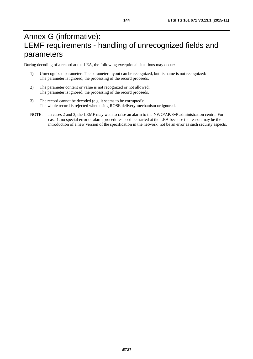During decoding of a record at the LEA, the following exceptional situations may occur:

- 1) Unrecognized parameter: The parameter layout can be recognized, but its name is not recognized: The parameter is ignored, the processing of the record proceeds.
- 2) The parameter content or value is not recognized or not allowed: The parameter is ignored, the processing of the record proceeds.
- 3) The record cannot be decoded (e.g. it seems to be corrupted): The whole record is rejected when using ROSE delivery mechanism or ignored.
- NOTE: In cases 2 and 3, the LEMF may wish to raise an alarm to the NWO/AP/SvP administration centre. For case 1, no special error or alarm procedures need be started at the LEA because the reason may be the introduction of a new version of the specification in the network, not be an error as such security aspects.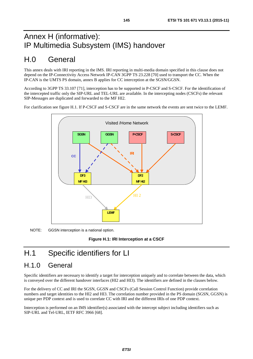# Annex H (informative): IP Multimedia Subsystem (IMS) handover

# H.0 General

This annex deals with IRI reporting in the IMS. IRI reporting in multi-media domain specified in this clause does not depend on the IP-Connectivity Access Network IP-CAN 3GPP TS 23.228 [\[70](#page-12-0)] used to transport the CC. When the IP-CAN is the UMTS PS domain, annex B applies for CC interception at the SGSN/GGSN.

According to 3GPP TS 33.107 [\[71](#page-12-0)], interception has to be supported in P-CSCF and S-CSCF. For the identification of the intercepted traffic only the SIP-URL and TEL-URL are available. In the intercepting nodes (CSCFs) the relevant SIP-Messages are duplicated and forwarded to the MF HI2.

For clarification see figure H.1. If P-CSCF and S-CSCF are in the same network the events are sent twice to the LEMF.



NOTE: GGSN interception is a national option.

**Figure H.1: IRI Interception at a CSCF** 

# H.1 Specific identifiers for LI

## H.1.0 General

Specific identifiers are necessary to identify a target for interception uniquely and to correlate between the data, which is conveyed over the different handover interfaces (HI2 and HI3). The identifiers are defined in the clauses below.

For the delivery of CC and IRI the SGSN, GGSN and CSCFs (Call Session Control Function) provide correlation numbers and target identities to the HI2 and HI3. The correlation number provided in the PS domain (SGSN, GGSN) is unique per PDP context and is used to correlate CC with IRI and the different IRIs of one PDP context.

Interception is performed on an IMS identifier(s) associated with the intercept subject including identifiers such as SIP-URL and Tel-URL, IETF RFC 3966 [\[68](#page-12-0)].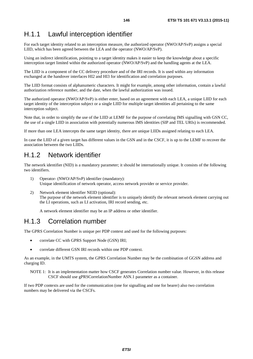## H.1.1 Lawful interception identifier

For each target identity related to an interception measure, the authorized operator (NWO/AP/SvP) assigns a special LIID, which has been agreed between the LEA and the operator (NWO/AP/SvP).

Using an indirect identification, pointing to a target identity makes it easier to keep the knowledge about a specific interception target limited within the authorized operator (NWO/AP/SvP) and the handling agents at the LEA.

The LIID is a component of the CC delivery procedure and of the IRI records. It is used within any information exchanged at the handover interfaces HI2 and HI3 for identification and correlation purposes.

The LIID format consists of alphanumeric characters. It might for example, among other information, contain a lawful authorization reference number, and the date, when the lawful authorization was issued.

The authorized operator (NWO/AP/SvP) is either enter, based on an agreement with each LEA, a unique LIID for each target identity of the interception subject or a single LIID for multiple target identities all pertaining to the same interception subject.

Note that, in order to simplify the use of the LIID at LEMF for the purpose of correlating IMS signalling with GSN CC, the use of a single LIID in association with potentially numerous IMS identities (SIP and TEL URIs) is recommended.

If more than one LEA intercepts the same target identity, there are unique LIIDs assigned relating to each LEA.

In case the LIID of a given target has different values in the GSN and in the CSCF, it is up to the LEMF to recover the association between the two LIIDs.

## H.1.2 Network identifier

The network identifier (NID) is a mandatory parameter; it should be internationally unique. It consists of the following two identifiers.

- 1) Operator- (NWO/AP/SvP) identifier (mandatory): Unique identification of network operator, access network provider or service provider.
- 2) Network element identifier NEID (optional): The purpose of the network element identifier is to uniquely identify the relevant network element carrying out the LI operations, such as LI activation, IRI record sending, etc.

A network element identifier may be an IP address or other identifier.

## H.1.3 Correlation number

The GPRS Correlation Number is unique per PDP context and used for the following purposes:

- correlate CC with GPRS Support Node (GSN) IRI;
- correlate different GSN IRI records within one PDP context.

As an example, in the UMTS system, the GPRS Correlation Number may be the combination of GGSN address and charging ID.

NOTE 1: It is an implementation matter how CSCF generates Correlation number value. However, in this release CSCF should use gPRSCorrelationNumber ASN.1 parameter as a container.

If two PDP contexts are used for the communication (one for signalling and one for bearer) also two correlation numbers may be delivered via the CSCFs.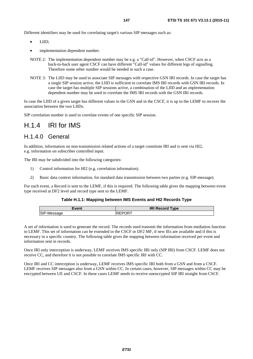Different identifiers may be used for correlating target's various SIP messages such as:

- LIID;
- implementation dependent number.
- NOTE 2: The implementation dependent number may be e.g. a "Call-id". However, when CSCF acts as a back-to-back user agent CSCF can have different "Call-id" values for different legs of signalling. Therefore some other number would be needed in such a case.
- NOTE 3: The LIID may be used to associate SIP messages with respective GSN IRI records. In case the target has a single SIP session active, the LIID is sufficient to correlate IMS IRI records with GSN IRI records. In case the target has multiple SIP sessions active, a combination of the LIID and an implementation dependent number may be used to correlate the IMS IRI records with the GSN IRI records.

In case the LIID of a given target has different values in the GSN and in the CSCF, it is up to the LEMF to recover the association between the two LIIDs.

SIP correlation number is used to correlate events of one specific SIP session.

# H.1.4 IRI for IMS

## H.1.4.0 General

In addition, information on non-transmission related actions of a target constitute IRI and is sent via HI2, e.g. information on subscriber controlled input.

The IRI may be subdivided into the following categories:

- 1) Control information for HI2 (e.g. correlation information).
- 2) Basic data context information, for standard data transmission between two parties (e.g. SIP-message).

For each event, a Record is sent to the LEMF, if this is required. The following table gives the mapping between event type received at DF2 level and record type sent to the LEMF.

### **Table H.1.1: Mapping between IMS Events and HI2 Records Type**

| Event | <b>IRI Record Type</b> |
|-------|------------------------|
| יישו  | DК.<br>ז ∟י<br>◝       |

A set of information is used to generate the record. The records used transmit the information from mediation function to LEMF. This set of information can be extended in the CSCF or DF2 MF, if new IEs are available and if this is necessary in a specific country. The following table gives the mapping between information received per event and information sent in records.

Once IRI only interception is underway, LEMF receives IMS specific IRI only (SIP IRI) from CSCF. LEMF does not receive CC, and therefore it is not possible to correlate IMS specific IRI with CC.

Once IRI and CC interception is underway, LEMF receives IMS specific IRI both from a GSN and from a CSCF. LEMF receives SIP messages also from a GSN within CC. In certain cases, however, SIP messages within CC may be encrypted between UE and CSCF. In these cases LEMF needs to receive unencrypted SIP IRI straight from CSCF.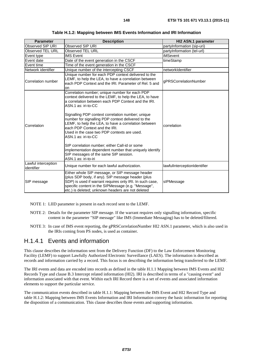| <b>Parameter</b>                  | <b>Description</b>                                                                                                                                                                                                                                                                                                                                                                                                                                                                                                                                                                                                                             | HI2 ASN.1 parameter          |
|-----------------------------------|------------------------------------------------------------------------------------------------------------------------------------------------------------------------------------------------------------------------------------------------------------------------------------------------------------------------------------------------------------------------------------------------------------------------------------------------------------------------------------------------------------------------------------------------------------------------------------------------------------------------------------------------|------------------------------|
| Observed SIP URI                  | Observed SIP URI                                                                                                                                                                                                                                                                                                                                                                                                                                                                                                                                                                                                                               | partyInformation (sip-uri)   |
| Observed TEL URL                  | Observed TEL URL                                                                                                                                                                                                                                                                                                                                                                                                                                                                                                                                                                                                                               | partyInformation (tel-url)   |
| Event type                        | <b>IMS Event</b>                                                                                                                                                                                                                                                                                                                                                                                                                                                                                                                                                                                                                               | <b>iMSevent</b>              |
| Event date                        | Date of the event generation in the CSCF                                                                                                                                                                                                                                                                                                                                                                                                                                                                                                                                                                                                       | timeStamp                    |
| Event time                        | Time of the event generation in the CSCF                                                                                                                                                                                                                                                                                                                                                                                                                                                                                                                                                                                                       |                              |
| Network identifier                | Unique number of the intercepting CSCF                                                                                                                                                                                                                                                                                                                                                                                                                                                                                                                                                                                                         | networkIdentifier            |
| Correlation number                | Unique number for each PDP context delivered to the<br>LEMF, to help the LEA, to have a correlation between<br>each PDP Context and the IRI. Parameter of Rel, 5 and<br>on                                                                                                                                                                                                                                                                                                                                                                                                                                                                     | gPRSCorrelationNumber        |
| Correlation                       | Correlation number; unique number for each PDP<br>context delivered to the LEMF, to help the LEA, to have<br>a correlation between each PDP Context and the IRI.<br>ASN.1 as: iri-to-CC<br>Signalling PDP context correlation number; unique<br>number for signalling PDP context delivered to the<br>LEMF, to help the LEA, to have a correlation between<br>each PDP Context and the IRI.<br>Used in the case two PDP contexts are used.<br>ASN.1 as: iri-to-CC<br>SIP correlation number; either Call-id or some<br>implementation dependent number that uniquely identify<br>SIP messages of the same SIP session.<br>ASN.1 as: iri-to-iri | correlation                  |
| Lawful interception<br>identifier | Unique number for each lawful authorization.                                                                                                                                                                                                                                                                                                                                                                                                                                                                                                                                                                                                   | lawfullnterceptionIdentifier |
| SIP message                       | Either whole SIP message, or SIP message header<br>(plus SDP body, if any). SIP message header (plus<br>SDP) is used if warrant requires only IRI. In such case,<br>specific content in the SIPMessage (e.g. "Message",<br>etc.) is deleted; unknown headers are not deleted                                                                                                                                                                                                                                                                                                                                                                   | sIPMessage                   |

**Table H.1.2: Mapping between IMS Events Information and IRI Information** 

NOTE 1: LIID parameter is present in each record sent to the LEMF.

- NOTE 2: Details for the parameter SIP message. If the warrant requires only signalling information, specific content in the parameter "SIP message" like IMS (Immediate Messaging) has to be deleted/filtered.
- NOTE 3: In case of IMS event reporting, the gPRSCorrelationNumber HI2 ASN.1 parameter, which is also used in the IRIs coming from PS nodes, is used as container.

### H.1.4.1 Events and information

This clause describes the information sent from the Delivery Function (DF) to the Law Enforcement Monitoring Facility (LEMF) to support Lawfully Authorized Electronic Surveillance (LAES). The information is described as records and information carried by a record. This focus is on describing the information being transferred to the LEMF.

The IRI events and data are encoded into records as defined in the table H.1.1 Mapping between IMS Events and HI2 Records Type and clause B.3 Intercept related information (HI2). IRI is described in terms of a "causing event" and information associated with that event. Within each IRI Record there is a set of events and associated information elements to support the particular service.

The communication events described in table H.1.1: Mapping between the IMS Event and HI2 Record Type and table H.1.2: Mapping between IMS Events Information and IRI Information convey the basic information for reporting the disposition of a communication. This clause describes those events and supporting information.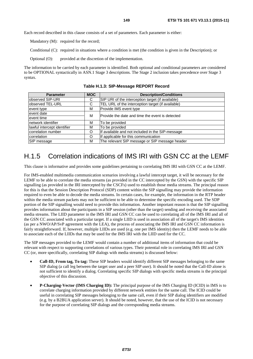Each record described in this clause consists of a set of parameters. Each parameter is either:

Mandatory (M): required for the record;

Conditional (C): required in situations where a condition is met (the condition is given in the Description); or

Optional (O): provided at the discretion of the implementation.

The information to be carried by each parameter is identified. Both optional and conditional parameters are considered to be OPTIONAL syntactically in ASN.1 Stage 3 descriptions. The Stage 2 inclusion takes precedence over Stage 3 syntax.

| <b>Parameter</b>            | <b>MOC</b> | <b>Description/Conditions</b>                     |  |
|-----------------------------|------------|---------------------------------------------------|--|
| observed SIP-URI            | С          | SIP URI of the interception target (if available) |  |
| observed TEL-URL            | С          | TEL URL of the interception target (if available) |  |
| event type                  | м          | Provide IMS event type                            |  |
| event date                  | м          | Provide the date and time the event is detected   |  |
| event time                  |            |                                                   |  |
| Inetwork identifier         | м          | To be provided                                    |  |
| lawful intercept identifier | м          | To be provided                                    |  |
| correlation number          | O          | If available and not included in the SIP-message  |  |
| correlation                 | O          | If applicable for this communication              |  |
| SIP message                 | м          | The relevant SIP message or SIP message header    |  |

**Table H.1.3: SIP-Message REPORT Record** 

## H.1.5 Correlation indications of IMS IRI with GSN CC at the LEMF

This clause is informative and provides some guidelines pertaining to correlating IMS IRI with GSN CC at the LEMF.

For IMS-enabled multimedia communication scenarios involving a lawful intercept target, it will be necessary for the LEMF to be able to correlate the media streams (as provided in the CC intercepted by the GSN) with the specific SIP signalling (as provided in the IRI intercepted by the CSCFs) used to establish those media streams. The principal reason for this is that the Session Description Protocol (SDP) content within the SIP signalling may provide the information required to even be able to decode the media streams. In certain cases, for example, the information in the RTP header within the media stream packets may not be sufficient to be able to determine the specific encoding used. The SDP portion of the SIP signalling would need to provide this information. Another important reason is that the SIP signalling provides information about the participants in a SIP session (other than the target) sending and receiving the associated media streams. The LIID parameter in the IMS IRI and GSN CC can be used to correlating all of the IMS IRI and all of the GSN CC associated with a particular target. If a single LIID is used in association all of the target's IMS identities (as per a NWO/AP/SvP agreement with the LEA), the process of associating the IMS IRI and GSN CC information is fairly straightforward. If, however, multiple LIIDs are used (e.g. one per IMS identity) then the LEMF needs to be able to associate each of the LIIDs that may be used for the IMS IRI with the LIID used for the CC.

The SIP messages provided to the LEMF would contain a number of additional items of information that could be relevant with respect to supporting correlations of various types. Their potential role in correlating IMS IRI and GSN CC (or, more specifically, correlating SIP dialogs with media streams) is discussed below:

- **Call-ID, From tag, To tag:** These SIP headers would identify different SIP messages belonging to the same SIP dialog (a call leg between the target user and a peer SIP user). It should be noted that the Call-ID alone is not sufficient to identify a dialog. Correlating specific SIP dialogs with specific media streams is the principal objective of this discussion.
- **P-Charging-Vector (IMS Charging ID):** The principal purpose of the IMS Charging ID (ICID) in IMS is to correlate charging information provided by different network entities for the same call. The ICID could be useful in correlating SIP messages belonging to the same call, even if their SIP dialog identifiers are modified (e.g. by a B2BUA application server). It should be noted, however, that the use of the ICID is not necessary for the purpose of correlating SIP dialogs and the corresponding media streams.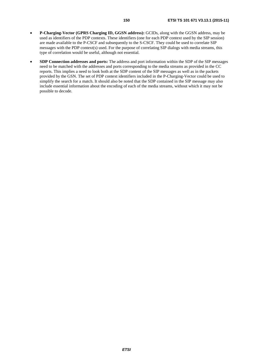- **P-Charging-Vector (GPRS Charging ID, GGSN address):** GCIDs, along with the GGSN address, may be used as identifiers of the PDP contexts. These identifiers (one for each PDP context used by the SIP session) are made available to the P-CSCF and subsequently to the S-CSCF. They could be used to correlate SIP messages with the PDP context(s) used. For the purpose of correlating SIP dialogs with media streams, this type of correlation would be useful, although not essential.
- **SDP Connection addresses and ports:** The address and port information within the SDP of the SIP messages need to be matched with the addresses and ports corresponding to the media streams as provided in the CC reports. This implies a need to look both at the SDP content of the SIP messages as well as in the packets provided by the GSN. The set of PDP context identifiers included in the P-Charging-Vector could be used to simplify the search for a match. It should also be noted that the SDP contained in the SIP message may also include essential information about the encoding of each of the media streams, without which it may not be possible to decode.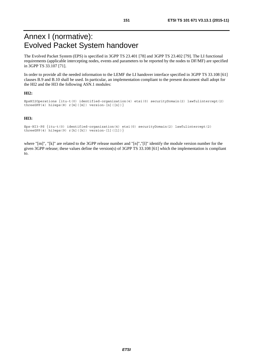# Annex I (normative): Evolved Packet System handover

The Evolved Packet System (EPS) is specified in 3GPP TS 23.401 [\[78](#page-13-0)] and 3GPP TS 23.402 [\[79](#page-13-0)]. The LI functional requirements (applicable intercepting nodes, events and parameters to be reported by the nodes to DF/MF) are specified in 3GPP TS 33.107 [\[71](#page-12-0)].

In order to provide all the needed information to the LEMF the LI handover interface specified in 3GPP TS 33.108 [\[61](#page-12-0)] clauses B.9 and B.10 shall be used. In particular, an implementation compliant to the present document shall adopt for the HI2 and the HI3 the following ASN.1 modules:

### **HI2:**

```
EpsHI2Operations \{itu-t(0) identified-organization(4) etsi(0) securityDomain(2) lawfulintercept(2)
threeGPP(4) hi2eps(8) r[m]([m]) version-[n]([n])}
```
### **HI3:**

```
Eps-HI3-PS {itu-t(0) identified-organization(4) etsi(0) securityDomain(2) lawfulintercept(2) 
threeGPP(4) hi3eps(9) r[k]([k]) version-[l]([l])}
```
where "[m]", "[k]" are related to the 3GPP release number and "[n]","[l]" identify the module version number for the given 3GPP release; these values define the version(s) of 3GPP TS 33.108 [\[61](#page-12-0)] which the implementation is compliant to.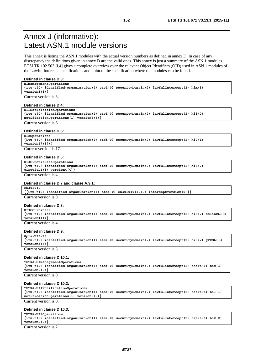## Annex J (informative): Latest ASN.1 module versions

This annex is listing the ASN.1 modules with the actual version numbers as defined in annex D. In case of any discrepancy the definitions given in annex D are the valid ones. This annex is just a summary of the ASN.1 modules. ETSI TR 102 503 [\[i.4](#page-13-0)] gives a complete overview over the relevant Object Identifiers (OID) used in ASN.1 modules of the Lawful Intercept specifications and point to the specification where the modules can be found.

#### **Defined in clause D.3:**

**HIManagementOperations** 

**{itu-t(0) identified-organization(4) etsi(0) securityDomain(2) lawfulIntercept(2) him(3) version3(3)}**

Current version is 3.

#### **Defined in clause D.4:**

```
HI1NotificationOperations 
{itu-t(0) identified-organization(4) etsi(0) securityDomain(2) lawfulIntercept(2) hi1(0) 
notificationOperations(1) version6(6)}
Current version is 6.
```
### **Defined in clause D.5:**

```
HI2Operations 
{itu-t(0) identified-organization(4) etsi(0) securityDomain(2) lawfulIntercept(2) hi2(1) 
version17(17)}
```
Current version is 17.

### **Defined in clause D.6:**

```
HI3CircuitDataOperations 
{itu-t(0) identified-organization(4) etsi(0) securityDomain(2) lawfulIntercept(2) hi3(2) 
circuitLI(1) version4(4)}
```
Current version is 4.

#### **Defined in clause D.7 and clause A.9.1:**

**EN301040** 

**{{itu-t(0) identified-organization(4) etsi(0) en301040(1040) interceptVersion(0)}}**  Current version is 0.

#### **Defined in clause D.8:**

| HI3CCLinkData         |                                                                                                         |  |  |  |
|-----------------------|---------------------------------------------------------------------------------------------------------|--|--|--|
|                       | $\{itu-t(0)$ identified-organization(4) etsi(0) securityDomain(2) lawfulIntercept(2) hi3(2) cclinkLI(4) |  |  |  |
| version4(4)           |                                                                                                         |  |  |  |
| Current version is 4. |                                                                                                         |  |  |  |

#### **Defined in clause D.9:**

```
Gprs-HI3-PS 
{itu-t(0) identified-organization(4) etsi(0) securityDomain(2) lawfulIntercept(2) hi3(2) gPRSLI(3) 
version3(3)}
```
Current version is 3.

#### **Defined in clause D.10.1:**

**TETRA-HIManagementOperations** 

**{itu-t(0) identified-organization(4) etsi(0) securityDomain(2) lawfulintercept(2) tetra(6) him(3) version0(0)}** 

Current version is 0.

#### **Defined in clause D.10.2:**

```
TETRA-HI1NotificationOperations 
{itu-t(0) identified-organization(4) etsi(0) securityDomain(2) lawfulIntercept(2) tetra(6) hi1(1) 
notificationOperations(1) version0(0)}
```
### Current version is 0.

#### **Defined in clause D.10.3:**

```
TETRA-HI2Operations 
{itu-t(0) identified-organization(4) etsi(0) securityDomain(2) lawfulIntercept(2) tetra(6) hi2(2) 
version2(2)}
```
Current version is 2.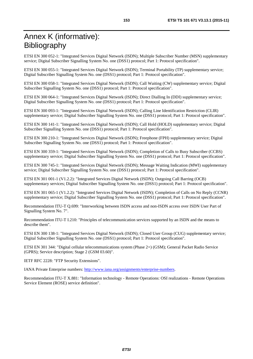ETSI EN 300 052-1: "Integrated Services Digital Network (ISDN); Multiple Subscriber Number (MSN) supplementary service; Digital Subscriber Signalling System No. one (DSS1) protocol; Part 1: Protocol specification".

ETSI EN 300 055-1: "Integrated Services Digital Network (ISDN); Terminal Portability (TP) supplementary service; Digital Subscriber Signalling System No. one (DSS1) protocol; Part 1: Protocol specification".

ETSI EN 300 058-1: "Integrated Services Digital Network (ISDN); Call Waiting (CW) supplementary service; Digital Subscriber Signalling System No. one (DSS1) protocol; Part 1: Protocol specification".

ETSI EN 300 064-1: "Integrated Services Digital Network (ISDN); Direct Dialling In (DDI) supplementary service; Digital Subscriber Signalling System No. one (DSS1) protocol; Part 1: Protocol specification".

ETSI EN 300 093-1: "Integrated Services Digital Network (ISDN); Calling Line Identification Restriction (CLIR) supplementary service; Digital Subscriber Signalling System No. one (DSS1) protocol; Part 1: Protocol specification".

ETSI EN 300 141-1: "Integrated Services Digital Network (ISDN); Call Hold (HOLD) supplementary service; Digital Subscriber Signalling System No. one (DSS1) protocol; Part 1: Protocol specification".

ETSI EN 300 210-1: "Integrated Services Digital Network (ISDN); Freephone (FPH) supplementary service; Digital Subscriber Signalling System No. one (DSS1) protocol; Part 1: Protocol specification".

ETSI EN 300 359-1: "Integrated Services Digital Network (ISDN); Completion of Calls to Busy Subscriber (CCBS) supplementary service; Digital Subscriber Signalling System No. one (DSS1) protocol; Part 1: Protocol specification".

ETSI EN 300 745-1: "Integrated Services Digital Network (ISDN); Message Waiting Indication (MWI) supplementary service; Digital Subscriber Signalling System No. one (DSS1) protocol; Part 1: Protocol specification".

ETSI EN 301 001-1 (V1.2.2): "Integrated Services Digital Network (ISDN); Outgoing Call Barring (OCB) supplementary services; Digital Subscriber Signalling System No. one (DSS1) protocol; Part 1: Protocol specification".

ETSI EN 301 065-1 (V1.2.2): "Integrated Services Digital Network (ISDN); Completion of Calls on No Reply (CCNR) supplementary service; Digital Subscriber Signalling System No. one (DSS1) protocol; Part 1: Protocol specification".

Recommendation ITU-T Q.699: "Interworking between ISDN access and non-ISDN access over ISDN User Part of Signalling System No. 7".

Recommendation ITU-T I.210: "Principles of telecommunication services supported by an ISDN and the means to describe them".

ETSI EN 300 138-1: "Integrated Services Digital Network (ISDN); Closed User Group (CUG) supplementary service; Digital Subscriber Signalling System No. one (DSS1) protocol; Part 1: Protocol specification".

ETSI EN 301 344: "Digital cellular telecommunications system (Phase 2+) (GSM); General Packet Radio Service (GPRS); Service description; Stage 2 (GSM 03.60)".

IETF RFC 2228: "FTP Security Extensions".

IANA Private Enterprise numbers:<http://www.iana.org/assignments/enterprise-numbers>.

Recommendation ITU-T X.881: "Information technology - Remote Operations: OSI realizations - Remote Operations Service Element (ROSE) service definition".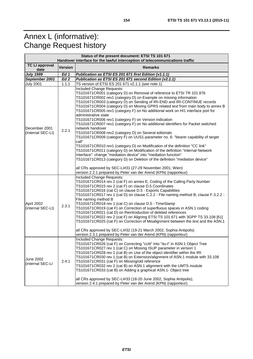# Annex L (informative): Change Request history

| Status of the present document: ETSI TS 101 671<br>Handover interface for the lawful interception of telecommunications traffic |                   |                                                                                                                                                                                                                                                                                                                                                                                                                                                                                                                                                                                                                                                                                                                                                                                                                                                                                                                                                                                                                                                                                                                                                                                                                                |  |
|---------------------------------------------------------------------------------------------------------------------------------|-------------------|--------------------------------------------------------------------------------------------------------------------------------------------------------------------------------------------------------------------------------------------------------------------------------------------------------------------------------------------------------------------------------------------------------------------------------------------------------------------------------------------------------------------------------------------------------------------------------------------------------------------------------------------------------------------------------------------------------------------------------------------------------------------------------------------------------------------------------------------------------------------------------------------------------------------------------------------------------------------------------------------------------------------------------------------------------------------------------------------------------------------------------------------------------------------------------------------------------------------------------|--|
| <b>TC LI approval</b><br>date                                                                                                   | <b>Version</b>    | <b>Remarks</b>                                                                                                                                                                                                                                                                                                                                                                                                                                                                                                                                                                                                                                                                                                                                                                                                                                                                                                                                                                                                                                                                                                                                                                                                                 |  |
| <b>July 1999</b>                                                                                                                | $\overline{Ed}$ 1 | Publication as ETSI ES 201 671 first Edition (v1.1.1)                                                                                                                                                                                                                                                                                                                                                                                                                                                                                                                                                                                                                                                                                                                                                                                                                                                                                                                                                                                                                                                                                                                                                                          |  |
| September 2001                                                                                                                  | Ed <sub>2</sub>   | Publication as ETSI ES 201 671 second Edition (v2.1.1)                                                                                                                                                                                                                                                                                                                                                                                                                                                                                                                                                                                                                                                                                                                                                                                                                                                                                                                                                                                                                                                                                                                                                                         |  |
| <b>July 2001</b>                                                                                                                | 1.1.1             | TS version of ETSI ES 201 671 v2.1.1 (see note 1)                                                                                                                                                                                                                                                                                                                                                                                                                                                                                                                                                                                                                                                                                                                                                                                                                                                                                                                                                                                                                                                                                                                                                                              |  |
| December 2001<br>(internal SEC-LI)                                                                                              | 2.2.1             | Included Change Requests:<br>TS101671CR001 (category D) on Removal of reference to ETSI TR 101 876<br>TS101671CR002 rev1 (category D) on Example on missing information<br>TS101671CR003 (category D) on Sending of IRI-END and IRI-CONTINUE records<br>TS101671CR004 (category D) on Moving GPRS related text from main body to annex B<br>TS101671CR005 rev1 (category F) on No additional work on HI1 interface port for<br>administrative state<br>TS101671CR006 rev1 (category F) on Version indication<br>TS101671CR007 rev1 (category F) on No additional identifiers for Packet switched<br>network handover<br>TS101671CR008 rev2 (category D) on Several editorials<br>TS101671CR009 (category F) on UUS1-parameter no. 6: "bearer capability of target<br>call"<br>TS101671CR010 rev1 (category D) on Modification of the definition "CC link"<br>TS101671CR011 (category D) on Modification of the definition "Internal Network<br>Interface": change "mediation device" into "mediation function"<br>TS101671CR013 (category D) on Deletion of the definition "mediation device"<br>all CRs approved by SEC-LI#31 (27-29 November 2001; Wien)<br>version 2.2.1 prepared by Peter van der Arend (KPN) (rapporteur) |  |
| April 2002<br>(internal SEC-LI)                                                                                                 | 2.3.1             | Included Change Requests:<br>TS101671CR014 rev 2 (cat F) on annex E, Coding of the Calling Party Number<br>TS101671CR015 rev 2 (cat F) on clause D.5 Coordinates<br>TS101671CR016 (cat C) on clause D.5 - Exports Capabilities<br>TS101671CR017 rev 1 (cat D) on clause C.2.2 - File naming method B; clause F.3.2.2 -<br>File naming method B<br>TS101671CR018 rev 1 (cat C) on clause D.5 - TimeStamp<br>TS101671CR019 (cat F) on Correction of superfluous spaces in ASN.1 coding<br>TS101671CR021 (cat D) on Reintroduction of deleted references<br>TS101671CR022 rev 2 (cat F) on Aligning ETSI TS 101 671 with 3GPP TS 33.108 [61]<br>TS101671CR025 (cat F) on Correction of Misalignment between the text and the ASN.1<br>all CRs approved by SEC-LI#32 (19-21 March 2002, Sophia Antipolis)<br>version 2.3.1 prepared by Peter van der Arend (KPN) (rapporteur)                                                                                                                                                                                                                                                                                                                                                      |  |
| June 2002<br>(internal SEC-LI                                                                                                   | 2.4.1             | Included Change Requests:<br>TS101671CR026 (cat F) on Correcting "ccitt" into "itu-t" in ASN.1 Object Tree<br>TS101671CR027 rev 1 (cat C) on Missing ISUP parameter in version 1<br>TS101671CR028 rev 1 (cat B) on Use of the object identifier within the IRI<br>TS101671CR030 rev 1 (cat B) on Extension/alignment of ASN.1 module with 33.108<br>TS101671CR031 (cat F) on Missing/old reference<br>TS101671CR032 rev 2 (cat B) on ASN.1 alignment with the UMTS module<br>TS101671CR033 (cat B) on Adding a graphical ASN.1- Object tree<br>all CRs approved by SEC-LI#33 (18-20 June 2002, Sophia Antipolis);<br>version 2.4.1 prepared by Peter van der Arend (KPN) (rapporteur)                                                                                                                                                                                                                                                                                                                                                                                                                                                                                                                                          |  |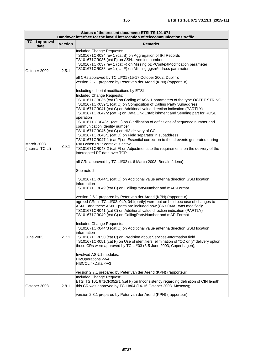| Status of the present document: ETSI TS 101 671<br>Handover interface for the lawful interception of telecommunications traffic |                |                                                                                                                                                                                                                                                                                                                                                                                                                                                                                                                                                                                                                                                                                                                                                                                                                                                                                                                                                                                                                                                                                                                                                 |  |
|---------------------------------------------------------------------------------------------------------------------------------|----------------|-------------------------------------------------------------------------------------------------------------------------------------------------------------------------------------------------------------------------------------------------------------------------------------------------------------------------------------------------------------------------------------------------------------------------------------------------------------------------------------------------------------------------------------------------------------------------------------------------------------------------------------------------------------------------------------------------------------------------------------------------------------------------------------------------------------------------------------------------------------------------------------------------------------------------------------------------------------------------------------------------------------------------------------------------------------------------------------------------------------------------------------------------|--|
| <b>TC LI approval</b><br>date                                                                                                   | <b>Version</b> | <b>Remarks</b>                                                                                                                                                                                                                                                                                                                                                                                                                                                                                                                                                                                                                                                                                                                                                                                                                                                                                                                                                                                                                                                                                                                                  |  |
| October 2002                                                                                                                    | 2.5.1          | Included Change Requests:<br>TS101671CR034 rev 1 (cat B) on Aggregation of IRI Records<br>TS101671CR036 (cat F) on ASN.1 version number<br>TS101671CR037 rev 1 (cat F) on Missing pDPContextModification parameter<br>TS101671CR038 rev 1 (cat F) on Missing ggsnAddress parameter<br>all CRs approved by TC LI#01 (15-17 October 2002, Dublin);<br>version 2.5.1 prepared by Peter van der Arend (KPN) (rapporteur)<br>Including editorial modifications by ETSI                                                                                                                                                                                                                                                                                                                                                                                                                                                                                                                                                                                                                                                                               |  |
| March 2003<br>(internal TC LI)                                                                                                  | 2.6.1          | Included Change Requests:<br>TS101671CR035 (cat F) on Coding of ASN.1 parameters of the type OCTET STRING<br>TS101671CR039r1 (cat C) on Composition of Calling Party Subaddress<br>TS101671CR041 (cat C) on Additional value direction indication (PARTLY)<br>TS101671CR042r2 (cat F) on Data Link Establishment and Sending part for ROSE<br>operation<br>TS101671 CR043r1 (cat C) on Clarification of definitions of sequence number and<br>communication identity number<br>TS101671CR045 (cat C) on HI3 delivery of CC<br>TS101671CR046r1 (cat D) on Field separator in subaddress<br>TS101671CR047r1 (cat F) on Essential correction to the LI events generated during<br>RAU when PDP context is active<br>TS101671CR048r2 (cat F) on Adjustments to the requirements on the delivery of the<br>intercepted RT data over TCP<br>all CRs approved by TC LI#02 (4-6 March 2003, Benalmádena);<br>See note 2.<br>TS101671CR044r1 (cat C) on Additional value antenna direction GSM location<br>information<br>TS101671CR049 (cat C) on CallingPartyNumber and mAP-Format<br>version 2.6.1 prepared by Peter van der Arend (KPN) (rapporteur) |  |
| <b>June 2003</b>                                                                                                                | 2.7.1          | agreed CRs in TC LI#02: 049, 041(partly) were put on hold because of changes to<br>ASN.1 and these ASN.1 parts are included now (CRs 044r1 was modified):<br>TS101671CR041 (cat C) on Additional value direction indication (PARTLY)<br>TS101671CR049 (cat C) on CallingPartyNumber and mAP-Format<br>Included Change Requests:<br>TS101671CR044r3 (cat C) on Additional value antenna direction GSM location<br>information<br>TS101671CR050 (cat C) on Precision about Services-Information field<br>TS101671CR051 (cat F) on Use of identifiers, elimination of "CC only" delivery option<br>these CRs were approved by TC LI#03 (3-5 June 2003, Copenhagen);<br>Involved ASN.1 modules:<br>HI2Operations ->v4<br>HI3CCLinkData ->v3<br>version 2.7.1 prepared by Peter van der Arend (KPN) (rapporteur)                                                                                                                                                                                                                                                                                                                                     |  |
| October 2003                                                                                                                    | 2.8.1          | Included Change Request:<br>ETSI TS 101 671CR052r1 (cat F) on Inconsistency regarding definition of CIN length<br>this CR was approved by TC LI#04 (14-16 October 2003, Moscow);<br>version 2.8.1 prepared by Peter van der Arend (KPN) (rapporteur)                                                                                                                                                                                                                                                                                                                                                                                                                                                                                                                                                                                                                                                                                                                                                                                                                                                                                            |  |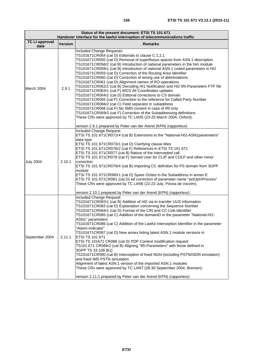| Status of the present document: ETSI TS 101 671<br>Handover interface for the lawful interception of telecommunications traffic |                |                                                                                                                                                                                                                                                                                                                                                                                                                                                                                                                                                                                                                                                                                                                                                                                                                                                                                                                                                                                                                                                                                                                                                          |  |
|---------------------------------------------------------------------------------------------------------------------------------|----------------|----------------------------------------------------------------------------------------------------------------------------------------------------------------------------------------------------------------------------------------------------------------------------------------------------------------------------------------------------------------------------------------------------------------------------------------------------------------------------------------------------------------------------------------------------------------------------------------------------------------------------------------------------------------------------------------------------------------------------------------------------------------------------------------------------------------------------------------------------------------------------------------------------------------------------------------------------------------------------------------------------------------------------------------------------------------------------------------------------------------------------------------------------------|--|
| <b>TC LI approval</b><br>date                                                                                                   | <b>Version</b> | <b>Remarks</b>                                                                                                                                                                                                                                                                                                                                                                                                                                                                                                                                                                                                                                                                                                                                                                                                                                                                                                                                                                                                                                                                                                                                           |  |
| March 2004                                                                                                                      | 2.9.1          | Included Change Requests:<br>TS101671CR054 (cat D) Editorials to clause C.1.2.1<br>TS101671CR055 (cat D) Removal of superfluous spaces from ASN.1 description<br>TS101671CR056r2 (cat B) Introduction of national parameters in the him module<br>TS101671CR058r1 (cat B) Introduction of national ASN.1 coded parameters in HI2<br>TS101671CR059 (cat D) Correction of the Routing Area Identifier<br>TS101671CR060 (cat D) Correction of wrong use of abbreviations<br>TS101671CR061 (cat D) Alignment names of RO-operations<br>TS101671CR062r1 (cat B) Decoding HI1 Notification and HI2 IRI-Parameters FTP file<br>TS101671CR063r1 (cat F) WGS 84 Coordinates updates<br>TS101671CR064r2 (cat D) Editorial corrections to CS domain<br>TS101671CR065 (cat F) Correction to the reference for Called Party Number<br>TS101671CR066r2 (cat C) Field separator in subaddress<br>TS101671CR068 (cat F) No SMS content in case of IRI only<br>TS101671CR069r3 (cat F) Correction of the Subaddressing definitions<br>These CRs were approved by TC LI#05 (23-25 March 2004, Oxford);<br>version 2.9.1 prepared by Peter van der Arend (KPN) (rapporteur) |  |
| <b>July 2004</b>                                                                                                                | 2.10.1         | <b>Included Change Request:</b><br>ETSI TS 101 671CR072r4 (cat B) Extensions to the "National-HI2-ASN1parameters"<br>data type<br>ETSI TS 101 671CR073r1 (cat D) Clarifying clause titles<br>ETSI TS 101 671CR076r2 (cat F) References in ETSI TS 101 671<br>ETSI TS 101 671CR077 (cat B) Nature of the intercepted call<br>ETSI TS 101 671CR078 (cat F) Served User for CLIP and COLP and other minor<br>correction<br>ETSI TS 101 671CR079r4 (cat B) Importing CC definition for PS domain from 3GPP<br>module<br>ETSI TS 101 671CR080r1 (cat D) Spare Octets in the Subaddress in annex E<br>ETSI TS 101 671CR081 (cat D) ed correction of parameter name "setUpInProcess"<br>These CRs were approved by TC LI#06 (22-23 July, Póvoa de Varzim);<br>version 2.10.1 prepared by Peter van der Arend (KPN) (rapporteur)                                                                                                                                                                                                                                                                                                                                 |  |
| September 2004                                                                                                                  | 2.11.1         | Included Change Request:<br>TS101671CR082r1 (cat B) Addition of HI2 via to transfer UUS information<br>TS101671CR083 (cat D) Explanation concerning the Sequence Number<br>TS101671CR084r1 (cat D) Format of the CIN and CC-Link-Identifier<br>TS101671CR085 (cat C) Addition of the domainID in the parameter "National-HI1-<br>ASN1" parameters<br>TS101671CR086 (cat C) Addition of the Lawful Interception Identifier in the parameter<br>"Alarm-Indicator"<br>TS101671CR087 (cat D) New annex listing latest ASN.1 module versions in<br>ETSI TS 101 671<br>ETSI TS 101671 CR088 (cat D) PDP Context modification request<br>TS101 671 CR089r2 (cat B) Aligning "IRI-Parameters" with those defined in<br>3GPP TS 33.108 [61]<br>TS101671CR090 (cat B) Interception of fixed NGN (including PSTN/ISDN emulation)<br>and fixed IMS PSTN simulation<br>Alignment of latest ASN.1 version of the imported ASN.1 modules<br>These CRs were approved by TC LI#07 (28-30 September 2004, Bremen);<br>version 2.11.1 prepared by Peter van der Arend (KPN) (rapporteur)                                                                                    |  |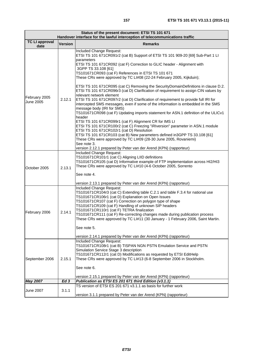÷

| Status of the present document: ETSI TS 101 671<br>Handover interface for the lawful interception of telecommunications traffic |                |                                                                                                                                                                                                                                                                                                                                                                                                                                                                                                                                                                                             |
|---------------------------------------------------------------------------------------------------------------------------------|----------------|---------------------------------------------------------------------------------------------------------------------------------------------------------------------------------------------------------------------------------------------------------------------------------------------------------------------------------------------------------------------------------------------------------------------------------------------------------------------------------------------------------------------------------------------------------------------------------------------|
| <b>TC LI approval</b><br>date                                                                                                   | <b>Version</b> | <b>Remarks</b>                                                                                                                                                                                                                                                                                                                                                                                                                                                                                                                                                                              |
| February 2005<br><b>June 2005</b>                                                                                               | 2.12.1         | Included Change Request:<br>ETSI TS 101 671CR091r2 (cat B) Support of ETSI TS 101 909-20 [69] Sub-Part 1 LI<br>parameters<br>ETSI TS 101 671CR092 (cat F) Correction to GLIC header - Alignment with<br>3GPP TS 33.108 [61]<br>TS101671CR093 (cat F) References in ETSI TS 101 671<br>These CRs were approved by TC LI#08 (22-24 February 2005, Kijkduin);                                                                                                                                                                                                                                  |
|                                                                                                                                 |                | ETSI TS 101 671 CR095 (cat C) Removing the Security Domain Definitions in clause D.2.<br>ETSI TS 101 671CR096r3 (cat D) Clarification of requirement to assign CIN values by<br>relevant network element<br>ETSI TS 101 671CR097r2 (cat D) Clarification of requirement to provide full IRI for<br>intercepted SMS messages, even if some of the information is embedded in the SMS<br>message body (IRI for SMS)<br>TS101671CR098 (cat F) Updating imports statement for ASN.1 definition of the ULICv1                                                                                    |
|                                                                                                                                 |                | header<br>ETSI TS 101 671CR099r1 (cat F) Alignment CR for IMS LI<br>ETSI TS 101 671CR100r2 (cat C) Freezing "iRIversion" parameter in ASN.1 module<br>ETSI TS 101 671CR102r1 (cat D) Resolution<br>ETSI TS 101 671CR103 (cat B) New parameters defined in3GPP TS 33.108 [61]<br>These CRs were approved by TC LI#09 (28-30 June 2005, Rovaniemi)<br>See note 3.<br>version 2.12.1 prepared by Peter van der Arend (KPN) (rapporteur)                                                                                                                                                        |
| October 2005                                                                                                                    | 2.13.1         | Included Change Request:<br>TS101671CR101r1 (cat C) Aligning LIID definitions<br>TS101671CR105 (cat D) Informative example of FTP implementation across HI2/HI3<br>These CRs were approved by TC LI#10 (4-6 October 2005, Sorrento<br>See note 4.<br>version 2.13.1 prepared by Peter van der Arend (KPN) (rapporteur)                                                                                                                                                                                                                                                                      |
| February 2006                                                                                                                   | 2.14.1         | Included Change Request:<br>TS101671CR104r3 (cat C) Extending table C.2.1 and table F.3.4 for national use<br>TS101671CR106r1 (cat D) Explanation on Open Issues<br>TS101671CR107 (cat F) Correction on polygon type of shape<br>TS101671CR109 (cat F) Handling of unknown SIP headers<br>TS101671CR110r1 (cat F) TETRA finalization<br>TS101671CR111 (cat F) Re-correcting changes made during publication process<br>These CRs were approved by TC LI#11 (30 January - 1 February 2006, Saint Martin.<br>See note 5.<br>version 2.14.1 prepared by Peter van der Arend (KPN) (rapporteur) |
| September 2006                                                                                                                  | 2.15.1         | Included Change Request:<br>TS101671CR108r1 (cat B) TISPAN NGN PSTN Emulation Service and PSTN<br>Simulation Service Stage 3 description<br>TS101671CR112r1 (cat D) Modifications as requested by ETSI EditHelp<br>These CRs were approved by TC LI#13 (6-8 September 2006 in Stockholm.<br>See note 6.<br>version 2.15.1 prepared by Peter van der Arend (KPN) (rapporteur)                                                                                                                                                                                                                |
| <b>May 2007</b>                                                                                                                 | Ed3            | Publication as ETSI ES 201 671 third Edition (v3.1.1)                                                                                                                                                                                                                                                                                                                                                                                                                                                                                                                                       |
| June 2007                                                                                                                       | 3.1.1          | TS version of ETSI ES 201 671 v3.1.1 as basis for further work<br>version 3.1.1 prepared by Peter van der Arend (KPN) (rapporteur)                                                                                                                                                                                                                                                                                                                                                                                                                                                          |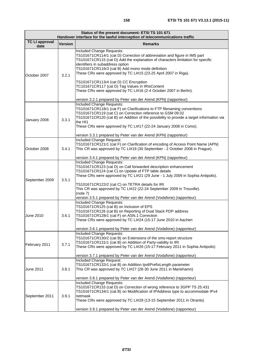| Status of the present document: ETSI TS 101 671<br>Handover interface for the lawful interception of telecommunications traffic |                |                                                                                                                                                                                                                                                                                                                                                                                                                                                                                                                                                                                           |  |
|---------------------------------------------------------------------------------------------------------------------------------|----------------|-------------------------------------------------------------------------------------------------------------------------------------------------------------------------------------------------------------------------------------------------------------------------------------------------------------------------------------------------------------------------------------------------------------------------------------------------------------------------------------------------------------------------------------------------------------------------------------------|--|
| <b>TC LI approval</b><br>date                                                                                                   | <b>Version</b> | <b>Remarks</b>                                                                                                                                                                                                                                                                                                                                                                                                                                                                                                                                                                            |  |
| October 2007                                                                                                                    | 3.2.1          | Included Change Requests:<br>TS101671CR114r1 (cat D) Correction of abbreviation and figure in IMS part<br>TS101671CR115 (cat D) Add the explanation of characters limitation for specific<br>identifiers in subaddress option<br>TS101671CR116r3 (cat B) Add mono mode definition<br>These CRs were approved by TC LI#15 (23-25 April 2007 in Riga).<br>TS101671CR113r4 (cat D) CC Encryption<br>TC101671CR117 (cat D) Tag Values in IRIsContent<br>These CRs were approved by TC LI#16 (2-4 October 2007 in Berlin).<br>version 3.2.1 prepared by Peter van der Arend (KPN) (rapporteur) |  |
| January 2008                                                                                                                    | 3.3.1          | Included Change Requests:<br>TS101671CR118r1 (cat F) on Clarifications to FTP filenaming conventions<br>TS101671CR119 (cat C) on Correction reference to GSM 09.02<br>TS101671CR120 (cat B) on Addition of the possibility to provide a target information via<br>the HI1<br>These CRs were approved by TC LI#17 (22-24 January 2008 in Como).<br>version 3.3.1 prepared by Peter van der Arend (KPN) (rapporteur)                                                                                                                                                                        |  |
| October 2008                                                                                                                    | 3.4.1          | Included Change Request:<br>TS101671CR121r1 (cat F) on Clarification of encoding of Access Point Name (APN)<br>This CR was approved by TC LI#19 (30 September - 2 October 2008 in Prague).<br>version 3.4.1 prepared by Peter van der Arend (KPN) (rapporteur)                                                                                                                                                                                                                                                                                                                            |  |
| September 2009                                                                                                                  | 3.5.1          | Included Change Requests:<br>TS101671CR123 (cat D) on Call forwarded description enhancement<br>TS101671CR124 (cat C) on Update of FTP table details<br>These CRs were approved by TC LI#21 (29 June - 1 July 2009 in Sophia Antipolis).<br>TS101671CR122r2 (cat C) on TETRA details for IRI<br>This CR was approved by TC LI#22 (22-24 September 2009 in Trouville).<br>(note 7)<br>version 3.5.1 prepared by Peter van der Arend (Vodafone) (rapporteur)                                                                                                                                |  |
| <b>June 2010</b>                                                                                                                | 3.6.1          | <b>Included Change Requests:</b><br>TS101671CR125 (cat B) on Inclusion of EPS<br>TS101671CR126 (cat B) on Reporting of Dual Stack PDP address<br>TS101671CR128r1 (cat F) on ASN.1 Correction<br>These CRs were approved by TC LI#24 (15-17 June 2010 in Aachen<br>version 3.6.1 prepared by Peter van der Arend (Vodafone) (rapporteur)                                                                                                                                                                                                                                                   |  |
| February 2011                                                                                                                   | 3.7.1          | Included Change Requests:<br>TS101671CR130r2 (cat B) on Extensions of the sms-report structure<br>TS101671CR131r1 (cat B) on Addition of Party-validity to IRI<br>These CRs were approved by TC LI#26 (15-17 February 2011 in Sophia Antipolis)<br>version 3.7.1 prepared by Peter van der Arend (Vodafone) (rapporteur)                                                                                                                                                                                                                                                                  |  |
| <b>June 2011</b>                                                                                                                | 3.8.1          | Included Change Request:<br>TS101671CR132r1 (cat B) on Addition Ipv6PrefixLength parameter<br>This CR was approved by TC LI#27 (28-30 June 2011 in Mariehamn)<br>version 3.8.1 prepared by Peter van der Arend (Vodafone) (rapporteur)                                                                                                                                                                                                                                                                                                                                                    |  |
| September 2011                                                                                                                  | 3.9.1          | Included Change Requests:<br>TS101671CR133 (cat D) on Correction of wrong reference to 3GPP TS 25.431<br>TS101671CR134r1 (cat B) on Modification of IPAddress type to accommodate IPv4<br>netmask<br>These CRs were approved by TC LI#28 (13-15 September 2011 in Otranto)<br>version 3.9.1 prepared by Peter van der Arend (Vodafone) (rapporteur)                                                                                                                                                                                                                                       |  |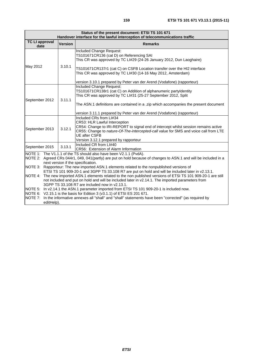| Status of the present document: ETSI TS 101 671<br>Handover interface for the lawful interception of telecommunications traffic |                |                                                                                                                                                                                                                                                                                                                                                                                                                                                                                                                                                    |
|---------------------------------------------------------------------------------------------------------------------------------|----------------|----------------------------------------------------------------------------------------------------------------------------------------------------------------------------------------------------------------------------------------------------------------------------------------------------------------------------------------------------------------------------------------------------------------------------------------------------------------------------------------------------------------------------------------------------|
| <b>TC LI approval</b><br>date                                                                                                   | <b>Version</b> | <b>Remarks</b>                                                                                                                                                                                                                                                                                                                                                                                                                                                                                                                                     |
| May 2012                                                                                                                        | 3.10.1         | Included Change Request:<br>TS101671CR136 (cat D) on Referencing SAI<br>This CR was approved by TC LI#29 (24-26 January 2012, Dun Laoghaire)<br>TS101671CR137r1 (cat C) on CSFB Location transfer over the HI2 interface<br>This CR was approved by TC LI#30 (14-16 May 2012, Amsterdam)<br>version 3.10.1 prepared by Peter van der Arend (Vodafone) (rapporteur)                                                                                                                                                                                 |
| September 2012                                                                                                                  | 3.11.1         | Included Change Request:<br>TS101671CR138r1 (cat C) on Addition of alphanumeric partyldentity<br>This CR was approved by TC LI#31 (25-27 September 2012, Split<br>The ASN.1 definitions are contained in a .zip which accompanies the present document<br>version 3.11.1 prepared by Peter van der Arend (Vodafone) (rapporteur)                                                                                                                                                                                                                   |
| September 2013                                                                                                                  | 3.12.1         | Included CRs from LI#34<br>CR53: HLR Lawful Interception<br>CR54: Change to IRI-REPORT to signal end of intercept whilst session remains active<br>CR55: Change to nature-Of-The-intercepted-call value for SMS and voice call from LTE<br><b>UE after CSFB</b><br>Version 3.12.1 prepared by rapporteur                                                                                                                                                                                                                                           |
| September 2015                                                                                                                  | 3.13.1         | Included CR from LI#40<br>CR56: Extension of Alarm Information                                                                                                                                                                                                                                                                                                                                                                                                                                                                                     |
|                                                                                                                                 |                | NOTE 1: The V1.1.1 of the TS should also have been V2.1.1 (PvdA).<br>NOTE 2: Agreed CRs 044r1, 049, 041(partly) are put on hold because of changes to ASN.1 and will be included in a<br>next version if the specification.<br>NOTE 3: Rapporteur: The new imported ASN.1 elements related to the nonpublished versions of<br>ETSI TS 101 909-20-1 and 3GPP TS 33.108 R7 are put on hold and will be included later in v2.13.1.<br>NOTE 4: The new imported ASN.1 elements related to the non published versions of ETSI TS 101 909-20-1 are still |
| editHelp).                                                                                                                      |                | not included and put on hold and will be included later in v2.14.1. The imported parameters from<br>3GPP TS 33.108 R7 are included now in v2.13.1.<br>NOTE 5: In v2.14.1 the ASN.1 parameter imported from ETSI TS 101 909-20-1 is included now.<br>NOTE 6: V2.15.1 is the basis for Edition 3 (v3.1.1) of ETSI ES 201 671.<br>NOTE 7: In the informative annexes all "shall" and "shall" statements have been "corrected" (as required by                                                                                                         |